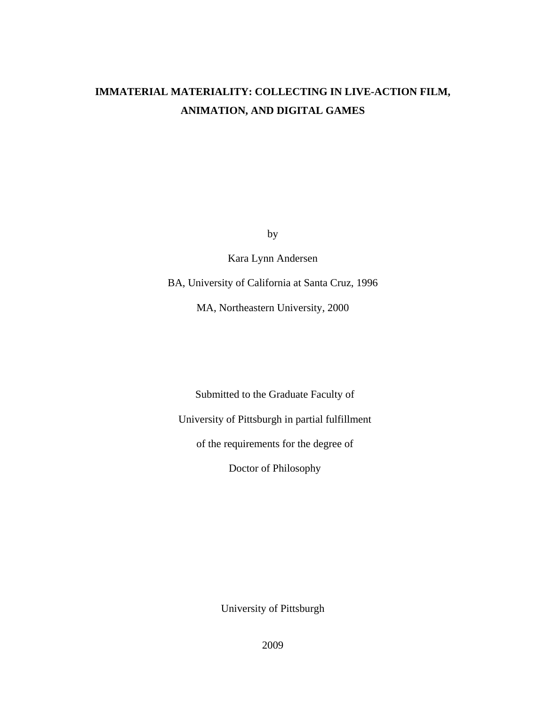## **IMMATERIAL MATERIALITY: COLLECTING IN LIVE-ACTION FILM, ANIMATION, AND DIGITAL GAMES**

by

Kara Lynn Andersen

BA, University of California at Santa Cruz, 1996

MA, Northeastern University, 2000

Submitted to the Graduate Faculty of University of Pittsburgh in partial fulfillment of the requirements for the degree of Doctor of Philosophy

University of Pittsburgh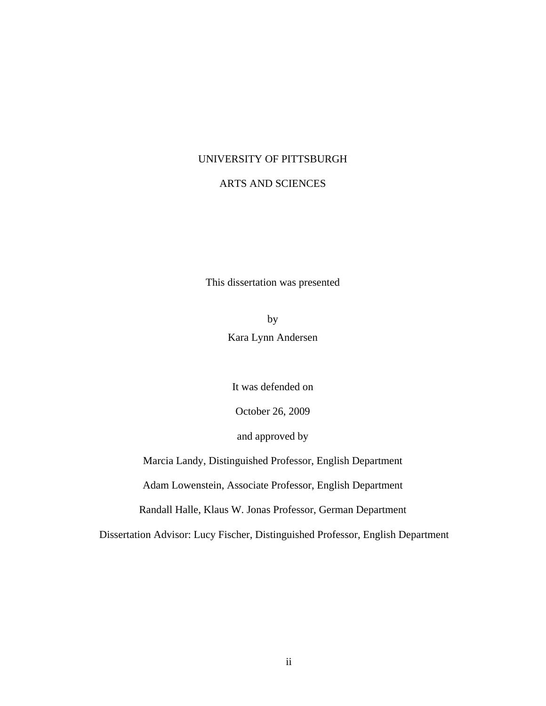#### UNIVERSITY OF PITTSBURGH

#### ARTS AND SCIENCES

This dissertation was presented

by Kara Lynn Andersen

It was defended on

October 26, 2009

and approved by

Marcia Landy, Distinguished Professor, English Department

Adam Lowenstein, Associate Professor, English Department

Randall Halle, Klaus W. Jonas Professor, German Department

Dissertation Advisor: Lucy Fischer, Distinguished Professor, English Department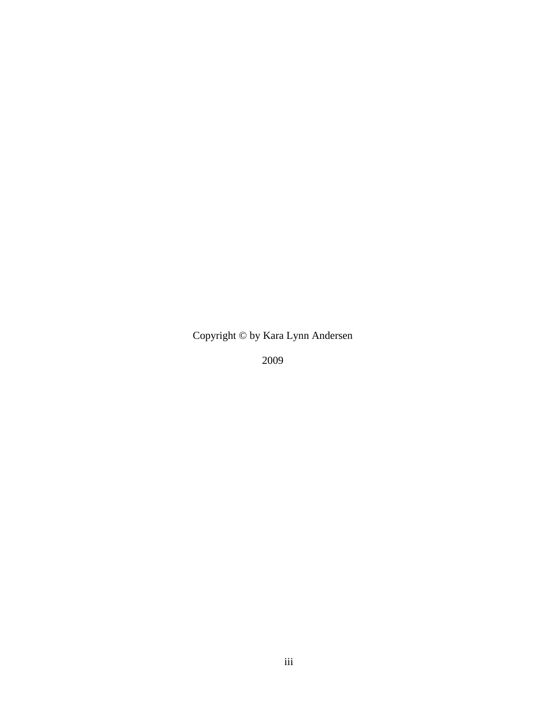Copyright © by Kara Lynn Andersen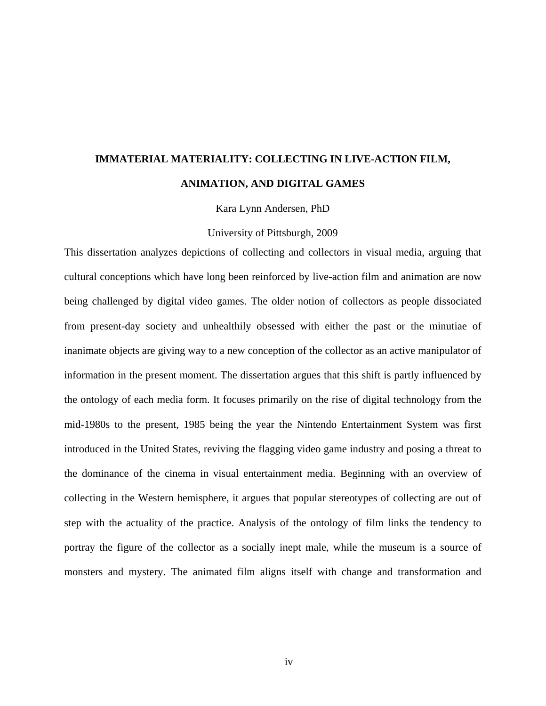# **IMMATERIAL MATERIALITY: COLLECTING IN LIVE-ACTION FILM, ANIMATION, AND DIGITAL GAMES**

Kara Lynn Andersen, PhD

#### University of Pittsburgh, 2009

This dissertation analyzes depictions of collecting and collectors in visual media, arguing that cultural conceptions which have long been reinforced by live-action film and animation are now being challenged by digital video games. The older notion of collectors as people dissociated from present-day society and unhealthily obsessed with either the past or the minutiae of inanimate objects are giving way to a new conception of the collector as an active manipulator of information in the present moment. The dissertation argues that this shift is partly influenced by the ontology of each media form. It focuses primarily on the rise of digital technology from the mid-1980s to the present, 1985 being the year the Nintendo Entertainment System was first introduced in the United States, reviving the flagging video game industry and posing a threat to the dominance of the cinema in visual entertainment media. Beginning with an overview of collecting in the Western hemisphere, it argues that popular stereotypes of collecting are out of step with the actuality of the practice. Analysis of the ontology of film links the tendency to portray the figure of the collector as a socially inept male, while the museum is a source of monsters and mystery. The animated film aligns itself with change and transformation and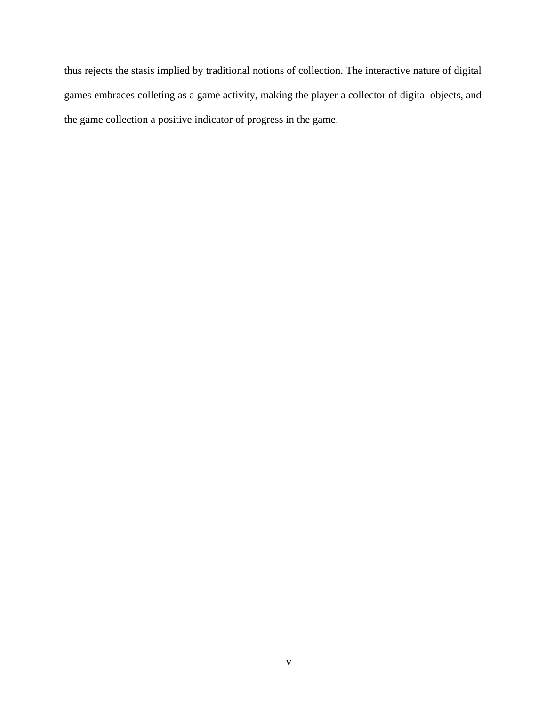thus rejects the stasis implied by traditional notions of collection. The interactive nature of digital games embraces colleting as a game activity, making the player a collector of digital objects, and the game collection a positive indicator of progress in the game.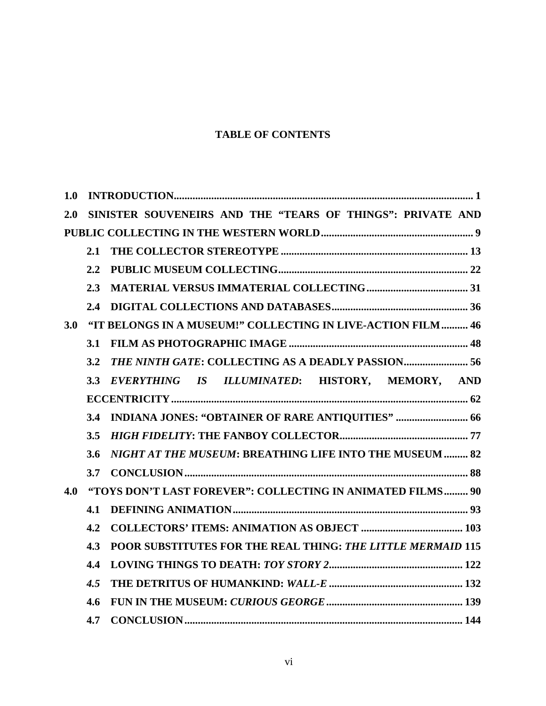## **TABLE OF CONTENTS**

| 1.0 |     |                                                             |
|-----|-----|-------------------------------------------------------------|
| 2.0 |     | SINISTER SOUVENEIRS AND THE "TEARS OF THINGS": PRIVATE AND  |
|     |     |                                                             |
|     | 2.1 |                                                             |
|     | 2.2 |                                                             |
|     | 2.3 |                                                             |
|     | 2.4 |                                                             |
| 3.0 |     | "IT BELONGS IN A MUSEUM!" COLLECTING IN LIVE-ACTION FILM 46 |
|     | 3.1 |                                                             |
|     | 3.2 |                                                             |
|     | 3.3 | ILLUMINATED: HISTORY, MEMORY, AND<br>EVERYTHING IS          |
|     |     |                                                             |
|     | 3.4 |                                                             |
|     | 3.5 |                                                             |
|     | 3.6 | NIGHT AT THE MUSEUM: BREATHING LIFE INTO THE MUSEUM  82     |
|     | 3.7 |                                                             |
| 4.0 |     | "TOYS DON'T LAST FOREVER": COLLECTING IN ANIMATED FILMS 90  |
|     | 4.1 |                                                             |
|     | 4.2 |                                                             |
|     | 4.3 | POOR SUBSTITUTES FOR THE REAL THING: THE LITTLE MERMAID 115 |
|     | 4.4 |                                                             |
|     | 4.5 |                                                             |
|     | 4.6 |                                                             |
|     | 4.7 |                                                             |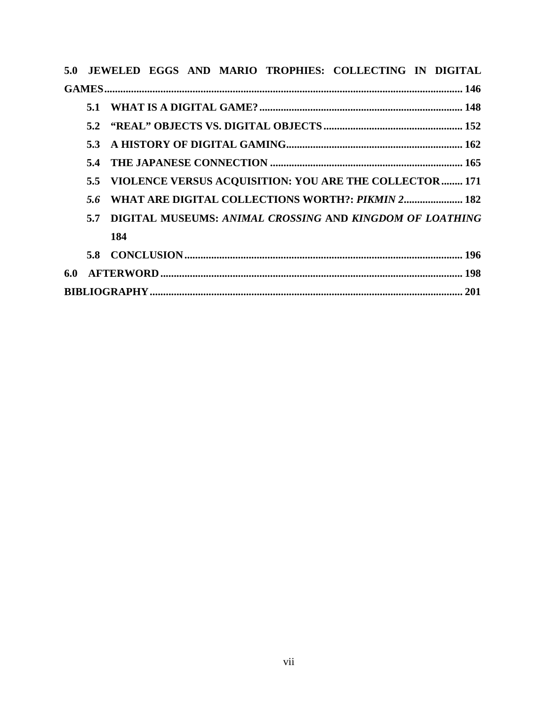|     |     |  |  |  |  | 5.0 JEWELED EGGS AND MARIO TROPHIES: COLLECTING IN DIGITAL  |  |  |  |
|-----|-----|--|--|--|--|-------------------------------------------------------------|--|--|--|
|     |     |  |  |  |  |                                                             |  |  |  |
|     |     |  |  |  |  |                                                             |  |  |  |
|     |     |  |  |  |  |                                                             |  |  |  |
| 5.3 |     |  |  |  |  |                                                             |  |  |  |
| 5.4 |     |  |  |  |  |                                                             |  |  |  |
|     |     |  |  |  |  | 5.5 VIOLENCE VERSUS ACQUISITION: YOU ARE THE COLLECTOR  171 |  |  |  |
| 5.6 |     |  |  |  |  | WHAT ARE DIGITAL COLLECTIONS WORTH?: PIKMIN 2 182           |  |  |  |
| 5.7 |     |  |  |  |  | DIGITAL MUSEUMS: ANIMAL CROSSING AND KINGDOM OF LOATHING    |  |  |  |
|     | 184 |  |  |  |  |                                                             |  |  |  |
|     |     |  |  |  |  |                                                             |  |  |  |
|     |     |  |  |  |  |                                                             |  |  |  |
|     |     |  |  |  |  |                                                             |  |  |  |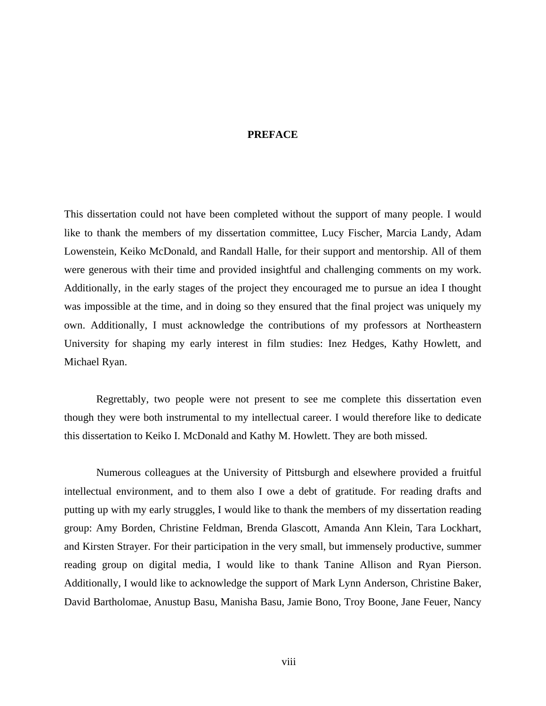#### **PREFACE**

This dissertation could not have been completed without the support of many people. I would like to thank the members of my dissertation committee, Lucy Fischer, Marcia Landy, Adam Lowenstein, Keiko McDonald, and Randall Halle, for their support and mentorship. All of them were generous with their time and provided insightful and challenging comments on my work. Additionally, in the early stages of the project they encouraged me to pursue an idea I thought was impossible at the time, and in doing so they ensured that the final project was uniquely my own. Additionally, I must acknowledge the contributions of my professors at Northeastern University for shaping my early interest in film studies: Inez Hedges, Kathy Howlett, and Michael Ryan.

Regrettably, two people were not present to see me complete this dissertation even though they were both instrumental to my intellectual career. I would therefore like to dedicate this dissertation to Keiko I. McDonald and Kathy M. Howlett. They are both missed.

Numerous colleagues at the University of Pittsburgh and elsewhere provided a fruitful intellectual environment, and to them also I owe a debt of gratitude. For reading drafts and putting up with my early struggles, I would like to thank the members of my dissertation reading group: Amy Borden, Christine Feldman, Brenda Glascott, Amanda Ann Klein, Tara Lockhart, and Kirsten Strayer. For their participation in the very small, but immensely productive, summer reading group on digital media, I would like to thank Tanine Allison and Ryan Pierson. Additionally, I would like to acknowledge the support of Mark Lynn Anderson, Christine Baker, David Bartholomae, Anustup Basu, Manisha Basu, Jamie Bono, Troy Boone, Jane Feuer, Nancy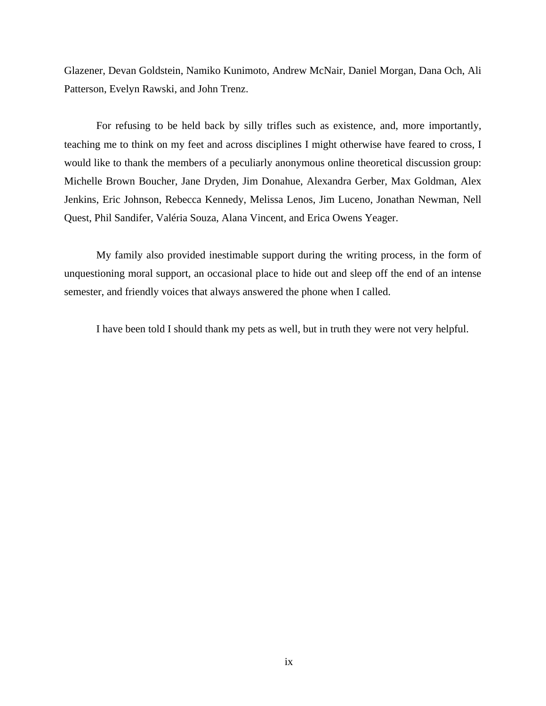Glazener, Devan Goldstein, Namiko Kunimoto, Andrew McNair, Daniel Morgan, Dana Och, Ali Patterson, Evelyn Rawski, and John Trenz.

For refusing to be held back by silly trifles such as existence, and, more importantly, teaching me to think on my feet and across disciplines I might otherwise have feared to cross, I would like to thank the members of a peculiarly anonymous online theoretical discussion group: Michelle Brown Boucher, Jane Dryden, Jim Donahue, Alexandra Gerber, Max Goldman, Alex Jenkins, Eric Johnson, Rebecca Kennedy, Melissa Lenos, Jim Luceno, Jonathan Newman, Nell Quest, Phil Sandifer, Valéria Souza, Alana Vincent, and Erica Owens Yeager.

My family also provided inestimable support during the writing process, in the form of unquestioning moral support, an occasional place to hide out and sleep off the end of an intense semester, and friendly voices that always answered the phone when I called.

I have been told I should thank my pets as well, but in truth they were not very helpful.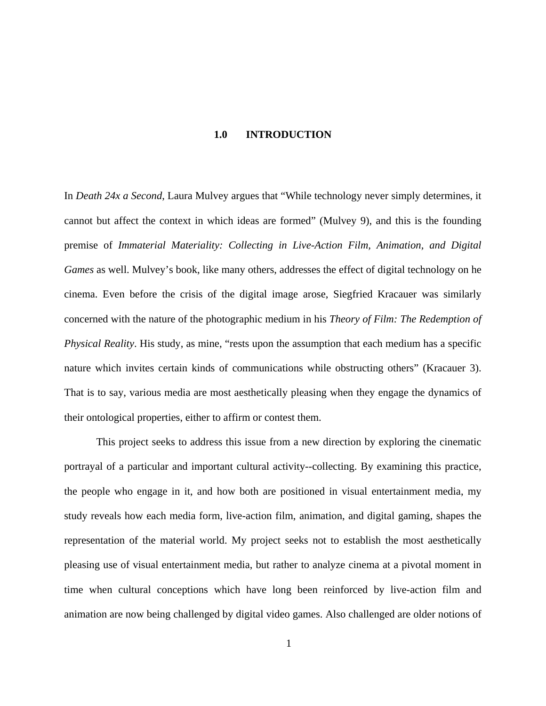#### **1.0 INTRODUCTION**

<span id="page-9-0"></span>In *Death 24x a Second*, Laura Mulvey argues that "While technology never simply determines, it cannot but affect the context in which ideas are formed" (Mulvey 9), and this is the founding premise of *Immaterial Materiality: Collecting in Live-Action Film, Animation, and Digital Games* as well. Mulvey's book, like many others, addresses the effect of digital technology on he cinema. Even before the crisis of the digital image arose, Siegfried Kracauer was similarly concerned with the nature of the photographic medium in his *Theory of Film: The Redemption of Physical Reality*. His study, as mine, "rests upon the assumption that each medium has a specific nature which invites certain kinds of communications while obstructing others" (Kracauer 3). That is to say, various media are most aesthetically pleasing when they engage the dynamics of their ontological properties, either to affirm or contest them.

This project seeks to address this issue from a new direction by exploring the cinematic portrayal of a particular and important cultural activity--collecting. By examining this practice, the people who engage in it, and how both are positioned in visual entertainment media, my study reveals how each media form, live-action film, animation, and digital gaming, shapes the representation of the material world. My project seeks not to establish the most aesthetically pleasing use of visual entertainment media, but rather to analyze cinema at a pivotal moment in time when cultural conceptions which have long been reinforced by live-action film and animation are now being challenged by digital video games. Also challenged are older notions of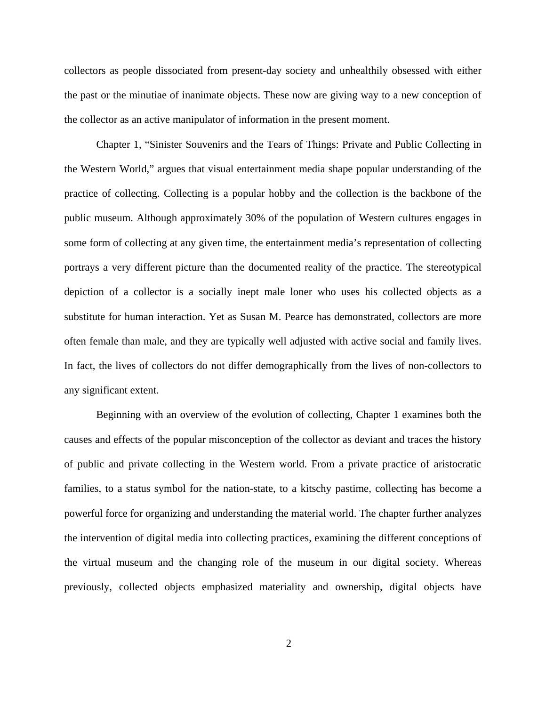collectors as people dissociated from present-day society and unhealthily obsessed with either the past or the minutiae of inanimate objects. These now are giving way to a new conception of the collector as an active manipulator of information in the present moment.

Chapter 1, "Sinister Souvenirs and the Tears of Things: Private and Public Collecting in the Western World," argues that visual entertainment media shape popular understanding of the practice of collecting. Collecting is a popular hobby and the collection is the backbone of the public museum. Although approximately 30% of the population of Western cultures engages in some form of collecting at any given time, the entertainment media's representation of collecting portrays a very different picture than the documented reality of the practice. The stereotypical depiction of a collector is a socially inept male loner who uses his collected objects as a substitute for human interaction. Yet as Susan M. Pearce has demonstrated, collectors are more often female than male, and they are typically well adjusted with active social and family lives. In fact, the lives of collectors do not differ demographically from the lives of non-collectors to any significant extent.

Beginning with an overview of the evolution of collecting, Chapter 1 examines both the causes and effects of the popular misconception of the collector as deviant and traces the history of public and private collecting in the Western world. From a private practice of aristocratic families, to a status symbol for the nation-state, to a kitschy pastime, collecting has become a powerful force for organizing and understanding the material world. The chapter further analyzes the intervention of digital media into collecting practices, examining the different conceptions of the virtual museum and the changing role of the museum in our digital society. Whereas previously, collected objects emphasized materiality and ownership, digital objects have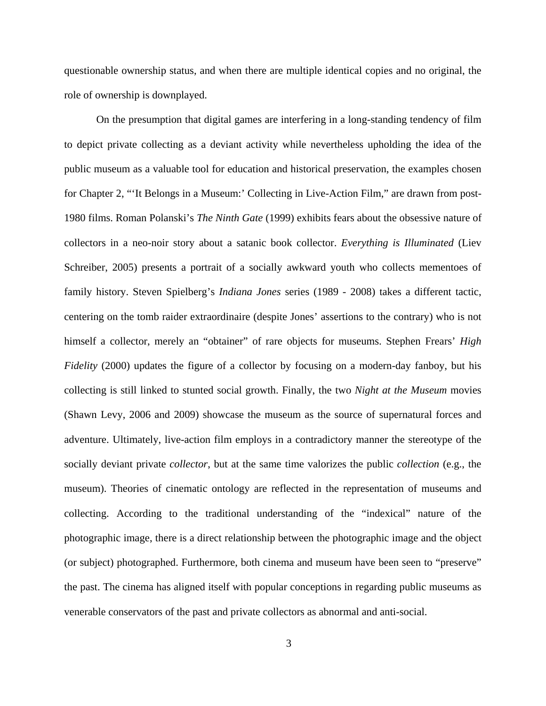questionable ownership status, and when there are multiple identical copies and no original, the role of ownership is downplayed.

On the presumption that digital games are interfering in a long-standing tendency of film to depict private collecting as a deviant activity while nevertheless upholding the idea of the public museum as a valuable tool for education and historical preservation, the examples chosen for Chapter 2, "'It Belongs in a Museum:' Collecting in Live-Action Film," are drawn from post-1980 films. Roman Polanski's *The Ninth Gate* (1999) exhibits fears about the obsessive nature of collectors in a neo-noir story about a satanic book collector. *Everything is Illuminated* (Liev Schreiber, 2005) presents a portrait of a socially awkward youth who collects mementoes of family history. Steven Spielberg's *Indiana Jones* series (1989 - 2008) takes a different tactic, centering on the tomb raider extraordinaire (despite Jones' assertions to the contrary) who is not himself a collector, merely an "obtainer" of rare objects for museums. Stephen Frears' *High Fidelity* (2000) updates the figure of a collector by focusing on a modern-day fanboy, but his collecting is still linked to stunted social growth. Finally, the two *Night at the Museum* movies (Shawn Levy, 2006 and 2009) showcase the museum as the source of supernatural forces and adventure. Ultimately, live-action film employs in a contradictory manner the stereotype of the socially deviant private *collector*, but at the same time valorizes the public *collection* (e.g., the museum). Theories of cinematic ontology are reflected in the representation of museums and collecting. According to the traditional understanding of the "indexical" nature of the photographic image, there is a direct relationship between the photographic image and the object (or subject) photographed. Furthermore, both cinema and museum have been seen to "preserve" the past. The cinema has aligned itself with popular conceptions in regarding public museums as venerable conservators of the past and private collectors as abnormal and anti-social.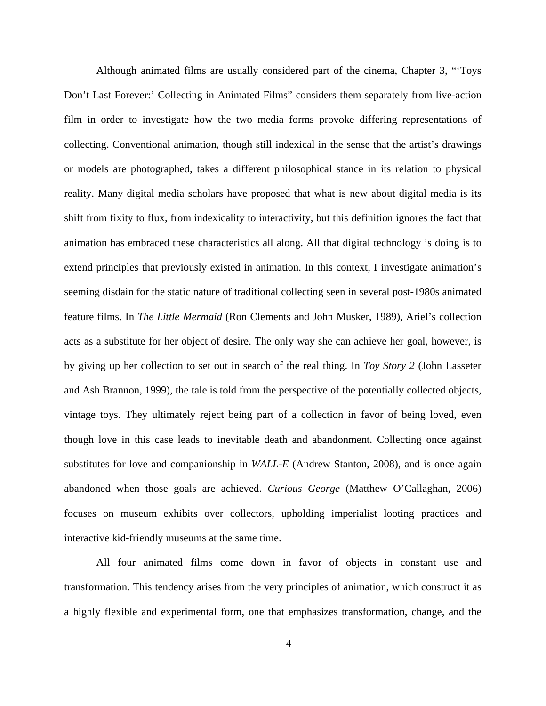Although animated films are usually considered part of the cinema, Chapter 3, "'Toys Don't Last Forever:' Collecting in Animated Films" considers them separately from live-action film in order to investigate how the two media forms provoke differing representations of collecting. Conventional animation, though still indexical in the sense that the artist's drawings or models are photographed, takes a different philosophical stance in its relation to physical reality. Many digital media scholars have proposed that what is new about digital media is its shift from fixity to flux, from indexicality to interactivity, but this definition ignores the fact that animation has embraced these characteristics all along. All that digital technology is doing is to extend principles that previously existed in animation. In this context, I investigate animation's seeming disdain for the static nature of traditional collecting seen in several post-1980s animated feature films. In *The Little Mermaid* (Ron Clements and John Musker, 1989), Ariel's collection acts as a substitute for her object of desire. The only way she can achieve her goal, however, is by giving up her collection to set out in search of the real thing. In *Toy Story 2* (John Lasseter and Ash Brannon, 1999), the tale is told from the perspective of the potentially collected objects, vintage toys. They ultimately reject being part of a collection in favor of being loved, even though love in this case leads to inevitable death and abandonment. Collecting once against substitutes for love and companionship in *WALL-E* (Andrew Stanton, 2008), and is once again abandoned when those goals are achieved. *Curious George* (Matthew O'Callaghan, 2006) focuses on museum exhibits over collectors, upholding imperialist looting practices and interactive kid-friendly museums at the same time.

All four animated films come down in favor of objects in constant use and transformation. This tendency arises from the very principles of animation, which construct it as a highly flexible and experimental form, one that emphasizes transformation, change, and the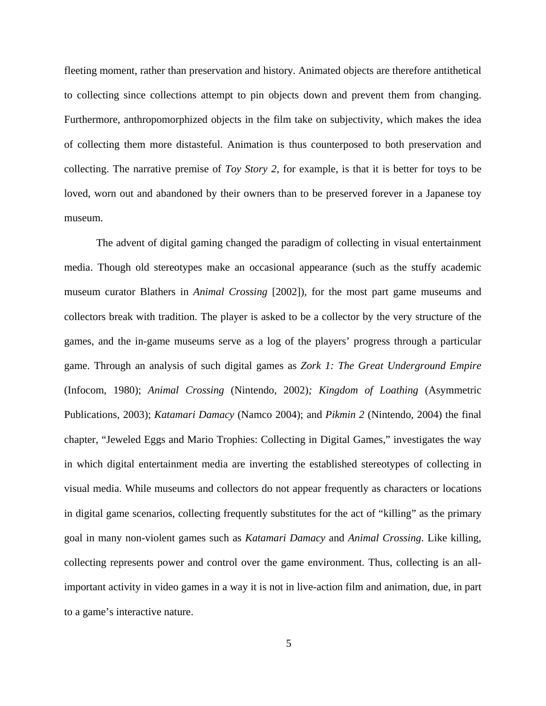fleeting moment, rather than preservation and history. Animated objects are therefore antithetical to collecting since collections attempt to pin objects down and prevent them from changing. Furthermore, anthropomorphized objects in the film take on subjectivity, which makes the idea of collecting them more distasteful. Animation is thus counterposed to both preservation and collecting. The narrative premise of *Toy Story 2*, for example, is that it is better for toys to be loved, worn out and abandoned by their owners than to be preserved forever in a Japanese toy museum.

The advent of digital gaming changed the paradigm of collecting in visual entertainment media. Though old stereotypes make an occasional appearance (such as the stuffy academic museum curator Blathers in *Animal Crossing* [2002]), for the most part game museums and collectors break with tradition. The player is asked to be a collector by the very structure of the games, and the in-game museums serve as a log of the players' progress through a particular game. Through an analysis of such digital games as *Zork 1: The Great Underground Empire*  (Infocom, 1980); *Animal Crossing* (Nintendo, 2002)*; Kingdom of Loathing* (Asymmetric Publications, 2003); *Katamari Damacy* (Namco 2004); and *Pikmin 2* (Nintendo, 2004) the final chapter, "Jeweled Eggs and Mario Trophies: Collecting in Digital Games," investigates the way in which digital entertainment media are inverting the established stereotypes of collecting in visual media. While museums and collectors do not appear frequently as characters or locations in digital game scenarios, collecting frequently substitutes for the act of "killing" as the primary goal in many non-violent games such as *Katamari Damacy* and *Animal Crossing*. Like killing, collecting represents power and control over the game environment. Thus, collecting is an allimportant activity in video games in a way it is not in live-action film and animation, due, in part to a game's interactive nature.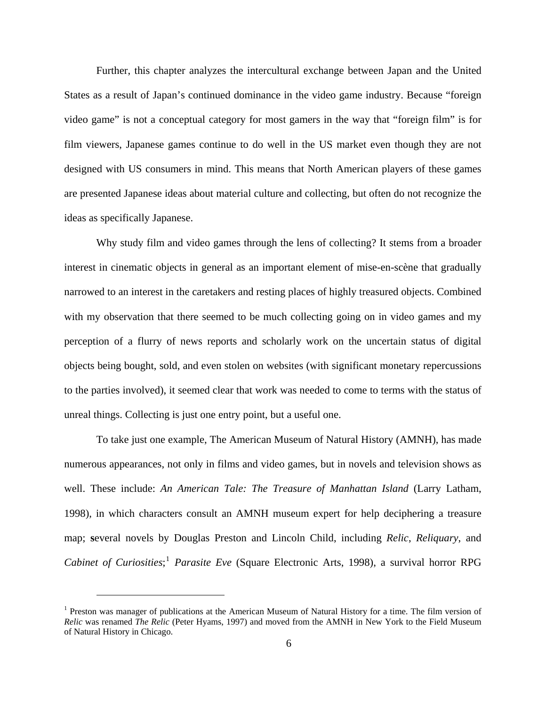Further, this chapter analyzes the intercultural exchange between Japan and the United States as a result of Japan's continued dominance in the video game industry. Because "foreign video game" is not a conceptual category for most gamers in the way that "foreign film" is for film viewers, Japanese games continue to do well in the US market even though they are not designed with US consumers in mind. This means that North American players of these games are presented Japanese ideas about material culture and collecting, but often do not recognize the ideas as specifically Japanese.

Why study film and video games through the lens of collecting? It stems from a broader interest in cinematic objects in general as an important element of mise-en-scène that gradually narrowed to an interest in the caretakers and resting places of highly treasured objects. Combined with my observation that there seemed to be much collecting going on in video games and my perception of a flurry of news reports and scholarly work on the uncertain status of digital objects being bought, sold, and even stolen on websites (with significant monetary repercussions to the parties involved), it seemed clear that work was needed to come to terms with the status of unreal things. Collecting is just one entry point, but a useful one.

To take just one example, The American Museum of Natural History (AMNH), has made numerous appearances, not only in films and video games, but in novels and television shows as well. These include: *An American Tale: The Treasure of Manhattan Island* (Larry Latham, 1998), in which characters consult an AMNH museum expert for help deciphering a treasure map; **s**everal novels by Douglas Preston and Lincoln Child, including *Relic*, *Reliquary*, and Cabinet of Curiosities;<sup>[1](#page-14-0)</sup> Parasite Eve (Square Electronic Arts, 1998), a survival horror RPG

<u>.</u>

<span id="page-14-0"></span><sup>&</sup>lt;sup>1</sup> Preston was manager of publications at the American Museum of Natural History for a time. The film version of *Relic* was renamed *The Relic* (Peter Hyams, 1997) and moved from the AMNH in New York to the Field Museum of Natural History in Chicago.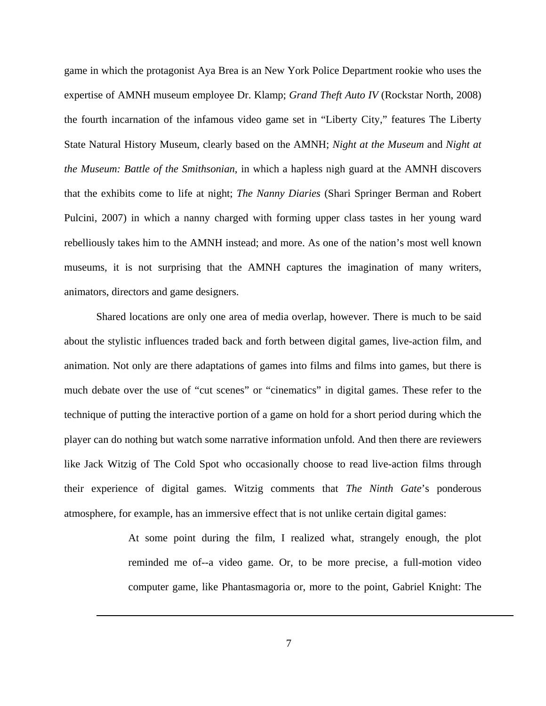game in which the protagonist Aya Brea is an New York Police Department rookie who uses the expertise of AMNH museum employee Dr. Klamp; *Grand Theft Auto IV* (Rockstar North, 2008) the fourth incarnation of the infamous video game set in "Liberty City," features The Liberty State Natural History Museum, clearly based on the AMNH; *Night at the Museum* and *Night at the Museum: Battle of the Smithsonian*, in which a hapless nigh guard at the AMNH discovers that the exhibits come to life at night; *The Nanny Diaries* (Shari Springer Berman and Robert Pulcini, 2007) in which a nanny charged with forming upper class tastes in her young ward rebelliously takes him to the AMNH instead; and more. As one of the nation's most well known museums, it is not surprising that the AMNH captures the imagination of many writers, animators, directors and game designers.

Shared locations are only one area of media overlap, however. There is much to be said about the stylistic influences traded back and forth between digital games, live-action film, and animation. Not only are there adaptations of games into films and films into games, but there is much debate over the use of "cut scenes" or "cinematics" in digital games. These refer to the technique of putting the interactive portion of a game on hold for a short period during which the player can do nothing but watch some narrative information unfold. And then there are reviewers like Jack Witzig of The Cold Spot who occasionally choose to read live-action films through their experience of digital games. Witzig comments that *The Ninth Gate*'s ponderous atmosphere, for example, has an immersive effect that is not unlike certain digital games:

> At some point during the film, I realized what, strangely enough, the plot reminded me of--a video game. Or, to be more precise, a full-motion video computer game, like Phantasmagoria or, more to the point, Gabriel Knight: The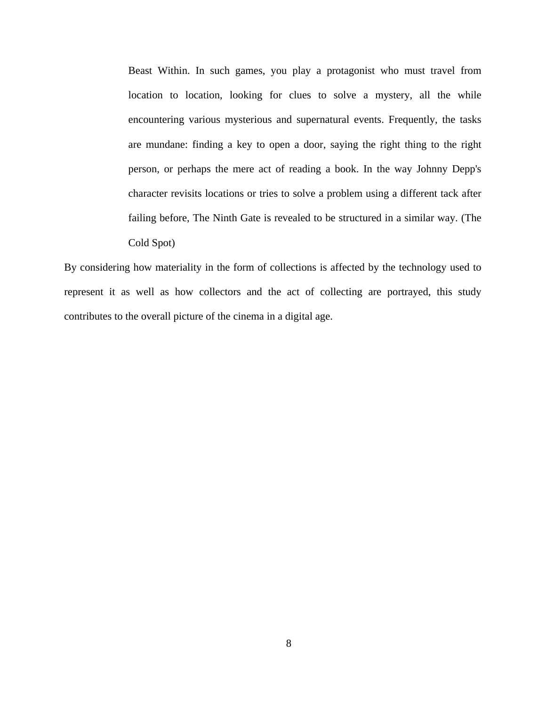Beast Within. In such games, you play a protagonist who must travel from location to location, looking for clues to solve a mystery, all the while encountering various mysterious and supernatural events. Frequently, the tasks are mundane: finding a key to open a door, saying the right thing to the right person, or perhaps the mere act of reading a book. In the way Johnny Depp's character revisits locations or tries to solve a problem using a different tack after failing before, The Ninth Gate is revealed to be structured in a similar way. (The Cold Spot)

By considering how materiality in the form of collections is affected by the technology used to represent it as well as how collectors and the act of collecting are portrayed, this study contributes to the overall picture of the cinema in a digital age.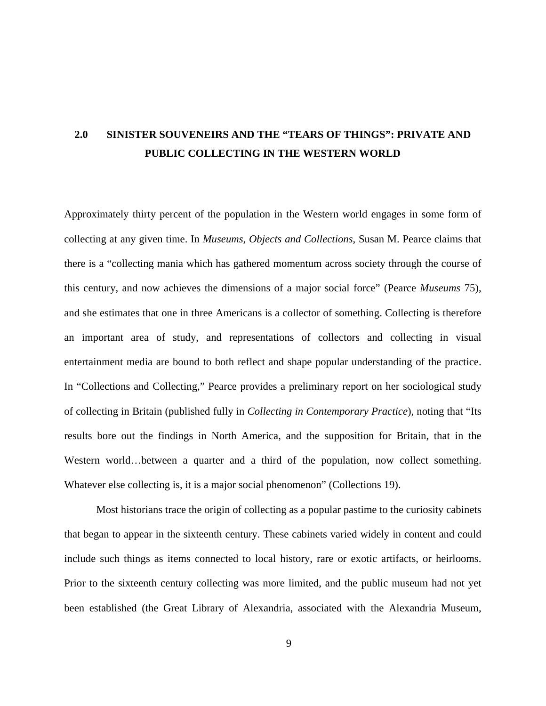## <span id="page-17-0"></span>**2.0 SINISTER SOUVENEIRS AND THE "TEARS OF THINGS": PRIVATE AND PUBLIC COLLECTING IN THE WESTERN WORLD**

Approximately thirty percent of the population in the Western world engages in some form of collecting at any given time. In *Museums, Objects and Collections*, Susan M. Pearce claims that there is a "collecting mania which has gathered momentum across society through the course of this century, and now achieves the dimensions of a major social force" (Pearce *Museums* 75), and she estimates that one in three Americans is a collector of something. Collecting is therefore an important area of study, and representations of collectors and collecting in visual entertainment media are bound to both reflect and shape popular understanding of the practice. In "Collections and Collecting," Pearce provides a preliminary report on her sociological study of collecting in Britain (published fully in *Collecting in Contemporary Practice*), noting that "Its results bore out the findings in North America, and the supposition for Britain, that in the Western world…between a quarter and a third of the population, now collect something. Whatever else collecting is, it is a major social phenomenon" (Collections 19).

Most historians trace the origin of collecting as a popular pastime to the curiosity cabinets that began to appear in the sixteenth century. These cabinets varied widely in content and could include such things as items connected to local history, rare or exotic artifacts, or heirlooms. Prior to the sixteenth century collecting was more limited, and the public museum had not yet been established (the Great Library of Alexandria, associated with the Alexandria Museum,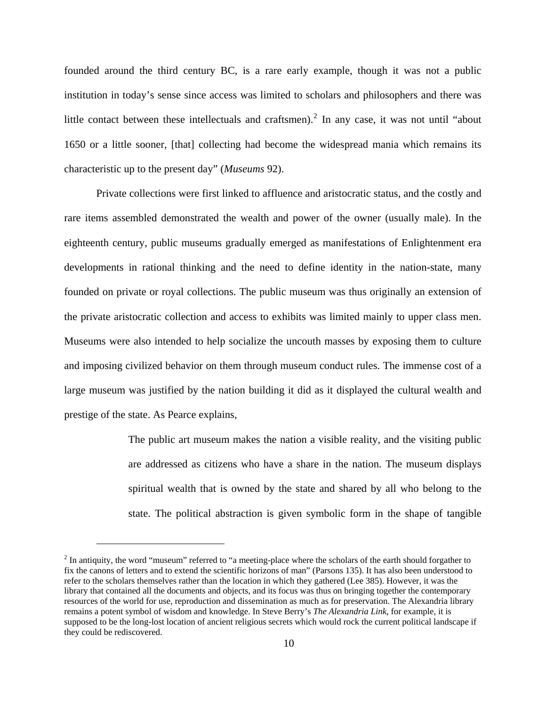founded around the third century BC, is a rare early example, though it was not a public institution in today's sense since access was limited to scholars and philosophers and there was little contact between these intellectuals and craftsmen).<sup>[2](#page-18-0)</sup> In any case, it was not until "about 1650 or a little sooner, [that] collecting had become the widespread mania which remains its characteristic up to the present day" (*Museums* 92).

Private collections were first linked to affluence and aristocratic status, and the costly and rare items assembled demonstrated the wealth and power of the owner (usually male). In the eighteenth century, public museums gradually emerged as manifestations of Enlightenment era developments in rational thinking and the need to define identity in the nation-state, many founded on private or royal collections. The public museum was thus originally an extension of the private aristocratic collection and access to exhibits was limited mainly to upper class men. Museums were also intended to help socialize the uncouth masses by exposing them to culture and imposing civilized behavior on them through museum conduct rules. The immense cost of a large museum was justified by the nation building it did as it displayed the cultural wealth and prestige of the state. As Pearce explains,

> The public art museum makes the nation a visible reality, and the visiting public are addressed as citizens who have a share in the nation. The museum displays spiritual wealth that is owned by the state and shared by all who belong to the state. The political abstraction is given symbolic form in the shape of tangible

<span id="page-18-0"></span> $2<sup>2</sup>$  In antiquity, the word "museum" referred to "a meeting-place where the scholars of the earth should forgather to fix the canons of letters and to extend the scientific horizons of man" (Parsons 135). It has also been understood to refer to the scholars themselves rather than the location in which they gathered (Lee 385). However, it was the library that contained all the documents and objects, and its focus was thus on bringing together the contemporary resources of the world for use, reproduction and dissemination as much as for preservation. The Alexandria library remains a potent symbol of wisdom and knowledge. In Steve Berry's *The Alexandria Link*, for example, it is supposed to be the long-lost location of ancient religious secrets which would rock the current political landscape if they could be rediscovered.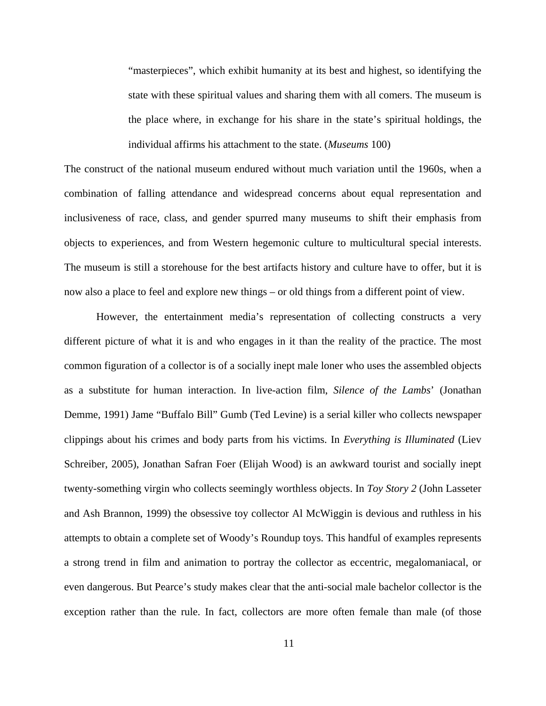"masterpieces", which exhibit humanity at its best and highest, so identifying the state with these spiritual values and sharing them with all comers. The museum is the place where, in exchange for his share in the state's spiritual holdings, the individual affirms his attachment to the state. (*Museums* 100)

The construct of the national museum endured without much variation until the 1960s, when a combination of falling attendance and widespread concerns about equal representation and inclusiveness of race, class, and gender spurred many museums to shift their emphasis from objects to experiences, and from Western hegemonic culture to multicultural special interests. The museum is still a storehouse for the best artifacts history and culture have to offer, but it is now also a place to feel and explore new things – or old things from a different point of view.

However, the entertainment media's representation of collecting constructs a very different picture of what it is and who engages in it than the reality of the practice. The most common figuration of a collector is of a socially inept male loner who uses the assembled objects as a substitute for human interaction. In live-action film, *Silence of the Lambs*' (Jonathan Demme, 1991) Jame "Buffalo Bill" Gumb (Ted Levine) is a serial killer who collects newspaper clippings about his crimes and body parts from his victims. In *Everything is Illuminated* (Liev Schreiber, 2005), Jonathan Safran Foer (Elijah Wood) is an awkward tourist and socially inept twenty-something virgin who collects seemingly worthless objects. In *Toy Story 2* (John Lasseter and Ash Brannon, 1999) the obsessive toy collector Al McWiggin is devious and ruthless in his attempts to obtain a complete set of Woody's Roundup toys. This handful of examples represents a strong trend in film and animation to portray the collector as eccentric, megalomaniacal, or even dangerous. But Pearce's study makes clear that the anti-social male bachelor collector is the exception rather than the rule. In fact, collectors are more often female than male (of those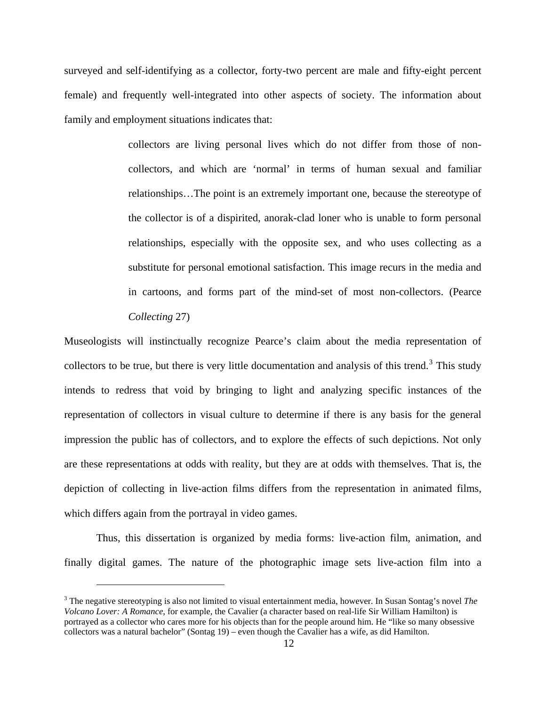surveyed and self-identifying as a collector, forty-two percent are male and fifty-eight percent female) and frequently well-integrated into other aspects of society. The information about family and employment situations indicates that:

> collectors are living personal lives which do not differ from those of noncollectors, and which are 'normal' in terms of human sexual and familiar relationships…The point is an extremely important one, because the stereotype of the collector is of a dispirited, anorak-clad loner who is unable to form personal relationships, especially with the opposite sex, and who uses collecting as a substitute for personal emotional satisfaction. This image recurs in the media and in cartoons, and forms part of the mind-set of most non-collectors. (Pearce *Collecting* 27)

Museologists will instinctually recognize Pearce's claim about the media representation of collectors to be true, but there is very little documentation and analysis of this trend.<sup>[3](#page-20-0)</sup> This study intends to redress that void by bringing to light and analyzing specific instances of the representation of collectors in visual culture to determine if there is any basis for the general impression the public has of collectors, and to explore the effects of such depictions. Not only are these representations at odds with reality, but they are at odds with themselves. That is, the depiction of collecting in live-action films differs from the representation in animated films, which differs again from the portrayal in video games.

Thus, this dissertation is organized by media forms: live-action film, animation, and finally digital games. The nature of the photographic image sets live-action film into a

<span id="page-20-0"></span><sup>3</sup> The negative stereotyping is also not limited to visual entertainment media, however. In Susan Sontag's novel *The Volcano Lover: A Romance*, for example, the Cavalier (a character based on real-life Sir William Hamilton) is portrayed as a collector who cares more for his objects than for the people around him. He "like so many obsessive collectors was a natural bachelor" (Sontag 19) – even though the Cavalier has a wife, as did Hamilton.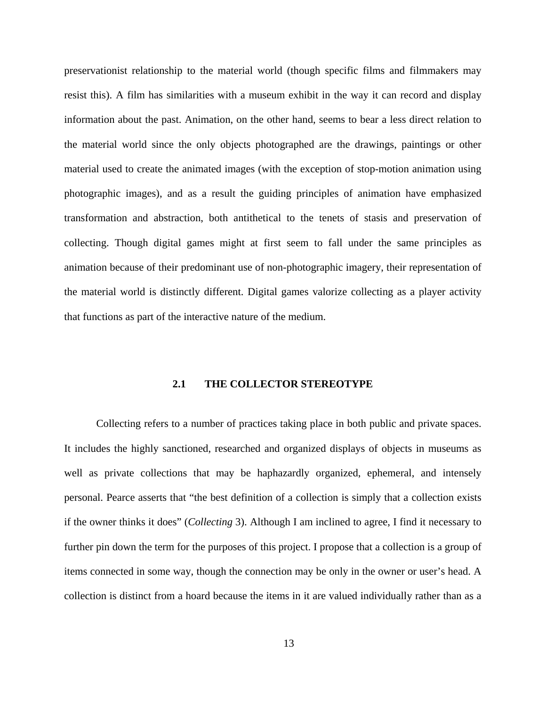<span id="page-21-0"></span>preservationist relationship to the material world (though specific films and filmmakers may resist this). A film has similarities with a museum exhibit in the way it can record and display information about the past. Animation, on the other hand, seems to bear a less direct relation to the material world since the only objects photographed are the drawings, paintings or other material used to create the animated images (with the exception of stop-motion animation using photographic images), and as a result the guiding principles of animation have emphasized transformation and abstraction, both antithetical to the tenets of stasis and preservation of collecting. Though digital games might at first seem to fall under the same principles as animation because of their predominant use of non-photographic imagery, their representation of the material world is distinctly different. Digital games valorize collecting as a player activity that functions as part of the interactive nature of the medium.

#### **2.1 THE COLLECTOR STEREOTYPE**

Collecting refers to a number of practices taking place in both public and private spaces. It includes the highly sanctioned, researched and organized displays of objects in museums as well as private collections that may be haphazardly organized, ephemeral, and intensely personal. Pearce asserts that "the best definition of a collection is simply that a collection exists if the owner thinks it does" (*Collecting* 3). Although I am inclined to agree, I find it necessary to further pin down the term for the purposes of this project. I propose that a collection is a group of items connected in some way, though the connection may be only in the owner or user's head. A collection is distinct from a hoard because the items in it are valued individually rather than as a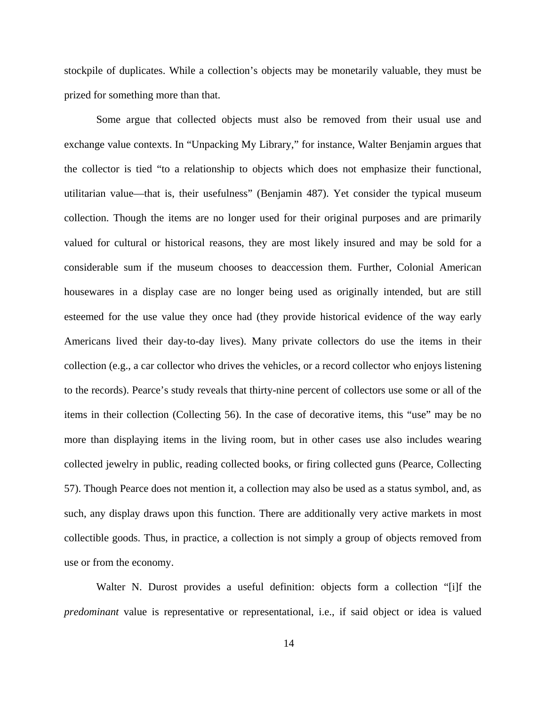stockpile of duplicates. While a collection's objects may be monetarily valuable, they must be prized for something more than that.

Some argue that collected objects must also be removed from their usual use and exchange value contexts. In "Unpacking My Library," for instance, Walter Benjamin argues that the collector is tied "to a relationship to objects which does not emphasize their functional, utilitarian value—that is, their usefulness" (Benjamin 487). Yet consider the typical museum collection. Though the items are no longer used for their original purposes and are primarily valued for cultural or historical reasons, they are most likely insured and may be sold for a considerable sum if the museum chooses to deaccession them. Further, Colonial American housewares in a display case are no longer being used as originally intended, but are still esteemed for the use value they once had (they provide historical evidence of the way early Americans lived their day-to-day lives). Many private collectors do use the items in their collection (e.g., a car collector who drives the vehicles, or a record collector who enjoys listening to the records). Pearce's study reveals that thirty-nine percent of collectors use some or all of the items in their collection (Collecting 56). In the case of decorative items, this "use" may be no more than displaying items in the living room, but in other cases use also includes wearing collected jewelry in public, reading collected books, or firing collected guns (Pearce, Collecting 57). Though Pearce does not mention it, a collection may also be used as a status symbol, and, as such, any display draws upon this function. There are additionally very active markets in most collectible goods. Thus, in practice, a collection is not simply a group of objects removed from use or from the economy.

Walter N. Durost provides a useful definition: objects form a collection "[i]f the *predominant* value is representative or representational, i.e., if said object or idea is valued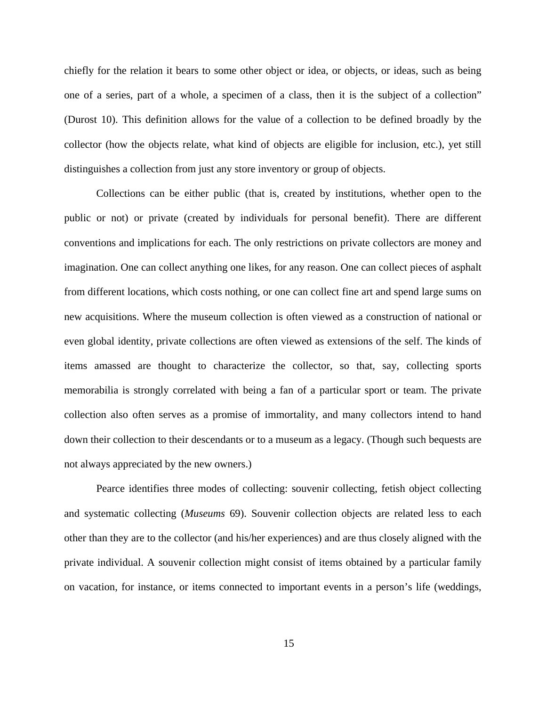chiefly for the relation it bears to some other object or idea, or objects, or ideas, such as being one of a series, part of a whole, a specimen of a class, then it is the subject of a collection" (Durost 10). This definition allows for the value of a collection to be defined broadly by the collector (how the objects relate, what kind of objects are eligible for inclusion, etc.), yet still distinguishes a collection from just any store inventory or group of objects.

Collections can be either public (that is, created by institutions, whether open to the public or not) or private (created by individuals for personal benefit). There are different conventions and implications for each. The only restrictions on private collectors are money and imagination. One can collect anything one likes, for any reason. One can collect pieces of asphalt from different locations, which costs nothing, or one can collect fine art and spend large sums on new acquisitions. Where the museum collection is often viewed as a construction of national or even global identity, private collections are often viewed as extensions of the self. The kinds of items amassed are thought to characterize the collector, so that, say, collecting sports memorabilia is strongly correlated with being a fan of a particular sport or team. The private collection also often serves as a promise of immortality, and many collectors intend to hand down their collection to their descendants or to a museum as a legacy. (Though such bequests are not always appreciated by the new owners.)

Pearce identifies three modes of collecting: souvenir collecting, fetish object collecting and systematic collecting (*Museums* 69). Souvenir collection objects are related less to each other than they are to the collector (and his/her experiences) and are thus closely aligned with the private individual. A souvenir collection might consist of items obtained by a particular family on vacation, for instance, or items connected to important events in a person's life (weddings,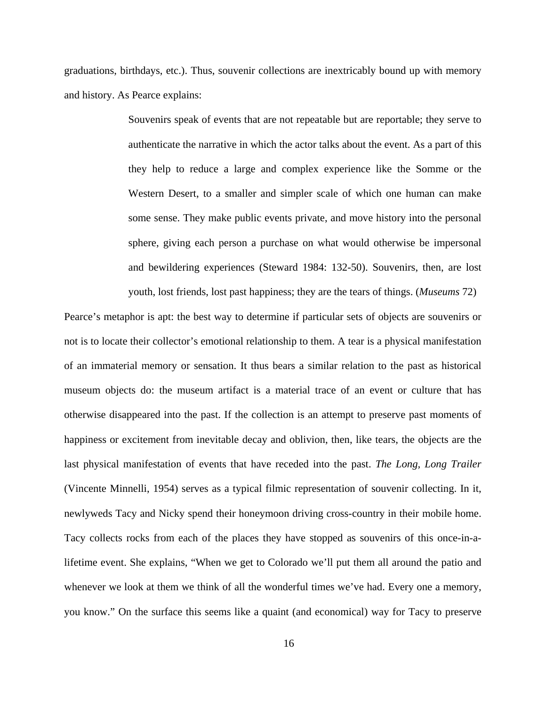graduations, birthdays, etc.). Thus, souvenir collections are inextricably bound up with memory and history. As Pearce explains:

> Souvenirs speak of events that are not repeatable but are reportable; they serve to authenticate the narrative in which the actor talks about the event. As a part of this they help to reduce a large and complex experience like the Somme or the Western Desert, to a smaller and simpler scale of which one human can make some sense. They make public events private, and move history into the personal sphere, giving each person a purchase on what would otherwise be impersonal and bewildering experiences (Steward 1984: 132-50). Souvenirs, then, are lost youth, lost friends, lost past happiness; they are the tears of things. (*Museums* 72)

Pearce's metaphor is apt: the best way to determine if particular sets of objects are souvenirs or not is to locate their collector's emotional relationship to them. A tear is a physical manifestation of an immaterial memory or sensation. It thus bears a similar relation to the past as historical museum objects do: the museum artifact is a material trace of an event or culture that has otherwise disappeared into the past. If the collection is an attempt to preserve past moments of happiness or excitement from inevitable decay and oblivion, then, like tears, the objects are the last physical manifestation of events that have receded into the past. *The Long, Long Trailer*  (Vincente Minnelli, 1954) serves as a typical filmic representation of souvenir collecting. In it, newlyweds Tacy and Nicky spend their honeymoon driving cross-country in their mobile home. Tacy collects rocks from each of the places they have stopped as souvenirs of this once-in-alifetime event. She explains, "When we get to Colorado we'll put them all around the patio and whenever we look at them we think of all the wonderful times we've had. Every one a memory, you know." On the surface this seems like a quaint (and economical) way for Tacy to preserve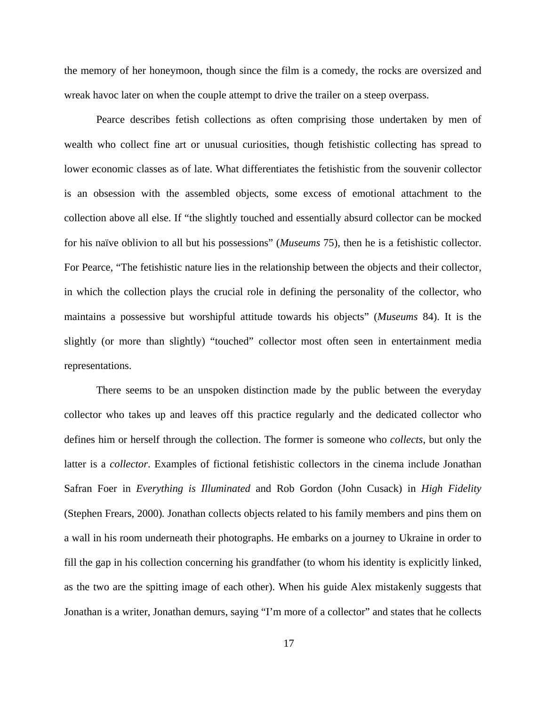the memory of her honeymoon, though since the film is a comedy, the rocks are oversized and wreak havoc later on when the couple attempt to drive the trailer on a steep overpass.

Pearce describes fetish collections as often comprising those undertaken by men of wealth who collect fine art or unusual curiosities, though fetishistic collecting has spread to lower economic classes as of late. What differentiates the fetishistic from the souvenir collector is an obsession with the assembled objects, some excess of emotional attachment to the collection above all else. If "the slightly touched and essentially absurd collector can be mocked for his naïve oblivion to all but his possessions" (*Museums* 75), then he is a fetishistic collector. For Pearce, "The fetishistic nature lies in the relationship between the objects and their collector, in which the collection plays the crucial role in defining the personality of the collector, who maintains a possessive but worshipful attitude towards his objects" (*Museums* 84). It is the slightly (or more than slightly) "touched" collector most often seen in entertainment media representations.

There seems to be an unspoken distinction made by the public between the everyday collector who takes up and leaves off this practice regularly and the dedicated collector who defines him or herself through the collection. The former is someone who *collects*, but only the latter is a *collector*. Examples of fictional fetishistic collectors in the cinema include Jonathan Safran Foer in *Everything is Illuminated* and Rob Gordon (John Cusack) in *High Fidelity* (Stephen Frears, 2000)*.* Jonathan collects objects related to his family members and pins them on a wall in his room underneath their photographs. He embarks on a journey to Ukraine in order to fill the gap in his collection concerning his grandfather (to whom his identity is explicitly linked, as the two are the spitting image of each other). When his guide Alex mistakenly suggests that Jonathan is a writer, Jonathan demurs, saying "I'm more of a collector" and states that he collects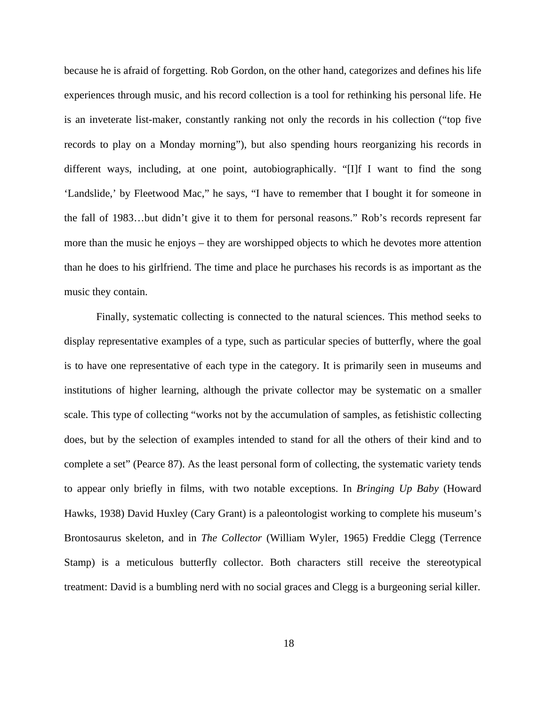because he is afraid of forgetting. Rob Gordon, on the other hand, categorizes and defines his life experiences through music, and his record collection is a tool for rethinking his personal life. He is an inveterate list-maker, constantly ranking not only the records in his collection ("top five records to play on a Monday morning"), but also spending hours reorganizing his records in different ways, including, at one point, autobiographically. "[I]f I want to find the song 'Landslide,' by Fleetwood Mac," he says, "I have to remember that I bought it for someone in the fall of 1983…but didn't give it to them for personal reasons." Rob's records represent far more than the music he enjoys – they are worshipped objects to which he devotes more attention than he does to his girlfriend. The time and place he purchases his records is as important as the music they contain.

Finally, systematic collecting is connected to the natural sciences. This method seeks to display representative examples of a type, such as particular species of butterfly, where the goal is to have one representative of each type in the category. It is primarily seen in museums and institutions of higher learning, although the private collector may be systematic on a smaller scale. This type of collecting "works not by the accumulation of samples, as fetishistic collecting does, but by the selection of examples intended to stand for all the others of their kind and to complete a set" (Pearce 87). As the least personal form of collecting, the systematic variety tends to appear only briefly in films, with two notable exceptions. In *Bringing Up Baby* (Howard Hawks, 1938) David Huxley (Cary Grant) is a paleontologist working to complete his museum's Brontosaurus skeleton, and in *The Collector* (William Wyler, 1965) Freddie Clegg (Terrence Stamp) is a meticulous butterfly collector. Both characters still receive the stereotypical treatment: David is a bumbling nerd with no social graces and Clegg is a burgeoning serial killer.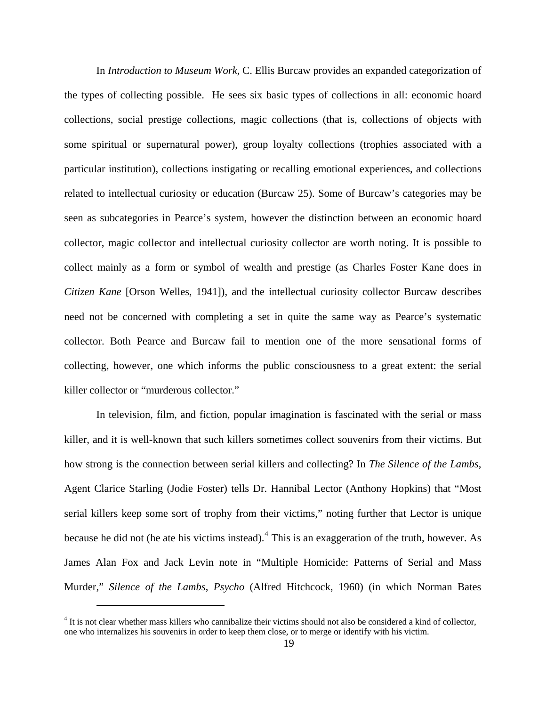In *Introduction to Museum Work*, C. Ellis Burcaw provides an expanded categorization of the types of collecting possible. He sees six basic types of collections in all: economic hoard collections, social prestige collections, magic collections (that is, collections of objects with some spiritual or supernatural power), group loyalty collections (trophies associated with a particular institution), collections instigating or recalling emotional experiences, and collections related to intellectual curiosity or education (Burcaw 25). Some of Burcaw's categories may be seen as subcategories in Pearce's system, however the distinction between an economic hoard collector, magic collector and intellectual curiosity collector are worth noting. It is possible to collect mainly as a form or symbol of wealth and prestige (as Charles Foster Kane does in *Citizen Kane* [Orson Welles, 1941]), and the intellectual curiosity collector Burcaw describes need not be concerned with completing a set in quite the same way as Pearce's systematic collector. Both Pearce and Burcaw fail to mention one of the more sensational forms of collecting, however, one which informs the public consciousness to a great extent: the serial killer collector or "murderous collector."

In television, film, and fiction, popular imagination is fascinated with the serial or mass killer, and it is well-known that such killers sometimes collect souvenirs from their victims. But how strong is the connection between serial killers and collecting? In *The Silence of the Lambs*, Agent Clarice Starling (Jodie Foster) tells Dr. Hannibal Lector (Anthony Hopkins) that "Most serial killers keep some sort of trophy from their victims," noting further that Lector is unique because he did not (he ate his victims instead). <sup>[4](#page-27-0)</sup> This is an exaggeration of the truth, however. As James Alan Fox and Jack Levin note in "Multiple Homicide: Patterns of Serial and Mass Murder," *Silence of the Lambs*, *Psycho* (Alfred Hitchcock, 1960) (in which Norman Bates

<span id="page-27-0"></span><sup>&</sup>lt;sup>4</sup> It is not clear whether mass killers who cannibalize their victims should not also be considered a kind of collector, one who internalizes his souvenirs in order to keep them close, or to merge or identify with his victim.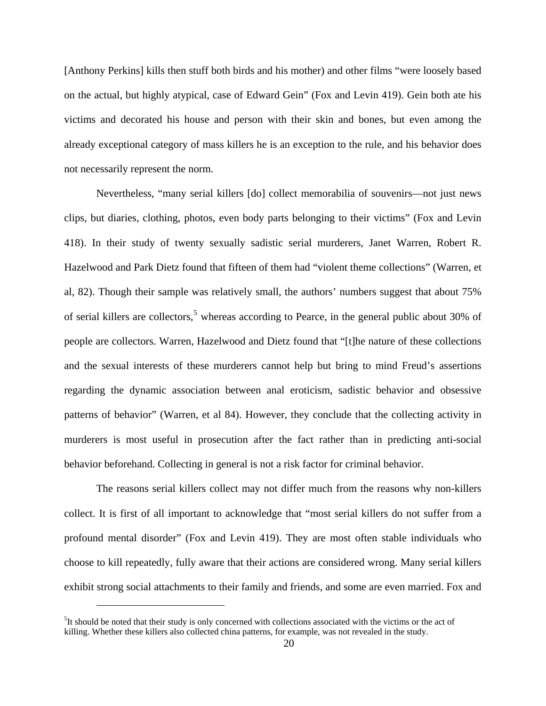[Anthony Perkins] kills then stuff both birds and his mother) and other films "were loosely based on the actual, but highly atypical, case of Edward Gein" (Fox and Levin 419). Gein both ate his victims and decorated his house and person with their skin and bones, but even among the already exceptional category of mass killers he is an exception to the rule, and his behavior does not necessarily represent the norm.

Nevertheless, "many serial killers [do] collect memorabilia of souvenirs—not just news clips, but diaries, clothing, photos, even body parts belonging to their victims" (Fox and Levin 418). In their study of twenty sexually sadistic serial murderers, Janet Warren, Robert R. Hazelwood and Park Dietz found that fifteen of them had "violent theme collections" (Warren, et al, 82). Though their sample was relatively small, the authors' numbers suggest that about 75% of serial killers are collectors,<sup>[5](#page-28-0)</sup> whereas according to Pearce, in the general public about 30% of people are collectors. Warren, Hazelwood and Dietz found that "[t]he nature of these collections and the sexual interests of these murderers cannot help but bring to mind Freud's assertions regarding the dynamic association between anal eroticism, sadistic behavior and obsessive patterns of behavior" (Warren, et al 84). However, they conclude that the collecting activity in murderers is most useful in prosecution after the fact rather than in predicting anti-social behavior beforehand. Collecting in general is not a risk factor for criminal behavior.

The reasons serial killers collect may not differ much from the reasons why non-killers collect. It is first of all important to acknowledge that "most serial killers do not suffer from a profound mental disorder" (Fox and Levin 419). They are most often stable individuals who choose to kill repeatedly, fully aware that their actions are considered wrong. Many serial killers exhibit strong social attachments to their family and friends, and some are even married. Fox and

<span id="page-28-0"></span><sup>&</sup>lt;sup>5</sup>It should be noted that their study is only concerned with collections associated with the victims or the act of killing. Whether these killers also collected china patterns, for example, was not revealed in the study.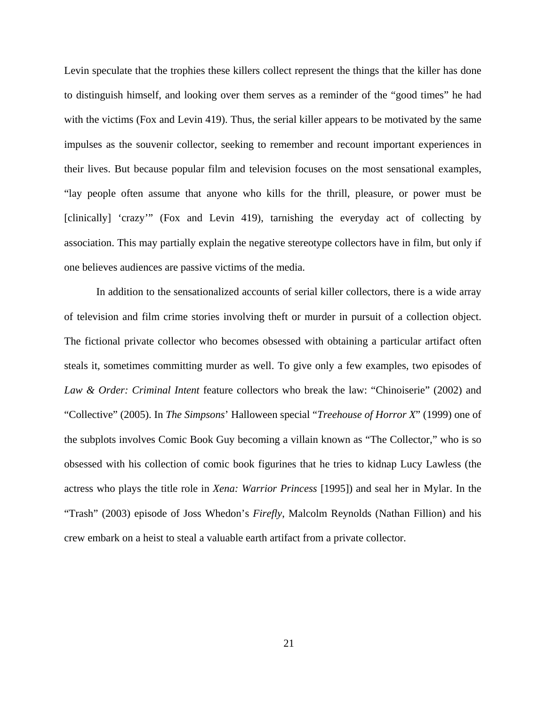Levin speculate that the trophies these killers collect represent the things that the killer has done to distinguish himself, and looking over them serves as a reminder of the "good times" he had with the victims (Fox and Levin 419). Thus, the serial killer appears to be motivated by the same impulses as the souvenir collector, seeking to remember and recount important experiences in their lives. But because popular film and television focuses on the most sensational examples, "lay people often assume that anyone who kills for the thrill, pleasure, or power must be [clinically] 'crazy'" (Fox and Levin 419), tarnishing the everyday act of collecting by association. This may partially explain the negative stereotype collectors have in film, but only if one believes audiences are passive victims of the media.

In addition to the sensationalized accounts of serial killer collectors, there is a wide array of television and film crime stories involving theft or murder in pursuit of a collection object. The fictional private collector who becomes obsessed with obtaining a particular artifact often steals it, sometimes committing murder as well. To give only a few examples, two episodes of *Law & Order: Criminal Intent* feature collectors who break the law: "Chinoiserie" (2002) and "Collective" (2005). In *The Simpsons*' Halloween special "*Treehouse of Horror X*" (1999) one of the subplots involves Comic Book Guy becoming a villain known as "The Collector," who is so obsessed with his collection of comic book figurines that he tries to kidnap Lucy Lawless (the actress who plays the title role in *Xena: Warrior Princess* [1995]) and seal her in Mylar. In the "Trash" (2003) episode of Joss Whedon's *Firefly*, Malcolm Reynolds (Nathan Fillion) and his crew embark on a heist to steal a valuable earth artifact from a private collector.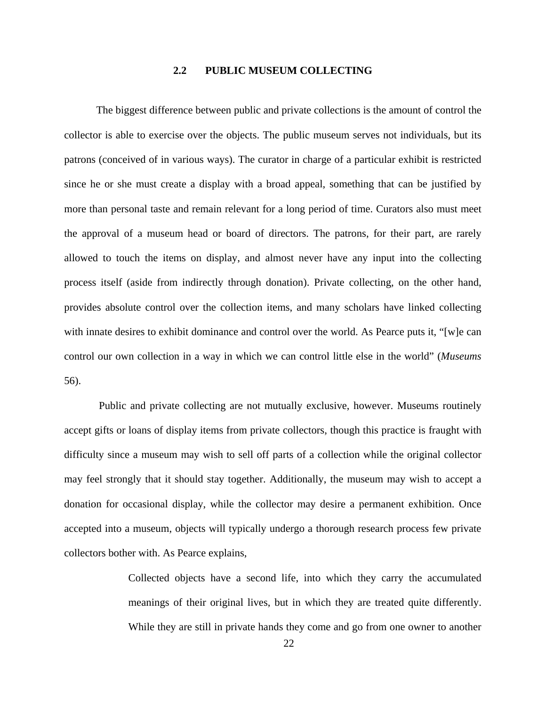### **2.2 PUBLIC MUSEUM COLLECTING**

<span id="page-30-0"></span>The biggest difference between public and private collections is the amount of control the collector is able to exercise over the objects. The public museum serves not individuals, but its patrons (conceived of in various ways). The curator in charge of a particular exhibit is restricted since he or she must create a display with a broad appeal, something that can be justified by more than personal taste and remain relevant for a long period of time. Curators also must meet the approval of a museum head or board of directors. The patrons, for their part, are rarely allowed to touch the items on display, and almost never have any input into the collecting process itself (aside from indirectly through donation). Private collecting, on the other hand, provides absolute control over the collection items, and many scholars have linked collecting with innate desires to exhibit dominance and control over the world. As Pearce puts it, "[w]e can control our own collection in a way in which we can control little else in the world" (*Museums*  56).

 Public and private collecting are not mutually exclusive, however. Museums routinely accept gifts or loans of display items from private collectors, though this practice is fraught with difficulty since a museum may wish to sell off parts of a collection while the original collector may feel strongly that it should stay together. Additionally, the museum may wish to accept a donation for occasional display, while the collector may desire a permanent exhibition. Once accepted into a museum, objects will typically undergo a thorough research process few private collectors bother with. As Pearce explains,

> Collected objects have a second life, into which they carry the accumulated meanings of their original lives, but in which they are treated quite differently. While they are still in private hands they come and go from one owner to another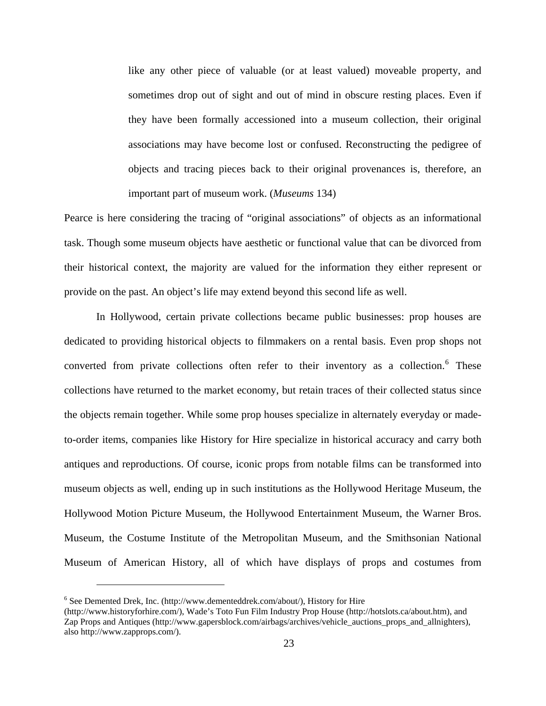like any other piece of valuable (or at least valued) moveable property, and sometimes drop out of sight and out of mind in obscure resting places. Even if they have been formally accessioned into a museum collection, their original associations may have become lost or confused. Reconstructing the pedigree of objects and tracing pieces back to their original provenances is, therefore, an important part of museum work. (*Museums* 134)

Pearce is here considering the tracing of "original associations" of objects as an informational task. Though some museum objects have aesthetic or functional value that can be divorced from their historical context, the majority are valued for the information they either represent or provide on the past. An object's life may extend beyond this second life as well.

In Hollywood, certain private collections became public businesses: prop houses are dedicated to providing historical objects to filmmakers on a rental basis. Even prop shops not converted from private collections often refer to their inventory as a collection.<sup>[6](#page-31-0)</sup> These collections have returned to the market economy, but retain traces of their collected status since the objects remain together. While some prop houses specialize in alternately everyday or madeto-order items, companies like History for Hire specialize in historical accuracy and carry both antiques and reproductions. Of course, iconic props from notable films can be transformed into museum objects as well, ending up in such institutions as the Hollywood Heritage Museum, the Hollywood Motion Picture Museum, the Hollywood Entertainment Museum, the Warner Bros. Museum, the Costume Institute of the Metropolitan Museum, and the Smithsonian National Museum of American History, all of which have displays of props and costumes from

<span id="page-31-0"></span><sup>&</sup>lt;sup>6</sup> See Demented Drek, Inc. (http://www.dementeddrek.com/about/), History for Hire

<sup>(</sup>http://www.historyforhire.com/), Wade's Toto Fun Film Industry Prop House (http://hotslots.ca/about.htm), and Zap Props and Antiques (http://www.gapersblock.com/airbags/archives/vehicle\_auctions\_props\_and\_allnighters), also http://www.zapprops.com/).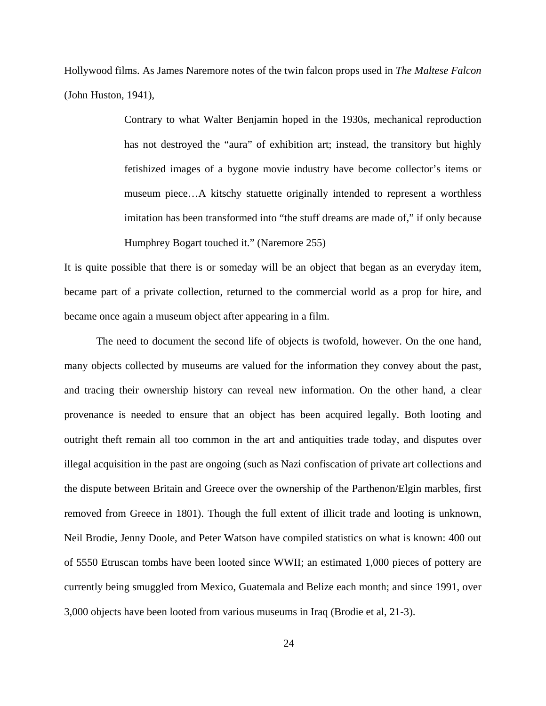Hollywood films. As James Naremore notes of the twin falcon props used in *The Maltese Falcon*  (John Huston, 1941),

> Contrary to what Walter Benjamin hoped in the 1930s, mechanical reproduction has not destroyed the "aura" of exhibition art; instead, the transitory but highly fetishized images of a bygone movie industry have become collector's items or museum piece…A kitschy statuette originally intended to represent a worthless imitation has been transformed into "the stuff dreams are made of," if only because Humphrey Bogart touched it." (Naremore 255)

It is quite possible that there is or someday will be an object that began as an everyday item, became part of a private collection, returned to the commercial world as a prop for hire, and became once again a museum object after appearing in a film.

The need to document the second life of objects is twofold, however. On the one hand, many objects collected by museums are valued for the information they convey about the past, and tracing their ownership history can reveal new information. On the other hand, a clear provenance is needed to ensure that an object has been acquired legally. Both looting and outright theft remain all too common in the art and antiquities trade today, and disputes over illegal acquisition in the past are ongoing (such as Nazi confiscation of private art collections and the dispute between Britain and Greece over the ownership of the Parthenon/Elgin marbles, first removed from Greece in 1801). Though the full extent of illicit trade and looting is unknown, Neil Brodie, Jenny Doole, and Peter Watson have compiled statistics on what is known: 400 out of 5550 Etruscan tombs have been looted since WWII; an estimated 1,000 pieces of pottery are currently being smuggled from Mexico, Guatemala and Belize each month; and since 1991, over 3,000 objects have been looted from various museums in Iraq (Brodie et al, 21-3).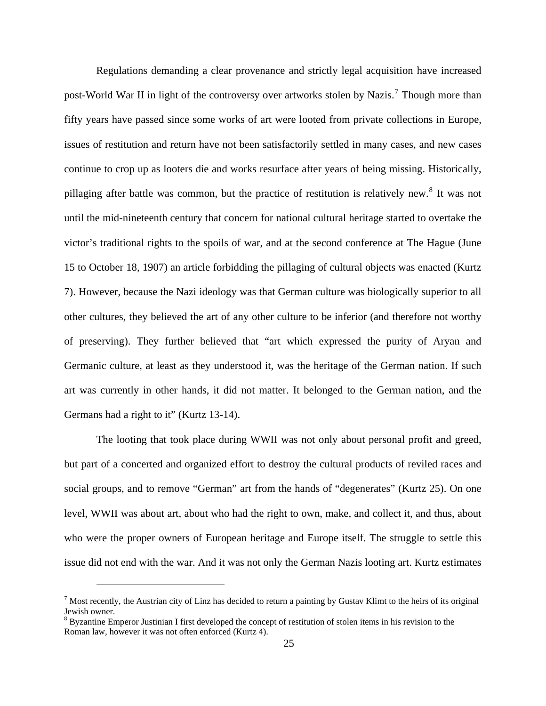Regulations demanding a clear provenance and strictly legal acquisition have increased post-World War II in light of the controversy over artworks stolen by Nazis.<sup>[7](#page-33-0)</sup> Though more than fifty years have passed since some works of art were looted from private collections in Europe, issues of restitution and return have not been satisfactorily settled in many cases, and new cases continue to crop up as looters die and works resurface after years of being missing. Historically, pillaging after battle was common, but the practice of restitution is relatively new.<sup>[8](#page-33-1)</sup> It was not until the mid-nineteenth century that concern for national cultural heritage started to overtake the victor's traditional rights to the spoils of war, and at the second conference at The Hague (June 15 to October 18, 1907) an article forbidding the pillaging of cultural objects was enacted (Kurtz 7). However, because the Nazi ideology was that German culture was biologically superior to all other cultures, they believed the art of any other culture to be inferior (and therefore not worthy of preserving). They further believed that "art which expressed the purity of Aryan and Germanic culture, at least as they understood it, was the heritage of the German nation. If such art was currently in other hands, it did not matter. It belonged to the German nation, and the Germans had a right to it" (Kurtz 13-14).

The looting that took place during WWII was not only about personal profit and greed, but part of a concerted and organized effort to destroy the cultural products of reviled races and social groups, and to remove "German" art from the hands of "degenerates" (Kurtz 25). On one level, WWII was about art, about who had the right to own, make, and collect it, and thus, about who were the proper owners of European heritage and Europe itself. The struggle to settle this issue did not end with the war. And it was not only the German Nazis looting art. Kurtz estimates

<span id="page-33-0"></span> $<sup>7</sup>$  Most recently, the Austrian city of Linz has decided to return a painting by Gustav Klimt to the heirs of its original</sup> Jewish owner.

<span id="page-33-1"></span><sup>&</sup>lt;sup>8</sup> Byzantine Emperor Justinian I first developed the concept of restitution of stolen items in his revision to the Roman law, however it was not often enforced (Kurtz 4).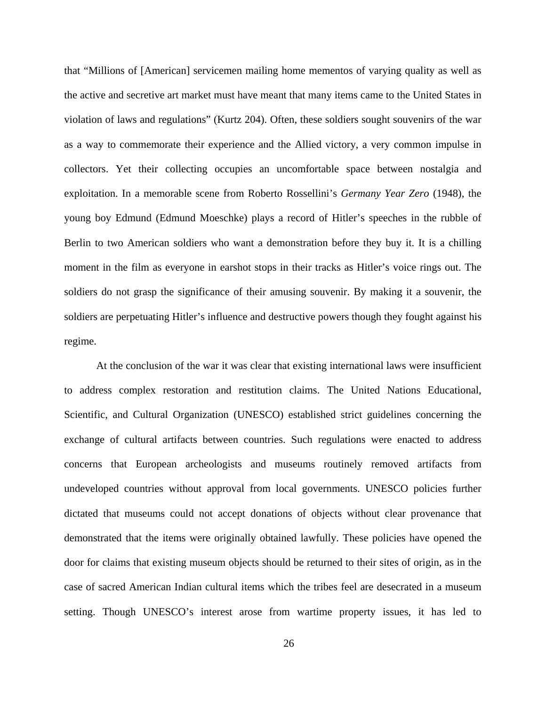that "Millions of [American] servicemen mailing home mementos of varying quality as well as the active and secretive art market must have meant that many items came to the United States in violation of laws and regulations" (Kurtz 204). Often, these soldiers sought souvenirs of the war as a way to commemorate their experience and the Allied victory, a very common impulse in collectors. Yet their collecting occupies an uncomfortable space between nostalgia and exploitation. In a memorable scene from Roberto Rossellini's *Germany Year Zero* (1948), the young boy Edmund (Edmund Moeschke) plays a record of Hitler's speeches in the rubble of Berlin to two American soldiers who want a demonstration before they buy it. It is a chilling moment in the film as everyone in earshot stops in their tracks as Hitler's voice rings out. The soldiers do not grasp the significance of their amusing souvenir. By making it a souvenir, the soldiers are perpetuating Hitler's influence and destructive powers though they fought against his regime.

At the conclusion of the war it was clear that existing international laws were insufficient to address complex restoration and restitution claims. The United Nations Educational, Scientific, and Cultural Organization (UNESCO) established strict guidelines concerning the exchange of cultural artifacts between countries. Such regulations were enacted to address concerns that European archeologists and museums routinely removed artifacts from undeveloped countries without approval from local governments. UNESCO policies further dictated that museums could not accept donations of objects without clear provenance that demonstrated that the items were originally obtained lawfully. These policies have opened the door for claims that existing museum objects should be returned to their sites of origin, as in the case of sacred American Indian cultural items which the tribes feel are desecrated in a museum setting. Though UNESCO's interest arose from wartime property issues, it has led to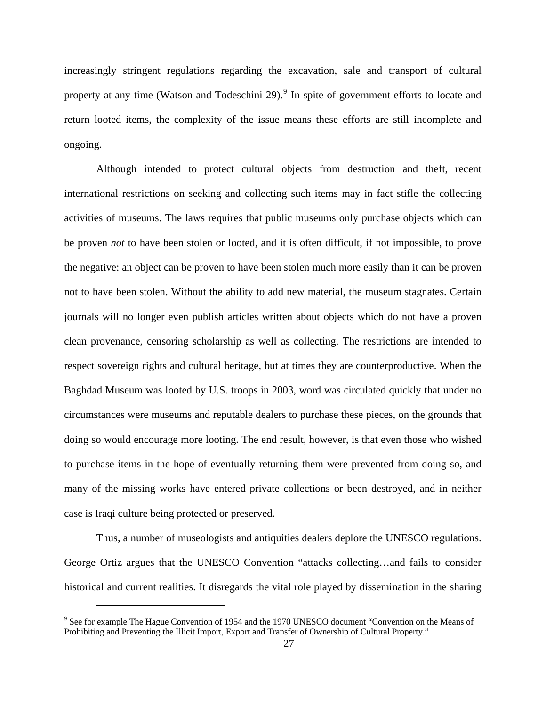increasingly stringent regulations regarding the excavation, sale and transport of cultural property at any time (Watson and Todeschini 2[9](#page-35-0)). $9$  In spite of government efforts to locate and return looted items, the complexity of the issue means these efforts are still incomplete and ongoing.

Although intended to protect cultural objects from destruction and theft, recent international restrictions on seeking and collecting such items may in fact stifle the collecting activities of museums. The laws requires that public museums only purchase objects which can be proven *not* to have been stolen or looted, and it is often difficult, if not impossible, to prove the negative: an object can be proven to have been stolen much more easily than it can be proven not to have been stolen. Without the ability to add new material, the museum stagnates. Certain journals will no longer even publish articles written about objects which do not have a proven clean provenance, censoring scholarship as well as collecting. The restrictions are intended to respect sovereign rights and cultural heritage, but at times they are counterproductive. When the Baghdad Museum was looted by U.S. troops in 2003, word was circulated quickly that under no circumstances were museums and reputable dealers to purchase these pieces, on the grounds that doing so would encourage more looting. The end result, however, is that even those who wished to purchase items in the hope of eventually returning them were prevented from doing so, and many of the missing works have entered private collections or been destroyed, and in neither case is Iraqi culture being protected or preserved.

Thus, a number of museologists and antiquities dealers deplore the UNESCO regulations. George Ortiz argues that the UNESCO Convention "attacks collecting…and fails to consider historical and current realities. It disregards the vital role played by dissemination in the sharing

<span id="page-35-0"></span><sup>&</sup>lt;sup>9</sup> See for example The Hague Convention of 1954 and the 1970 UNESCO document "Convention on the Means of Prohibiting and Preventing the Illicit Import, Export and Transfer of Ownership of Cultural Property."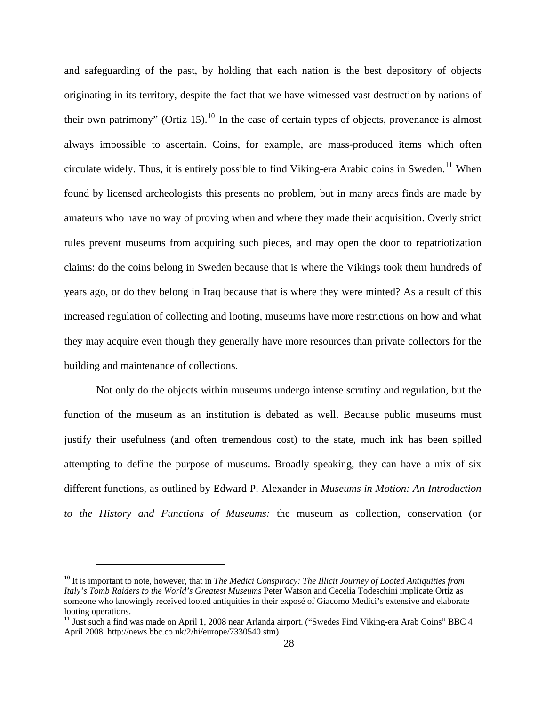and safeguarding of the past, by holding that each nation is the best depository of objects originating in its territory, despite the fact that we have witnessed vast destruction by nations of their own patrimony" (Ortiz 15).<sup>[10](#page-36-0)</sup> In the case of certain types of objects, provenance is almost always impossible to ascertain. Coins, for example, are mass-produced items which often circulate widely. Thus, it is entirely possible to find Viking-era Arabic coins in Sweden.<sup>[11](#page-36-1)</sup> When found by licensed archeologists this presents no problem, but in many areas finds are made by amateurs who have no way of proving when and where they made their acquisition. Overly strict rules prevent museums from acquiring such pieces, and may open the door to repatriotization claims: do the coins belong in Sweden because that is where the Vikings took them hundreds of years ago, or do they belong in Iraq because that is where they were minted? As a result of this increased regulation of collecting and looting, museums have more restrictions on how and what they may acquire even though they generally have more resources than private collectors for the building and maintenance of collections.

Not only do the objects within museums undergo intense scrutiny and regulation, but the function of the museum as an institution is debated as well. Because public museums must justify their usefulness (and often tremendous cost) to the state, much ink has been spilled attempting to define the purpose of museums. Broadly speaking, they can have a mix of six different functions, as outlined by Edward P. Alexander in *Museums in Motion: An Introduction to the History and Functions of Museums:* the museum as collection, conservation (or

<u>.</u>

<span id="page-36-0"></span><sup>&</sup>lt;sup>10</sup> It is important to note, however, that in *The Medici Conspiracy: The Illicit Journey of Looted Antiquities from Italy's Tomb Raiders to the World's Greatest Museums* Peter Watson and Cecelia Todeschini implicate Ortiz as someone who knowingly received looted antiquities in their exposé of Giacomo Medici's extensive and elaborate looting operations.

<span id="page-36-1"></span> $11$  Just such a find was made on April 1, 2008 near Arlanda airport. ("Swedes Find Viking-era Arab Coins" BBC 4 April 2008. http://news.bbc.co.uk/2/hi/europe/7330540.stm)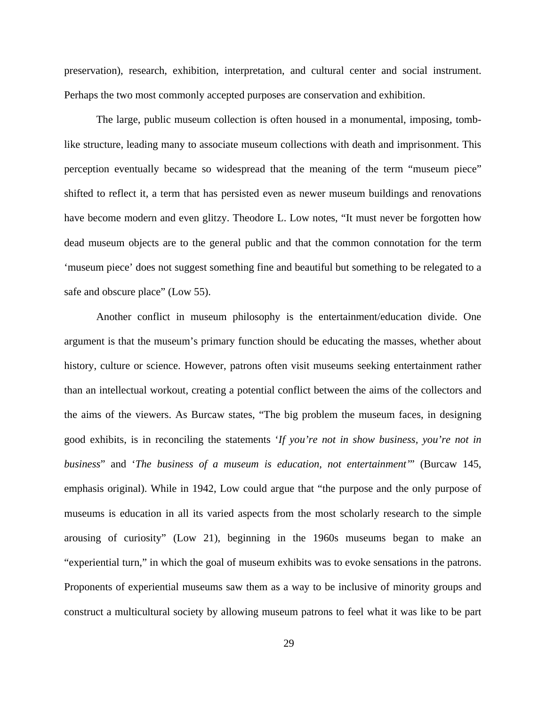preservation), research, exhibition, interpretation, and cultural center and social instrument. Perhaps the two most commonly accepted purposes are conservation and exhibition.

The large, public museum collection is often housed in a monumental, imposing, tomblike structure, leading many to associate museum collections with death and imprisonment. This perception eventually became so widespread that the meaning of the term "museum piece" shifted to reflect it, a term that has persisted even as newer museum buildings and renovations have become modern and even glitzy. Theodore L. Low notes, "It must never be forgotten how dead museum objects are to the general public and that the common connotation for the term 'museum piece' does not suggest something fine and beautiful but something to be relegated to a safe and obscure place" (Low 55).

Another conflict in museum philosophy is the entertainment/education divide. One argument is that the museum's primary function should be educating the masses, whether about history, culture or science. However, patrons often visit museums seeking entertainment rather than an intellectual workout, creating a potential conflict between the aims of the collectors and the aims of the viewers. As Burcaw states, "The big problem the museum faces, in designing good exhibits, is in reconciling the statements '*If you're not in show business, you're not in business*" and '*The business of a museum is education, not entertainment'*" (Burcaw 145, emphasis original). While in 1942, Low could argue that "the purpose and the only purpose of museums is education in all its varied aspects from the most scholarly research to the simple arousing of curiosity" (Low 21), beginning in the 1960s museums began to make an "experiential turn," in which the goal of museum exhibits was to evoke sensations in the patrons. Proponents of experiential museums saw them as a way to be inclusive of minority groups and construct a multicultural society by allowing museum patrons to feel what it was like to be part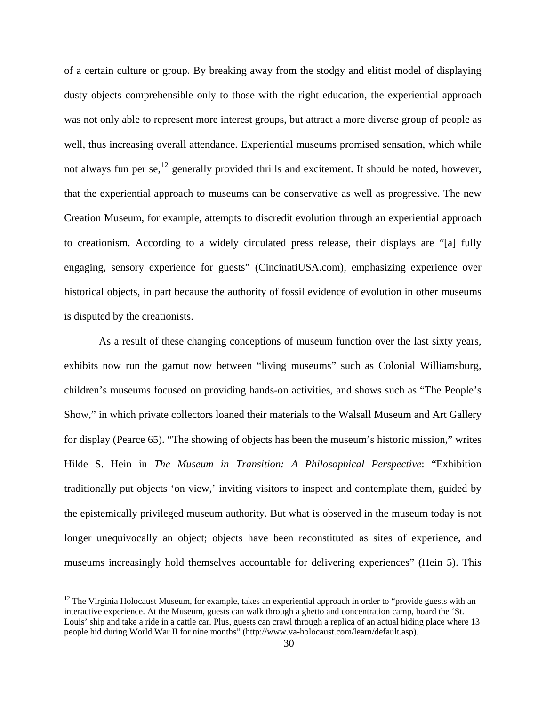of a certain culture or group. By breaking away from the stodgy and elitist model of displaying dusty objects comprehensible only to those with the right education, the experiential approach was not only able to represent more interest groups, but attract a more diverse group of people as well, thus increasing overall attendance. Experiential museums promised sensation, which while not always fun per se,<sup>[12](#page-38-0)</sup> generally provided thrills and excitement. It should be noted, however, that the experiential approach to museums can be conservative as well as progressive. The new Creation Museum, for example, attempts to discredit evolution through an experiential approach to creationism. According to a widely circulated press release, their displays are "[a] fully engaging, sensory experience for guests" (CincinatiUSA.com), emphasizing experience over historical objects, in part because the authority of fossil evidence of evolution in other museums is disputed by the creationists.

 As a result of these changing conceptions of museum function over the last sixty years, exhibits now run the gamut now between "living museums" such as Colonial Williamsburg, children's museums focused on providing hands-on activities, and shows such as "The People's Show," in which private collectors loaned their materials to the Walsall Museum and Art Gallery for display (Pearce 65). "The showing of objects has been the museum's historic mission," writes Hilde S. Hein in *The Museum in Transition: A Philosophical Perspective*: "Exhibition traditionally put objects 'on view,' inviting visitors to inspect and contemplate them, guided by the epistemically privileged museum authority. But what is observed in the museum today is not longer unequivocally an object; objects have been reconstituted as sites of experience, and museums increasingly hold themselves accountable for delivering experiences" (Hein 5). This

1

<span id="page-38-0"></span> $12$  The Virginia Holocaust Museum, for example, takes an experiential approach in order to "provide guests with an interactive experience. At the Museum, guests can walk through a ghetto and concentration camp, board the 'St. Louis' ship and take a ride in a cattle car. Plus, guests can crawl through a replica of an actual hiding place where 13 people hid during World War II for nine months" (http://www.va-holocaust.com/learn/default.asp).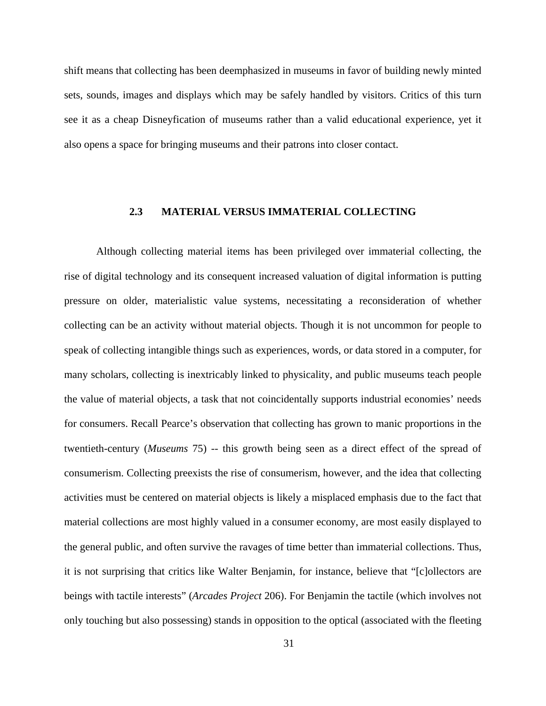shift means that collecting has been deemphasized in museums in favor of building newly minted sets, sounds, images and displays which may be safely handled by visitors. Critics of this turn see it as a cheap Disneyfication of museums rather than a valid educational experience, yet it also opens a space for bringing museums and their patrons into closer contact.

## **2.3 MATERIAL VERSUS IMMATERIAL COLLECTING**

Although collecting material items has been privileged over immaterial collecting, the rise of digital technology and its consequent increased valuation of digital information is putting pressure on older, materialistic value systems, necessitating a reconsideration of whether collecting can be an activity without material objects. Though it is not uncommon for people to speak of collecting intangible things such as experiences, words, or data stored in a computer, for many scholars, collecting is inextricably linked to physicality, and public museums teach people the value of material objects, a task that not coincidentally supports industrial economies' needs for consumers. Recall Pearce's observation that collecting has grown to manic proportions in the twentieth-century (*Museums* 75) -- this growth being seen as a direct effect of the spread of consumerism. Collecting preexists the rise of consumerism, however, and the idea that collecting activities must be centered on material objects is likely a misplaced emphasis due to the fact that material collections are most highly valued in a consumer economy, are most easily displayed to the general public, and often survive the ravages of time better than immaterial collections. Thus, it is not surprising that critics like Walter Benjamin, for instance, believe that "[c]ollectors are beings with tactile interests" (*Arcades Project* 206). For Benjamin the tactile (which involves not only touching but also possessing) stands in opposition to the optical (associated with the fleeting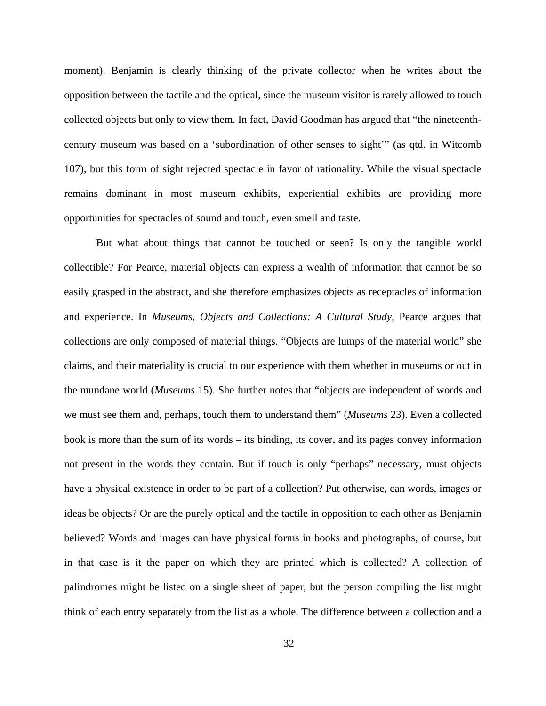moment). Benjamin is clearly thinking of the private collector when he writes about the opposition between the tactile and the optical, since the museum visitor is rarely allowed to touch collected objects but only to view them. In fact, David Goodman has argued that "the nineteenthcentury museum was based on a 'subordination of other senses to sight'" (as qtd. in Witcomb 107), but this form of sight rejected spectacle in favor of rationality. While the visual spectacle remains dominant in most museum exhibits, experiential exhibits are providing more opportunities for spectacles of sound and touch, even smell and taste.

But what about things that cannot be touched or seen? Is only the tangible world collectible? For Pearce, material objects can express a wealth of information that cannot be so easily grasped in the abstract, and she therefore emphasizes objects as receptacles of information and experience. In *Museums, Objects and Collections: A Cultural Study*, Pearce argues that collections are only composed of material things. "Objects are lumps of the material world" she claims, and their materiality is crucial to our experience with them whether in museums or out in the mundane world (*Museums* 15). She further notes that "objects are independent of words and we must see them and, perhaps, touch them to understand them" (*Museums* 23). Even a collected book is more than the sum of its words – its binding, its cover, and its pages convey information not present in the words they contain. But if touch is only "perhaps" necessary, must objects have a physical existence in order to be part of a collection? Put otherwise, can words, images or ideas be objects? Or are the purely optical and the tactile in opposition to each other as Benjamin believed? Words and images can have physical forms in books and photographs, of course, but in that case is it the paper on which they are printed which is collected? A collection of palindromes might be listed on a single sheet of paper, but the person compiling the list might think of each entry separately from the list as a whole. The difference between a collection and a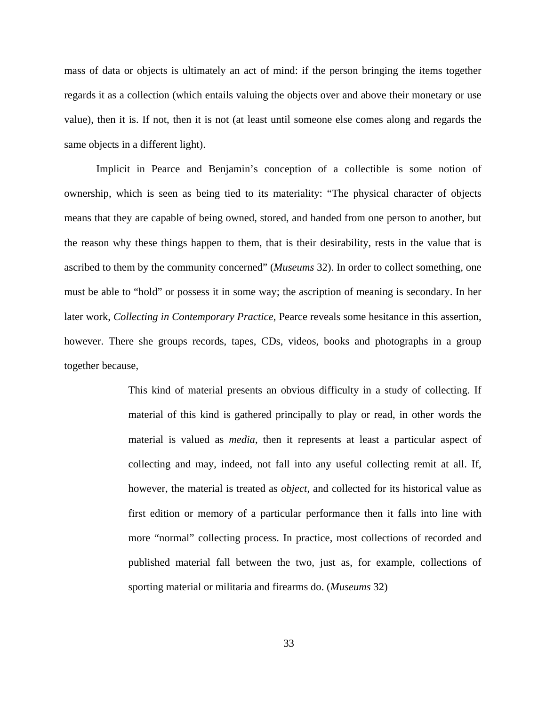mass of data or objects is ultimately an act of mind: if the person bringing the items together regards it as a collection (which entails valuing the objects over and above their monetary or use value), then it is. If not, then it is not (at least until someone else comes along and regards the same objects in a different light).

Implicit in Pearce and Benjamin's conception of a collectible is some notion of ownership, which is seen as being tied to its materiality: "The physical character of objects means that they are capable of being owned, stored, and handed from one person to another, but the reason why these things happen to them, that is their desirability, rests in the value that is ascribed to them by the community concerned" (*Museums* 32). In order to collect something, one must be able to "hold" or possess it in some way; the ascription of meaning is secondary. In her later work, *Collecting in Contemporary Practice*, Pearce reveals some hesitance in this assertion, however. There she groups records, tapes, CDs, videos, books and photographs in a group together because,

> This kind of material presents an obvious difficulty in a study of collecting. If material of this kind is gathered principally to play or read, in other words the material is valued as *media*, then it represents at least a particular aspect of collecting and may, indeed, not fall into any useful collecting remit at all. If, however, the material is treated as *object*, and collected for its historical value as first edition or memory of a particular performance then it falls into line with more "normal" collecting process. In practice, most collections of recorded and published material fall between the two, just as, for example, collections of sporting material or militaria and firearms do. (*Museums* 32)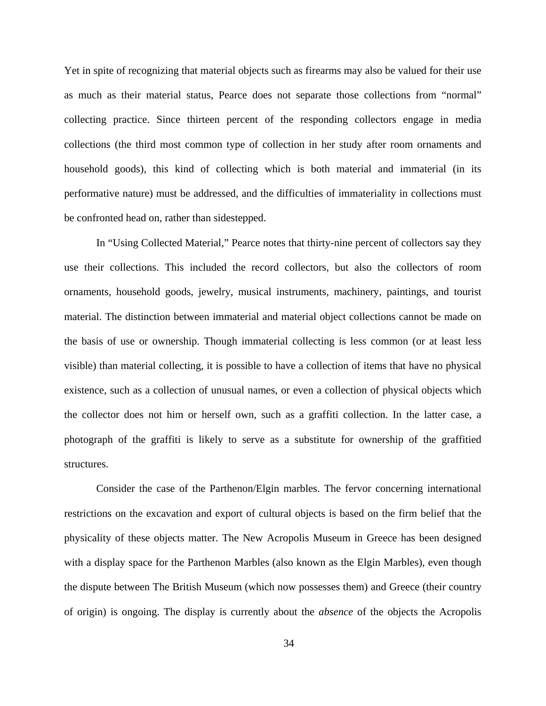Yet in spite of recognizing that material objects such as firearms may also be valued for their use as much as their material status, Pearce does not separate those collections from "normal" collecting practice. Since thirteen percent of the responding collectors engage in media collections (the third most common type of collection in her study after room ornaments and household goods), this kind of collecting which is both material and immaterial (in its performative nature) must be addressed, and the difficulties of immateriality in collections must be confronted head on, rather than sidestepped.

In "Using Collected Material," Pearce notes that thirty-nine percent of collectors say they use their collections. This included the record collectors, but also the collectors of room ornaments, household goods, jewelry, musical instruments, machinery, paintings, and tourist material. The distinction between immaterial and material object collections cannot be made on the basis of use or ownership. Though immaterial collecting is less common (or at least less visible) than material collecting, it is possible to have a collection of items that have no physical existence, such as a collection of unusual names, or even a collection of physical objects which the collector does not him or herself own, such as a graffiti collection. In the latter case, a photograph of the graffiti is likely to serve as a substitute for ownership of the graffitied structures.

Consider the case of the Parthenon/Elgin marbles. The fervor concerning international restrictions on the excavation and export of cultural objects is based on the firm belief that the physicality of these objects matter. The New Acropolis Museum in Greece has been designed with a display space for the Parthenon Marbles (also known as the Elgin Marbles), even though the dispute between The British Museum (which now possesses them) and Greece (their country of origin) is ongoing. The display is currently about the *absence* of the objects the Acropolis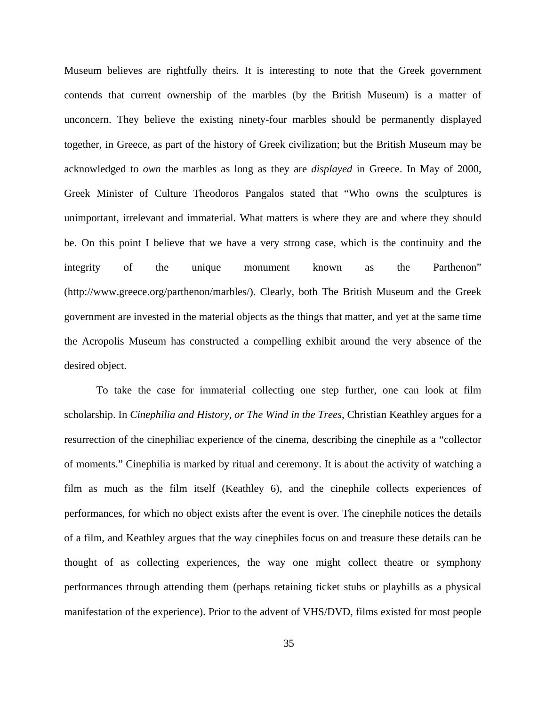Museum believes are rightfully theirs. It is interesting to note that the Greek government contends that current ownership of the marbles (by the British Museum) is a matter of unconcern. They believe the existing ninety-four marbles should be permanently displayed together, in Greece, as part of the history of Greek civilization; but the British Museum may be acknowledged to *own* the marbles as long as they are *displayed* in Greece. In May of 2000, Greek Minister of Culture Theodoros Pangalos stated that "Who owns the sculptures is unimportant, irrelevant and immaterial. What matters is where they are and where they should be. On this point I believe that we have a very strong case, which is the continuity and the integrity of the unique monument known as the Parthenon" (http://www.greece.org/parthenon/marbles/). Clearly, both The British Museum and the Greek government are invested in the material objects as the things that matter, and yet at the same time the Acropolis Museum has constructed a compelling exhibit around the very absence of the desired object.

To take the case for immaterial collecting one step further, one can look at film scholarship. In *Cinephilia and History, or The Wind in the Trees*, Christian Keathley argues for a resurrection of the cinephiliac experience of the cinema, describing the cinephile as a "collector of moments." Cinephilia is marked by ritual and ceremony. It is about the activity of watching a film as much as the film itself (Keathley 6), and the cinephile collects experiences of performances, for which no object exists after the event is over. The cinephile notices the details of a film, and Keathley argues that the way cinephiles focus on and treasure these details can be thought of as collecting experiences, the way one might collect theatre or symphony performances through attending them (perhaps retaining ticket stubs or playbills as a physical manifestation of the experience). Prior to the advent of VHS/DVD, films existed for most people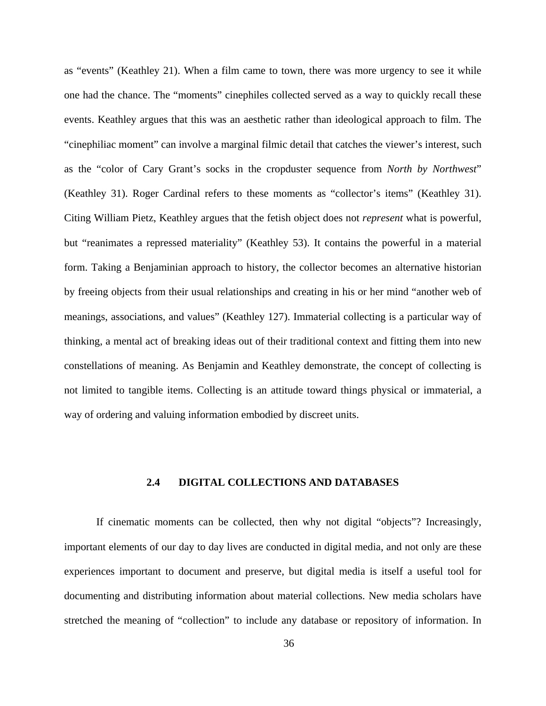as "events" (Keathley 21). When a film came to town, there was more urgency to see it while one had the chance. The "moments" cinephiles collected served as a way to quickly recall these events. Keathley argues that this was an aesthetic rather than ideological approach to film. The "cinephiliac moment" can involve a marginal filmic detail that catches the viewer's interest, such as the "color of Cary Grant's socks in the cropduster sequence from *North by Northwest*" (Keathley 31). Roger Cardinal refers to these moments as "collector's items" (Keathley 31). Citing William Pietz, Keathley argues that the fetish object does not *represent* what is powerful, but "reanimates a repressed materiality" (Keathley 53). It contains the powerful in a material form. Taking a Benjaminian approach to history, the collector becomes an alternative historian by freeing objects from their usual relationships and creating in his or her mind "another web of meanings, associations, and values" (Keathley 127). Immaterial collecting is a particular way of thinking, a mental act of breaking ideas out of their traditional context and fitting them into new constellations of meaning. As Benjamin and Keathley demonstrate, the concept of collecting is not limited to tangible items. Collecting is an attitude toward things physical or immaterial, a way of ordering and valuing information embodied by discreet units.

### **2.4 DIGITAL COLLECTIONS AND DATABASES**

If cinematic moments can be collected, then why not digital "objects"? Increasingly, important elements of our day to day lives are conducted in digital media, and not only are these experiences important to document and preserve, but digital media is itself a useful tool for documenting and distributing information about material collections. New media scholars have stretched the meaning of "collection" to include any database or repository of information. In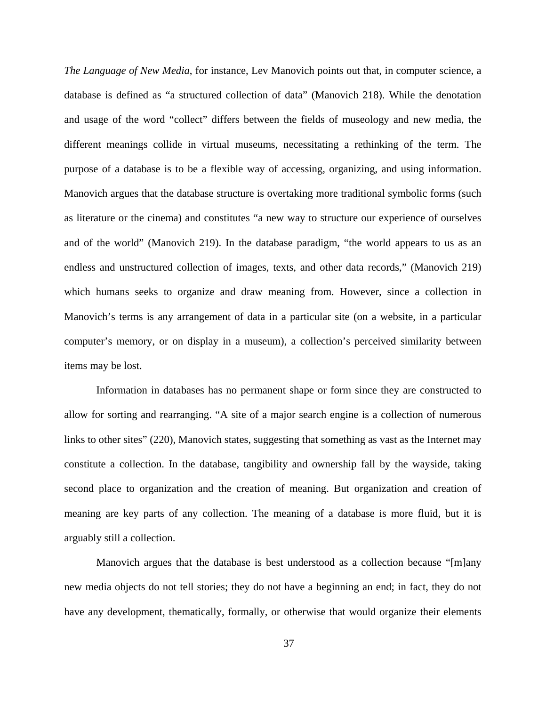*The Language of New Media*, for instance, Lev Manovich points out that, in computer science, a database is defined as "a structured collection of data" (Manovich 218). While the denotation and usage of the word "collect" differs between the fields of museology and new media, the different meanings collide in virtual museums, necessitating a rethinking of the term. The purpose of a database is to be a flexible way of accessing, organizing, and using information. Manovich argues that the database structure is overtaking more traditional symbolic forms (such as literature or the cinema) and constitutes "a new way to structure our experience of ourselves and of the world" (Manovich 219). In the database paradigm, "the world appears to us as an endless and unstructured collection of images, texts, and other data records," (Manovich 219) which humans seeks to organize and draw meaning from. However, since a collection in Manovich's terms is any arrangement of data in a particular site (on a website, in a particular computer's memory, or on display in a museum), a collection's perceived similarity between items may be lost.

Information in databases has no permanent shape or form since they are constructed to allow for sorting and rearranging. "A site of a major search engine is a collection of numerous links to other sites" (220), Manovich states, suggesting that something as vast as the Internet may constitute a collection. In the database, tangibility and ownership fall by the wayside, taking second place to organization and the creation of meaning. But organization and creation of meaning are key parts of any collection. The meaning of a database is more fluid, but it is arguably still a collection.

Manovich argues that the database is best understood as a collection because "[m]any new media objects do not tell stories; they do not have a beginning an end; in fact, they do not have any development, thematically, formally, or otherwise that would organize their elements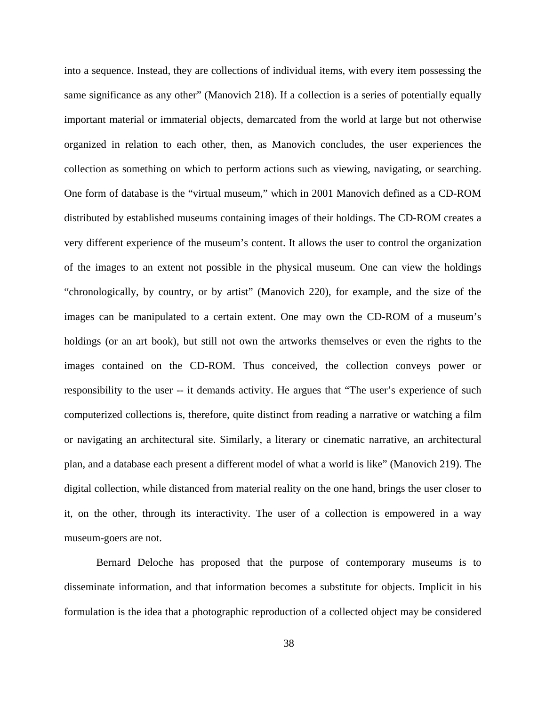into a sequence. Instead, they are collections of individual items, with every item possessing the same significance as any other" (Manovich 218). If a collection is a series of potentially equally important material or immaterial objects, demarcated from the world at large but not otherwise organized in relation to each other, then, as Manovich concludes, the user experiences the collection as something on which to perform actions such as viewing, navigating, or searching. One form of database is the "virtual museum," which in 2001 Manovich defined as a CD-ROM distributed by established museums containing images of their holdings. The CD-ROM creates a very different experience of the museum's content. It allows the user to control the organization of the images to an extent not possible in the physical museum. One can view the holdings "chronologically, by country, or by artist" (Manovich 220), for example, and the size of the images can be manipulated to a certain extent. One may own the CD-ROM of a museum's holdings (or an art book), but still not own the artworks themselves or even the rights to the images contained on the CD-ROM. Thus conceived, the collection conveys power or responsibility to the user -- it demands activity. He argues that "The user's experience of such computerized collections is, therefore, quite distinct from reading a narrative or watching a film or navigating an architectural site. Similarly, a literary or cinematic narrative, an architectural plan, and a database each present a different model of what a world is like" (Manovich 219). The digital collection, while distanced from material reality on the one hand, brings the user closer to it, on the other, through its interactivity. The user of a collection is empowered in a way museum-goers are not.

Bernard Deloche has proposed that the purpose of contemporary museums is to disseminate information, and that information becomes a substitute for objects. Implicit in his formulation is the idea that a photographic reproduction of a collected object may be considered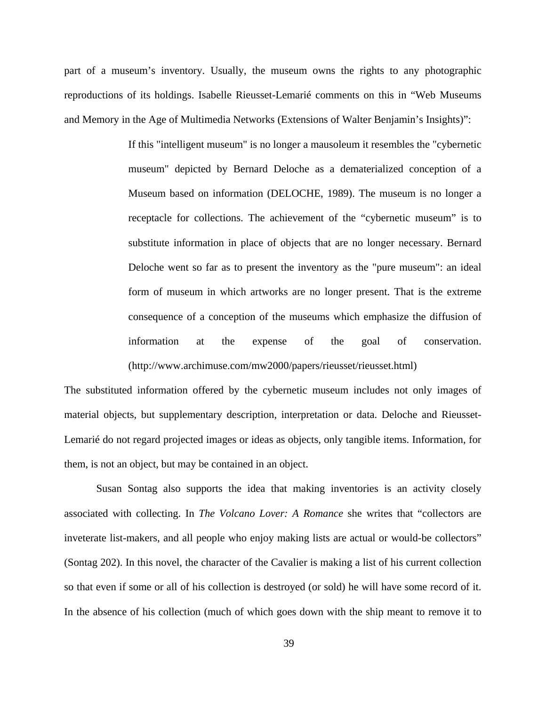part of a museum's inventory. Usually, the museum owns the rights to any photographic reproductions of its holdings. Isabelle Rieusset-Lemarié comments on this in "Web Museums and Memory in the Age of Multimedia Networks (Extensions of Walter Benjamin's Insights)":

> If this "intelligent museum" is no longer a mausoleum it resembles the "cybernetic museum" depicted by Bernard Deloche as a dematerialized conception of a Museum based on information (DELOCHE, 1989). The museum is no longer a receptacle for collections. The achievement of the "cybernetic museum" is to substitute information in place of objects that are no longer necessary. Bernard Deloche went so far as to present the inventory as the "pure museum": an ideal form of museum in which artworks are no longer present. That is the extreme consequence of a conception of the museums which emphasize the diffusion of information at the expense of the goal of conservation. (http://www.archimuse.com/mw2000/papers/rieusset/rieusset.html)

The substituted information offered by the cybernetic museum includes not only images of material objects, but supplementary description, interpretation or data. Deloche and Rieusset-Lemarié do not regard projected images or ideas as objects, only tangible items. Information, for them, is not an object, but may be contained in an object.

Susan Sontag also supports the idea that making inventories is an activity closely associated with collecting. In *The Volcano Lover: A Romance* she writes that "collectors are inveterate list-makers, and all people who enjoy making lists are actual or would-be collectors" (Sontag 202). In this novel, the character of the Cavalier is making a list of his current collection so that even if some or all of his collection is destroyed (or sold) he will have some record of it. In the absence of his collection (much of which goes down with the ship meant to remove it to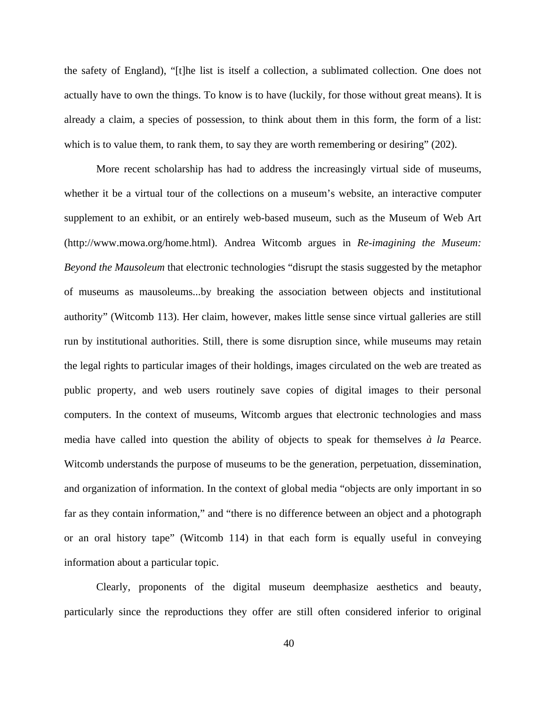the safety of England), "[t]he list is itself a collection, a sublimated collection. One does not actually have to own the things. To know is to have (luckily, for those without great means). It is already a claim, a species of possession, to think about them in this form, the form of a list: which is to value them, to rank them, to say they are worth remembering or desiring" (202).

More recent scholarship has had to address the increasingly virtual side of museums, whether it be a virtual tour of the collections on a museum's website, an interactive computer supplement to an exhibit, or an entirely web-based museum, such as the Museum of Web Art (http://www.mowa.org/home.html). Andrea Witcomb argues in *Re-imagining the Museum: Beyond the Mausoleum* that electronic technologies "disrupt the stasis suggested by the metaphor of museums as mausoleums...by breaking the association between objects and institutional authority" (Witcomb 113). Her claim, however, makes little sense since virtual galleries are still run by institutional authorities. Still, there is some disruption since, while museums may retain the legal rights to particular images of their holdings, images circulated on the web are treated as public property, and web users routinely save copies of digital images to their personal computers. In the context of museums, Witcomb argues that electronic technologies and mass media have called into question the ability of objects to speak for themselves *à la* Pearce. Witcomb understands the purpose of museums to be the generation, perpetuation, dissemination, and organization of information. In the context of global media "objects are only important in so far as they contain information," and "there is no difference between an object and a photograph or an oral history tape" (Witcomb 114) in that each form is equally useful in conveying information about a particular topic.

Clearly, proponents of the digital museum deemphasize aesthetics and beauty, particularly since the reproductions they offer are still often considered inferior to original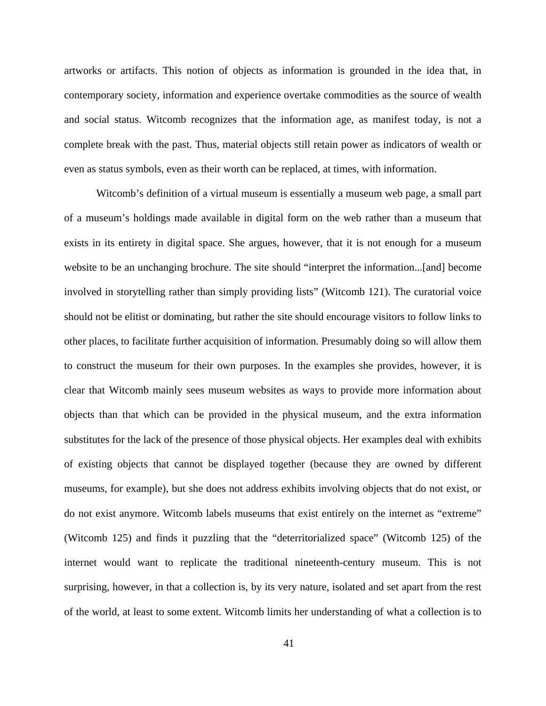artworks or artifacts. This notion of objects as information is grounded in the idea that, in contemporary society, information and experience overtake commodities as the source of wealth and social status. Witcomb recognizes that the information age, as manifest today, is not a complete break with the past. Thus, material objects still retain power as indicators of wealth or even as status symbols, even as their worth can be replaced, at times, with information.

Witcomb's definition of a virtual museum is essentially a museum web page, a small part of a museum's holdings made available in digital form on the web rather than a museum that exists in its entirety in digital space. She argues, however, that it is not enough for a museum website to be an unchanging brochure. The site should "interpret the information...[and] become involved in storytelling rather than simply providing lists" (Witcomb 121). The curatorial voice should not be elitist or dominating, but rather the site should encourage visitors to follow links to other places, to facilitate further acquisition of information. Presumably doing so will allow them to construct the museum for their own purposes. In the examples she provides, however, it is clear that Witcomb mainly sees museum websites as ways to provide more information about objects than that which can be provided in the physical museum, and the extra information substitutes for the lack of the presence of those physical objects. Her examples deal with exhibits of existing objects that cannot be displayed together (because they are owned by different museums, for example), but she does not address exhibits involving objects that do not exist, or do not exist anymore. Witcomb labels museums that exist entirely on the internet as "extreme" (Witcomb 125) and finds it puzzling that the "deterritorialized space" (Witcomb 125) of the internet would want to replicate the traditional nineteenth-century museum. This is not surprising, however, in that a collection is, by its very nature, isolated and set apart from the rest of the world, at least to some extent. Witcomb limits her understanding of what a collection is to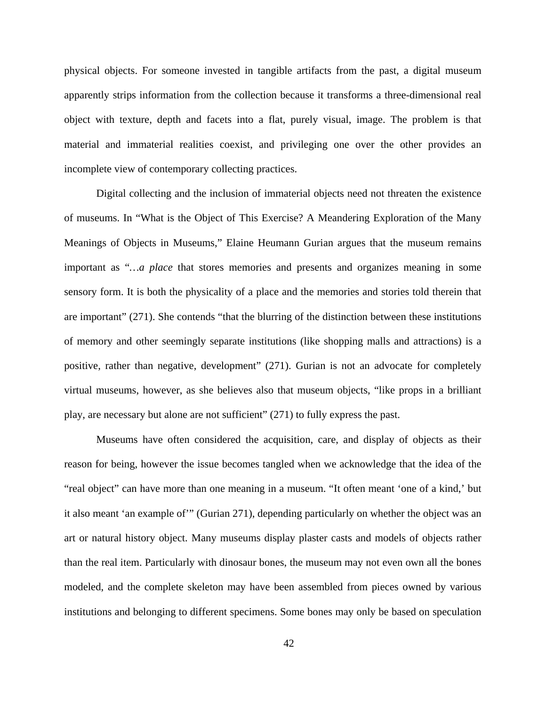physical objects. For someone invested in tangible artifacts from the past, a digital museum apparently strips information from the collection because it transforms a three-dimensional real object with texture, depth and facets into a flat, purely visual, image. The problem is that material and immaterial realities coexist, and privileging one over the other provides an incomplete view of contemporary collecting practices.

Digital collecting and the inclusion of immaterial objects need not threaten the existence of museums. In "What is the Object of This Exercise? A Meandering Exploration of the Many Meanings of Objects in Museums," Elaine Heumann Gurian argues that the museum remains important as "*…a place* that stores memories and presents and organizes meaning in some sensory form. It is both the physicality of a place and the memories and stories told therein that are important" (271). She contends "that the blurring of the distinction between these institutions of memory and other seemingly separate institutions (like shopping malls and attractions) is a positive, rather than negative, development" (271). Gurian is not an advocate for completely virtual museums, however, as she believes also that museum objects, "like props in a brilliant play, are necessary but alone are not sufficient" (271) to fully express the past.

Museums have often considered the acquisition, care, and display of objects as their reason for being, however the issue becomes tangled when we acknowledge that the idea of the "real object" can have more than one meaning in a museum. "It often meant 'one of a kind,' but it also meant 'an example of'" (Gurian 271), depending particularly on whether the object was an art or natural history object. Many museums display plaster casts and models of objects rather than the real item. Particularly with dinosaur bones, the museum may not even own all the bones modeled, and the complete skeleton may have been assembled from pieces owned by various institutions and belonging to different specimens. Some bones may only be based on speculation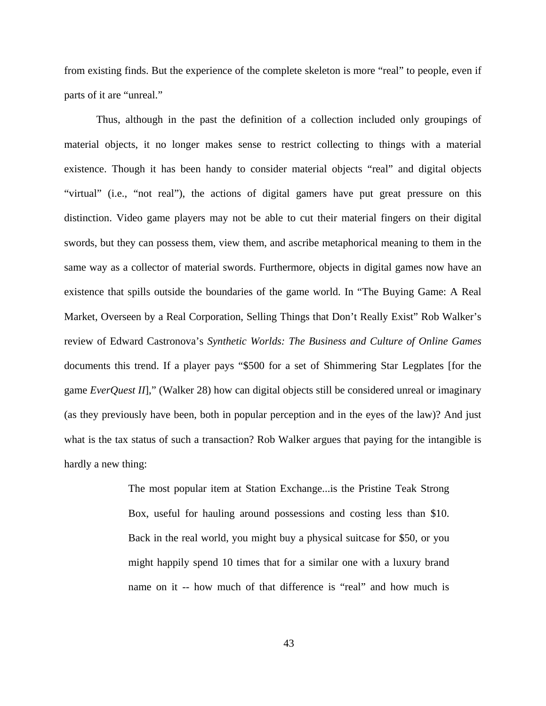from existing finds. But the experience of the complete skeleton is more "real" to people, even if parts of it are "unreal."

Thus, although in the past the definition of a collection included only groupings of material objects, it no longer makes sense to restrict collecting to things with a material existence. Though it has been handy to consider material objects "real" and digital objects "virtual" (i.e., "not real"), the actions of digital gamers have put great pressure on this distinction. Video game players may not be able to cut their material fingers on their digital swords, but they can possess them, view them, and ascribe metaphorical meaning to them in the same way as a collector of material swords. Furthermore, objects in digital games now have an existence that spills outside the boundaries of the game world. In "The Buying Game: A Real Market, Overseen by a Real Corporation, Selling Things that Don't Really Exist" Rob Walker's review of Edward Castronova's *Synthetic Worlds: The Business and Culture of Online Games* documents this trend. If a player pays "\$500 for a set of Shimmering Star Legplates [for the game *EverQuest II*]," (Walker 28) how can digital objects still be considered unreal or imaginary (as they previously have been, both in popular perception and in the eyes of the law)? And just what is the tax status of such a transaction? Rob Walker argues that paying for the intangible is hardly a new thing:

> The most popular item at Station Exchange...is the Pristine Teak Strong Box, useful for hauling around possessions and costing less than \$10. Back in the real world, you might buy a physical suitcase for \$50, or you might happily spend 10 times that for a similar one with a luxury brand name on it -- how much of that difference is "real" and how much is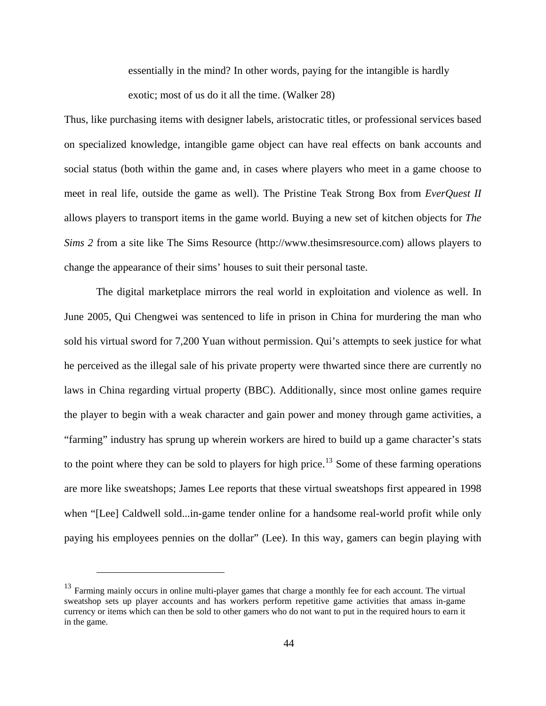essentially in the mind? In other words, paying for the intangible is hardly exotic; most of us do it all the time. (Walker 28)

Thus, like purchasing items with designer labels, aristocratic titles, or professional services based on specialized knowledge, intangible game object can have real effects on bank accounts and social status (both within the game and, in cases where players who meet in a game choose to meet in real life, outside the game as well). The Pristine Teak Strong Box from *EverQuest II* allows players to transport items in the game world. Buying a new set of kitchen objects for *The Sims 2* from a site like The Sims Resource (http://www.thesimsresource.com) allows players to change the appearance of their sims' houses to suit their personal taste.

The digital marketplace mirrors the real world in exploitation and violence as well. In June 2005, Qui Chengwei was sentenced to life in prison in China for murdering the man who sold his virtual sword for 7,200 Yuan without permission. Qui's attempts to seek justice for what he perceived as the illegal sale of his private property were thwarted since there are currently no laws in China regarding virtual property (BBC). Additionally, since most online games require the player to begin with a weak character and gain power and money through game activities, a "farming" industry has sprung up wherein workers are hired to build up a game character's stats to the point where they can be sold to players for high price.<sup>[13](#page-52-0)</sup> Some of these farming operations are more like sweatshops; James Lee reports that these virtual sweatshops first appeared in 1998 when "[Lee] Caldwell sold...in-game tender online for a handsome real-world profit while only paying his employees pennies on the dollar" (Lee). In this way, gamers can begin playing with

1

<span id="page-52-0"></span><sup>&</sup>lt;sup>13</sup> Farming mainly occurs in online multi-player games that charge a monthly fee for each account. The virtual sweatshop sets up player accounts and has workers perform repetitive game activities that amass in-game currency or items which can then be sold to other gamers who do not want to put in the required hours to earn it in the game.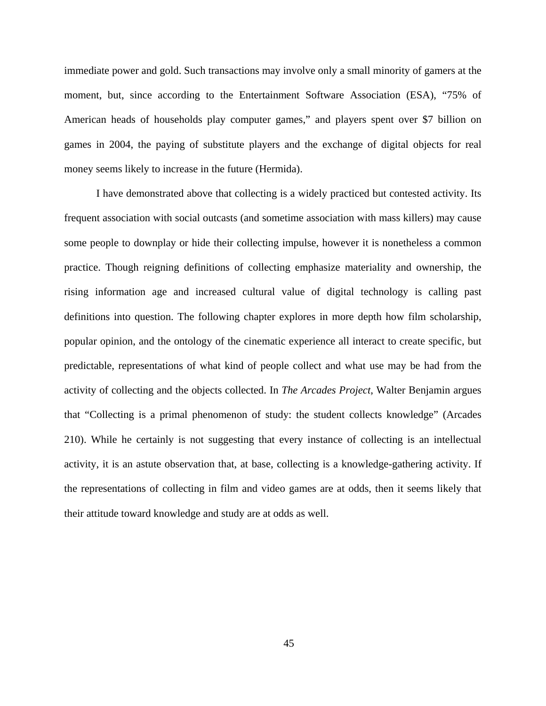immediate power and gold. Such transactions may involve only a small minority of gamers at the moment, but, since according to the Entertainment Software Association (ESA), "75% of American heads of households play computer games," and players spent over \$7 billion on games in 2004, the paying of substitute players and the exchange of digital objects for real money seems likely to increase in the future (Hermida).

I have demonstrated above that collecting is a widely practiced but contested activity. Its frequent association with social outcasts (and sometime association with mass killers) may cause some people to downplay or hide their collecting impulse, however it is nonetheless a common practice. Though reigning definitions of collecting emphasize materiality and ownership, the rising information age and increased cultural value of digital technology is calling past definitions into question. The following chapter explores in more depth how film scholarship, popular opinion, and the ontology of the cinematic experience all interact to create specific, but predictable, representations of what kind of people collect and what use may be had from the activity of collecting and the objects collected. In *The Arcades Project*, Walter Benjamin argues that "Collecting is a primal phenomenon of study: the student collects knowledge" (Arcades 210). While he certainly is not suggesting that every instance of collecting is an intellectual activity, it is an astute observation that, at base, collecting is a knowledge-gathering activity. If the representations of collecting in film and video games are at odds, then it seems likely that their attitude toward knowledge and study are at odds as well.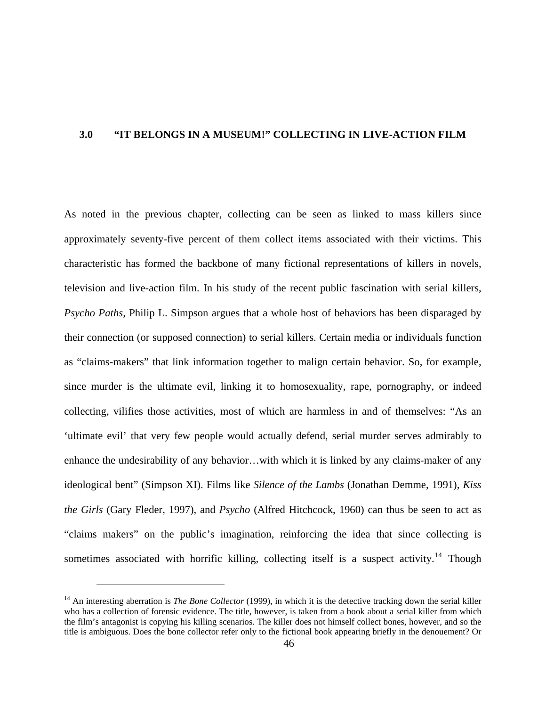#### **3.0 "IT BELONGS IN A MUSEUM!" COLLECTING IN LIVE-ACTION FILM**

As noted in the previous chapter, collecting can be seen as linked to mass killers since approximately seventy-five percent of them collect items associated with their victims. This characteristic has formed the backbone of many fictional representations of killers in novels, television and live-action film. In his study of the recent public fascination with serial killers, *Psycho Paths,* Philip L. Simpson argues that a whole host of behaviors has been disparaged by their connection (or supposed connection) to serial killers. Certain media or individuals function as "claims-makers" that link information together to malign certain behavior. So, for example, since murder is the ultimate evil, linking it to homosexuality, rape, pornography, or indeed collecting, vilifies those activities, most of which are harmless in and of themselves: "As an 'ultimate evil' that very few people would actually defend, serial murder serves admirably to enhance the undesirability of any behavior…with which it is linked by any claims-maker of any ideological bent" (Simpson XI). Films like *Silence of the Lambs* (Jonathan Demme, 1991), *Kiss the Girls* (Gary Fleder, 1997), and *Psycho* (Alfred Hitchcock, 1960) can thus be seen to act as "claims makers" on the public's imagination, reinforcing the idea that since collecting is sometimes associated with horrific killing, collecting itself is a suspect activity.<sup>[14](#page-54-0)</sup> Though

1

<span id="page-54-0"></span><sup>&</sup>lt;sup>14</sup> An interesting aberration is *The Bone Collector* (1999), in which it is the detective tracking down the serial killer who has a collection of forensic evidence. The title, however, is taken from a book about a serial killer from which the film's antagonist is copying his killing scenarios. The killer does not himself collect bones, however, and so the title is ambiguous. Does the bone collector refer only to the fictional book appearing briefly in the denouement? Or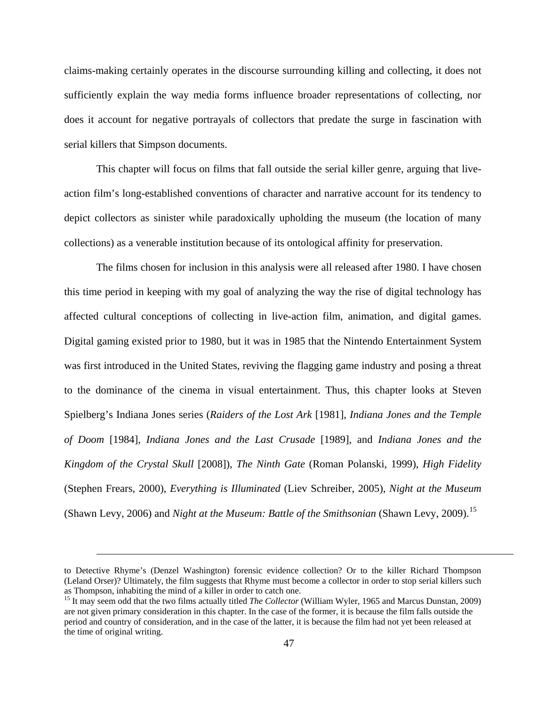claims-making certainly operates in the discourse surrounding killing and collecting, it does not sufficiently explain the way media forms influence broader representations of collecting, nor does it account for negative portrayals of collectors that predate the surge in fascination with serial killers that Simpson documents.

This chapter will focus on films that fall outside the serial killer genre, arguing that liveaction film's long-established conventions of character and narrative account for its tendency to depict collectors as sinister while paradoxically upholding the museum (the location of many collections) as a venerable institution because of its ontological affinity for preservation.

The films chosen for inclusion in this analysis were all released after 1980. I have chosen this time period in keeping with my goal of analyzing the way the rise of digital technology has affected cultural conceptions of collecting in live-action film, animation, and digital games. Digital gaming existed prior to 1980, but it was in 1985 that the Nintendo Entertainment System was first introduced in the United States, reviving the flagging game industry and posing a threat to the dominance of the cinema in visual entertainment. Thus, this chapter looks at Steven Spielberg's Indiana Jones series (*Raiders of the Lost Ark* [1981], *Indiana Jones and the Temple of Doom* [1984], *Indiana Jones and the Last Crusade* [1989], and *Indiana Jones and the Kingdom of the Crystal Skull* [2008]), *The Ninth Gate* (Roman Polanski, 1999), *High Fidelity* (Stephen Frears, 2000), *Everything is Illuminated* (Liev Schreiber, 2005), *Night at the Museum*  (Shawn Levy, 2006) and *Night at the Museum: Battle of the Smithsonian* (Shawn Levy, 2009).<sup>[15](#page-55-0)</sup>

1

to Detective Rhyme's (Denzel Washington) forensic evidence collection? Or to the killer Richard Thompson (Leland Orser)? Ultimately, the film suggests that Rhyme must become a collector in order to stop serial killers such as Thompson, inhabiting the mind of a killer in order to catch one.

<span id="page-55-0"></span><sup>15</sup> It may seem odd that the two films actually titled *The Collector* (William Wyler, 1965 and Marcus Dunstan, 2009) are not given primary consideration in this chapter. In the case of the former, it is because the film falls outside the period and country of consideration, and in the case of the latter, it is because the film had not yet been released at the time of original writing.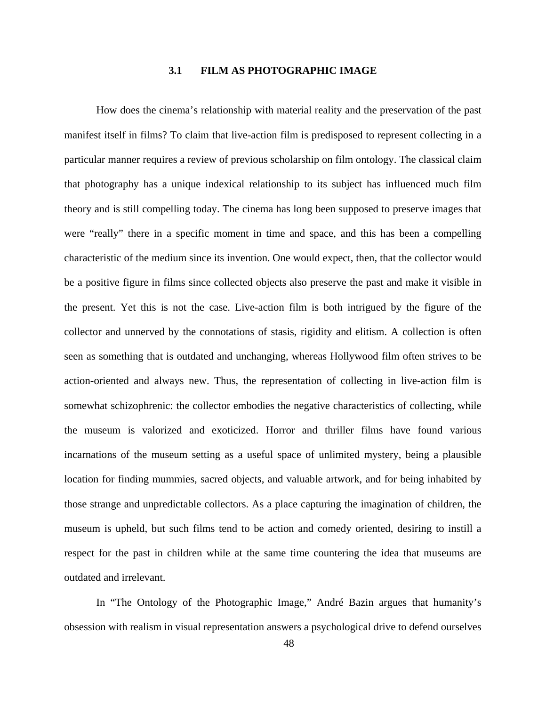#### **3.1 FILM AS PHOTOGRAPHIC IMAGE**

How does the cinema's relationship with material reality and the preservation of the past manifest itself in films? To claim that live-action film is predisposed to represent collecting in a particular manner requires a review of previous scholarship on film ontology. The classical claim that photography has a unique indexical relationship to its subject has influenced much film theory and is still compelling today. The cinema has long been supposed to preserve images that were "really" there in a specific moment in time and space, and this has been a compelling characteristic of the medium since its invention. One would expect, then, that the collector would be a positive figure in films since collected objects also preserve the past and make it visible in the present. Yet this is not the case. Live-action film is both intrigued by the figure of the collector and unnerved by the connotations of stasis, rigidity and elitism. A collection is often seen as something that is outdated and unchanging, whereas Hollywood film often strives to be action-oriented and always new. Thus, the representation of collecting in live-action film is somewhat schizophrenic: the collector embodies the negative characteristics of collecting, while the museum is valorized and exoticized. Horror and thriller films have found various incarnations of the museum setting as a useful space of unlimited mystery, being a plausible location for finding mummies, sacred objects, and valuable artwork, and for being inhabited by those strange and unpredictable collectors. As a place capturing the imagination of children, the museum is upheld, but such films tend to be action and comedy oriented, desiring to instill a respect for the past in children while at the same time countering the idea that museums are outdated and irrelevant.

In "The Ontology of the Photographic Image," André Bazin argues that humanity's obsession with realism in visual representation answers a psychological drive to defend ourselves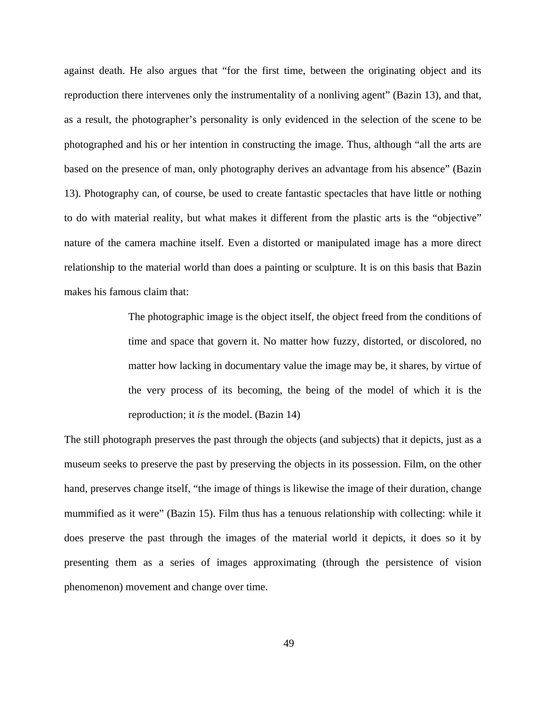against death. He also argues that "for the first time, between the originating object and its reproduction there intervenes only the instrumentality of a nonliving agent" (Bazin 13), and that, as a result, the photographer's personality is only evidenced in the selection of the scene to be photographed and his or her intention in constructing the image. Thus, although "all the arts are based on the presence of man, only photography derives an advantage from his absence" (Bazin 13). Photography can, of course, be used to create fantastic spectacles that have little or nothing to do with material reality, but what makes it different from the plastic arts is the "objective" nature of the camera machine itself. Even a distorted or manipulated image has a more direct relationship to the material world than does a painting or sculpture. It is on this basis that Bazin makes his famous claim that:

> The photographic image is the object itself, the object freed from the conditions of time and space that govern it. No matter how fuzzy, distorted, or discolored, no matter how lacking in documentary value the image may be, it shares, by virtue of the very process of its becoming, the being of the model of which it is the reproduction; it *is* the model. (Bazin 14)

The still photograph preserves the past through the objects (and subjects) that it depicts, just as a museum seeks to preserve the past by preserving the objects in its possession. Film, on the other hand, preserves change itself, "the image of things is likewise the image of their duration, change mummified as it were" (Bazin 15). Film thus has a tenuous relationship with collecting: while it does preserve the past through the images of the material world it depicts, it does so it by presenting them as a series of images approximating (through the persistence of vision phenomenon) movement and change over time.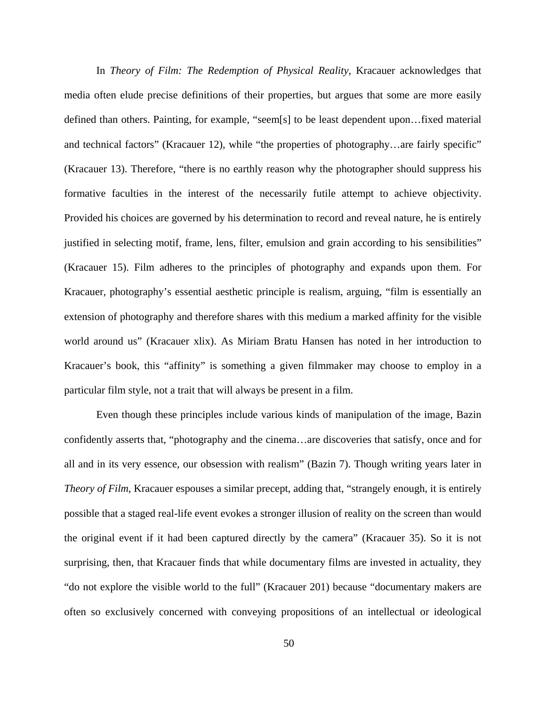In *Theory of Film: The Redemption of Physical Reality*, Kracauer acknowledges that media often elude precise definitions of their properties, but argues that some are more easily defined than others. Painting, for example, "seem[s] to be least dependent upon…fixed material and technical factors" (Kracauer 12), while "the properties of photography...are fairly specific" (Kracauer 13). Therefore, "there is no earthly reason why the photographer should suppress his formative faculties in the interest of the necessarily futile attempt to achieve objectivity. Provided his choices are governed by his determination to record and reveal nature, he is entirely justified in selecting motif, frame, lens, filter, emulsion and grain according to his sensibilities" (Kracauer 15). Film adheres to the principles of photography and expands upon them. For Kracauer, photography's essential aesthetic principle is realism, arguing, "film is essentially an extension of photography and therefore shares with this medium a marked affinity for the visible world around us" (Kracauer xlix). As Miriam Bratu Hansen has noted in her introduction to Kracauer's book, this "affinity" is something a given filmmaker may choose to employ in a particular film style, not a trait that will always be present in a film.

Even though these principles include various kinds of manipulation of the image, Bazin confidently asserts that, "photography and the cinema…are discoveries that satisfy, once and for all and in its very essence, our obsession with realism" (Bazin 7). Though writing years later in *Theory of Film*, Kracauer espouses a similar precept, adding that, "strangely enough, it is entirely possible that a staged real-life event evokes a stronger illusion of reality on the screen than would the original event if it had been captured directly by the camera" (Kracauer 35). So it is not surprising, then, that Kracauer finds that while documentary films are invested in actuality, they "do not explore the visible world to the full" (Kracauer 201) because "documentary makers are often so exclusively concerned with conveying propositions of an intellectual or ideological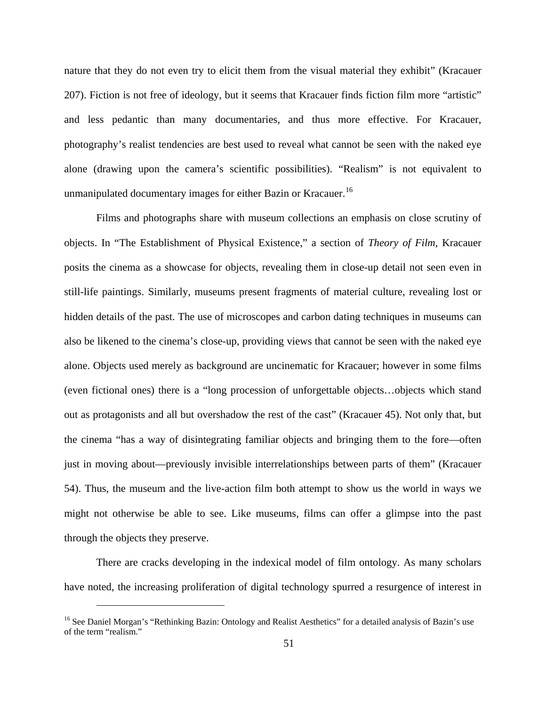nature that they do not even try to elicit them from the visual material they exhibit" (Kracauer 207). Fiction is not free of ideology, but it seems that Kracauer finds fiction film more "artistic" and less pedantic than many documentaries, and thus more effective. For Kracauer, photography's realist tendencies are best used to reveal what cannot be seen with the naked eye alone (drawing upon the camera's scientific possibilities). "Realism" is not equivalent to unmanipulated documentary images for either Bazin or Kracauer.<sup>[16](#page-59-0)</sup>

Films and photographs share with museum collections an emphasis on close scrutiny of objects. In "The Establishment of Physical Existence," a section of *Theory of Film*, Kracauer posits the cinema as a showcase for objects, revealing them in close-up detail not seen even in still-life paintings. Similarly, museums present fragments of material culture, revealing lost or hidden details of the past. The use of microscopes and carbon dating techniques in museums can also be likened to the cinema's close-up, providing views that cannot be seen with the naked eye alone. Objects used merely as background are uncinematic for Kracauer; however in some films (even fictional ones) there is a "long procession of unforgettable objects…objects which stand out as protagonists and all but overshadow the rest of the cast" (Kracauer 45). Not only that, but the cinema "has a way of disintegrating familiar objects and bringing them to the fore—often just in moving about—previously invisible interrelationships between parts of them" (Kracauer 54). Thus, the museum and the live-action film both attempt to show us the world in ways we might not otherwise be able to see. Like museums, films can offer a glimpse into the past through the objects they preserve.

There are cracks developing in the indexical model of film ontology. As many scholars have noted, the increasing proliferation of digital technology spurred a resurgence of interest in

1

<span id="page-59-0"></span><sup>&</sup>lt;sup>16</sup> See Daniel Morgan's "Rethinking Bazin: Ontology and Realist Aesthetics" for a detailed analysis of Bazin's use of the term "realism."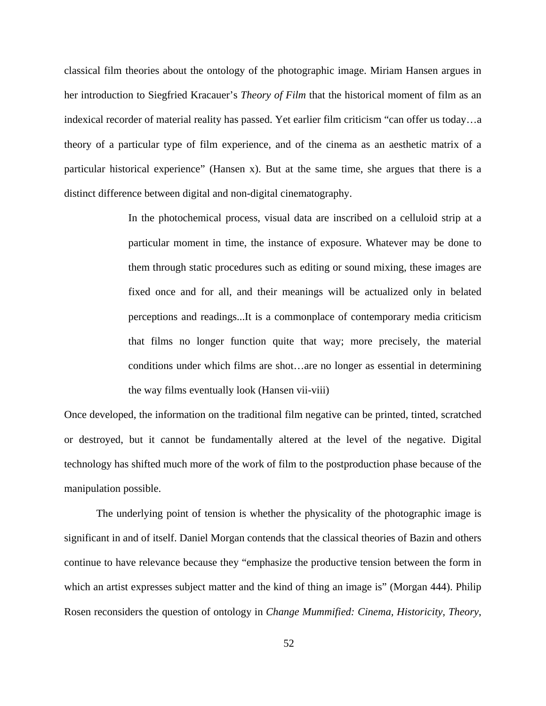classical film theories about the ontology of the photographic image. Miriam Hansen argues in her introduction to Siegfried Kracauer's *Theory of Film* that the historical moment of film as an indexical recorder of material reality has passed. Yet earlier film criticism "can offer us today…a theory of a particular type of film experience, and of the cinema as an aesthetic matrix of a particular historical experience" (Hansen x). But at the same time, she argues that there is a distinct difference between digital and non-digital cinematography.

> In the photochemical process, visual data are inscribed on a celluloid strip at a particular moment in time, the instance of exposure. Whatever may be done to them through static procedures such as editing or sound mixing, these images are fixed once and for all, and their meanings will be actualized only in belated perceptions and readings...It is a commonplace of contemporary media criticism that films no longer function quite that way; more precisely, the material conditions under which films are shot…are no longer as essential in determining the way films eventually look (Hansen vii-viii)

Once developed, the information on the traditional film negative can be printed, tinted, scratched or destroyed, but it cannot be fundamentally altered at the level of the negative. Digital technology has shifted much more of the work of film to the postproduction phase because of the manipulation possible.

The underlying point of tension is whether the physicality of the photographic image is significant in and of itself. Daniel Morgan contends that the classical theories of Bazin and others continue to have relevance because they "emphasize the productive tension between the form in which an artist expresses subject matter and the kind of thing an image is" (Morgan 444). Philip Rosen reconsiders the question of ontology in *Change Mummified: Cinema, Historicity, Theory*,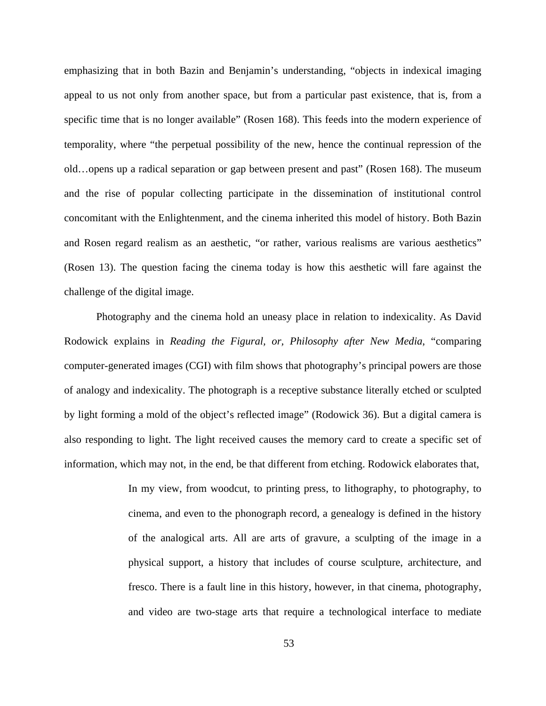emphasizing that in both Bazin and Benjamin's understanding, "objects in indexical imaging appeal to us not only from another space, but from a particular past existence, that is, from a specific time that is no longer available" (Rosen 168). This feeds into the modern experience of temporality, where "the perpetual possibility of the new, hence the continual repression of the old…opens up a radical separation or gap between present and past" (Rosen 168). The museum and the rise of popular collecting participate in the dissemination of institutional control concomitant with the Enlightenment, and the cinema inherited this model of history. Both Bazin and Rosen regard realism as an aesthetic, "or rather, various realisms are various aesthetics" (Rosen 13). The question facing the cinema today is how this aesthetic will fare against the challenge of the digital image.

Photography and the cinema hold an uneasy place in relation to indexicality. As David Rodowick explains in *Reading the Figural, or, Philosophy after New Media*, "comparing computer-generated images (CGI) with film shows that photography's principal powers are those of analogy and indexicality. The photograph is a receptive substance literally etched or sculpted by light forming a mold of the object's reflected image" (Rodowick 36). But a digital camera is also responding to light. The light received causes the memory card to create a specific set of information, which may not, in the end, be that different from etching. Rodowick elaborates that,

> In my view, from woodcut, to printing press, to lithography, to photography, to cinema, and even to the phonograph record, a genealogy is defined in the history of the analogical arts. All are arts of gravure, a sculpting of the image in a physical support, a history that includes of course sculpture, architecture, and fresco. There is a fault line in this history, however, in that cinema, photography, and video are two-stage arts that require a technological interface to mediate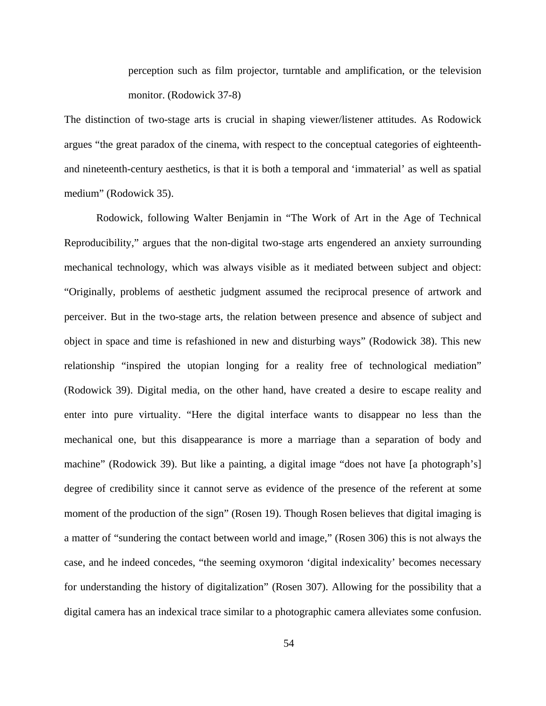perception such as film projector, turntable and amplification, or the television monitor. (Rodowick 37-8)

The distinction of two-stage arts is crucial in shaping viewer/listener attitudes. As Rodowick argues "the great paradox of the cinema, with respect to the conceptual categories of eighteenthand nineteenth-century aesthetics, is that it is both a temporal and 'immaterial' as well as spatial medium" (Rodowick 35).

Rodowick, following Walter Benjamin in "The Work of Art in the Age of Technical Reproducibility," argues that the non-digital two-stage arts engendered an anxiety surrounding mechanical technology, which was always visible as it mediated between subject and object: "Originally, problems of aesthetic judgment assumed the reciprocal presence of artwork and perceiver. But in the two-stage arts, the relation between presence and absence of subject and object in space and time is refashioned in new and disturbing ways" (Rodowick 38). This new relationship "inspired the utopian longing for a reality free of technological mediation" (Rodowick 39). Digital media, on the other hand, have created a desire to escape reality and enter into pure virtuality. "Here the digital interface wants to disappear no less than the mechanical one, but this disappearance is more a marriage than a separation of body and machine" (Rodowick 39). But like a painting, a digital image "does not have [a photograph's] degree of credibility since it cannot serve as evidence of the presence of the referent at some moment of the production of the sign" (Rosen 19). Though Rosen believes that digital imaging is a matter of "sundering the contact between world and image," (Rosen 306) this is not always the case, and he indeed concedes, "the seeming oxymoron 'digital indexicality' becomes necessary for understanding the history of digitalization" (Rosen 307). Allowing for the possibility that a digital camera has an indexical trace similar to a photographic camera alleviates some confusion.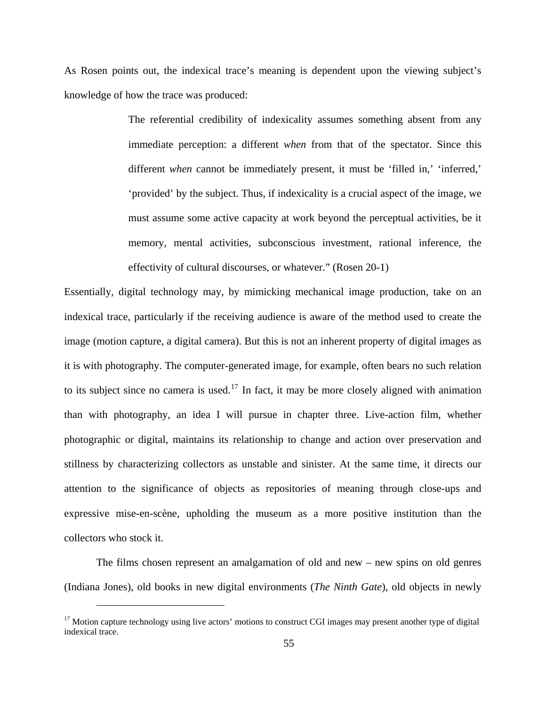As Rosen points out, the indexical trace's meaning is dependent upon the viewing subject's knowledge of how the trace was produced:

> The referential credibility of indexicality assumes something absent from any immediate perception: a different *when* from that of the spectator. Since this different *when* cannot be immediately present, it must be 'filled in,' 'inferred,' 'provided' by the subject. Thus, if indexicality is a crucial aspect of the image, we must assume some active capacity at work beyond the perceptual activities, be it memory, mental activities, subconscious investment, rational inference, the effectivity of cultural discourses, or whatever." (Rosen 20-1)

Essentially, digital technology may, by mimicking mechanical image production, take on an indexical trace, particularly if the receiving audience is aware of the method used to create the image (motion capture, a digital camera). But this is not an inherent property of digital images as it is with photography. The computer-generated image, for example, often bears no such relation to its subject since no camera is used.<sup>[17](#page-63-0)</sup> In fact, it may be more closely aligned with animation than with photography, an idea I will pursue in chapter three. Live-action film, whether photographic or digital, maintains its relationship to change and action over preservation and stillness by characterizing collectors as unstable and sinister. At the same time, it directs our attention to the significance of objects as repositories of meaning through close-ups and expressive mise-en-scène, upholding the museum as a more positive institution than the collectors who stock it.

The films chosen represent an amalgamation of old and new – new spins on old genres (Indiana Jones), old books in new digital environments (*The Ninth Gate*), old objects in newly

1

<span id="page-63-0"></span> $17$  Motion capture technology using live actors' motions to construct CGI images may present another type of digital indexical trace.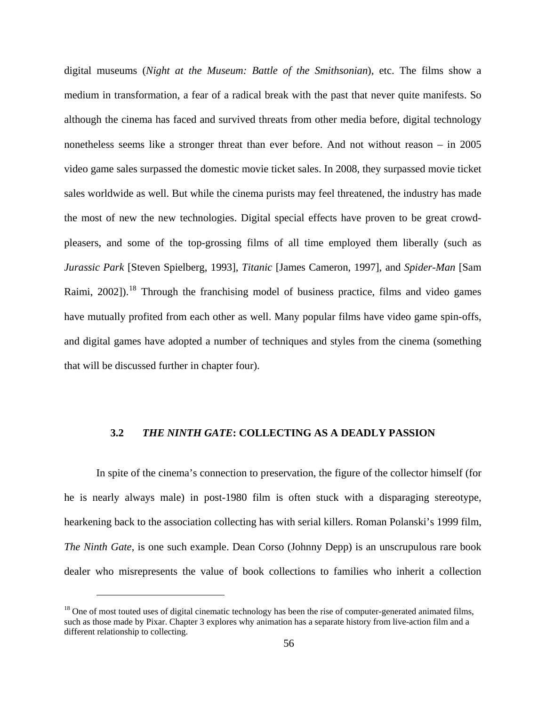digital museums (*Night at the Museum: Battle of the Smithsonian*), etc. The films show a medium in transformation, a fear of a radical break with the past that never quite manifests. So although the cinema has faced and survived threats from other media before, digital technology nonetheless seems like a stronger threat than ever before. And not without reason – in 2005 video game sales surpassed the domestic movie ticket sales. In 2008, they surpassed movie ticket sales worldwide as well. But while the cinema purists may feel threatened, the industry has made the most of new the new technologies. Digital special effects have proven to be great crowdpleasers, and some of the top-grossing films of all time employed them liberally (such as *Jurassic Park* [Steven Spielberg, 1993], *Titanic* [James Cameron, 1997], and *Spider-Man* [Sam Raimi,  $2002$ ]).<sup>[18](#page-64-0)</sup> Through the franchising model of business practice, films and video games have mutually profited from each other as well. Many popular films have video game spin-offs, and digital games have adopted a number of techniques and styles from the cinema (something that will be discussed further in chapter four).

## **3.2** *THE NINTH GATE***: COLLECTING AS A DEADLY PASSION**

In spite of the cinema's connection to preservation, the figure of the collector himself (for he is nearly always male) in post-1980 film is often stuck with a disparaging stereotype, hearkening back to the association collecting has with serial killers. Roman Polanski's 1999 film, *The Ninth Gate*, is one such example. Dean Corso (Johnny Depp) is an unscrupulous rare book dealer who misrepresents the value of book collections to families who inherit a collection

<u>.</u>

<span id="page-64-0"></span> $18$  One of most touted uses of digital cinematic technology has been the rise of computer-generated animated films, such as those made by Pixar. Chapter 3 explores why animation has a separate history from live-action film and a different relationship to collecting.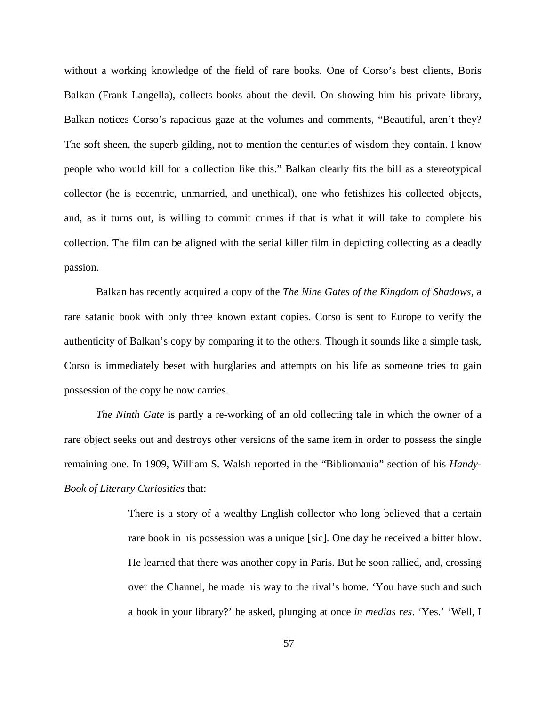without a working knowledge of the field of rare books. One of Corso's best clients, Boris Balkan (Frank Langella), collects books about the devil. On showing him his private library, Balkan notices Corso's rapacious gaze at the volumes and comments, "Beautiful, aren't they? The soft sheen, the superb gilding, not to mention the centuries of wisdom they contain. I know people who would kill for a collection like this." Balkan clearly fits the bill as a stereotypical collector (he is eccentric, unmarried, and unethical), one who fetishizes his collected objects, and, as it turns out, is willing to commit crimes if that is what it will take to complete his collection. The film can be aligned with the serial killer film in depicting collecting as a deadly passion.

Balkan has recently acquired a copy of the *The Nine Gates of the Kingdom of Shadows*, a rare satanic book with only three known extant copies. Corso is sent to Europe to verify the authenticity of Balkan's copy by comparing it to the others. Though it sounds like a simple task, Corso is immediately beset with burglaries and attempts on his life as someone tries to gain possession of the copy he now carries.

*The Ninth Gate* is partly a re-working of an old collecting tale in which the owner of a rare object seeks out and destroys other versions of the same item in order to possess the single remaining one. In 1909, William S. Walsh reported in the "Bibliomania" section of his *Handy-Book of Literary Curiosities* that:

> There is a story of a wealthy English collector who long believed that a certain rare book in his possession was a unique [sic]. One day he received a bitter blow. He learned that there was another copy in Paris. But he soon rallied, and, crossing over the Channel, he made his way to the rival's home. 'You have such and such a book in your library?' he asked, plunging at once *in medias res*. 'Yes.' 'Well, I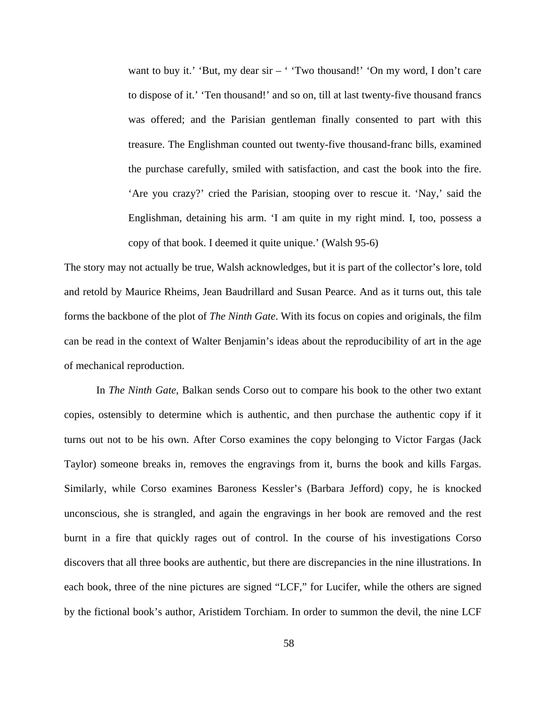want to buy it.' 'But, my dear  $\sin -$  'Two thousand!' 'On my word, I don't care to dispose of it.' 'Ten thousand!' and so on, till at last twenty-five thousand francs was offered; and the Parisian gentleman finally consented to part with this treasure. The Englishman counted out twenty-five thousand-franc bills, examined the purchase carefully, smiled with satisfaction, and cast the book into the fire. 'Are you crazy?' cried the Parisian, stooping over to rescue it. 'Nay,' said the Englishman, detaining his arm. 'I am quite in my right mind. I, too, possess a copy of that book. I deemed it quite unique.' (Walsh 95-6)

The story may not actually be true, Walsh acknowledges, but it is part of the collector's lore, told and retold by Maurice Rheims, Jean Baudrillard and Susan Pearce. And as it turns out, this tale forms the backbone of the plot of *The Ninth Gate*. With its focus on copies and originals, the film can be read in the context of Walter Benjamin's ideas about the reproducibility of art in the age of mechanical reproduction.

In *The Ninth Gate*, Balkan sends Corso out to compare his book to the other two extant copies, ostensibly to determine which is authentic, and then purchase the authentic copy if it turns out not to be his own. After Corso examines the copy belonging to Victor Fargas (Jack Taylor) someone breaks in, removes the engravings from it, burns the book and kills Fargas. Similarly, while Corso examines Baroness Kessler's (Barbara Jefford) copy, he is knocked unconscious, she is strangled, and again the engravings in her book are removed and the rest burnt in a fire that quickly rages out of control. In the course of his investigations Corso discovers that all three books are authentic, but there are discrepancies in the nine illustrations. In each book, three of the nine pictures are signed "LCF," for Lucifer, while the others are signed by the fictional book's author, Aristidem Torchiam. In order to summon the devil, the nine LCF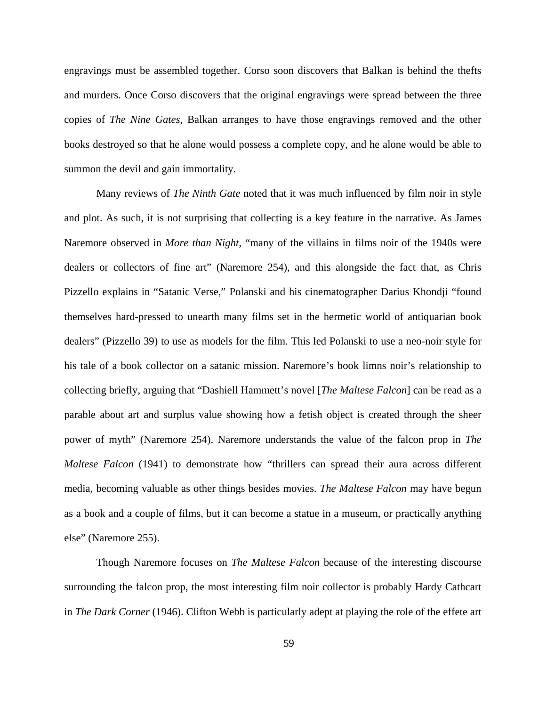engravings must be assembled together. Corso soon discovers that Balkan is behind the thefts and murders. Once Corso discovers that the original engravings were spread between the three copies of *The Nine Gates*, Balkan arranges to have those engravings removed and the other books destroyed so that he alone would possess a complete copy, and he alone would be able to summon the devil and gain immortality.

Many reviews of *The Ninth Gate* noted that it was much influenced by film noir in style and plot. As such, it is not surprising that collecting is a key feature in the narrative. As James Naremore observed in *More than Night*, "many of the villains in films noir of the 1940s were dealers or collectors of fine art" (Naremore 254), and this alongside the fact that, as Chris Pizzello explains in "Satanic Verse," Polanski and his cinematographer Darius Khondji "found themselves hard-pressed to unearth many films set in the hermetic world of antiquarian book dealers" (Pizzello 39) to use as models for the film. This led Polanski to use a neo-noir style for his tale of a book collector on a satanic mission. Naremore's book limns noir's relationship to collecting briefly, arguing that "Dashiell Hammett's novel [*The Maltese Falcon*] can be read as a parable about art and surplus value showing how a fetish object is created through the sheer power of myth" (Naremore 254). Naremore understands the value of the falcon prop in *The Maltese Falcon* (1941) to demonstrate how "thrillers can spread their aura across different media, becoming valuable as other things besides movies. *The Maltese Falcon* may have begun as a book and a couple of films, but it can become a statue in a museum, or practically anything else" (Naremore 255).

Though Naremore focuses on *The Maltese Falcon* because of the interesting discourse surrounding the falcon prop, the most interesting film noir collector is probably Hardy Cathcart in *The Dark Corner* (1946). Clifton Webb is particularly adept at playing the role of the effete art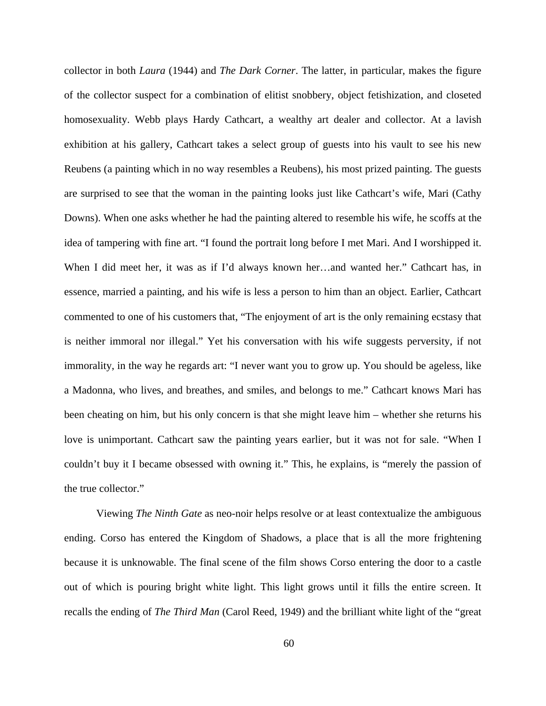collector in both *Laura* (1944) and *The Dark Corner*. The latter, in particular, makes the figure of the collector suspect for a combination of elitist snobbery, object fetishization, and closeted homosexuality. Webb plays Hardy Cathcart, a wealthy art dealer and collector. At a lavish exhibition at his gallery, Cathcart takes a select group of guests into his vault to see his new Reubens (a painting which in no way resembles a Reubens), his most prized painting. The guests are surprised to see that the woman in the painting looks just like Cathcart's wife, Mari (Cathy Downs). When one asks whether he had the painting altered to resemble his wife, he scoffs at the idea of tampering with fine art. "I found the portrait long before I met Mari. And I worshipped it. When I did meet her, it was as if I'd always known her...and wanted her." Cathcart has, in essence, married a painting, and his wife is less a person to him than an object. Earlier, Cathcart commented to one of his customers that, "The enjoyment of art is the only remaining ecstasy that is neither immoral nor illegal." Yet his conversation with his wife suggests perversity, if not immorality, in the way he regards art: "I never want you to grow up. You should be ageless, like a Madonna, who lives, and breathes, and smiles, and belongs to me." Cathcart knows Mari has been cheating on him, but his only concern is that she might leave him – whether she returns his love is unimportant. Cathcart saw the painting years earlier, but it was not for sale. "When I couldn't buy it I became obsessed with owning it." This, he explains, is "merely the passion of the true collector."

Viewing *The Ninth Gate* as neo-noir helps resolve or at least contextualize the ambiguous ending. Corso has entered the Kingdom of Shadows, a place that is all the more frightening because it is unknowable. The final scene of the film shows Corso entering the door to a castle out of which is pouring bright white light. This light grows until it fills the entire screen. It recalls the ending of *The Third Man* (Carol Reed, 1949) and the brilliant white light of the "great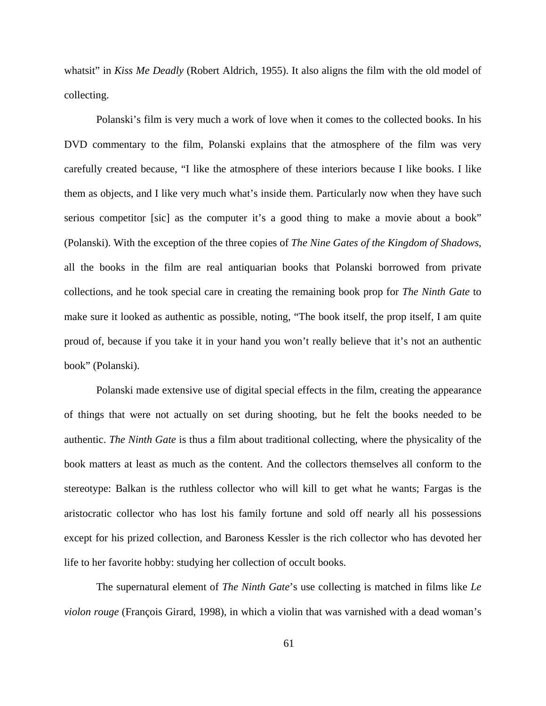whatsit" in *Kiss Me Deadly* (Robert Aldrich, 1955). It also aligns the film with the old model of collecting.

Polanski's film is very much a work of love when it comes to the collected books. In his DVD commentary to the film, Polanski explains that the atmosphere of the film was very carefully created because, "I like the atmosphere of these interiors because I like books. I like them as objects, and I like very much what's inside them. Particularly now when they have such serious competitor [sic] as the computer it's a good thing to make a movie about a book" (Polanski). With the exception of the three copies of *The Nine Gates of the Kingdom of Shadows*, all the books in the film are real antiquarian books that Polanski borrowed from private collections, and he took special care in creating the remaining book prop for *The Ninth Gate* to make sure it looked as authentic as possible, noting, "The book itself, the prop itself, I am quite proud of, because if you take it in your hand you won't really believe that it's not an authentic book" (Polanski).

Polanski made extensive use of digital special effects in the film, creating the appearance of things that were not actually on set during shooting, but he felt the books needed to be authentic. *The Ninth Gate* is thus a film about traditional collecting, where the physicality of the book matters at least as much as the content. And the collectors themselves all conform to the stereotype: Balkan is the ruthless collector who will kill to get what he wants; Fargas is the aristocratic collector who has lost his family fortune and sold off nearly all his possessions except for his prized collection, and Baroness Kessler is the rich collector who has devoted her life to her favorite hobby: studying her collection of occult books.

The supernatural element of *The Ninth Gate*'s use collecting is matched in films like *Le violon rouge* (François Girard, 1998), in which a violin that was varnished with a dead woman's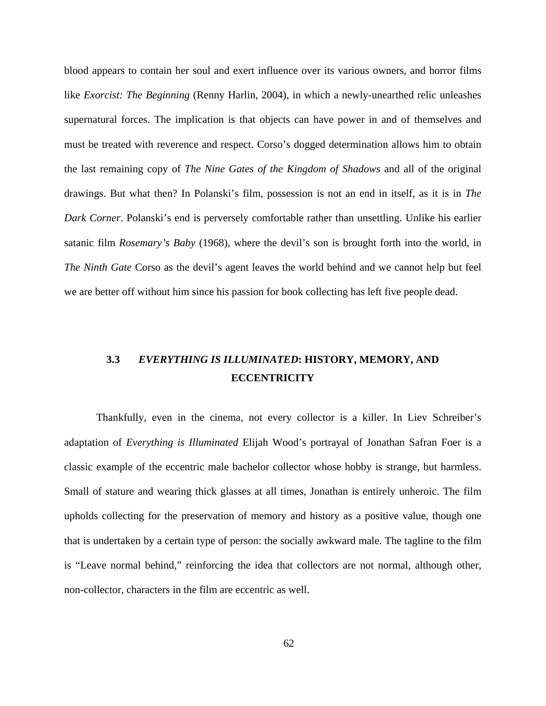blood appears to contain her soul and exert influence over its various owners, and horror films like *Exorcist: The Beginning* (Renny Harlin, 2004), in which a newly-unearthed relic unleashes supernatural forces. The implication is that objects can have power in and of themselves and must be treated with reverence and respect. Corso's dogged determination allows him to obtain the last remaining copy of *The Nine Gates of the Kingdom of Shadows* and all of the original drawings. But what then? In Polanski's film, possession is not an end in itself, as it is in *The Dark Corner*. Polanski's end is perversely comfortable rather than unsettling. Unlike his earlier satanic film *Rosemary's Baby* (1968), where the devil's son is brought forth into the world, in *The Ninth Gate* Corso as the devil's agent leaves the world behind and we cannot help but feel we are better off without him since his passion for book collecting has left five people dead.

# **3.3** *EVERYTHING IS ILLUMINATED***: HISTORY, MEMORY, AND ECCENTRICITY**

Thankfully, even in the cinema, not every collector is a killer. In Liev Schreiber's adaptation of *Everything is Illuminated* Elijah Wood's portrayal of Jonathan Safran Foer is a classic example of the eccentric male bachelor collector whose hobby is strange, but harmless. Small of stature and wearing thick glasses at all times, Jonathan is entirely unheroic. The film upholds collecting for the preservation of memory and history as a positive value, though one that is undertaken by a certain type of person: the socially awkward male. The tagline to the film is "Leave normal behind," reinforcing the idea that collectors are not normal, although other, non-collector, characters in the film are eccentric as well.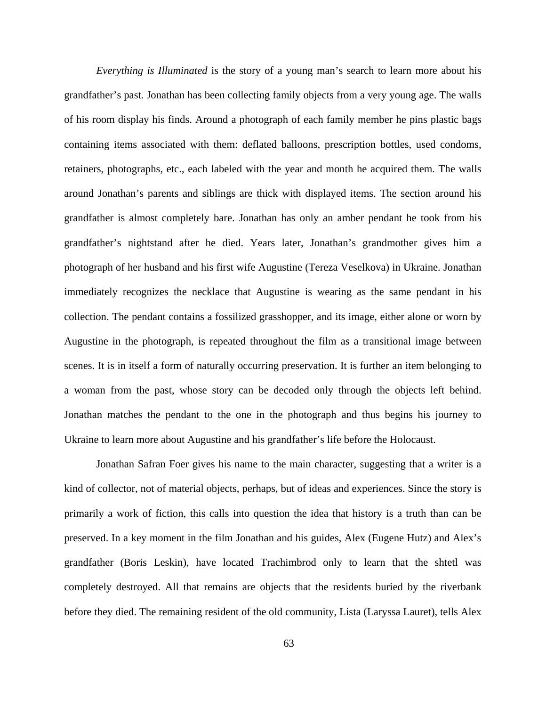*Everything is Illuminated* is the story of a young man's search to learn more about his grandfather's past. Jonathan has been collecting family objects from a very young age. The walls of his room display his finds. Around a photograph of each family member he pins plastic bags containing items associated with them: deflated balloons, prescription bottles, used condoms, retainers, photographs, etc., each labeled with the year and month he acquired them. The walls around Jonathan's parents and siblings are thick with displayed items. The section around his grandfather is almost completely bare. Jonathan has only an amber pendant he took from his grandfather's nightstand after he died. Years later, Jonathan's grandmother gives him a photograph of her husband and his first wife Augustine (Tereza Veselkova) in Ukraine. Jonathan immediately recognizes the necklace that Augustine is wearing as the same pendant in his collection. The pendant contains a fossilized grasshopper, and its image, either alone or worn by Augustine in the photograph, is repeated throughout the film as a transitional image between scenes. It is in itself a form of naturally occurring preservation. It is further an item belonging to a woman from the past, whose story can be decoded only through the objects left behind. Jonathan matches the pendant to the one in the photograph and thus begins his journey to Ukraine to learn more about Augustine and his grandfather's life before the Holocaust.

Jonathan Safran Foer gives his name to the main character, suggesting that a writer is a kind of collector, not of material objects, perhaps, but of ideas and experiences. Since the story is primarily a work of fiction, this calls into question the idea that history is a truth than can be preserved. In a key moment in the film Jonathan and his guides, Alex (Eugene Hutz) and Alex's grandfather (Boris Leskin), have located Trachimbrod only to learn that the shtetl was completely destroyed. All that remains are objects that the residents buried by the riverbank before they died. The remaining resident of the old community, Lista (Laryssa Lauret), tells Alex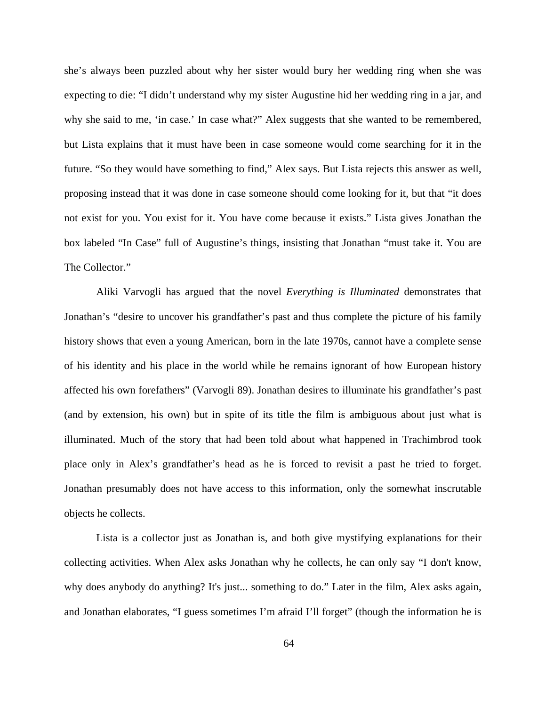she's always been puzzled about why her sister would bury her wedding ring when she was expecting to die: "I didn't understand why my sister Augustine hid her wedding ring in a jar, and why she said to me, 'in case.' In case what?" Alex suggests that she wanted to be remembered, but Lista explains that it must have been in case someone would come searching for it in the future. "So they would have something to find," Alex says. But Lista rejects this answer as well, proposing instead that it was done in case someone should come looking for it, but that "it does not exist for you. You exist for it. You have come because it exists." Lista gives Jonathan the box labeled "In Case" full of Augustine's things, insisting that Jonathan "must take it. You are The Collector."

Aliki Varvogli has argued that the novel *Everything is Illuminated* demonstrates that Jonathan's "desire to uncover his grandfather's past and thus complete the picture of his family history shows that even a young American, born in the late 1970s, cannot have a complete sense of his identity and his place in the world while he remains ignorant of how European history affected his own forefathers" (Varvogli 89). Jonathan desires to illuminate his grandfather's past (and by extension, his own) but in spite of its title the film is ambiguous about just what is illuminated. Much of the story that had been told about what happened in Trachimbrod took place only in Alex's grandfather's head as he is forced to revisit a past he tried to forget. Jonathan presumably does not have access to this information, only the somewhat inscrutable objects he collects.

Lista is a collector just as Jonathan is, and both give mystifying explanations for their collecting activities. When Alex asks Jonathan why he collects, he can only say "I don't know, why does anybody do anything? It's just... something to do." Later in the film, Alex asks again, and Jonathan elaborates, "I guess sometimes I'm afraid I'll forget" (though the information he is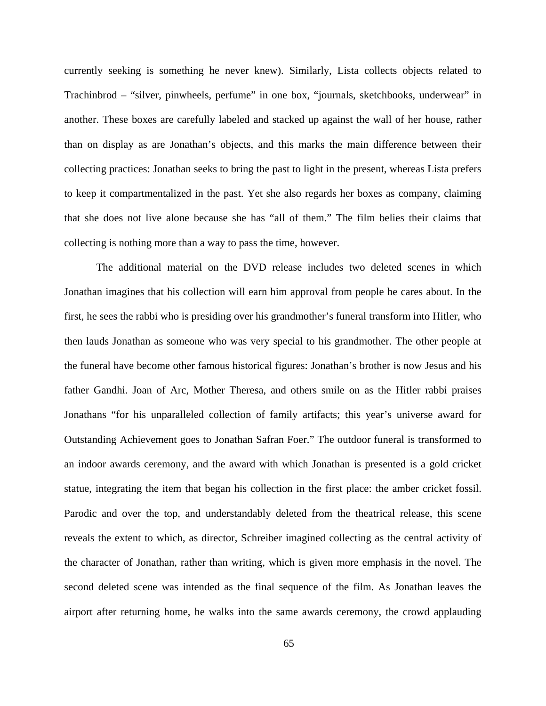currently seeking is something he never knew). Similarly, Lista collects objects related to Trachinbrod – "silver, pinwheels, perfume" in one box, "journals, sketchbooks, underwear" in another. These boxes are carefully labeled and stacked up against the wall of her house, rather than on display as are Jonathan's objects, and this marks the main difference between their collecting practices: Jonathan seeks to bring the past to light in the present, whereas Lista prefers to keep it compartmentalized in the past. Yet she also regards her boxes as company, claiming that she does not live alone because she has "all of them." The film belies their claims that collecting is nothing more than a way to pass the time, however.

The additional material on the DVD release includes two deleted scenes in which Jonathan imagines that his collection will earn him approval from people he cares about. In the first, he sees the rabbi who is presiding over his grandmother's funeral transform into Hitler, who then lauds Jonathan as someone who was very special to his grandmother. The other people at the funeral have become other famous historical figures: Jonathan's brother is now Jesus and his father Gandhi. Joan of Arc, Mother Theresa, and others smile on as the Hitler rabbi praises Jonathans "for his unparalleled collection of family artifacts; this year's universe award for Outstanding Achievement goes to Jonathan Safran Foer." The outdoor funeral is transformed to an indoor awards ceremony, and the award with which Jonathan is presented is a gold cricket statue, integrating the item that began his collection in the first place: the amber cricket fossil. Parodic and over the top, and understandably deleted from the theatrical release, this scene reveals the extent to which, as director, Schreiber imagined collecting as the central activity of the character of Jonathan, rather than writing, which is given more emphasis in the novel. The second deleted scene was intended as the final sequence of the film. As Jonathan leaves the airport after returning home, he walks into the same awards ceremony, the crowd applauding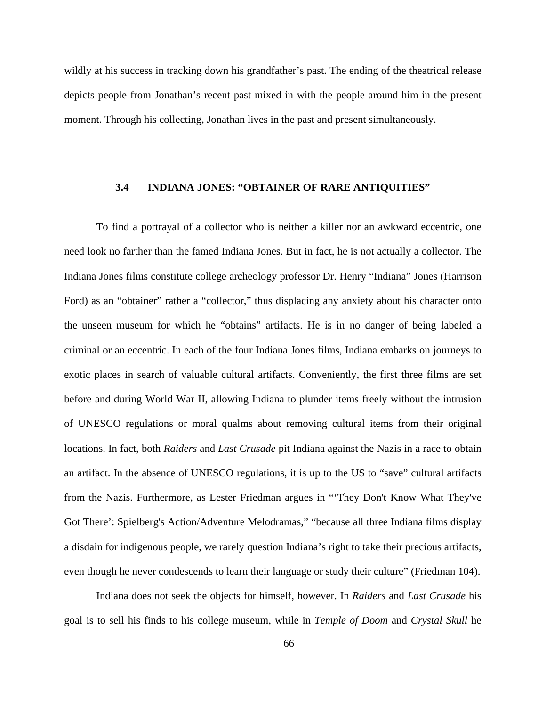wildly at his success in tracking down his grandfather's past. The ending of the theatrical release depicts people from Jonathan's recent past mixed in with the people around him in the present moment. Through his collecting, Jonathan lives in the past and present simultaneously.

### **3.4 INDIANA JONES: "OBTAINER OF RARE ANTIQUITIES"**

To find a portrayal of a collector who is neither a killer nor an awkward eccentric, one need look no farther than the famed Indiana Jones. But in fact, he is not actually a collector. The Indiana Jones films constitute college archeology professor Dr. Henry "Indiana" Jones (Harrison Ford) as an "obtainer" rather a "collector," thus displacing any anxiety about his character onto the unseen museum for which he "obtains" artifacts. He is in no danger of being labeled a criminal or an eccentric. In each of the four Indiana Jones films, Indiana embarks on journeys to exotic places in search of valuable cultural artifacts. Conveniently, the first three films are set before and during World War II, allowing Indiana to plunder items freely without the intrusion of UNESCO regulations or moral qualms about removing cultural items from their original locations. In fact, both *Raiders* and *Last Crusade* pit Indiana against the Nazis in a race to obtain an artifact. In the absence of UNESCO regulations, it is up to the US to "save" cultural artifacts from the Nazis. Furthermore, as Lester Friedman argues in "'They Don't Know What They've Got There': Spielberg's Action/Adventure Melodramas," "because all three Indiana films display a disdain for indigenous people, we rarely question Indiana's right to take their precious artifacts, even though he never condescends to learn their language or study their culture" (Friedman 104).

Indiana does not seek the objects for himself, however. In *Raiders* and *Last Crusade* his goal is to sell his finds to his college museum, while in *Temple of Doom* and *Crystal Skull* he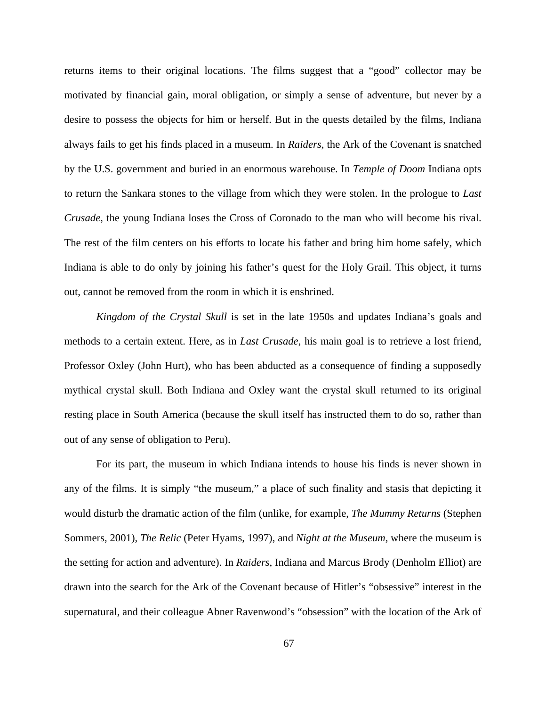returns items to their original locations. The films suggest that a "good" collector may be motivated by financial gain, moral obligation, or simply a sense of adventure, but never by a desire to possess the objects for him or herself. But in the quests detailed by the films, Indiana always fails to get his finds placed in a museum. In *Raiders*, the Ark of the Covenant is snatched by the U.S. government and buried in an enormous warehouse. In *Temple of Doom* Indiana opts to return the Sankara stones to the village from which they were stolen. In the prologue to *Last Crusade*, the young Indiana loses the Cross of Coronado to the man who will become his rival. The rest of the film centers on his efforts to locate his father and bring him home safely, which Indiana is able to do only by joining his father's quest for the Holy Grail. This object, it turns out, cannot be removed from the room in which it is enshrined.

*Kingdom of the Crystal Skull* is set in the late 1950s and updates Indiana's goals and methods to a certain extent. Here, as in *Last Crusade*, his main goal is to retrieve a lost friend, Professor Oxley (John Hurt), who has been abducted as a consequence of finding a supposedly mythical crystal skull. Both Indiana and Oxley want the crystal skull returned to its original resting place in South America (because the skull itself has instructed them to do so, rather than out of any sense of obligation to Peru).

For its part, the museum in which Indiana intends to house his finds is never shown in any of the films. It is simply "the museum," a place of such finality and stasis that depicting it would disturb the dramatic action of the film (unlike, for example, *The Mummy Returns* (Stephen Sommers, 2001), *The Relic* (Peter Hyams, 1997), and *Night at the Museum,* where the museum is the setting for action and adventure). In *Raiders*, Indiana and Marcus Brody (Denholm Elliot) are drawn into the search for the Ark of the Covenant because of Hitler's "obsessive" interest in the supernatural, and their colleague Abner Ravenwood's "obsession" with the location of the Ark of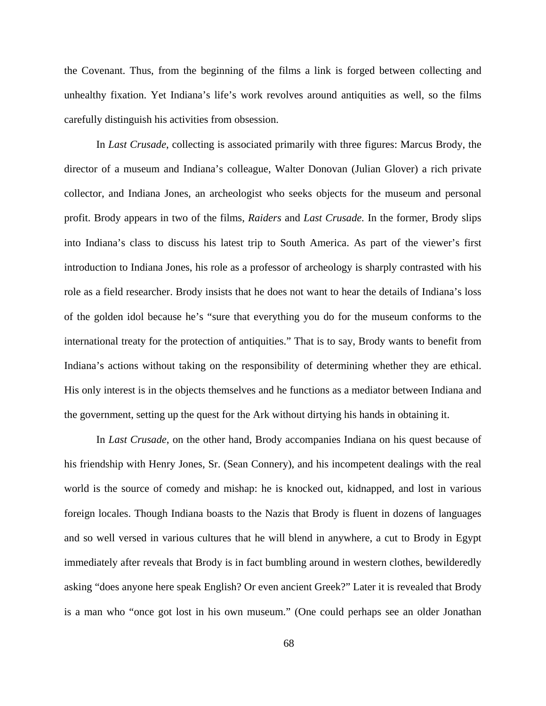the Covenant. Thus, from the beginning of the films a link is forged between collecting and unhealthy fixation. Yet Indiana's life's work revolves around antiquities as well, so the films carefully distinguish his activities from obsession.

In *Last Crusade*, collecting is associated primarily with three figures: Marcus Brody, the director of a museum and Indiana's colleague, Walter Donovan (Julian Glover) a rich private collector, and Indiana Jones, an archeologist who seeks objects for the museum and personal profit. Brody appears in two of the films, *Raiders* and *Last Crusade.* In the former, Brody slips into Indiana's class to discuss his latest trip to South America. As part of the viewer's first introduction to Indiana Jones, his role as a professor of archeology is sharply contrasted with his role as a field researcher. Brody insists that he does not want to hear the details of Indiana's loss of the golden idol because he's "sure that everything you do for the museum conforms to the international treaty for the protection of antiquities." That is to say, Brody wants to benefit from Indiana's actions without taking on the responsibility of determining whether they are ethical. His only interest is in the objects themselves and he functions as a mediator between Indiana and the government, setting up the quest for the Ark without dirtying his hands in obtaining it.

In *Last Crusade*, on the other hand, Brody accompanies Indiana on his quest because of his friendship with Henry Jones, Sr. (Sean Connery), and his incompetent dealings with the real world is the source of comedy and mishap: he is knocked out, kidnapped, and lost in various foreign locales. Though Indiana boasts to the Nazis that Brody is fluent in dozens of languages and so well versed in various cultures that he will blend in anywhere, a cut to Brody in Egypt immediately after reveals that Brody is in fact bumbling around in western clothes, bewilderedly asking "does anyone here speak English? Or even ancient Greek?" Later it is revealed that Brody is a man who "once got lost in his own museum." (One could perhaps see an older Jonathan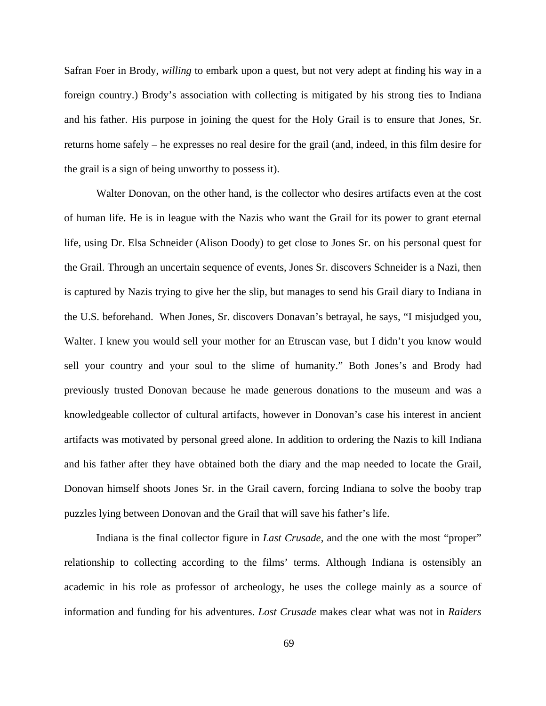Safran Foer in Brody, *willing* to embark upon a quest, but not very adept at finding his way in a foreign country.) Brody's association with collecting is mitigated by his strong ties to Indiana and his father. His purpose in joining the quest for the Holy Grail is to ensure that Jones, Sr. returns home safely – he expresses no real desire for the grail (and, indeed, in this film desire for the grail is a sign of being unworthy to possess it).

Walter Donovan, on the other hand, is the collector who desires artifacts even at the cost of human life. He is in league with the Nazis who want the Grail for its power to grant eternal life, using Dr. Elsa Schneider (Alison Doody) to get close to Jones Sr. on his personal quest for the Grail. Through an uncertain sequence of events, Jones Sr. discovers Schneider is a Nazi, then is captured by Nazis trying to give her the slip, but manages to send his Grail diary to Indiana in the U.S. beforehand. When Jones, Sr. discovers Donavan's betrayal, he says, "I misjudged you, Walter. I knew you would sell your mother for an Etruscan vase, but I didn't you know would sell your country and your soul to the slime of humanity." Both Jones's and Brody had previously trusted Donovan because he made generous donations to the museum and was a knowledgeable collector of cultural artifacts, however in Donovan's case his interest in ancient artifacts was motivated by personal greed alone. In addition to ordering the Nazis to kill Indiana and his father after they have obtained both the diary and the map needed to locate the Grail, Donovan himself shoots Jones Sr. in the Grail cavern, forcing Indiana to solve the booby trap puzzles lying between Donovan and the Grail that will save his father's life.

Indiana is the final collector figure in *Last Crusade*, and the one with the most "proper" relationship to collecting according to the films' terms. Although Indiana is ostensibly an academic in his role as professor of archeology, he uses the college mainly as a source of information and funding for his adventures. *Lost Crusade* makes clear what was not in *Raiders*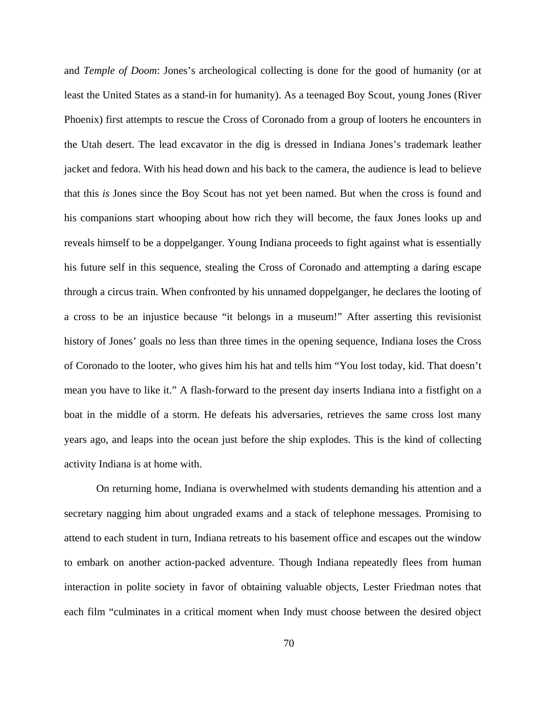and *Temple of Doom*: Jones's archeological collecting is done for the good of humanity (or at least the United States as a stand-in for humanity). As a teenaged Boy Scout, young Jones (River Phoenix) first attempts to rescue the Cross of Coronado from a group of looters he encounters in the Utah desert. The lead excavator in the dig is dressed in Indiana Jones's trademark leather jacket and fedora. With his head down and his back to the camera, the audience is lead to believe that this *is* Jones since the Boy Scout has not yet been named. But when the cross is found and his companions start whooping about how rich they will become, the faux Jones looks up and reveals himself to be a doppelganger. Young Indiana proceeds to fight against what is essentially his future self in this sequence, stealing the Cross of Coronado and attempting a daring escape through a circus train. When confronted by his unnamed doppelganger, he declares the looting of a cross to be an injustice because "it belongs in a museum!" After asserting this revisionist history of Jones' goals no less than three times in the opening sequence, Indiana loses the Cross of Coronado to the looter, who gives him his hat and tells him "You lost today, kid. That doesn't mean you have to like it." A flash-forward to the present day inserts Indiana into a fistfight on a boat in the middle of a storm. He defeats his adversaries, retrieves the same cross lost many years ago, and leaps into the ocean just before the ship explodes. This is the kind of collecting activity Indiana is at home with.

On returning home, Indiana is overwhelmed with students demanding his attention and a secretary nagging him about ungraded exams and a stack of telephone messages. Promising to attend to each student in turn, Indiana retreats to his basement office and escapes out the window to embark on another action-packed adventure. Though Indiana repeatedly flees from human interaction in polite society in favor of obtaining valuable objects, Lester Friedman notes that each film "culminates in a critical moment when Indy must choose between the desired object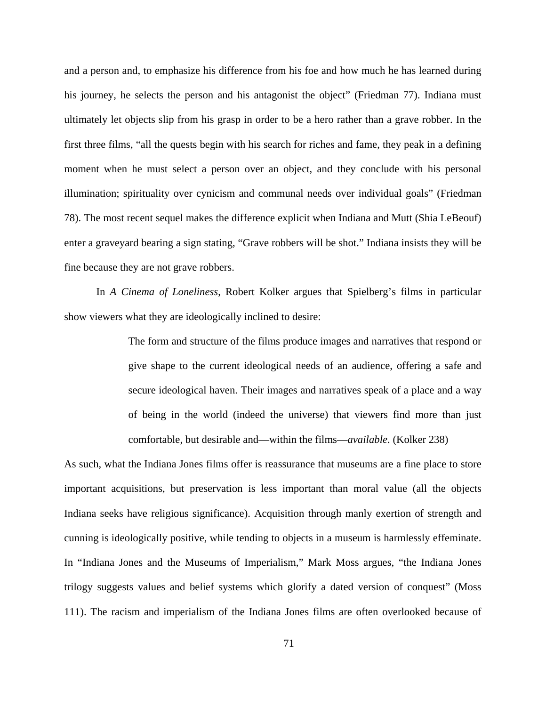and a person and, to emphasize his difference from his foe and how much he has learned during his journey, he selects the person and his antagonist the object" (Friedman 77). Indiana must ultimately let objects slip from his grasp in order to be a hero rather than a grave robber. In the first three films, "all the quests begin with his search for riches and fame, they peak in a defining moment when he must select a person over an object, and they conclude with his personal illumination; spirituality over cynicism and communal needs over individual goals" (Friedman 78). The most recent sequel makes the difference explicit when Indiana and Mutt (Shia LeBeouf) enter a graveyard bearing a sign stating, "Grave robbers will be shot." Indiana insists they will be fine because they are not grave robbers.

In *A Cinema of Loneliness*, Robert Kolker argues that Spielberg's films in particular show viewers what they are ideologically inclined to desire:

> The form and structure of the films produce images and narratives that respond or give shape to the current ideological needs of an audience, offering a safe and secure ideological haven. Their images and narratives speak of a place and a way of being in the world (indeed the universe) that viewers find more than just comfortable, but desirable and—within the films—*available*. (Kolker 238)

As such, what the Indiana Jones films offer is reassurance that museums are a fine place to store important acquisitions, but preservation is less important than moral value (all the objects Indiana seeks have religious significance). Acquisition through manly exertion of strength and cunning is ideologically positive, while tending to objects in a museum is harmlessly effeminate. In "Indiana Jones and the Museums of Imperialism," Mark Moss argues, "the Indiana Jones trilogy suggests values and belief systems which glorify a dated version of conquest" (Moss 111). The racism and imperialism of the Indiana Jones films are often overlooked because of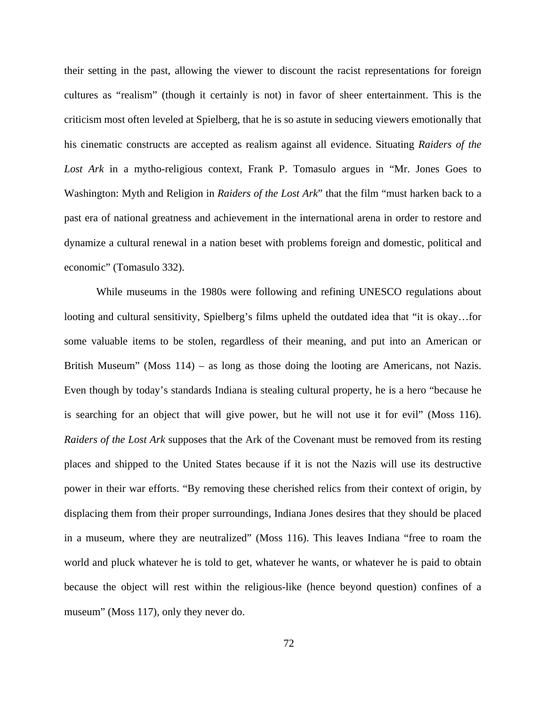their setting in the past, allowing the viewer to discount the racist representations for foreign cultures as "realism" (though it certainly is not) in favor of sheer entertainment. This is the criticism most often leveled at Spielberg, that he is so astute in seducing viewers emotionally that his cinematic constructs are accepted as realism against all evidence. Situating *Raiders of the Lost Ark* in a mytho-religious context, Frank P. Tomasulo argues in "Mr. Jones Goes to Washington: Myth and Religion in *Raiders of the Lost Ark*" that the film "must harken back to a past era of national greatness and achievement in the international arena in order to restore and dynamize a cultural renewal in a nation beset with problems foreign and domestic, political and economic" (Tomasulo 332).

While museums in the 1980s were following and refining UNESCO regulations about looting and cultural sensitivity, Spielberg's films upheld the outdated idea that "it is okay…for some valuable items to be stolen, regardless of their meaning, and put into an American or British Museum" (Moss 114) – as long as those doing the looting are Americans, not Nazis. Even though by today's standards Indiana is stealing cultural property, he is a hero "because he is searching for an object that will give power, but he will not use it for evil" (Moss 116). *Raiders of the Lost Ark* supposes that the Ark of the Covenant must be removed from its resting places and shipped to the United States because if it is not the Nazis will use its destructive power in their war efforts. "By removing these cherished relics from their context of origin, by displacing them from their proper surroundings, Indiana Jones desires that they should be placed in a museum, where they are neutralized" (Moss 116). This leaves Indiana "free to roam the world and pluck whatever he is told to get, whatever he wants, or whatever he is paid to obtain because the object will rest within the religious-like (hence beyond question) confines of a museum" (Moss 117), only they never do.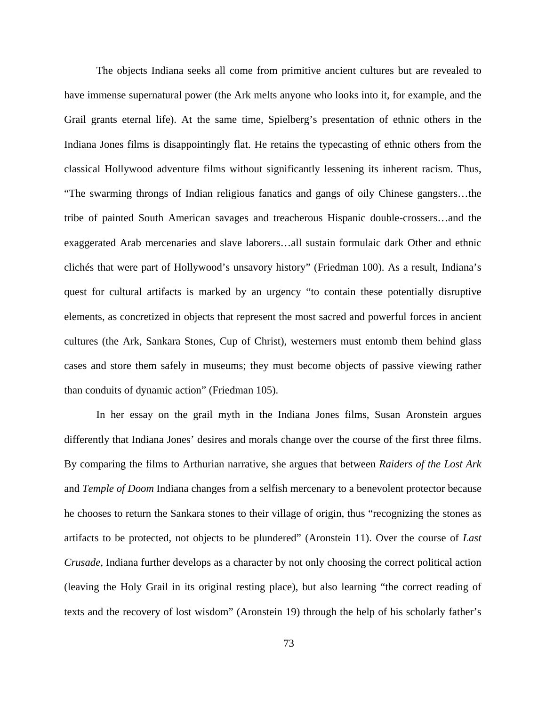The objects Indiana seeks all come from primitive ancient cultures but are revealed to have immense supernatural power (the Ark melts anyone who looks into it, for example, and the Grail grants eternal life). At the same time, Spielberg's presentation of ethnic others in the Indiana Jones films is disappointingly flat. He retains the typecasting of ethnic others from the classical Hollywood adventure films without significantly lessening its inherent racism. Thus, "The swarming throngs of Indian religious fanatics and gangs of oily Chinese gangsters…the tribe of painted South American savages and treacherous Hispanic double-crossers…and the exaggerated Arab mercenaries and slave laborers…all sustain formulaic dark Other and ethnic clichés that were part of Hollywood's unsavory history" (Friedman 100). As a result, Indiana's quest for cultural artifacts is marked by an urgency "to contain these potentially disruptive elements, as concretized in objects that represent the most sacred and powerful forces in ancient cultures (the Ark, Sankara Stones, Cup of Christ), westerners must entomb them behind glass cases and store them safely in museums; they must become objects of passive viewing rather than conduits of dynamic action" (Friedman 105).

In her essay on the grail myth in the Indiana Jones films, Susan Aronstein argues differently that Indiana Jones' desires and morals change over the course of the first three films. By comparing the films to Arthurian narrative, she argues that between *Raiders of the Lost Ark* and *Temple of Doom* Indiana changes from a selfish mercenary to a benevolent protector because he chooses to return the Sankara stones to their village of origin, thus "recognizing the stones as artifacts to be protected, not objects to be plundered" (Aronstein 11). Over the course of *Last Crusade*, Indiana further develops as a character by not only choosing the correct political action (leaving the Holy Grail in its original resting place), but also learning "the correct reading of texts and the recovery of lost wisdom" (Aronstein 19) through the help of his scholarly father's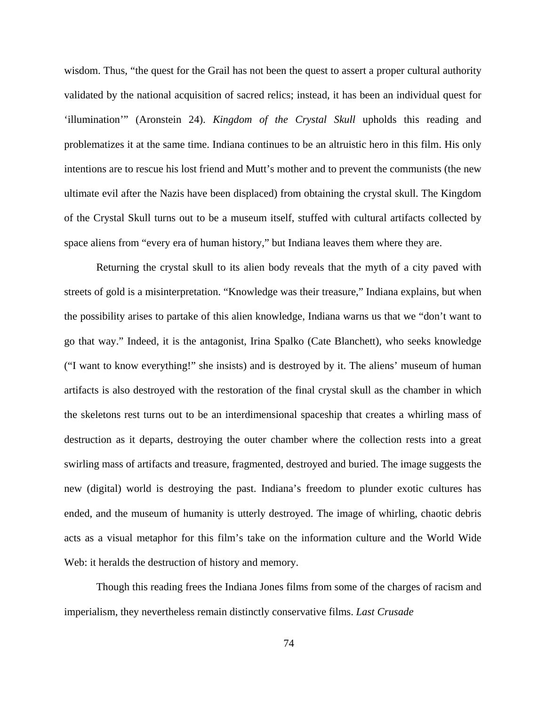wisdom. Thus, "the quest for the Grail has not been the quest to assert a proper cultural authority validated by the national acquisition of sacred relics; instead, it has been an individual quest for 'illumination'" (Aronstein 24). *Kingdom of the Crystal Skull* upholds this reading and problematizes it at the same time. Indiana continues to be an altruistic hero in this film. His only intentions are to rescue his lost friend and Mutt's mother and to prevent the communists (the new ultimate evil after the Nazis have been displaced) from obtaining the crystal skull. The Kingdom of the Crystal Skull turns out to be a museum itself, stuffed with cultural artifacts collected by space aliens from "every era of human history," but Indiana leaves them where they are.

Returning the crystal skull to its alien body reveals that the myth of a city paved with streets of gold is a misinterpretation. "Knowledge was their treasure," Indiana explains, but when the possibility arises to partake of this alien knowledge, Indiana warns us that we "don't want to go that way." Indeed, it is the antagonist, Irina Spalko (Cate Blanchett), who seeks knowledge ("I want to know everything!" she insists) and is destroyed by it. The aliens' museum of human artifacts is also destroyed with the restoration of the final crystal skull as the chamber in which the skeletons rest turns out to be an interdimensional spaceship that creates a whirling mass of destruction as it departs, destroying the outer chamber where the collection rests into a great swirling mass of artifacts and treasure, fragmented, destroyed and buried. The image suggests the new (digital) world is destroying the past. Indiana's freedom to plunder exotic cultures has ended, and the museum of humanity is utterly destroyed. The image of whirling, chaotic debris acts as a visual metaphor for this film's take on the information culture and the World Wide Web: it heralds the destruction of history and memory.

Though this reading frees the Indiana Jones films from some of the charges of racism and imperialism, they nevertheless remain distinctly conservative films. *Last Crusade*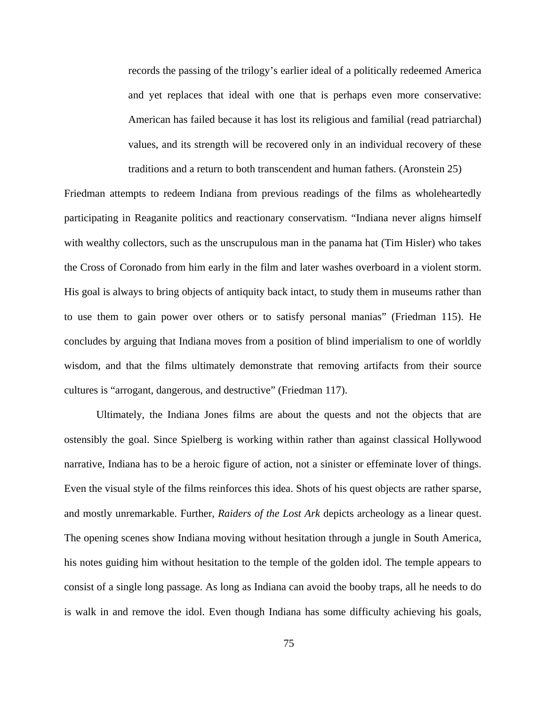records the passing of the trilogy's earlier ideal of a politically redeemed America and yet replaces that ideal with one that is perhaps even more conservative: American has failed because it has lost its religious and familial (read patriarchal) values, and its strength will be recovered only in an individual recovery of these traditions and a return to both transcendent and human fathers. (Aronstein 25)

Friedman attempts to redeem Indiana from previous readings of the films as wholeheartedly participating in Reaganite politics and reactionary conservatism. "Indiana never aligns himself with wealthy collectors, such as the unscrupulous man in the panama hat (Tim Hisler) who takes the Cross of Coronado from him early in the film and later washes overboard in a violent storm. His goal is always to bring objects of antiquity back intact, to study them in museums rather than to use them to gain power over others or to satisfy personal manias" (Friedman 115). He concludes by arguing that Indiana moves from a position of blind imperialism to one of worldly wisdom, and that the films ultimately demonstrate that removing artifacts from their source cultures is "arrogant, dangerous, and destructive" (Friedman 117).

Ultimately, the Indiana Jones films are about the quests and not the objects that are ostensibly the goal. Since Spielberg is working within rather than against classical Hollywood narrative, Indiana has to be a heroic figure of action, not a sinister or effeminate lover of things. Even the visual style of the films reinforces this idea. Shots of his quest objects are rather sparse, and mostly unremarkable. Further, *Raiders of the Lost Ark* depicts archeology as a linear quest. The opening scenes show Indiana moving without hesitation through a jungle in South America, his notes guiding him without hesitation to the temple of the golden idol. The temple appears to consist of a single long passage. As long as Indiana can avoid the booby traps, all he needs to do is walk in and remove the idol. Even though Indiana has some difficulty achieving his goals,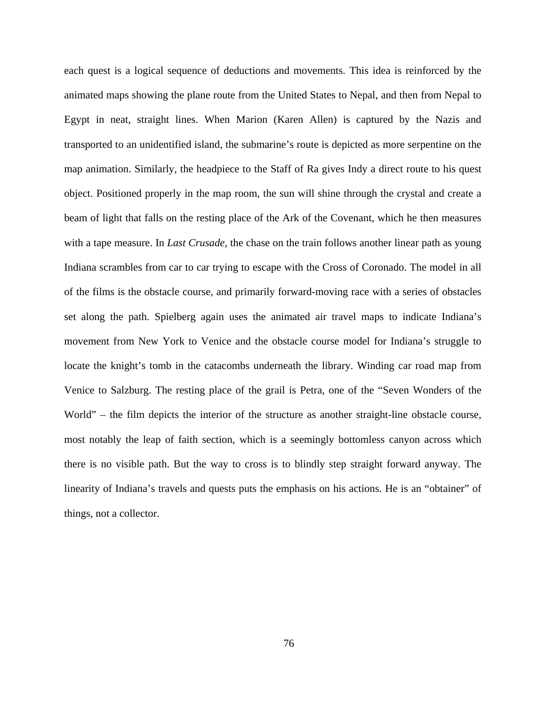each quest is a logical sequence of deductions and movements. This idea is reinforced by the animated maps showing the plane route from the United States to Nepal, and then from Nepal to Egypt in neat, straight lines. When Marion (Karen Allen) is captured by the Nazis and transported to an unidentified island, the submarine's route is depicted as more serpentine on the map animation. Similarly, the headpiece to the Staff of Ra gives Indy a direct route to his quest object. Positioned properly in the map room, the sun will shine through the crystal and create a beam of light that falls on the resting place of the Ark of the Covenant, which he then measures with a tape measure. In *Last Crusade,* the chase on the train follows another linear path as young Indiana scrambles from car to car trying to escape with the Cross of Coronado. The model in all of the films is the obstacle course, and primarily forward-moving race with a series of obstacles set along the path. Spielberg again uses the animated air travel maps to indicate Indiana's movement from New York to Venice and the obstacle course model for Indiana's struggle to locate the knight's tomb in the catacombs underneath the library. Winding car road map from Venice to Salzburg. The resting place of the grail is Petra, one of the "Seven Wonders of the World" – the film depicts the interior of the structure as another straight-line obstacle course, most notably the leap of faith section, which is a seemingly bottomless canyon across which there is no visible path. But the way to cross is to blindly step straight forward anyway. The linearity of Indiana's travels and quests puts the emphasis on his actions. He is an "obtainer" of things, not a collector.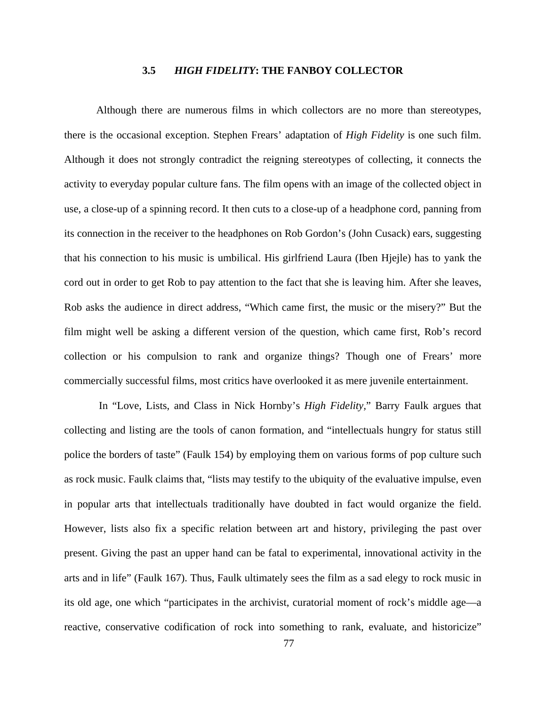## **3.5** *HIGH FIDELITY***: THE FANBOY COLLECTOR**

Although there are numerous films in which collectors are no more than stereotypes, there is the occasional exception. Stephen Frears' adaptation of *High Fidelity* is one such film. Although it does not strongly contradict the reigning stereotypes of collecting, it connects the activity to everyday popular culture fans. The film opens with an image of the collected object in use, a close-up of a spinning record. It then cuts to a close-up of a headphone cord, panning from its connection in the receiver to the headphones on Rob Gordon's (John Cusack) ears, suggesting that his connection to his music is umbilical. His girlfriend Laura (Iben Hjejle) has to yank the cord out in order to get Rob to pay attention to the fact that she is leaving him. After she leaves, Rob asks the audience in direct address, "Which came first, the music or the misery?" But the film might well be asking a different version of the question, which came first, Rob's record collection or his compulsion to rank and organize things? Though one of Frears' more commercially successful films, most critics have overlooked it as mere juvenile entertainment.

 In "Love, Lists, and Class in Nick Hornby's *High Fidelity,*" Barry Faulk argues that collecting and listing are the tools of canon formation, and "intellectuals hungry for status still police the borders of taste" (Faulk 154) by employing them on various forms of pop culture such as rock music. Faulk claims that, "lists may testify to the ubiquity of the evaluative impulse, even in popular arts that intellectuals traditionally have doubted in fact would organize the field. However, lists also fix a specific relation between art and history, privileging the past over present. Giving the past an upper hand can be fatal to experimental, innovational activity in the arts and in life" (Faulk 167). Thus, Faulk ultimately sees the film as a sad elegy to rock music in its old age, one which "participates in the archivist, curatorial moment of rock's middle age—a reactive, conservative codification of rock into something to rank, evaluate, and historicize"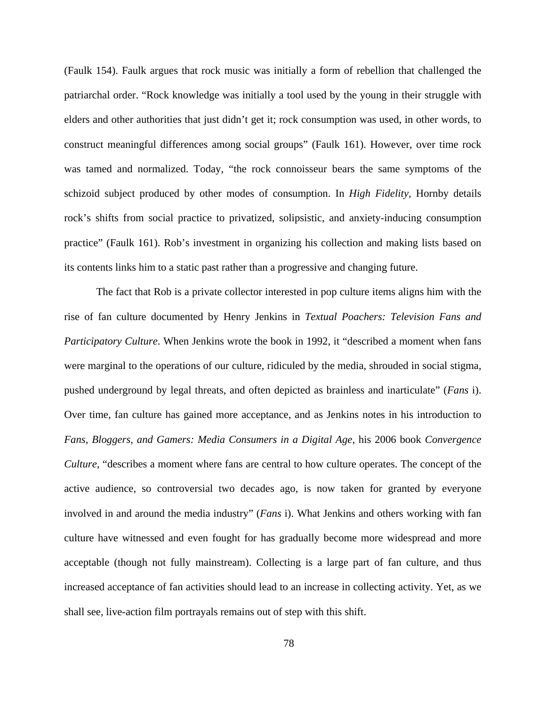(Faulk 154). Faulk argues that rock music was initially a form of rebellion that challenged the patriarchal order. "Rock knowledge was initially a tool used by the young in their struggle with elders and other authorities that just didn't get it; rock consumption was used, in other words, to construct meaningful differences among social groups" (Faulk 161). However, over time rock was tamed and normalized. Today, "the rock connoisseur bears the same symptoms of the schizoid subject produced by other modes of consumption. In *High Fidelity*, Hornby details rock's shifts from social practice to privatized, solipsistic, and anxiety-inducing consumption practice" (Faulk 161). Rob's investment in organizing his collection and making lists based on its contents links him to a static past rather than a progressive and changing future.

The fact that Rob is a private collector interested in pop culture items aligns him with the rise of fan culture documented by Henry Jenkins in *Textual Poachers: Television Fans and Participatory Culture*. When Jenkins wrote the book in 1992, it "described a moment when fans were marginal to the operations of our culture, ridiculed by the media, shrouded in social stigma, pushed underground by legal threats, and often depicted as brainless and inarticulate" (*Fans* i). Over time, fan culture has gained more acceptance, and as Jenkins notes in his introduction to *Fans, Bloggers, and Gamers: Media Consumers in a Digital Age*, his 2006 book *Convergence Culture,* "describes a moment where fans are central to how culture operates. The concept of the active audience, so controversial two decades ago, is now taken for granted by everyone involved in and around the media industry" (*Fans* i). What Jenkins and others working with fan culture have witnessed and even fought for has gradually become more widespread and more acceptable (though not fully mainstream). Collecting is a large part of fan culture, and thus increased acceptance of fan activities should lead to an increase in collecting activity. Yet, as we shall see, live-action film portrayals remains out of step with this shift.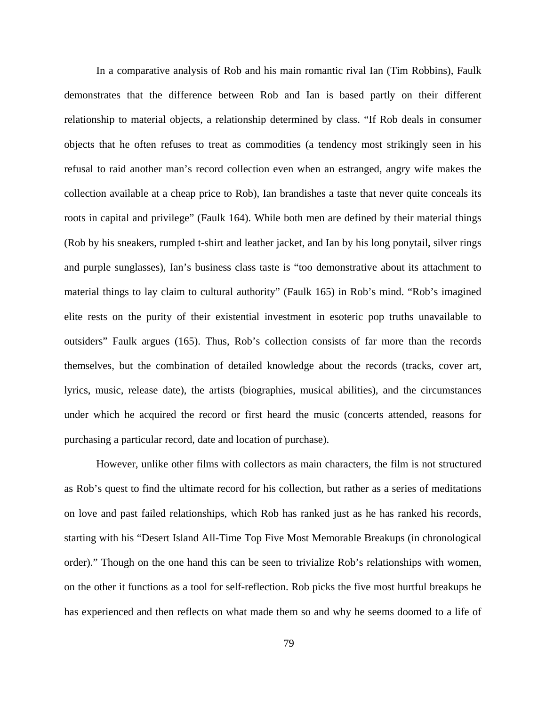In a comparative analysis of Rob and his main romantic rival Ian (Tim Robbins), Faulk demonstrates that the difference between Rob and Ian is based partly on their different relationship to material objects, a relationship determined by class. "If Rob deals in consumer objects that he often refuses to treat as commodities (a tendency most strikingly seen in his refusal to raid another man's record collection even when an estranged, angry wife makes the collection available at a cheap price to Rob), Ian brandishes a taste that never quite conceals its roots in capital and privilege" (Faulk 164). While both men are defined by their material things (Rob by his sneakers, rumpled t-shirt and leather jacket, and Ian by his long ponytail, silver rings and purple sunglasses), Ian's business class taste is "too demonstrative about its attachment to material things to lay claim to cultural authority" (Faulk 165) in Rob's mind. "Rob's imagined elite rests on the purity of their existential investment in esoteric pop truths unavailable to outsiders" Faulk argues (165). Thus, Rob's collection consists of far more than the records themselves, but the combination of detailed knowledge about the records (tracks, cover art, lyrics, music, release date), the artists (biographies, musical abilities), and the circumstances under which he acquired the record or first heard the music (concerts attended, reasons for purchasing a particular record, date and location of purchase).

However, unlike other films with collectors as main characters, the film is not structured as Rob's quest to find the ultimate record for his collection, but rather as a series of meditations on love and past failed relationships, which Rob has ranked just as he has ranked his records, starting with his "Desert Island All-Time Top Five Most Memorable Breakups (in chronological order)." Though on the one hand this can be seen to trivialize Rob's relationships with women, on the other it functions as a tool for self-reflection. Rob picks the five most hurtful breakups he has experienced and then reflects on what made them so and why he seems doomed to a life of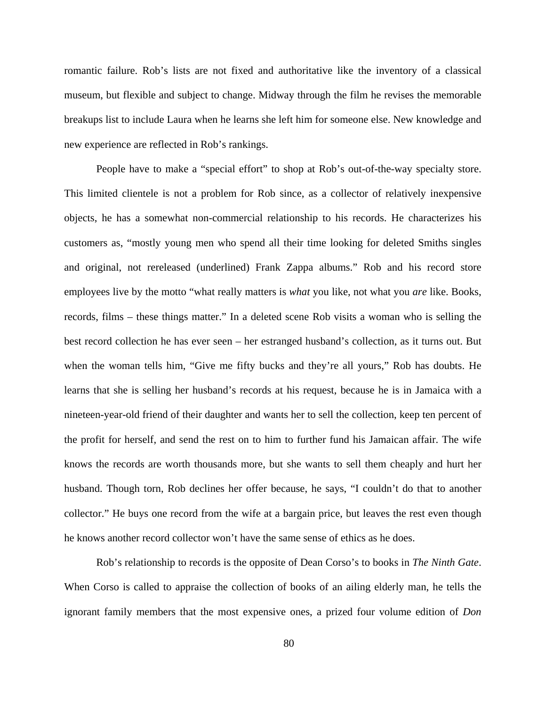romantic failure. Rob's lists are not fixed and authoritative like the inventory of a classical museum, but flexible and subject to change. Midway through the film he revises the memorable breakups list to include Laura when he learns she left him for someone else. New knowledge and new experience are reflected in Rob's rankings.

People have to make a "special effort" to shop at Rob's out-of-the-way specialty store. This limited clientele is not a problem for Rob since, as a collector of relatively inexpensive objects, he has a somewhat non-commercial relationship to his records. He characterizes his customers as, "mostly young men who spend all their time looking for deleted Smiths singles and original, not rereleased (underlined) Frank Zappa albums." Rob and his record store employees live by the motto "what really matters is *what* you like, not what you *are* like. Books, records, films – these things matter." In a deleted scene Rob visits a woman who is selling the best record collection he has ever seen – her estranged husband's collection, as it turns out. But when the woman tells him, "Give me fifty bucks and they're all yours," Rob has doubts. He learns that she is selling her husband's records at his request, because he is in Jamaica with a nineteen-year-old friend of their daughter and wants her to sell the collection, keep ten percent of the profit for herself, and send the rest on to him to further fund his Jamaican affair. The wife knows the records are worth thousands more, but she wants to sell them cheaply and hurt her husband. Though torn, Rob declines her offer because, he says, "I couldn't do that to another collector." He buys one record from the wife at a bargain price, but leaves the rest even though he knows another record collector won't have the same sense of ethics as he does.

Rob's relationship to records is the opposite of Dean Corso's to books in *The Ninth Gate*. When Corso is called to appraise the collection of books of an ailing elderly man, he tells the ignorant family members that the most expensive ones, a prized four volume edition of *Don*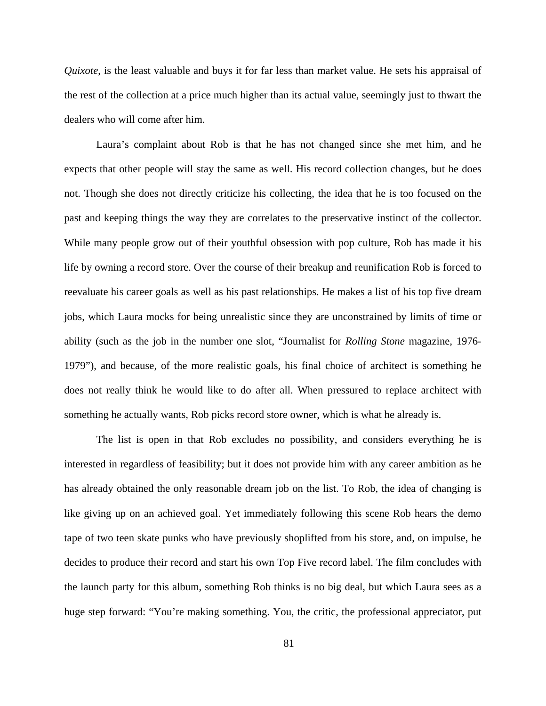*Quixote*, is the least valuable and buys it for far less than market value. He sets his appraisal of the rest of the collection at a price much higher than its actual value, seemingly just to thwart the dealers who will come after him.

Laura's complaint about Rob is that he has not changed since she met him, and he expects that other people will stay the same as well. His record collection changes, but he does not. Though she does not directly criticize his collecting, the idea that he is too focused on the past and keeping things the way they are correlates to the preservative instinct of the collector. While many people grow out of their youthful obsession with pop culture, Rob has made it his life by owning a record store. Over the course of their breakup and reunification Rob is forced to reevaluate his career goals as well as his past relationships. He makes a list of his top five dream jobs, which Laura mocks for being unrealistic since they are unconstrained by limits of time or ability (such as the job in the number one slot, "Journalist for *Rolling Stone* magazine, 1976- 1979"), and because, of the more realistic goals, his final choice of architect is something he does not really think he would like to do after all. When pressured to replace architect with something he actually wants, Rob picks record store owner, which is what he already is.

The list is open in that Rob excludes no possibility, and considers everything he is interested in regardless of feasibility; but it does not provide him with any career ambition as he has already obtained the only reasonable dream job on the list. To Rob, the idea of changing is like giving up on an achieved goal. Yet immediately following this scene Rob hears the demo tape of two teen skate punks who have previously shoplifted from his store, and, on impulse, he decides to produce their record and start his own Top Five record label. The film concludes with the launch party for this album, something Rob thinks is no big deal, but which Laura sees as a huge step forward: "You're making something. You, the critic, the professional appreciator, put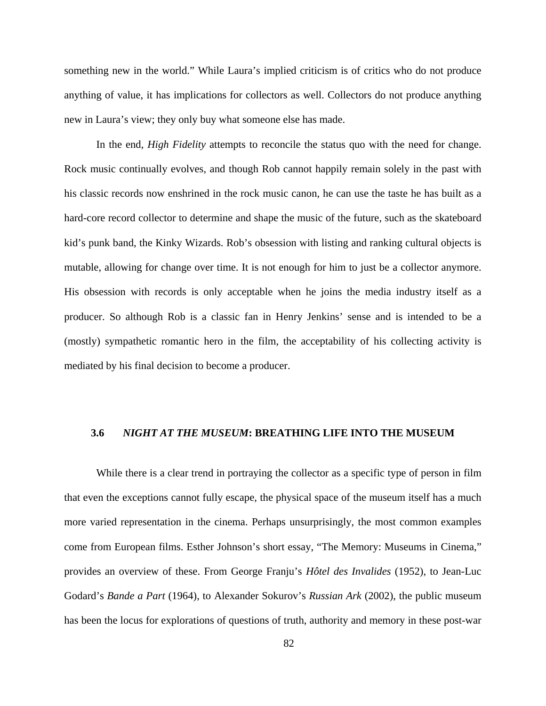something new in the world." While Laura's implied criticism is of critics who do not produce anything of value, it has implications for collectors as well. Collectors do not produce anything new in Laura's view; they only buy what someone else has made.

In the end, *High Fidelity* attempts to reconcile the status quo with the need for change. Rock music continually evolves, and though Rob cannot happily remain solely in the past with his classic records now enshrined in the rock music canon, he can use the taste he has built as a hard-core record collector to determine and shape the music of the future, such as the skateboard kid's punk band, the Kinky Wizards. Rob's obsession with listing and ranking cultural objects is mutable, allowing for change over time. It is not enough for him to just be a collector anymore. His obsession with records is only acceptable when he joins the media industry itself as a producer. So although Rob is a classic fan in Henry Jenkins' sense and is intended to be a (mostly) sympathetic romantic hero in the film, the acceptability of his collecting activity is mediated by his final decision to become a producer.

## **3.6** *NIGHT AT THE MUSEUM***: BREATHING LIFE INTO THE MUSEUM**

While there is a clear trend in portraying the collector as a specific type of person in film that even the exceptions cannot fully escape, the physical space of the museum itself has a much more varied representation in the cinema. Perhaps unsurprisingly, the most common examples come from European films. Esther Johnson's short essay, "The Memory: Museums in Cinema," provides an overview of these. From George Franju's *Hôtel des Invalides* (1952), to Jean-Luc Godard's *Bande a Part* (1964), to Alexander Sokurov's *Russian Ark* (2002), the public museum has been the locus for explorations of questions of truth, authority and memory in these post-war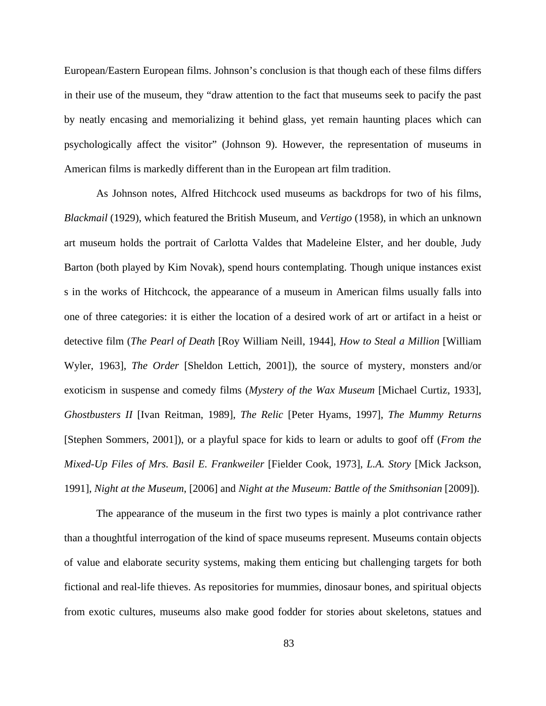European/Eastern European films. Johnson's conclusion is that though each of these films differs in their use of the museum, they "draw attention to the fact that museums seek to pacify the past by neatly encasing and memorializing it behind glass, yet remain haunting places which can psychologically affect the visitor" (Johnson 9). However, the representation of museums in American films is markedly different than in the European art film tradition.

As Johnson notes, Alfred Hitchcock used museums as backdrops for two of his films, *Blackmail* (1929), which featured the British Museum, and *Vertigo* (1958), in which an unknown art museum holds the portrait of Carlotta Valdes that Madeleine Elster, and her double, Judy Barton (both played by Kim Novak), spend hours contemplating. Though unique instances exist s in the works of Hitchcock, the appearance of a museum in American films usually falls into one of three categories: it is either the location of a desired work of art or artifact in a heist or detective film (*The Pearl of Death* [Roy William Neill, 1944], *How to Steal a Million* [William Wyler, 1963], *The Order* [Sheldon Lettich, 2001]), the source of mystery, monsters and/or exoticism in suspense and comedy films (*Mystery of the Wax Museum* [Michael Curtiz, 1933], *Ghostbusters II* [Ivan Reitman, 1989], *The Relic* [Peter Hyams, 1997], *The Mummy Returns* [Stephen Sommers, 2001]), or a playful space for kids to learn or adults to goof off (*From the Mixed-Up Files of Mrs. Basil E. Frankweiler* [Fielder Cook, 1973], *L.A. Story* [Mick Jackson, 1991], *Night at the Museum*, [2006] and *Night at the Museum: Battle of the Smithsonian* [2009]).

The appearance of the museum in the first two types is mainly a plot contrivance rather than a thoughtful interrogation of the kind of space museums represent. Museums contain objects of value and elaborate security systems, making them enticing but challenging targets for both fictional and real-life thieves. As repositories for mummies, dinosaur bones, and spiritual objects from exotic cultures, museums also make good fodder for stories about skeletons, statues and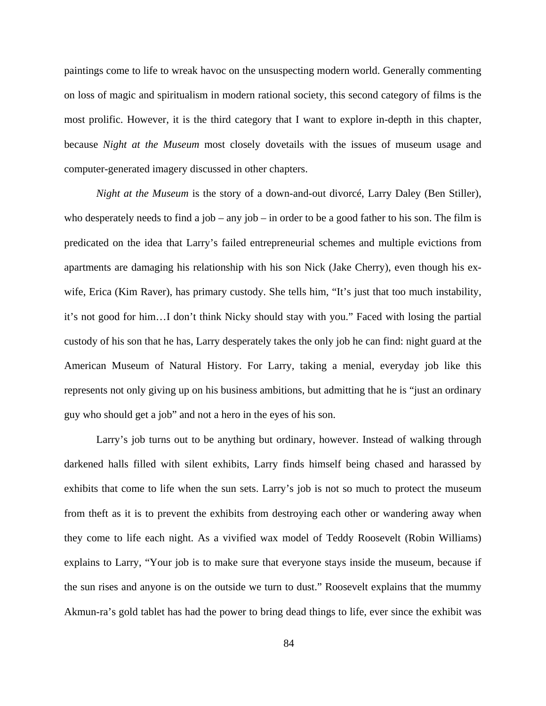paintings come to life to wreak havoc on the unsuspecting modern world. Generally commenting on loss of magic and spiritualism in modern rational society, this second category of films is the most prolific. However, it is the third category that I want to explore in-depth in this chapter, because *Night at the Museum* most closely dovetails with the issues of museum usage and computer-generated imagery discussed in other chapters.

*Night at the Museum* is the story of a down-and-out divorcé, Larry Daley (Ben Stiller), who desperately needs to find a job – any job – in order to be a good father to his son. The film is predicated on the idea that Larry's failed entrepreneurial schemes and multiple evictions from apartments are damaging his relationship with his son Nick (Jake Cherry), even though his exwife, Erica (Kim Raver), has primary custody. She tells him, "It's just that too much instability, it's not good for him…I don't think Nicky should stay with you." Faced with losing the partial custody of his son that he has, Larry desperately takes the only job he can find: night guard at the American Museum of Natural History. For Larry, taking a menial, everyday job like this represents not only giving up on his business ambitions, but admitting that he is "just an ordinary guy who should get a job" and not a hero in the eyes of his son.

Larry's job turns out to be anything but ordinary, however. Instead of walking through darkened halls filled with silent exhibits, Larry finds himself being chased and harassed by exhibits that come to life when the sun sets. Larry's job is not so much to protect the museum from theft as it is to prevent the exhibits from destroying each other or wandering away when they come to life each night. As a vivified wax model of Teddy Roosevelt (Robin Williams) explains to Larry, "Your job is to make sure that everyone stays inside the museum, because if the sun rises and anyone is on the outside we turn to dust." Roosevelt explains that the mummy Akmun-ra's gold tablet has had the power to bring dead things to life, ever since the exhibit was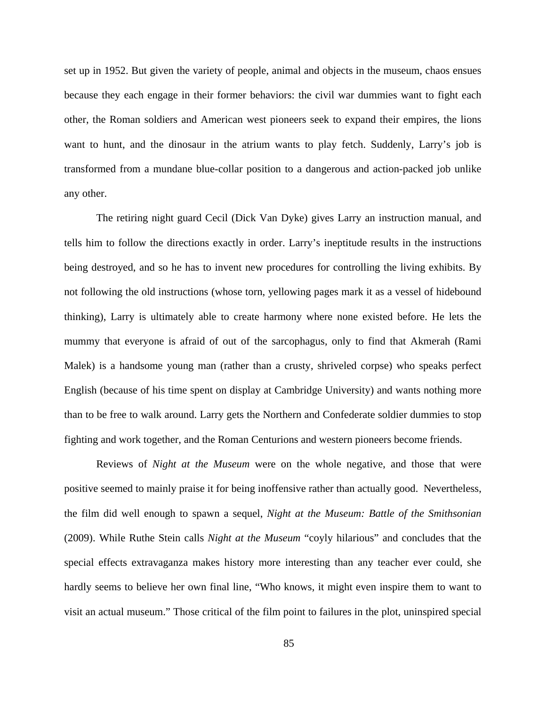set up in 1952. But given the variety of people, animal and objects in the museum, chaos ensues because they each engage in their former behaviors: the civil war dummies want to fight each other, the Roman soldiers and American west pioneers seek to expand their empires, the lions want to hunt, and the dinosaur in the atrium wants to play fetch. Suddenly, Larry's job is transformed from a mundane blue-collar position to a dangerous and action-packed job unlike any other.

The retiring night guard Cecil (Dick Van Dyke) gives Larry an instruction manual, and tells him to follow the directions exactly in order. Larry's ineptitude results in the instructions being destroyed, and so he has to invent new procedures for controlling the living exhibits. By not following the old instructions (whose torn, yellowing pages mark it as a vessel of hidebound thinking), Larry is ultimately able to create harmony where none existed before. He lets the mummy that everyone is afraid of out of the sarcophagus, only to find that Akmerah (Rami Malek) is a handsome young man (rather than a crusty, shriveled corpse) who speaks perfect English (because of his time spent on display at Cambridge University) and wants nothing more than to be free to walk around. Larry gets the Northern and Confederate soldier dummies to stop fighting and work together, and the Roman Centurions and western pioneers become friends.

Reviews of *Night at the Museum* were on the whole negative, and those that were positive seemed to mainly praise it for being inoffensive rather than actually good. Nevertheless, the film did well enough to spawn a sequel, *Night at the Museum: Battle of the Smithsonian* (2009). While Ruthe Stein calls *Night at the Museum* "coyly hilarious" and concludes that the special effects extravaganza makes history more interesting than any teacher ever could, she hardly seems to believe her own final line, "Who knows, it might even inspire them to want to visit an actual museum." Those critical of the film point to failures in the plot, uninspired special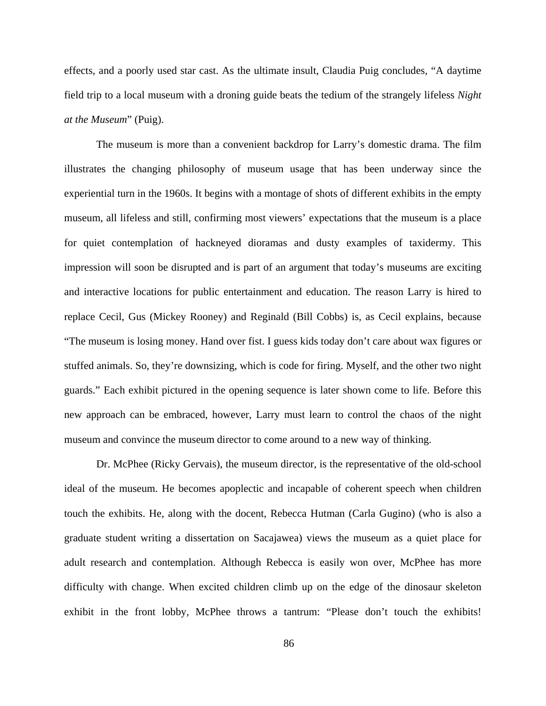effects, and a poorly used star cast. As the ultimate insult, Claudia Puig concludes, "A daytime field trip to a local museum with a droning guide beats the tedium of the strangely lifeless *Night at the Museum*" (Puig).

The museum is more than a convenient backdrop for Larry's domestic drama. The film illustrates the changing philosophy of museum usage that has been underway since the experiential turn in the 1960s. It begins with a montage of shots of different exhibits in the empty museum, all lifeless and still, confirming most viewers' expectations that the museum is a place for quiet contemplation of hackneyed dioramas and dusty examples of taxidermy. This impression will soon be disrupted and is part of an argument that today's museums are exciting and interactive locations for public entertainment and education. The reason Larry is hired to replace Cecil, Gus (Mickey Rooney) and Reginald (Bill Cobbs) is, as Cecil explains, because "The museum is losing money. Hand over fist. I guess kids today don't care about wax figures or stuffed animals. So, they're downsizing, which is code for firing. Myself, and the other two night guards." Each exhibit pictured in the opening sequence is later shown come to life. Before this new approach can be embraced, however, Larry must learn to control the chaos of the night museum and convince the museum director to come around to a new way of thinking.

Dr. McPhee (Ricky Gervais), the museum director, is the representative of the old-school ideal of the museum. He becomes apoplectic and incapable of coherent speech when children touch the exhibits. He, along with the docent, Rebecca Hutman (Carla Gugino) (who is also a graduate student writing a dissertation on Sacajawea) views the museum as a quiet place for adult research and contemplation. Although Rebecca is easily won over, McPhee has more difficulty with change. When excited children climb up on the edge of the dinosaur skeleton exhibit in the front lobby, McPhee throws a tantrum: "Please don't touch the exhibits!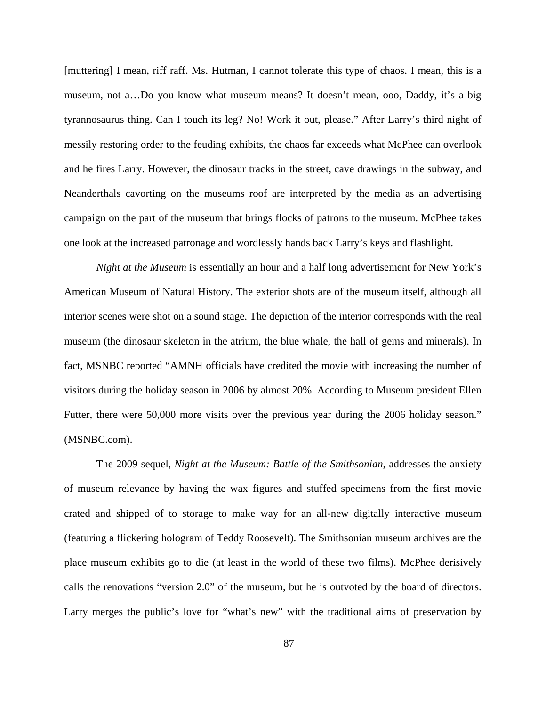[muttering] I mean, riff raff. Ms. Hutman, I cannot tolerate this type of chaos. I mean, this is a museum, not a…Do you know what museum means? It doesn't mean, ooo, Daddy, it's a big tyrannosaurus thing. Can I touch its leg? No! Work it out, please." After Larry's third night of messily restoring order to the feuding exhibits, the chaos far exceeds what McPhee can overlook and he fires Larry. However, the dinosaur tracks in the street, cave drawings in the subway, and Neanderthals cavorting on the museums roof are interpreted by the media as an advertising campaign on the part of the museum that brings flocks of patrons to the museum. McPhee takes one look at the increased patronage and wordlessly hands back Larry's keys and flashlight.

*Night at the Museum* is essentially an hour and a half long advertisement for New York's American Museum of Natural History. The exterior shots are of the museum itself, although all interior scenes were shot on a sound stage. The depiction of the interior corresponds with the real museum (the dinosaur skeleton in the atrium, the blue whale, the hall of gems and minerals). In fact, MSNBC reported "AMNH officials have credited the movie with increasing the number of visitors during the holiday season in 2006 by almost 20%. According to Museum president Ellen Futter, there were 50,000 more visits over the previous year during the 2006 holiday season." (MSNBC.com).

The 2009 sequel, *Night at the Museum: Battle of the Smithsonian*, addresses the anxiety of museum relevance by having the wax figures and stuffed specimens from the first movie crated and shipped of to storage to make way for an all-new digitally interactive museum (featuring a flickering hologram of Teddy Roosevelt). The Smithsonian museum archives are the place museum exhibits go to die (at least in the world of these two films). McPhee derisively calls the renovations "version 2.0" of the museum, but he is outvoted by the board of directors. Larry merges the public's love for "what's new" with the traditional aims of preservation by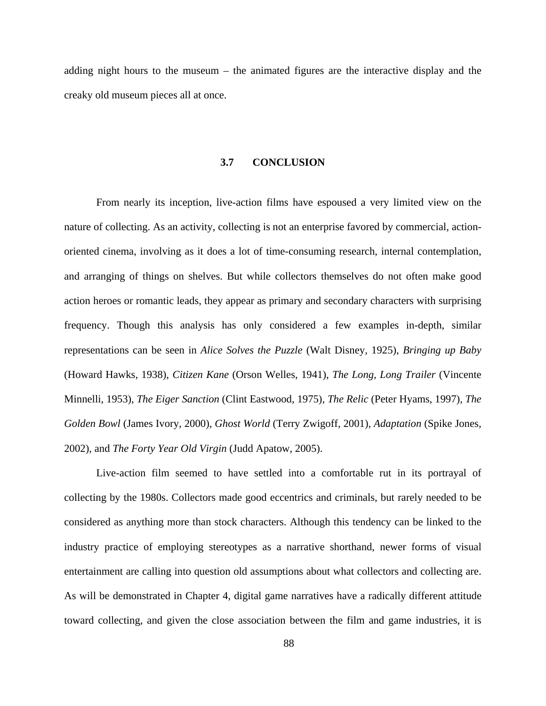adding night hours to the museum – the animated figures are the interactive display and the creaky old museum pieces all at once.

#### **3.7 CONCLUSION**

From nearly its inception, live-action films have espoused a very limited view on the nature of collecting. As an activity, collecting is not an enterprise favored by commercial, actionoriented cinema, involving as it does a lot of time-consuming research, internal contemplation, and arranging of things on shelves. But while collectors themselves do not often make good action heroes or romantic leads, they appear as primary and secondary characters with surprising frequency. Though this analysis has only considered a few examples in-depth, similar representations can be seen in *Alice Solves the Puzzle* (Walt Disney, 1925), *Bringing up Baby*  (Howard Hawks, 1938), *Citizen Kane* (Orson Welles, 1941)*, The Long, Long Trailer* (Vincente Minnelli, 1953), *The Eiger Sanction* (Clint Eastwood, 1975)*, The Relic* (Peter Hyams, 1997), *The Golden Bowl* (James Ivory, 2000), *Ghost World* (Terry Zwigoff, 2001), *Adaptation* (Spike Jones, 2002)*,* and *The Forty Year Old Virgin* (Judd Apatow, 2005).

Live-action film seemed to have settled into a comfortable rut in its portrayal of collecting by the 1980s. Collectors made good eccentrics and criminals, but rarely needed to be considered as anything more than stock characters. Although this tendency can be linked to the industry practice of employing stereotypes as a narrative shorthand, newer forms of visual entertainment are calling into question old assumptions about what collectors and collecting are. As will be demonstrated in Chapter 4, digital game narratives have a radically different attitude toward collecting, and given the close association between the film and game industries, it is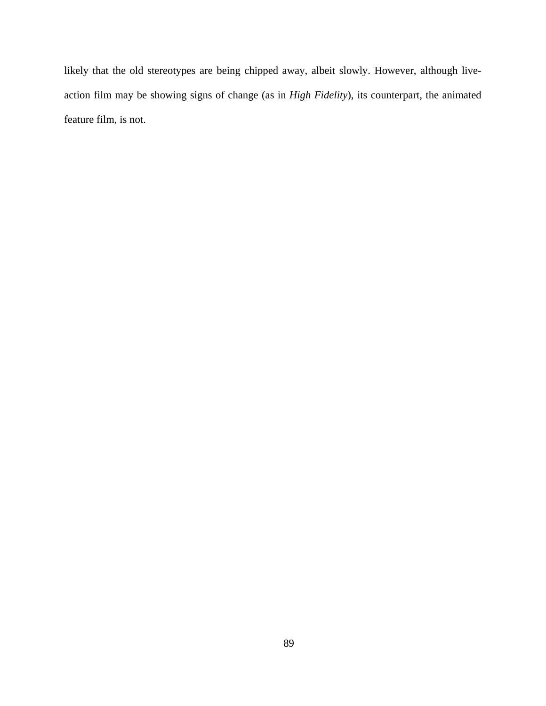likely that the old stereotypes are being chipped away, albeit slowly. However, although liveaction film may be showing signs of change (as in *High Fidelity*), its counterpart, the animated feature film, is not.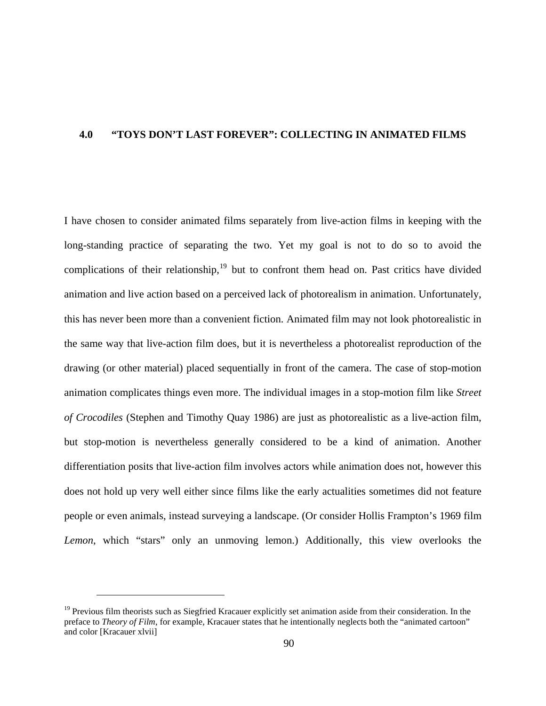# **4.0 "TOYS DON'T LAST FOREVER": COLLECTING IN ANIMATED FILMS**

I have chosen to consider animated films separately from live-action films in keeping with the long-standing practice of separating the two. Yet my goal is not to do so to avoid the complications of their relationship, $19$  but to confront them head on. Past critics have divided animation and live action based on a perceived lack of photorealism in animation. Unfortunately, this has never been more than a convenient fiction. Animated film may not look photorealistic in the same way that live-action film does, but it is nevertheless a photorealist reproduction of the drawing (or other material) placed sequentially in front of the camera. The case of stop-motion animation complicates things even more. The individual images in a stop-motion film like *Street of Crocodiles* (Stephen and Timothy Quay 1986) are just as photorealistic as a live-action film, but stop-motion is nevertheless generally considered to be a kind of animation. Another differentiation posits that live-action film involves actors while animation does not, however this does not hold up very well either since films like the early actualities sometimes did not feature people or even animals, instead surveying a landscape. (Or consider Hollis Frampton's 1969 film *Lemon*, which "stars" only an unmoving lemon.) Additionally, this view overlooks the

<u>.</u>

<span id="page-98-0"></span> $19$  Previous film theorists such as Siegfried Kracauer explicitly set animation aside from their consideration. In the preface to *Theory of Film*, for example, Kracauer states that he intentionally neglects both the "animated cartoon" and color [Kracauer xlvii]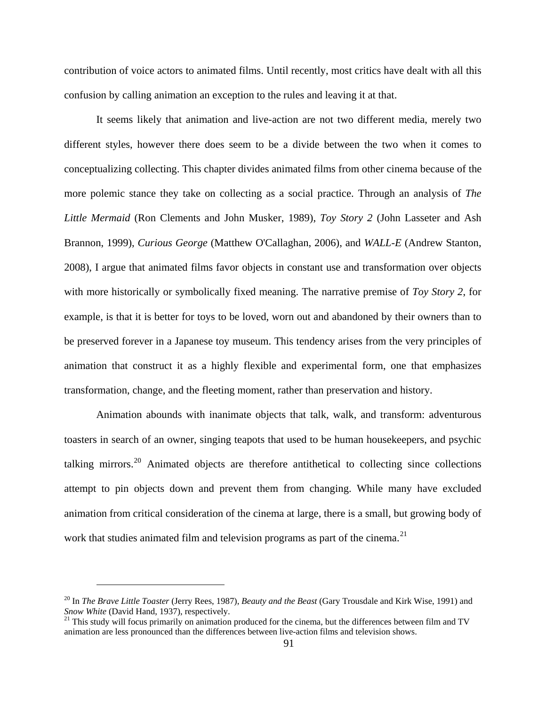contribution of voice actors to animated films. Until recently, most critics have dealt with all this confusion by calling animation an exception to the rules and leaving it at that.

It seems likely that animation and live-action are not two different media, merely two different styles, however there does seem to be a divide between the two when it comes to conceptualizing collecting. This chapter divides animated films from other cinema because of the more polemic stance they take on collecting as a social practice. Through an analysis of *The Little Mermaid* (Ron Clements and John Musker, 1989), *Toy Story 2* (John Lasseter and Ash Brannon, 1999), *Curious George* (Matthew O'Callaghan, 2006), and *WALL-E* (Andrew Stanton, 2008), I argue that animated films favor objects in constant use and transformation over objects with more historically or symbolically fixed meaning. The narrative premise of *Toy Story 2*, for example, is that it is better for toys to be loved, worn out and abandoned by their owners than to be preserved forever in a Japanese toy museum. This tendency arises from the very principles of animation that construct it as a highly flexible and experimental form, one that emphasizes transformation, change, and the fleeting moment, rather than preservation and history.

Animation abounds with inanimate objects that talk, walk, and transform: adventurous toasters in search of an owner, singing teapots that used to be human housekeepers, and psychic talking mirrors.<sup>[20](#page-99-0)</sup> Animated objects are therefore antithetical to collecting since collections attempt to pin objects down and prevent them from changing. While many have excluded animation from critical consideration of the cinema at large, there is a small, but growing body of work that studies animated film and television programs as part of the cinema.<sup>[21](#page-99-1)</sup>

1

<span id="page-99-0"></span><sup>&</sup>lt;sup>20</sup> In *The Brave Little Toaster* (Jerry Rees, 1987), *Beauty and the Beast* (Gary Trousdale and Kirk Wise, 1991) and *Snow White* (David Hand, 1937), respectively.

<span id="page-99-1"></span><sup>&</sup>lt;sup>21</sup> This study will focus primarily on animation produced for the cinema, but the differences between film and TV animation are less pronounced than the differences between live-action films and television shows.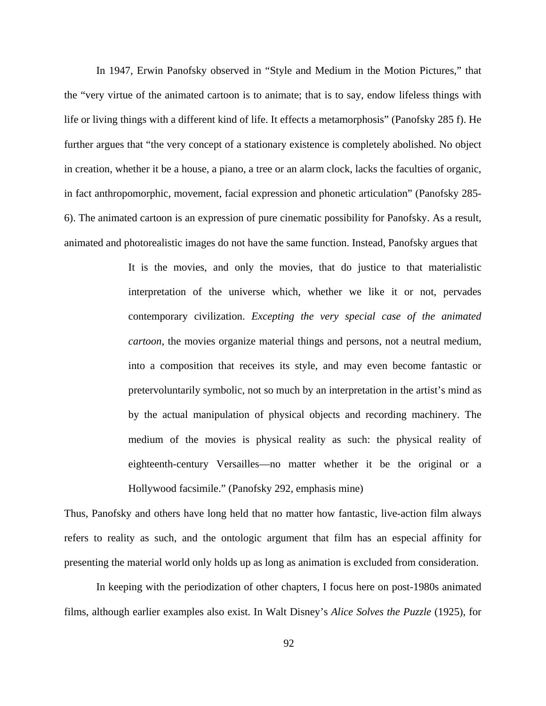In 1947, Erwin Panofsky observed in "Style and Medium in the Motion Pictures," that the "very virtue of the animated cartoon is to animate; that is to say, endow lifeless things with life or living things with a different kind of life. It effects a metamorphosis" (Panofsky 285 f). He further argues that "the very concept of a stationary existence is completely abolished. No object in creation, whether it be a house, a piano, a tree or an alarm clock, lacks the faculties of organic, in fact anthropomorphic, movement, facial expression and phonetic articulation" (Panofsky 285- 6). The animated cartoon is an expression of pure cinematic possibility for Panofsky. As a result, animated and photorealistic images do not have the same function. Instead, Panofsky argues that

> It is the movies, and only the movies, that do justice to that materialistic interpretation of the universe which, whether we like it or not, pervades contemporary civilization. *Excepting the very special case of the animated cartoon*, the movies organize material things and persons, not a neutral medium, into a composition that receives its style, and may even become fantastic or pretervoluntarily symbolic, not so much by an interpretation in the artist's mind as by the actual manipulation of physical objects and recording machinery. The medium of the movies is physical reality as such: the physical reality of eighteenth-century Versailles—no matter whether it be the original or a Hollywood facsimile." (Panofsky 292, emphasis mine)

Thus, Panofsky and others have long held that no matter how fantastic, live-action film always refers to reality as such, and the ontologic argument that film has an especial affinity for presenting the material world only holds up as long as animation is excluded from consideration.

In keeping with the periodization of other chapters, I focus here on post-1980s animated films, although earlier examples also exist. In Walt Disney's *Alice Solves the Puzzle* (1925), for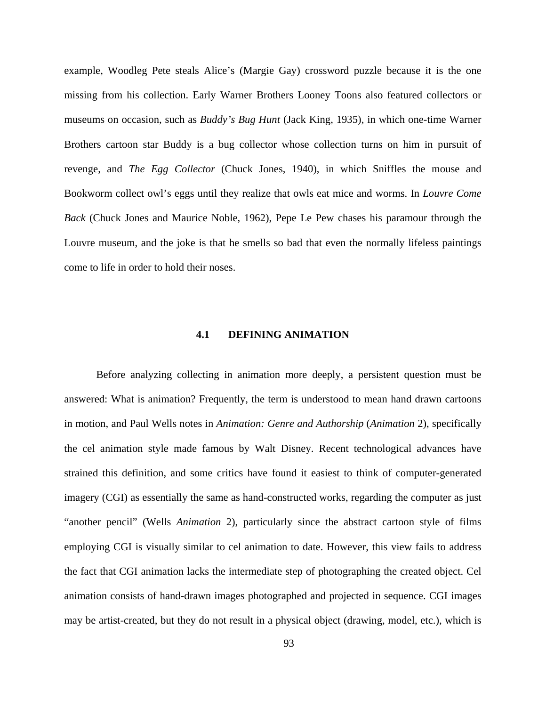example, Woodleg Pete steals Alice's (Margie Gay) crossword puzzle because it is the one missing from his collection. Early Warner Brothers Looney Toons also featured collectors or museums on occasion, such as *Buddy's Bug Hunt* (Jack King, 1935), in which one-time Warner Brothers cartoon star Buddy is a bug collector whose collection turns on him in pursuit of revenge, and *The Egg Collector* (Chuck Jones, 1940), in which Sniffles the mouse and Bookworm collect owl's eggs until they realize that owls eat mice and worms. In *Louvre Come Back* (Chuck Jones and Maurice Noble, 1962), Pepe Le Pew chases his paramour through the Louvre museum, and the joke is that he smells so bad that even the normally lifeless paintings come to life in order to hold their noses.

#### **4.1 DEFINING ANIMATION**

Before analyzing collecting in animation more deeply, a persistent question must be answered: What is animation? Frequently, the term is understood to mean hand drawn cartoons in motion, and Paul Wells notes in *Animation: Genre and Authorship* (*Animation* 2), specifically the cel animation style made famous by Walt Disney. Recent technological advances have strained this definition, and some critics have found it easiest to think of computer-generated imagery (CGI) as essentially the same as hand-constructed works, regarding the computer as just "another pencil" (Wells *Animation* 2), particularly since the abstract cartoon style of films employing CGI is visually similar to cel animation to date. However, this view fails to address the fact that CGI animation lacks the intermediate step of photographing the created object. Cel animation consists of hand-drawn images photographed and projected in sequence. CGI images may be artist-created, but they do not result in a physical object (drawing, model, etc.), which is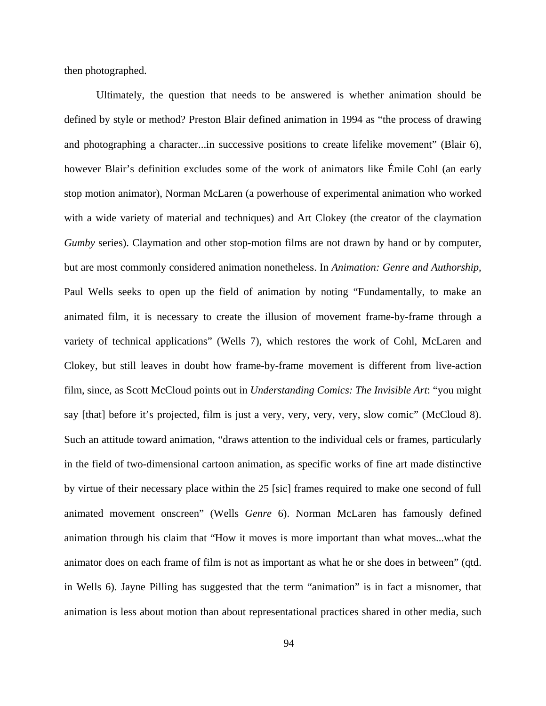then photographed.

Ultimately, the question that needs to be answered is whether animation should be defined by style or method? Preston Blair defined animation in 1994 as "the process of drawing and photographing a character...in successive positions to create lifelike movement" (Blair 6), however Blair's definition excludes some of the work of animators like Émile Cohl (an early stop motion animator), Norman McLaren (a powerhouse of experimental animation who worked with a wide variety of material and techniques) and Art Clokey (the creator of the claymation *Gumby* series). Claymation and other stop-motion films are not drawn by hand or by computer, but are most commonly considered animation nonetheless. In *Animation: Genre and Authorship*, Paul Wells seeks to open up the field of animation by noting "Fundamentally, to make an animated film, it is necessary to create the illusion of movement frame-by-frame through a variety of technical applications" (Wells 7), which restores the work of Cohl, McLaren and Clokey, but still leaves in doubt how frame-by-frame movement is different from live-action film, since, as Scott McCloud points out in *Understanding Comics: The Invisible Art*: "you might say [that] before it's projected, film is just a very, very, very, very, slow comic" (McCloud 8). Such an attitude toward animation, "draws attention to the individual cels or frames, particularly in the field of two-dimensional cartoon animation, as specific works of fine art made distinctive by virtue of their necessary place within the 25 [sic] frames required to make one second of full animated movement onscreen" (Wells *Genre* 6). Norman McLaren has famously defined animation through his claim that "How it moves is more important than what moves...what the animator does on each frame of film is not as important as what he or she does in between" (qtd. in Wells 6). Jayne Pilling has suggested that the term "animation" is in fact a misnomer, that animation is less about motion than about representational practices shared in other media, such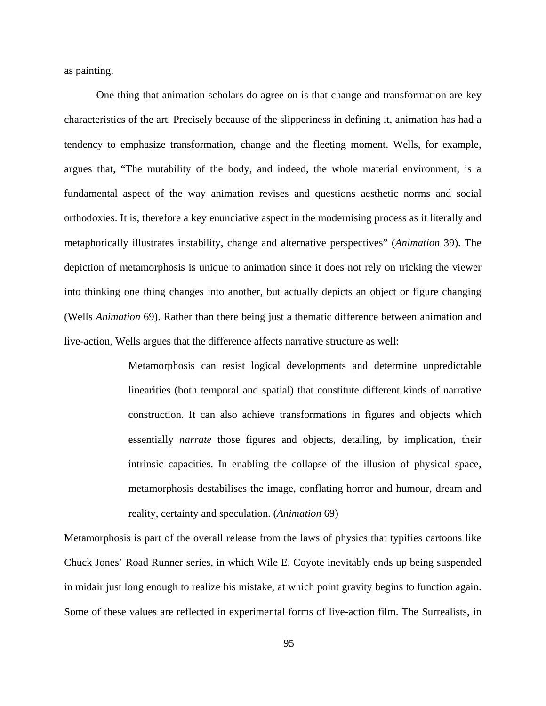as painting.

One thing that animation scholars do agree on is that change and transformation are key characteristics of the art. Precisely because of the slipperiness in defining it, animation has had a tendency to emphasize transformation, change and the fleeting moment. Wells, for example, argues that, "The mutability of the body, and indeed, the whole material environment, is a fundamental aspect of the way animation revises and questions aesthetic norms and social orthodoxies. It is, therefore a key enunciative aspect in the modernising process as it literally and metaphorically illustrates instability, change and alternative perspectives" (*Animation* 39). The depiction of metamorphosis is unique to animation since it does not rely on tricking the viewer into thinking one thing changes into another, but actually depicts an object or figure changing (Wells *Animation* 69). Rather than there being just a thematic difference between animation and live-action, Wells argues that the difference affects narrative structure as well:

> Metamorphosis can resist logical developments and determine unpredictable linearities (both temporal and spatial) that constitute different kinds of narrative construction. It can also achieve transformations in figures and objects which essentially *narrate* those figures and objects, detailing, by implication, their intrinsic capacities. In enabling the collapse of the illusion of physical space, metamorphosis destabilises the image, conflating horror and humour, dream and reality, certainty and speculation. (*Animation* 69)

Metamorphosis is part of the overall release from the laws of physics that typifies cartoons like Chuck Jones' Road Runner series, in which Wile E. Coyote inevitably ends up being suspended in midair just long enough to realize his mistake, at which point gravity begins to function again. Some of these values are reflected in experimental forms of live-action film. The Surrealists, in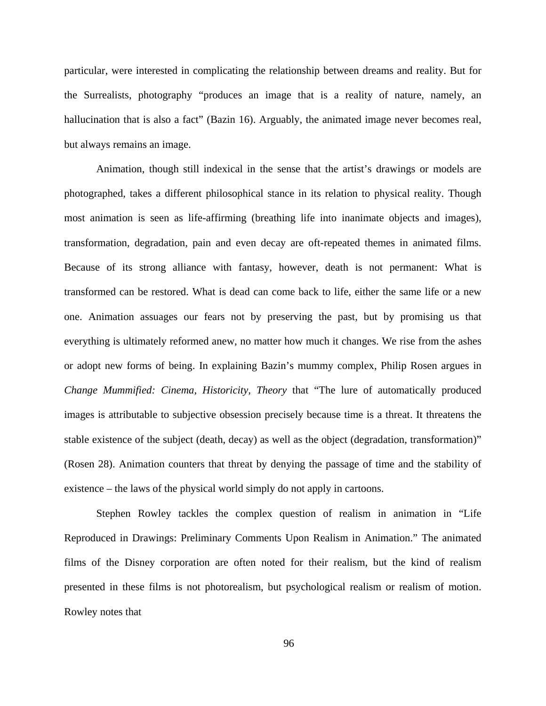particular, were interested in complicating the relationship between dreams and reality. But for the Surrealists, photography "produces an image that is a reality of nature, namely, an hallucination that is also a fact" (Bazin 16). Arguably, the animated image never becomes real, but always remains an image.

Animation, though still indexical in the sense that the artist's drawings or models are photographed, takes a different philosophical stance in its relation to physical reality. Though most animation is seen as life-affirming (breathing life into inanimate objects and images), transformation, degradation, pain and even decay are oft-repeated themes in animated films. Because of its strong alliance with fantasy, however, death is not permanent: What is transformed can be restored. What is dead can come back to life, either the same life or a new one. Animation assuages our fears not by preserving the past, but by promising us that everything is ultimately reformed anew, no matter how much it changes. We rise from the ashes or adopt new forms of being. In explaining Bazin's mummy complex, Philip Rosen argues in *Change Mummified: Cinema, Historicity, Theory* that "The lure of automatically produced images is attributable to subjective obsession precisely because time is a threat. It threatens the stable existence of the subject (death, decay) as well as the object (degradation, transformation)" (Rosen 28). Animation counters that threat by denying the passage of time and the stability of existence – the laws of the physical world simply do not apply in cartoons.

Stephen Rowley tackles the complex question of realism in animation in "Life Reproduced in Drawings: Preliminary Comments Upon Realism in Animation." The animated films of the Disney corporation are often noted for their realism, but the kind of realism presented in these films is not photorealism, but psychological realism or realism of motion. Rowley notes that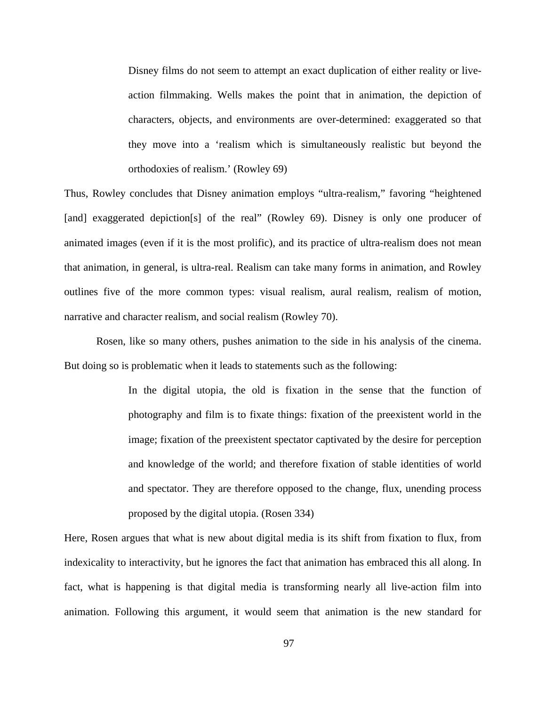Disney films do not seem to attempt an exact duplication of either reality or liveaction filmmaking. Wells makes the point that in animation, the depiction of characters, objects, and environments are over-determined: exaggerated so that they move into a 'realism which is simultaneously realistic but beyond the orthodoxies of realism.' (Rowley 69)

Thus, Rowley concludes that Disney animation employs "ultra-realism," favoring "heightened [and] exaggerated depiction[s] of the real" (Rowley 69). Disney is only one producer of animated images (even if it is the most prolific), and its practice of ultra-realism does not mean that animation, in general, is ultra-real. Realism can take many forms in animation, and Rowley outlines five of the more common types: visual realism, aural realism, realism of motion, narrative and character realism, and social realism (Rowley 70).

Rosen, like so many others, pushes animation to the side in his analysis of the cinema. But doing so is problematic when it leads to statements such as the following:

> In the digital utopia, the old is fixation in the sense that the function of photography and film is to fixate things: fixation of the preexistent world in the image; fixation of the preexistent spectator captivated by the desire for perception and knowledge of the world; and therefore fixation of stable identities of world and spectator. They are therefore opposed to the change, flux, unending process proposed by the digital utopia. (Rosen 334)

Here, Rosen argues that what is new about digital media is its shift from fixation to flux, from indexicality to interactivity, but he ignores the fact that animation has embraced this all along. In fact, what is happening is that digital media is transforming nearly all live-action film into animation. Following this argument, it would seem that animation is the new standard for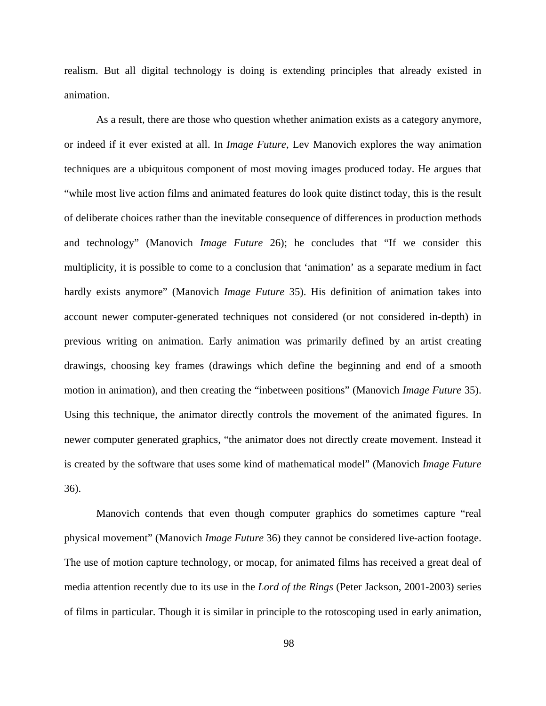realism. But all digital technology is doing is extending principles that already existed in animation.

As a result, there are those who question whether animation exists as a category anymore, or indeed if it ever existed at all. In *Image Future*, Lev Manovich explores the way animation techniques are a ubiquitous component of most moving images produced today. He argues that "while most live action films and animated features do look quite distinct today, this is the result of deliberate choices rather than the inevitable consequence of differences in production methods and technology" (Manovich *Image Future* 26); he concludes that "If we consider this multiplicity, it is possible to come to a conclusion that 'animation' as a separate medium in fact hardly exists anymore" (Manovich *Image Future* 35). His definition of animation takes into account newer computer-generated techniques not considered (or not considered in-depth) in previous writing on animation. Early animation was primarily defined by an artist creating drawings, choosing key frames (drawings which define the beginning and end of a smooth motion in animation), and then creating the "inbetween positions" (Manovich *Image Future* 35). Using this technique, the animator directly controls the movement of the animated figures. In newer computer generated graphics, "the animator does not directly create movement. Instead it is created by the software that uses some kind of mathematical model" (Manovich *Image Future* 36).

Manovich contends that even though computer graphics do sometimes capture "real physical movement" (Manovich *Image Future* 36) they cannot be considered live-action footage. The use of motion capture technology, or mocap, for animated films has received a great deal of media attention recently due to its use in the *Lord of the Rings* (Peter Jackson, 2001-2003) series of films in particular. Though it is similar in principle to the rotoscoping used in early animation,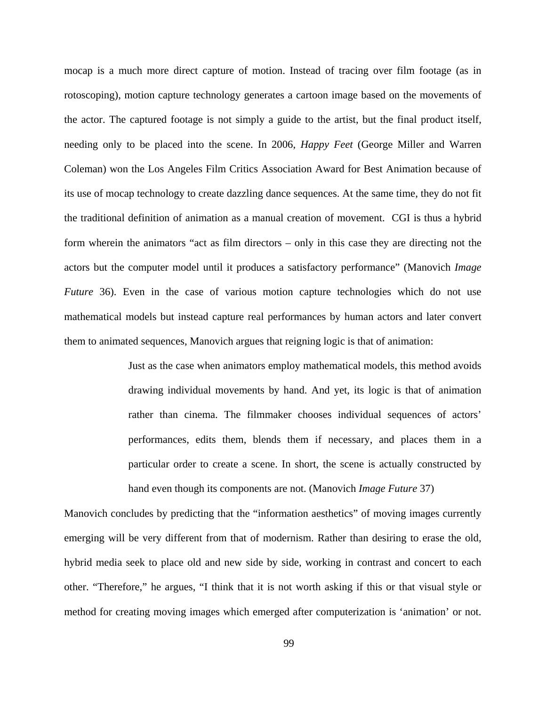mocap is a much more direct capture of motion. Instead of tracing over film footage (as in rotoscoping), motion capture technology generates a cartoon image based on the movements of the actor. The captured footage is not simply a guide to the artist, but the final product itself, needing only to be placed into the scene. In 2006, *Happy Feet* (George Miller and Warren Coleman) won the Los Angeles Film Critics Association Award for Best Animation because of its use of mocap technology to create dazzling dance sequences. At the same time, they do not fit the traditional definition of animation as a manual creation of movement. CGI is thus a hybrid form wherein the animators "act as film directors – only in this case they are directing not the actors but the computer model until it produces a satisfactory performance" (Manovich *Image Future* 36). Even in the case of various motion capture technologies which do not use mathematical models but instead capture real performances by human actors and later convert them to animated sequences, Manovich argues that reigning logic is that of animation:

> Just as the case when animators employ mathematical models, this method avoids drawing individual movements by hand. And yet, its logic is that of animation rather than cinema. The filmmaker chooses individual sequences of actors' performances, edits them, blends them if necessary, and places them in a particular order to create a scene. In short, the scene is actually constructed by hand even though its components are not. (Manovich *Image Future* 37)

Manovich concludes by predicting that the "information aesthetics" of moving images currently emerging will be very different from that of modernism. Rather than desiring to erase the old, hybrid media seek to place old and new side by side, working in contrast and concert to each other. "Therefore," he argues, "I think that it is not worth asking if this or that visual style or method for creating moving images which emerged after computerization is 'animation' or not.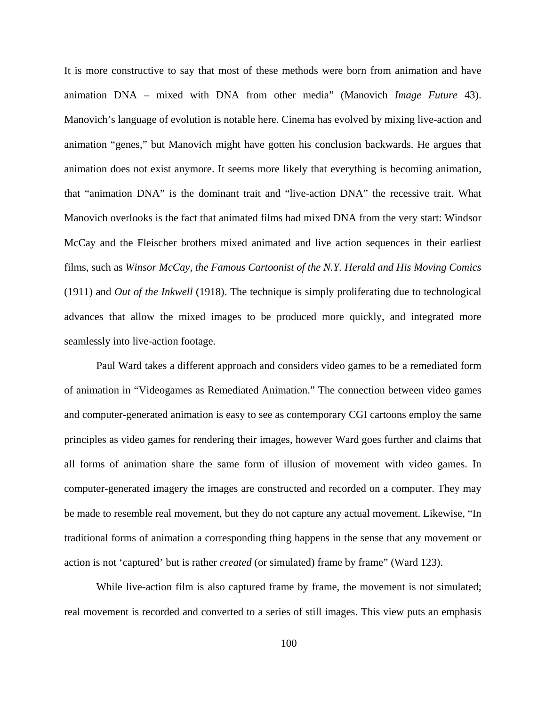It is more constructive to say that most of these methods were born from animation and have animation DNA – mixed with DNA from other media" (Manovich *Image Future* 43). Manovich's language of evolution is notable here. Cinema has evolved by mixing live-action and animation "genes," but Manovich might have gotten his conclusion backwards. He argues that animation does not exist anymore. It seems more likely that everything is becoming animation, that "animation DNA" is the dominant trait and "live-action DNA" the recessive trait. What Manovich overlooks is the fact that animated films had mixed DNA from the very start: Windsor McCay and the Fleischer brothers mixed animated and live action sequences in their earliest films, such as *Winsor McCay, the Famous Cartoonist of the N.Y. Herald and His Moving Comics*  (1911) and *Out of the Inkwell* (1918). The technique is simply proliferating due to technological advances that allow the mixed images to be produced more quickly, and integrated more seamlessly into live-action footage.

Paul Ward takes a different approach and considers video games to be a remediated form of animation in "Videogames as Remediated Animation." The connection between video games and computer-generated animation is easy to see as contemporary CGI cartoons employ the same principles as video games for rendering their images, however Ward goes further and claims that all forms of animation share the same form of illusion of movement with video games. In computer-generated imagery the images are constructed and recorded on a computer. They may be made to resemble real movement, but they do not capture any actual movement. Likewise, "In traditional forms of animation a corresponding thing happens in the sense that any movement or action is not 'captured' but is rather *created* (or simulated) frame by frame" (Ward 123).

While live-action film is also captured frame by frame, the movement is not simulated; real movement is recorded and converted to a series of still images. This view puts an emphasis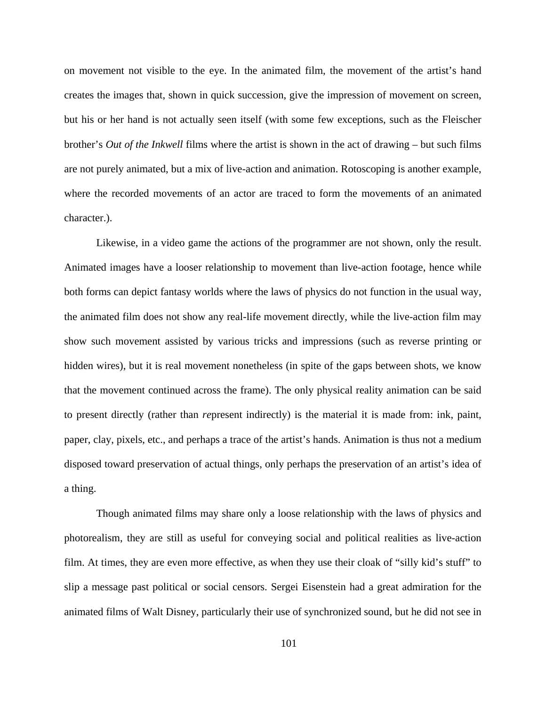on movement not visible to the eye. In the animated film, the movement of the artist's hand creates the images that, shown in quick succession, give the impression of movement on screen, but his or her hand is not actually seen itself (with some few exceptions, such as the Fleischer brother's *Out of the Inkwell* films where the artist is shown in the act of drawing – but such films are not purely animated, but a mix of live-action and animation. Rotoscoping is another example, where the recorded movements of an actor are traced to form the movements of an animated character.).

Likewise, in a video game the actions of the programmer are not shown, only the result. Animated images have a looser relationship to movement than live-action footage, hence while both forms can depict fantasy worlds where the laws of physics do not function in the usual way, the animated film does not show any real-life movement directly, while the live-action film may show such movement assisted by various tricks and impressions (such as reverse printing or hidden wires), but it is real movement nonetheless (in spite of the gaps between shots, we know that the movement continued across the frame). The only physical reality animation can be said to present directly (rather than *re*present indirectly) is the material it is made from: ink, paint, paper, clay, pixels, etc., and perhaps a trace of the artist's hands. Animation is thus not a medium disposed toward preservation of actual things, only perhaps the preservation of an artist's idea of a thing.

Though animated films may share only a loose relationship with the laws of physics and photorealism, they are still as useful for conveying social and political realities as live-action film. At times, they are even more effective, as when they use their cloak of "silly kid's stuff" to slip a message past political or social censors. Sergei Eisenstein had a great admiration for the animated films of Walt Disney, particularly their use of synchronized sound, but he did not see in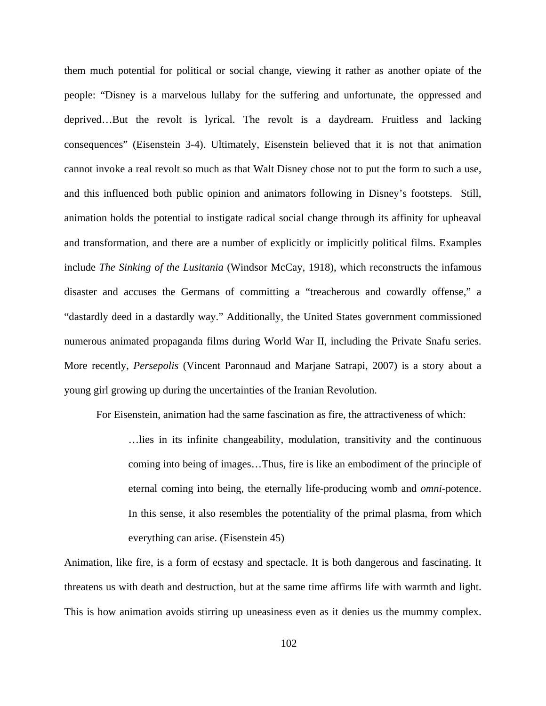them much potential for political or social change, viewing it rather as another opiate of the people: "Disney is a marvelous lullaby for the suffering and unfortunate, the oppressed and deprived…But the revolt is lyrical. The revolt is a daydream. Fruitless and lacking consequences" (Eisenstein 3-4). Ultimately, Eisenstein believed that it is not that animation cannot invoke a real revolt so much as that Walt Disney chose not to put the form to such a use, and this influenced both public opinion and animators following in Disney's footsteps. Still, animation holds the potential to instigate radical social change through its affinity for upheaval and transformation, and there are a number of explicitly or implicitly political films. Examples include *The Sinking of the Lusitania* (Windsor McCay, 1918), which reconstructs the infamous disaster and accuses the Germans of committing a "treacherous and cowardly offense," a "dastardly deed in a dastardly way." Additionally, the United States government commissioned numerous animated propaganda films during World War II, including the Private Snafu series. More recently, *Persepolis* (Vincent Paronnaud and Marjane Satrapi, 2007) is a story about a young girl growing up during the uncertainties of the Iranian Revolution.

For Eisenstein, animation had the same fascination as fire, the attractiveness of which:

…lies in its infinite changeability, modulation, transitivity and the continuous coming into being of images…Thus, fire is like an embodiment of the principle of eternal coming into being, the eternally life-producing womb and *omni*-potence. In this sense, it also resembles the potentiality of the primal plasma, from which everything can arise. (Eisenstein 45)

Animation, like fire, is a form of ecstasy and spectacle. It is both dangerous and fascinating. It threatens us with death and destruction, but at the same time affirms life with warmth and light. This is how animation avoids stirring up uneasiness even as it denies us the mummy complex.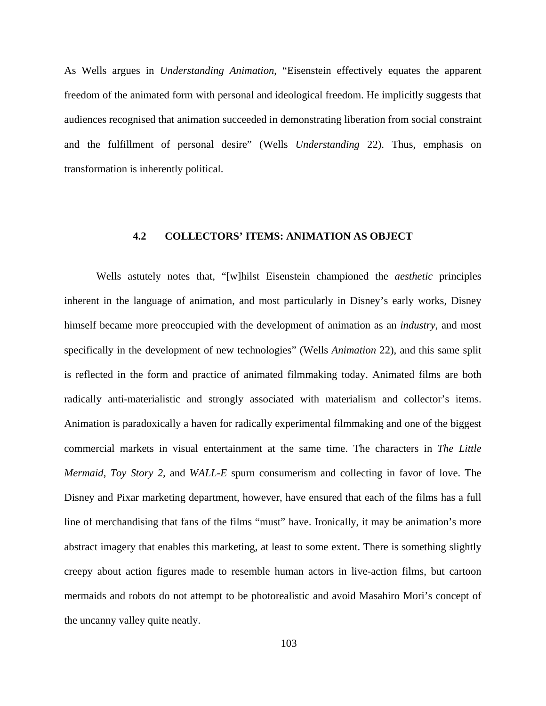As Wells argues in *Understanding Animation*, "Eisenstein effectively equates the apparent freedom of the animated form with personal and ideological freedom. He implicitly suggests that audiences recognised that animation succeeded in demonstrating liberation from social constraint and the fulfillment of personal desire" (Wells *Understanding* 22). Thus, emphasis on transformation is inherently political.

## **4.2 COLLECTORS' ITEMS: ANIMATION AS OBJECT**

Wells astutely notes that, "[w]hilst Eisenstein championed the *aesthetic* principles inherent in the language of animation, and most particularly in Disney's early works, Disney himself became more preoccupied with the development of animation as an *industry*, and most specifically in the development of new technologies" (Wells *Animation* 22), and this same split is reflected in the form and practice of animated filmmaking today. Animated films are both radically anti-materialistic and strongly associated with materialism and collector's items. Animation is paradoxically a haven for radically experimental filmmaking and one of the biggest commercial markets in visual entertainment at the same time. The characters in *The Little Mermaid*, *Toy Story 2,* and *WALL-E* spurn consumerism and collecting in favor of love. The Disney and Pixar marketing department, however, have ensured that each of the films has a full line of merchandising that fans of the films "must" have. Ironically, it may be animation's more abstract imagery that enables this marketing, at least to some extent. There is something slightly creepy about action figures made to resemble human actors in live-action films, but cartoon mermaids and robots do not attempt to be photorealistic and avoid Masahiro Mori's concept of the uncanny valley quite neatly.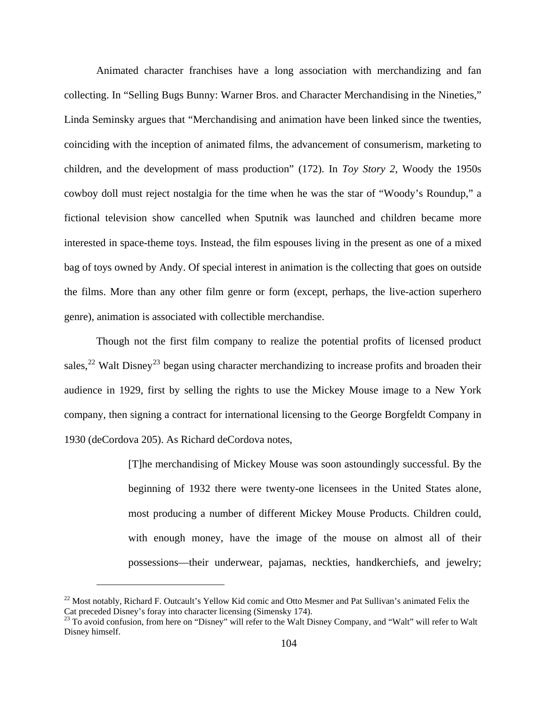Animated character franchises have a long association with merchandizing and fan collecting. In "Selling Bugs Bunny: Warner Bros. and Character Merchandising in the Nineties," Linda Seminsky argues that "Merchandising and animation have been linked since the twenties, coinciding with the inception of animated films, the advancement of consumerism, marketing to children, and the development of mass production" (172). In *Toy Story 2*, Woody the 1950s cowboy doll must reject nostalgia for the time when he was the star of "Woody's Roundup," a fictional television show cancelled when Sputnik was launched and children became more interested in space-theme toys. Instead, the film espouses living in the present as one of a mixed bag of toys owned by Andy. Of special interest in animation is the collecting that goes on outside the films. More than any other film genre or form (except, perhaps, the live-action superhero genre), animation is associated with collectible merchandise.

Though not the first film company to realize the potential profits of licensed product sales,<sup>[22](#page-112-0)</sup> Walt Disney<sup>[23](#page-112-1)</sup> began using character merchandizing to increase profits and broaden their audience in 1929, first by selling the rights to use the Mickey Mouse image to a New York company, then signing a contract for international licensing to the George Borgfeldt Company in 1930 (deCordova 205). As Richard deCordova notes,

> [T]he merchandising of Mickey Mouse was soon astoundingly successful. By the beginning of 1932 there were twenty-one licensees in the United States alone, most producing a number of different Mickey Mouse Products. Children could, with enough money, have the image of the mouse on almost all of their possessions—their underwear, pajamas, neckties, handkerchiefs, and jewelry;

1

<span id="page-112-0"></span><sup>&</sup>lt;sup>22</sup> Most notably, Richard F. Outcault's Yellow Kid comic and Otto Mesmer and Pat Sullivan's animated Felix the Cat preceded Disney's foray into character licensing (Simensky 174).

<span id="page-112-1"></span><sup>&</sup>lt;sup>23</sup> To avoid confusion, from here on "Disney" will refer to the Walt Disney Company, and "Walt" will refer to Walt Disney himself.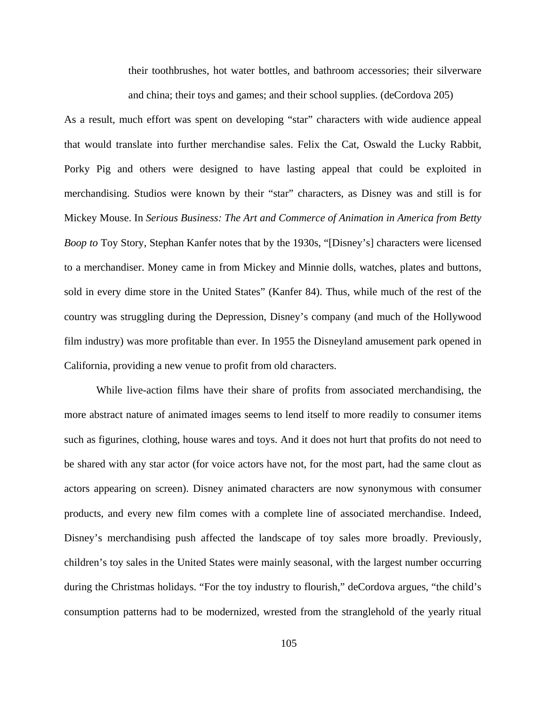their toothbrushes, hot water bottles, and bathroom accessories; their silverware and china; their toys and games; and their school supplies. (deCordova 205)

As a result, much effort was spent on developing "star" characters with wide audience appeal that would translate into further merchandise sales. Felix the Cat, Oswald the Lucky Rabbit, Porky Pig and others were designed to have lasting appeal that could be exploited in merchandising. Studios were known by their "star" characters, as Disney was and still is for Mickey Mouse. In *Serious Business: The Art and Commerce of Animation in America from Betty Boop to* Toy Story, Stephan Kanfer notes that by the 1930s, "[Disney's] characters were licensed to a merchandiser. Money came in from Mickey and Minnie dolls, watches, plates and buttons, sold in every dime store in the United States" (Kanfer 84). Thus, while much of the rest of the country was struggling during the Depression, Disney's company (and much of the Hollywood film industry) was more profitable than ever. In 1955 the Disneyland amusement park opened in California, providing a new venue to profit from old characters.

While live-action films have their share of profits from associated merchandising, the more abstract nature of animated images seems to lend itself to more readily to consumer items such as figurines, clothing, house wares and toys. And it does not hurt that profits do not need to be shared with any star actor (for voice actors have not, for the most part, had the same clout as actors appearing on screen). Disney animated characters are now synonymous with consumer products, and every new film comes with a complete line of associated merchandise. Indeed, Disney's merchandising push affected the landscape of toy sales more broadly. Previously, children's toy sales in the United States were mainly seasonal, with the largest number occurring during the Christmas holidays. "For the toy industry to flourish," deCordova argues, "the child's consumption patterns had to be modernized, wrested from the stranglehold of the yearly ritual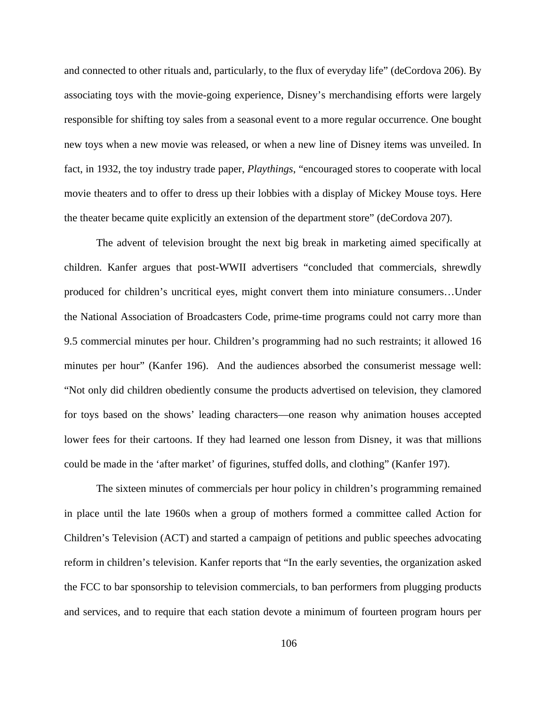and connected to other rituals and, particularly, to the flux of everyday life" (deCordova 206). By associating toys with the movie-going experience, Disney's merchandising efforts were largely responsible for shifting toy sales from a seasonal event to a more regular occurrence. One bought new toys when a new movie was released, or when a new line of Disney items was unveiled. In fact, in 1932, the toy industry trade paper, *Playthings*, "encouraged stores to cooperate with local movie theaters and to offer to dress up their lobbies with a display of Mickey Mouse toys. Here the theater became quite explicitly an extension of the department store" (deCordova 207).

The advent of television brought the next big break in marketing aimed specifically at children. Kanfer argues that post-WWII advertisers "concluded that commercials, shrewdly produced for children's uncritical eyes, might convert them into miniature consumers…Under the National Association of Broadcasters Code, prime-time programs could not carry more than 9.5 commercial minutes per hour. Children's programming had no such restraints; it allowed 16 minutes per hour" (Kanfer 196). And the audiences absorbed the consumerist message well: "Not only did children obediently consume the products advertised on television, they clamored for toys based on the shows' leading characters—one reason why animation houses accepted lower fees for their cartoons. If they had learned one lesson from Disney, it was that millions could be made in the 'after market' of figurines, stuffed dolls, and clothing" (Kanfer 197).

The sixteen minutes of commercials per hour policy in children's programming remained in place until the late 1960s when a group of mothers formed a committee called Action for Children's Television (ACT) and started a campaign of petitions and public speeches advocating reform in children's television. Kanfer reports that "In the early seventies, the organization asked the FCC to bar sponsorship to television commercials, to ban performers from plugging products and services, and to require that each station devote a minimum of fourteen program hours per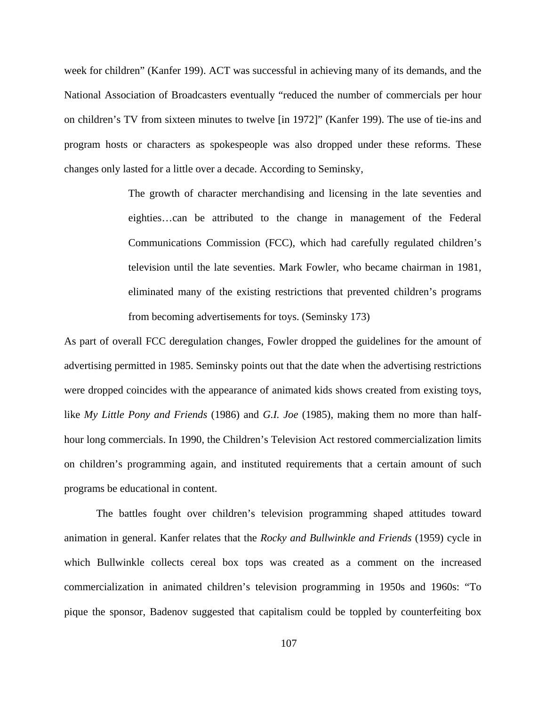week for children" (Kanfer 199). ACT was successful in achieving many of its demands, and the National Association of Broadcasters eventually "reduced the number of commercials per hour on children's TV from sixteen minutes to twelve [in 1972]" (Kanfer 199). The use of tie-ins and program hosts or characters as spokespeople was also dropped under these reforms. These changes only lasted for a little over a decade. According to Seminsky,

> The growth of character merchandising and licensing in the late seventies and eighties…can be attributed to the change in management of the Federal Communications Commission (FCC), which had carefully regulated children's television until the late seventies. Mark Fowler, who became chairman in 1981, eliminated many of the existing restrictions that prevented children's programs from becoming advertisements for toys. (Seminsky 173)

As part of overall FCC deregulation changes, Fowler dropped the guidelines for the amount of advertising permitted in 1985. Seminsky points out that the date when the advertising restrictions were dropped coincides with the appearance of animated kids shows created from existing toys, like *My Little Pony and Friends* (1986) and *G.I. Joe* (1985), making them no more than halfhour long commercials. In 1990, the Children's Television Act restored commercialization limits on children's programming again, and instituted requirements that a certain amount of such programs be educational in content.

The battles fought over children's television programming shaped attitudes toward animation in general. Kanfer relates that the *Rocky and Bullwinkle and Friends* (1959) cycle in which Bullwinkle collects cereal box tops was created as a comment on the increased commercialization in animated children's television programming in 1950s and 1960s: "To pique the sponsor, Badenov suggested that capitalism could be toppled by counterfeiting box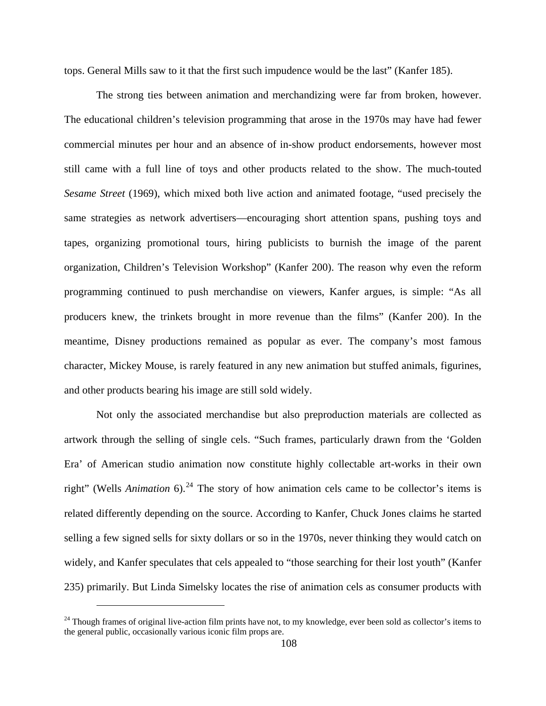tops. General Mills saw to it that the first such impudence would be the last" (Kanfer 185).

The strong ties between animation and merchandizing were far from broken, however. The educational children's television programming that arose in the 1970s may have had fewer commercial minutes per hour and an absence of in-show product endorsements, however most still came with a full line of toys and other products related to the show. The much-touted *Sesame Street* (1969), which mixed both live action and animated footage, "used precisely the same strategies as network advertisers—encouraging short attention spans, pushing toys and tapes, organizing promotional tours, hiring publicists to burnish the image of the parent organization, Children's Television Workshop" (Kanfer 200). The reason why even the reform programming continued to push merchandise on viewers, Kanfer argues, is simple: "As all producers knew, the trinkets brought in more revenue than the films" (Kanfer 200). In the meantime, Disney productions remained as popular as ever. The company's most famous character, Mickey Mouse, is rarely featured in any new animation but stuffed animals, figurines, and other products bearing his image are still sold widely.

Not only the associated merchandise but also preproduction materials are collected as artwork through the selling of single cels. "Such frames, particularly drawn from the 'Golden Era' of American studio animation now constitute highly collectable art-works in their own right" (Wells *Animation* 6).<sup>[24](#page-116-0)</sup> The story of how animation cels came to be collector's items is related differently depending on the source. According to Kanfer, Chuck Jones claims he started selling a few signed sells for sixty dollars or so in the 1970s, never thinking they would catch on widely, and Kanfer speculates that cels appealed to "those searching for their lost youth" (Kanfer 235) primarily. But Linda Simelsky locates the rise of animation cels as consumer products with

1

<span id="page-116-0"></span> $24$  Though frames of original live-action film prints have not, to my knowledge, ever been sold as collector's items to the general public, occasionally various iconic film props are.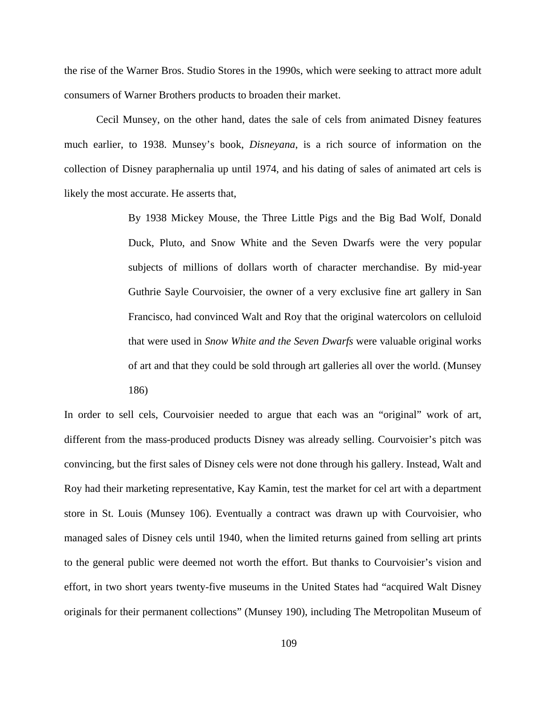the rise of the Warner Bros. Studio Stores in the 1990s, which were seeking to attract more adult consumers of Warner Brothers products to broaden their market.

Cecil Munsey, on the other hand, dates the sale of cels from animated Disney features much earlier, to 1938. Munsey's book, *Disneyana*, is a rich source of information on the collection of Disney paraphernalia up until 1974, and his dating of sales of animated art cels is likely the most accurate. He asserts that,

> By 1938 Mickey Mouse, the Three Little Pigs and the Big Bad Wolf, Donald Duck, Pluto, and Snow White and the Seven Dwarfs were the very popular subjects of millions of dollars worth of character merchandise. By mid-year Guthrie Sayle Courvoisier, the owner of a very exclusive fine art gallery in San Francisco, had convinced Walt and Roy that the original watercolors on celluloid that were used in *Snow White and the Seven Dwarfs* were valuable original works of art and that they could be sold through art galleries all over the world. (Munsey 186)

In order to sell cels, Courvoisier needed to argue that each was an "original" work of art, different from the mass-produced products Disney was already selling. Courvoisier's pitch was convincing, but the first sales of Disney cels were not done through his gallery. Instead, Walt and Roy had their marketing representative, Kay Kamin, test the market for cel art with a department store in St. Louis (Munsey 106). Eventually a contract was drawn up with Courvoisier, who managed sales of Disney cels until 1940, when the limited returns gained from selling art prints to the general public were deemed not worth the effort. But thanks to Courvoisier's vision and effort, in two short years twenty-five museums in the United States had "acquired Walt Disney originals for their permanent collections" (Munsey 190), including The Metropolitan Museum of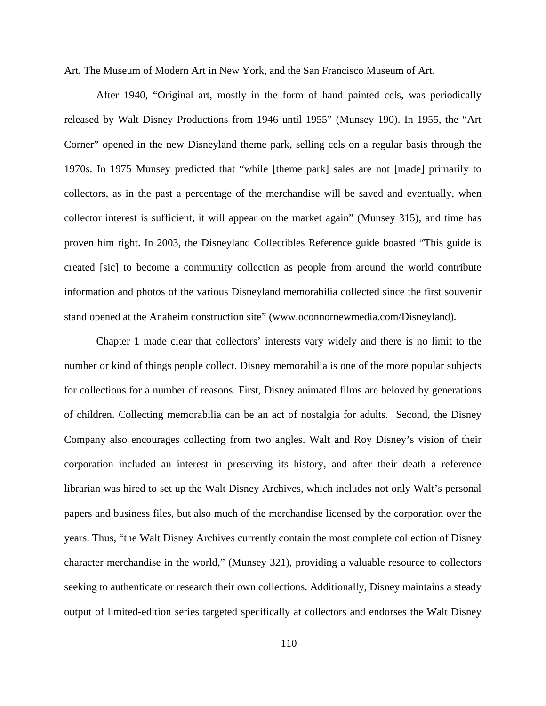Art, The Museum of Modern Art in New York, and the San Francisco Museum of Art.

After 1940, "Original art, mostly in the form of hand painted cels, was periodically released by Walt Disney Productions from 1946 until 1955" (Munsey 190). In 1955, the "Art Corner" opened in the new Disneyland theme park, selling cels on a regular basis through the 1970s. In 1975 Munsey predicted that "while [theme park] sales are not [made] primarily to collectors, as in the past a percentage of the merchandise will be saved and eventually, when collector interest is sufficient, it will appear on the market again" (Munsey 315), and time has proven him right. In 2003, the Disneyland Collectibles Reference guide boasted "This guide is created [sic] to become a community collection as people from around the world contribute information and photos of the various Disneyland memorabilia collected since the first souvenir stand opened at the Anaheim construction site" (www.oconnornewmedia.com/Disneyland).

Chapter 1 made clear that collectors' interests vary widely and there is no limit to the number or kind of things people collect. Disney memorabilia is one of the more popular subjects for collections for a number of reasons. First, Disney animated films are beloved by generations of children. Collecting memorabilia can be an act of nostalgia for adults. Second, the Disney Company also encourages collecting from two angles. Walt and Roy Disney's vision of their corporation included an interest in preserving its history, and after their death a reference librarian was hired to set up the Walt Disney Archives, which includes not only Walt's personal papers and business files, but also much of the merchandise licensed by the corporation over the years. Thus, "the Walt Disney Archives currently contain the most complete collection of Disney character merchandise in the world," (Munsey 321), providing a valuable resource to collectors seeking to authenticate or research their own collections. Additionally, Disney maintains a steady output of limited-edition series targeted specifically at collectors and endorses the Walt Disney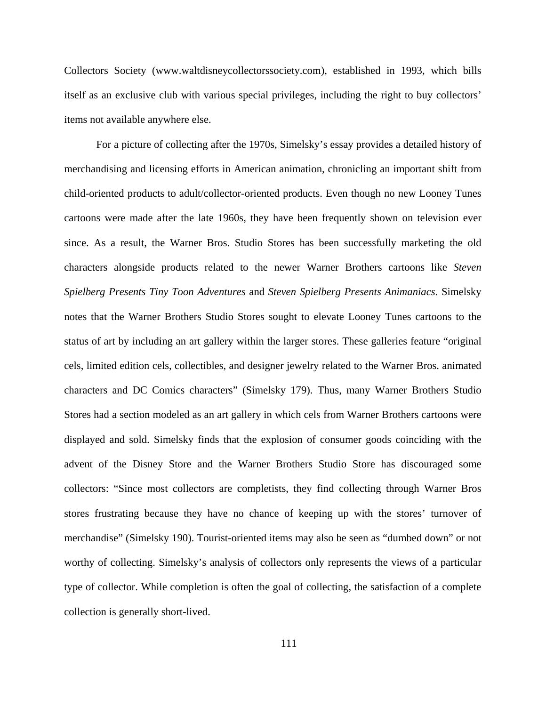Collectors Society (www.waltdisneycollectorssociety.com), established in 1993, which bills itself as an exclusive club with various special privileges, including the right to buy collectors' items not available anywhere else.

For a picture of collecting after the 1970s, Simelsky's essay provides a detailed history of merchandising and licensing efforts in American animation, chronicling an important shift from child-oriented products to adult/collector-oriented products. Even though no new Looney Tunes cartoons were made after the late 1960s, they have been frequently shown on television ever since. As a result, the Warner Bros. Studio Stores has been successfully marketing the old characters alongside products related to the newer Warner Brothers cartoons like *Steven Spielberg Presents Tiny Toon Adventures* and *Steven Spielberg Presents Animaniacs*. Simelsky notes that the Warner Brothers Studio Stores sought to elevate Looney Tunes cartoons to the status of art by including an art gallery within the larger stores. These galleries feature "original cels, limited edition cels, collectibles, and designer jewelry related to the Warner Bros. animated characters and DC Comics characters" (Simelsky 179). Thus, many Warner Brothers Studio Stores had a section modeled as an art gallery in which cels from Warner Brothers cartoons were displayed and sold. Simelsky finds that the explosion of consumer goods coinciding with the advent of the Disney Store and the Warner Brothers Studio Store has discouraged some collectors: "Since most collectors are completists, they find collecting through Warner Bros stores frustrating because they have no chance of keeping up with the stores' turnover of merchandise" (Simelsky 190). Tourist-oriented items may also be seen as "dumbed down" or not worthy of collecting. Simelsky's analysis of collectors only represents the views of a particular type of collector. While completion is often the goal of collecting, the satisfaction of a complete collection is generally short-lived.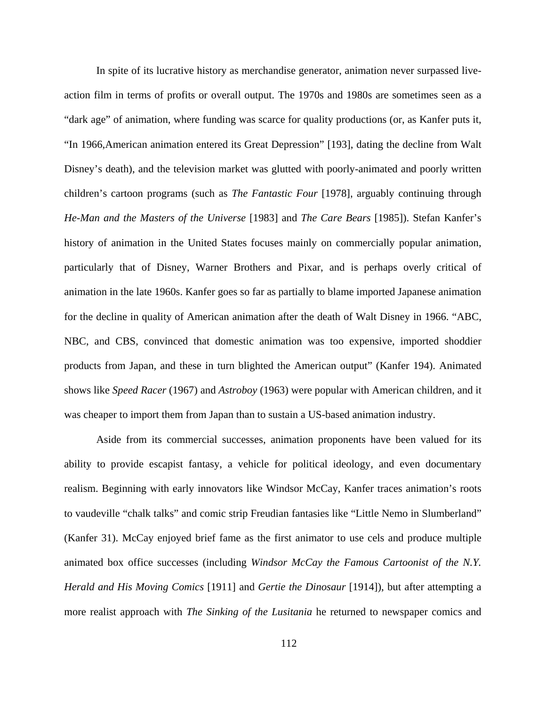In spite of its lucrative history as merchandise generator, animation never surpassed liveaction film in terms of profits or overall output. The 1970s and 1980s are sometimes seen as a "dark age" of animation, where funding was scarce for quality productions (or, as Kanfer puts it, "In 1966,American animation entered its Great Depression" [193], dating the decline from Walt Disney's death), and the television market was glutted with poorly-animated and poorly written children's cartoon programs (such as *The Fantastic Four* [1978], arguably continuing through *He-Man and the Masters of the Universe* [1983] and *The Care Bears* [1985]). Stefan Kanfer's history of animation in the United States focuses mainly on commercially popular animation, particularly that of Disney, Warner Brothers and Pixar, and is perhaps overly critical of animation in the late 1960s. Kanfer goes so far as partially to blame imported Japanese animation for the decline in quality of American animation after the death of Walt Disney in 1966. "ABC, NBC, and CBS, convinced that domestic animation was too expensive, imported shoddier products from Japan, and these in turn blighted the American output" (Kanfer 194). Animated shows like *Speed Racer* (1967) and *Astroboy* (1963) were popular with American children, and it was cheaper to import them from Japan than to sustain a US-based animation industry.

Aside from its commercial successes, animation proponents have been valued for its ability to provide escapist fantasy, a vehicle for political ideology, and even documentary realism. Beginning with early innovators like Windsor McCay, Kanfer traces animation's roots to vaudeville "chalk talks" and comic strip Freudian fantasies like "Little Nemo in Slumberland" (Kanfer 31). McCay enjoyed brief fame as the first animator to use cels and produce multiple animated box office successes (including *Windsor McCay the Famous Cartoonist of the N.Y. Herald and His Moving Comics* [1911] and *Gertie the Dinosaur* [1914]), but after attempting a more realist approach with *The Sinking of the Lusitania* he returned to newspaper comics and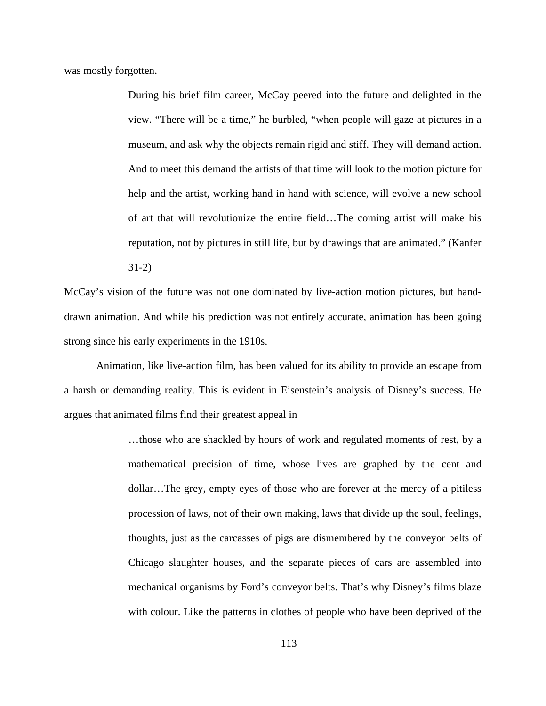was mostly forgotten.

During his brief film career, McCay peered into the future and delighted in the view. "There will be a time," he burbled, "when people will gaze at pictures in a museum, and ask why the objects remain rigid and stiff. They will demand action. And to meet this demand the artists of that time will look to the motion picture for help and the artist, working hand in hand with science, will evolve a new school of art that will revolutionize the entire field…The coming artist will make his reputation, not by pictures in still life, but by drawings that are animated." (Kanfer 31-2)

McCay's vision of the future was not one dominated by live-action motion pictures, but handdrawn animation. And while his prediction was not entirely accurate, animation has been going strong since his early experiments in the 1910s.

Animation, like live-action film, has been valued for its ability to provide an escape from a harsh or demanding reality. This is evident in Eisenstein's analysis of Disney's success. He argues that animated films find their greatest appeal in

> …those who are shackled by hours of work and regulated moments of rest, by a mathematical precision of time, whose lives are graphed by the cent and dollar…The grey, empty eyes of those who are forever at the mercy of a pitiless procession of laws, not of their own making, laws that divide up the soul, feelings, thoughts, just as the carcasses of pigs are dismembered by the conveyor belts of Chicago slaughter houses, and the separate pieces of cars are assembled into mechanical organisms by Ford's conveyor belts. That's why Disney's films blaze with colour. Like the patterns in clothes of people who have been deprived of the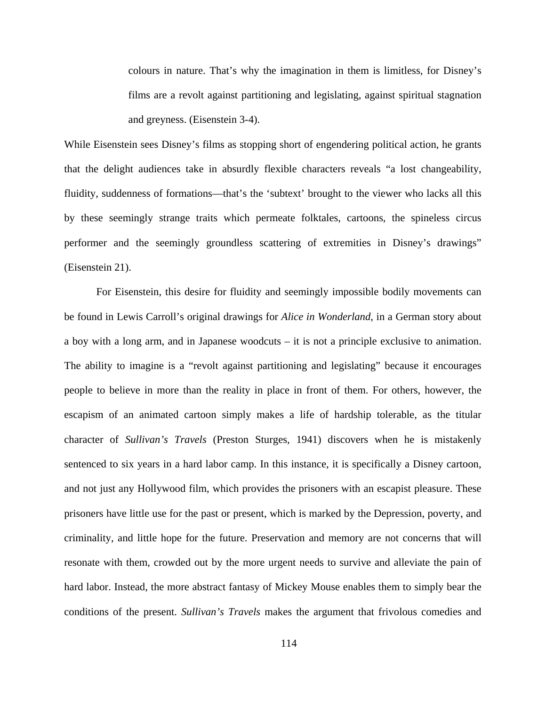colours in nature. That's why the imagination in them is limitless, for Disney's films are a revolt against partitioning and legislating, against spiritual stagnation and greyness. (Eisenstein 3-4).

While Eisenstein sees Disney's films as stopping short of engendering political action, he grants that the delight audiences take in absurdly flexible characters reveals "a lost changeability, fluidity, suddenness of formations—that's the 'subtext' brought to the viewer who lacks all this by these seemingly strange traits which permeate folktales, cartoons, the spineless circus performer and the seemingly groundless scattering of extremities in Disney's drawings" (Eisenstein 21).

For Eisenstein, this desire for fluidity and seemingly impossible bodily movements can be found in Lewis Carroll's original drawings for *Alice in Wonderland*, in a German story about a boy with a long arm, and in Japanese woodcuts – it is not a principle exclusive to animation. The ability to imagine is a "revolt against partitioning and legislating" because it encourages people to believe in more than the reality in place in front of them. For others, however, the escapism of an animated cartoon simply makes a life of hardship tolerable, as the titular character of *Sullivan's Travels* (Preston Sturges, 1941) discovers when he is mistakenly sentenced to six years in a hard labor camp. In this instance, it is specifically a Disney cartoon, and not just any Hollywood film, which provides the prisoners with an escapist pleasure. These prisoners have little use for the past or present, which is marked by the Depression, poverty, and criminality, and little hope for the future. Preservation and memory are not concerns that will resonate with them, crowded out by the more urgent needs to survive and alleviate the pain of hard labor. Instead, the more abstract fantasy of Mickey Mouse enables them to simply bear the conditions of the present. *Sullivan's Travels* makes the argument that frivolous comedies and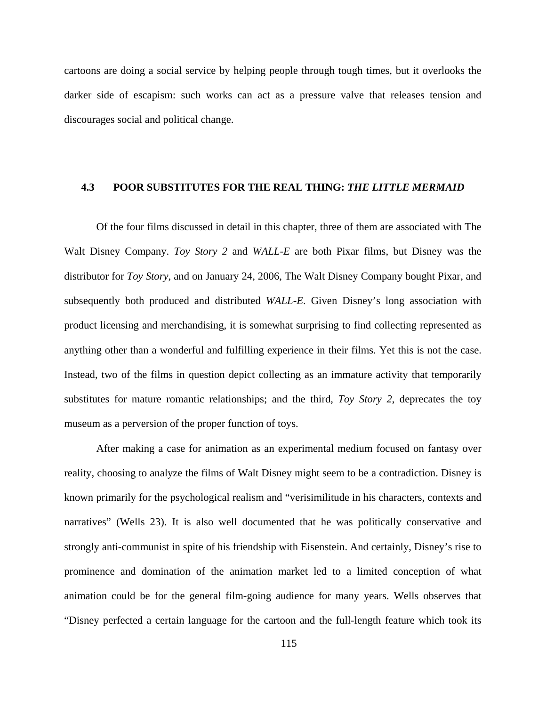cartoons are doing a social service by helping people through tough times, but it overlooks the darker side of escapism: such works can act as a pressure valve that releases tension and discourages social and political change.

## **4.3 POOR SUBSTITUTES FOR THE REAL THING:** *THE LITTLE MERMAID*

Of the four films discussed in detail in this chapter, three of them are associated with The Walt Disney Company. *Toy Story 2* and *WALL-E* are both Pixar films, but Disney was the distributor for *Toy Story*, and on January 24, 2006, The Walt Disney Company bought Pixar, and subsequently both produced and distributed *WALL-E*. Given Disney's long association with product licensing and merchandising, it is somewhat surprising to find collecting represented as anything other than a wonderful and fulfilling experience in their films. Yet this is not the case. Instead, two of the films in question depict collecting as an immature activity that temporarily substitutes for mature romantic relationships; and the third, *Toy Story 2*, deprecates the toy museum as a perversion of the proper function of toys.

After making a case for animation as an experimental medium focused on fantasy over reality, choosing to analyze the films of Walt Disney might seem to be a contradiction. Disney is known primarily for the psychological realism and "verisimilitude in his characters, contexts and narratives" (Wells 23). It is also well documented that he was politically conservative and strongly anti-communist in spite of his friendship with Eisenstein. And certainly, Disney's rise to prominence and domination of the animation market led to a limited conception of what animation could be for the general film-going audience for many years. Wells observes that "Disney perfected a certain language for the cartoon and the full-length feature which took its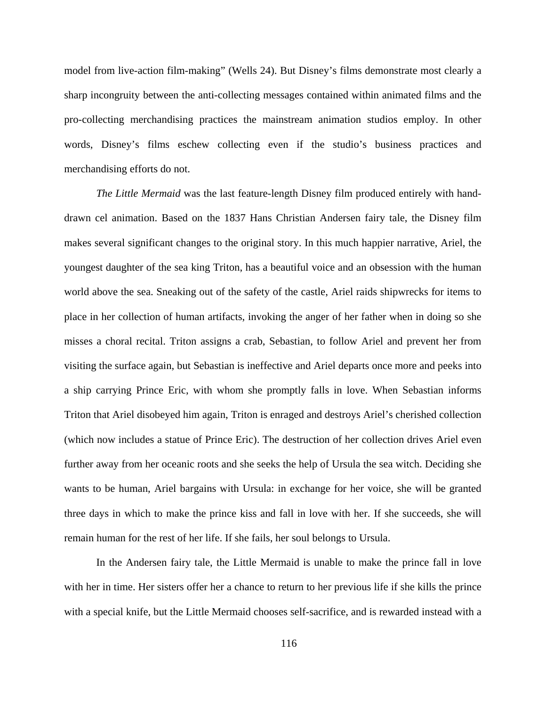model from live-action film-making" (Wells 24). But Disney's films demonstrate most clearly a sharp incongruity between the anti-collecting messages contained within animated films and the pro-collecting merchandising practices the mainstream animation studios employ. In other words, Disney's films eschew collecting even if the studio's business practices and merchandising efforts do not.

*The Little Mermaid* was the last feature-length Disney film produced entirely with handdrawn cel animation. Based on the 1837 Hans Christian Andersen fairy tale, the Disney film makes several significant changes to the original story. In this much happier narrative, Ariel, the youngest daughter of the sea king Triton, has a beautiful voice and an obsession with the human world above the sea. Sneaking out of the safety of the castle, Ariel raids shipwrecks for items to place in her collection of human artifacts, invoking the anger of her father when in doing so she misses a choral recital. Triton assigns a crab, Sebastian, to follow Ariel and prevent her from visiting the surface again, but Sebastian is ineffective and Ariel departs once more and peeks into a ship carrying Prince Eric, with whom she promptly falls in love. When Sebastian informs Triton that Ariel disobeyed him again, Triton is enraged and destroys Ariel's cherished collection (which now includes a statue of Prince Eric). The destruction of her collection drives Ariel even further away from her oceanic roots and she seeks the help of Ursula the sea witch. Deciding she wants to be human, Ariel bargains with Ursula: in exchange for her voice, she will be granted three days in which to make the prince kiss and fall in love with her. If she succeeds, she will remain human for the rest of her life. If she fails, her soul belongs to Ursula.

In the Andersen fairy tale, the Little Mermaid is unable to make the prince fall in love with her in time. Her sisters offer her a chance to return to her previous life if she kills the prince with a special knife, but the Little Mermaid chooses self-sacrifice, and is rewarded instead with a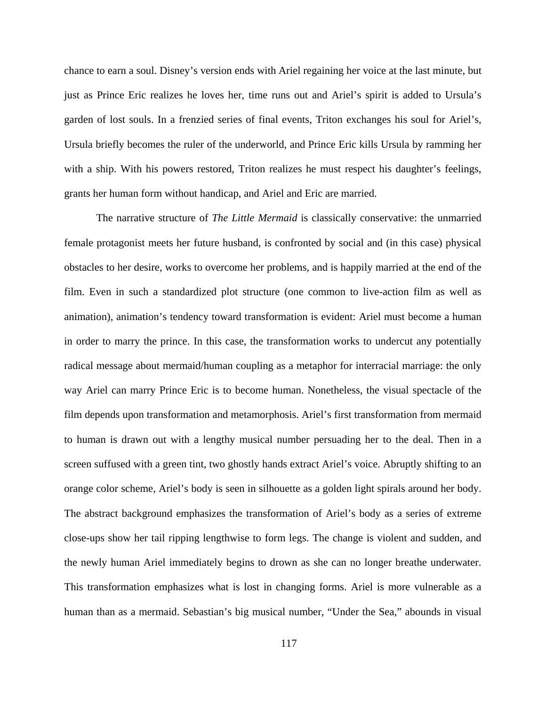chance to earn a soul. Disney's version ends with Ariel regaining her voice at the last minute, but just as Prince Eric realizes he loves her, time runs out and Ariel's spirit is added to Ursula's garden of lost souls. In a frenzied series of final events, Triton exchanges his soul for Ariel's, Ursula briefly becomes the ruler of the underworld, and Prince Eric kills Ursula by ramming her with a ship. With his powers restored, Triton realizes he must respect his daughter's feelings, grants her human form without handicap, and Ariel and Eric are married.

The narrative structure of *The Little Mermaid* is classically conservative: the unmarried female protagonist meets her future husband, is confronted by social and (in this case) physical obstacles to her desire, works to overcome her problems, and is happily married at the end of the film. Even in such a standardized plot structure (one common to live-action film as well as animation), animation's tendency toward transformation is evident: Ariel must become a human in order to marry the prince. In this case, the transformation works to undercut any potentially radical message about mermaid/human coupling as a metaphor for interracial marriage: the only way Ariel can marry Prince Eric is to become human. Nonetheless, the visual spectacle of the film depends upon transformation and metamorphosis. Ariel's first transformation from mermaid to human is drawn out with a lengthy musical number persuading her to the deal. Then in a screen suffused with a green tint, two ghostly hands extract Ariel's voice. Abruptly shifting to an orange color scheme, Ariel's body is seen in silhouette as a golden light spirals around her body. The abstract background emphasizes the transformation of Ariel's body as a series of extreme close-ups show her tail ripping lengthwise to form legs. The change is violent and sudden, and the newly human Ariel immediately begins to drown as she can no longer breathe underwater. This transformation emphasizes what is lost in changing forms. Ariel is more vulnerable as a human than as a mermaid. Sebastian's big musical number, "Under the Sea," abounds in visual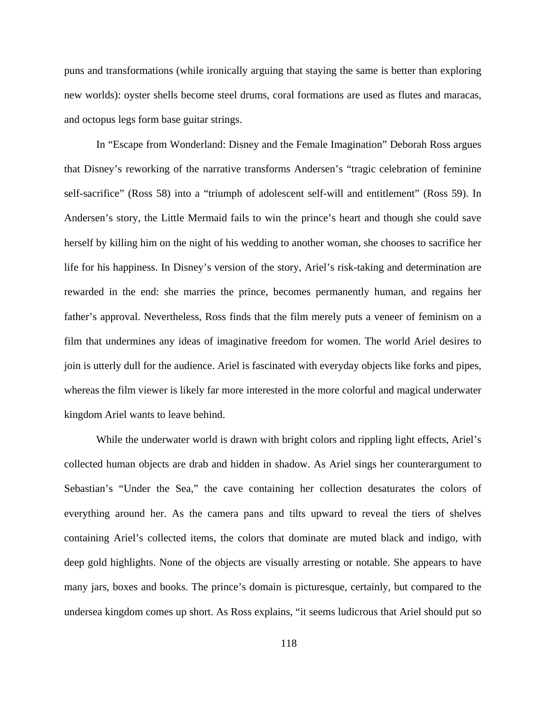puns and transformations (while ironically arguing that staying the same is better than exploring new worlds): oyster shells become steel drums, coral formations are used as flutes and maracas, and octopus legs form base guitar strings.

In "Escape from Wonderland: Disney and the Female Imagination" Deborah Ross argues that Disney's reworking of the narrative transforms Andersen's "tragic celebration of feminine self-sacrifice" (Ross 58) into a "triumph of adolescent self-will and entitlement" (Ross 59). In Andersen's story, the Little Mermaid fails to win the prince's heart and though she could save herself by killing him on the night of his wedding to another woman, she chooses to sacrifice her life for his happiness. In Disney's version of the story, Ariel's risk-taking and determination are rewarded in the end: she marries the prince, becomes permanently human, and regains her father's approval. Nevertheless, Ross finds that the film merely puts a veneer of feminism on a film that undermines any ideas of imaginative freedom for women. The world Ariel desires to join is utterly dull for the audience. Ariel is fascinated with everyday objects like forks and pipes, whereas the film viewer is likely far more interested in the more colorful and magical underwater kingdom Ariel wants to leave behind.

While the underwater world is drawn with bright colors and rippling light effects, Ariel's collected human objects are drab and hidden in shadow. As Ariel sings her counterargument to Sebastian's "Under the Sea," the cave containing her collection desaturates the colors of everything around her. As the camera pans and tilts upward to reveal the tiers of shelves containing Ariel's collected items, the colors that dominate are muted black and indigo, with deep gold highlights. None of the objects are visually arresting or notable. She appears to have many jars, boxes and books. The prince's domain is picturesque, certainly, but compared to the undersea kingdom comes up short. As Ross explains, "it seems ludicrous that Ariel should put so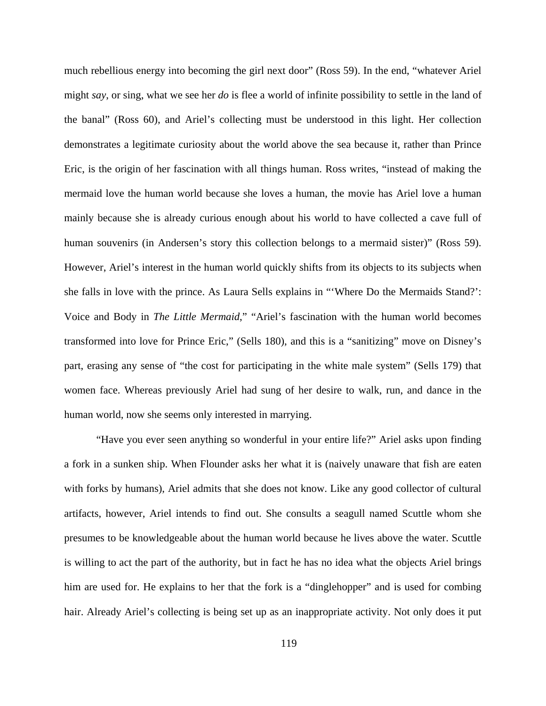much rebellious energy into becoming the girl next door" (Ross 59). In the end, "whatever Ariel might *say*, or sing, what we see her *do* is flee a world of infinite possibility to settle in the land of the banal" (Ross 60), and Ariel's collecting must be understood in this light. Her collection demonstrates a legitimate curiosity about the world above the sea because it, rather than Prince Eric, is the origin of her fascination with all things human. Ross writes, "instead of making the mermaid love the human world because she loves a human, the movie has Ariel love a human mainly because she is already curious enough about his world to have collected a cave full of human souvenirs (in Andersen's story this collection belongs to a mermaid sister)" (Ross 59). However, Ariel's interest in the human world quickly shifts from its objects to its subjects when she falls in love with the prince. As Laura Sells explains in "'Where Do the Mermaids Stand?': Voice and Body in *The Little Mermaid*," "Ariel's fascination with the human world becomes transformed into love for Prince Eric," (Sells 180), and this is a "sanitizing" move on Disney's part, erasing any sense of "the cost for participating in the white male system" (Sells 179) that women face. Whereas previously Ariel had sung of her desire to walk, run, and dance in the human world, now she seems only interested in marrying.

"Have you ever seen anything so wonderful in your entire life?" Ariel asks upon finding a fork in a sunken ship. When Flounder asks her what it is (naively unaware that fish are eaten with forks by humans), Ariel admits that she does not know. Like any good collector of cultural artifacts, however, Ariel intends to find out. She consults a seagull named Scuttle whom she presumes to be knowledgeable about the human world because he lives above the water. Scuttle is willing to act the part of the authority, but in fact he has no idea what the objects Ariel brings him are used for. He explains to her that the fork is a "dinglehopper" and is used for combing hair. Already Ariel's collecting is being set up as an inappropriate activity. Not only does it put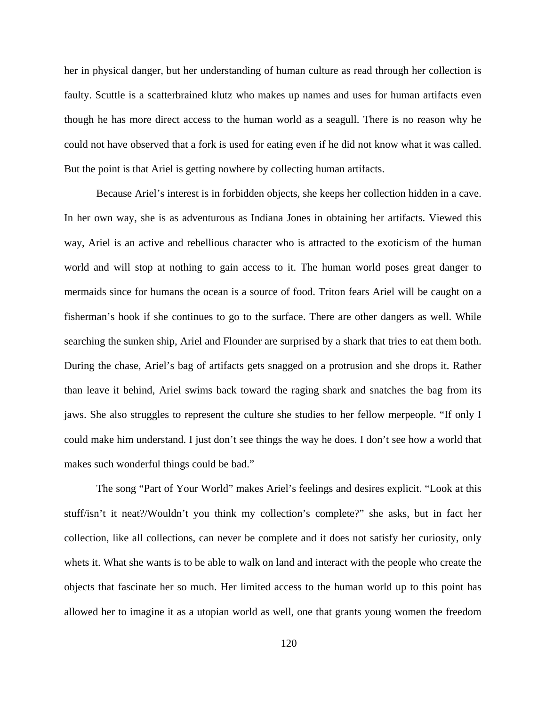her in physical danger, but her understanding of human culture as read through her collection is faulty. Scuttle is a scatterbrained klutz who makes up names and uses for human artifacts even though he has more direct access to the human world as a seagull. There is no reason why he could not have observed that a fork is used for eating even if he did not know what it was called. But the point is that Ariel is getting nowhere by collecting human artifacts.

Because Ariel's interest is in forbidden objects, she keeps her collection hidden in a cave. In her own way, she is as adventurous as Indiana Jones in obtaining her artifacts. Viewed this way, Ariel is an active and rebellious character who is attracted to the exoticism of the human world and will stop at nothing to gain access to it. The human world poses great danger to mermaids since for humans the ocean is a source of food. Triton fears Ariel will be caught on a fisherman's hook if she continues to go to the surface. There are other dangers as well. While searching the sunken ship, Ariel and Flounder are surprised by a shark that tries to eat them both. During the chase, Ariel's bag of artifacts gets snagged on a protrusion and she drops it. Rather than leave it behind, Ariel swims back toward the raging shark and snatches the bag from its jaws. She also struggles to represent the culture she studies to her fellow merpeople. "If only I could make him understand. I just don't see things the way he does. I don't see how a world that makes such wonderful things could be bad."

The song "Part of Your World" makes Ariel's feelings and desires explicit. "Look at this stuff/isn't it neat?/Wouldn't you think my collection's complete?" she asks, but in fact her collection, like all collections, can never be complete and it does not satisfy her curiosity, only whets it. What she wants is to be able to walk on land and interact with the people who create the objects that fascinate her so much. Her limited access to the human world up to this point has allowed her to imagine it as a utopian world as well, one that grants young women the freedom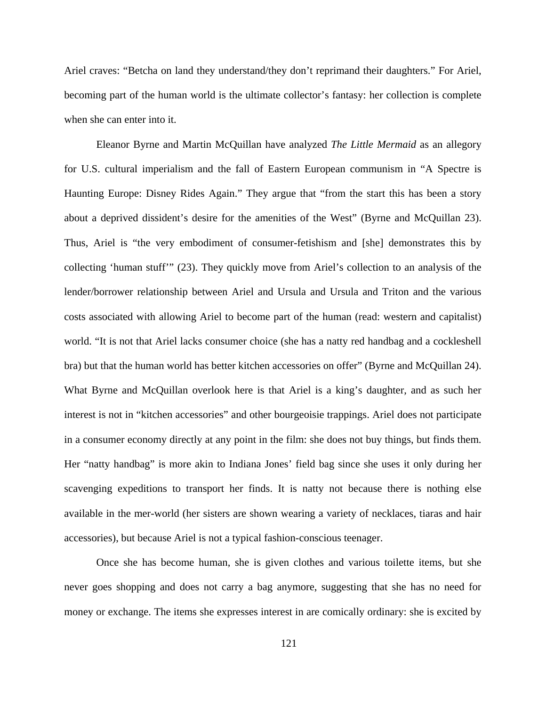Ariel craves: "Betcha on land they understand/they don't reprimand their daughters." For Ariel, becoming part of the human world is the ultimate collector's fantasy: her collection is complete when she can enter into it.

Eleanor Byrne and Martin McQuillan have analyzed *The Little Mermaid* as an allegory for U.S. cultural imperialism and the fall of Eastern European communism in "A Spectre is Haunting Europe: Disney Rides Again." They argue that "from the start this has been a story about a deprived dissident's desire for the amenities of the West" (Byrne and McQuillan 23). Thus, Ariel is "the very embodiment of consumer-fetishism and [she] demonstrates this by collecting 'human stuff'" (23). They quickly move from Ariel's collection to an analysis of the lender/borrower relationship between Ariel and Ursula and Ursula and Triton and the various costs associated with allowing Ariel to become part of the human (read: western and capitalist) world. "It is not that Ariel lacks consumer choice (she has a natty red handbag and a cockleshell bra) but that the human world has better kitchen accessories on offer" (Byrne and McQuillan 24). What Byrne and McQuillan overlook here is that Ariel is a king's daughter, and as such her interest is not in "kitchen accessories" and other bourgeoisie trappings. Ariel does not participate in a consumer economy directly at any point in the film: she does not buy things, but finds them. Her "natty handbag" is more akin to Indiana Jones' field bag since she uses it only during her scavenging expeditions to transport her finds. It is natty not because there is nothing else available in the mer-world (her sisters are shown wearing a variety of necklaces, tiaras and hair accessories), but because Ariel is not a typical fashion-conscious teenager.

Once she has become human, she is given clothes and various toilette items, but she never goes shopping and does not carry a bag anymore, suggesting that she has no need for money or exchange. The items she expresses interest in are comically ordinary: she is excited by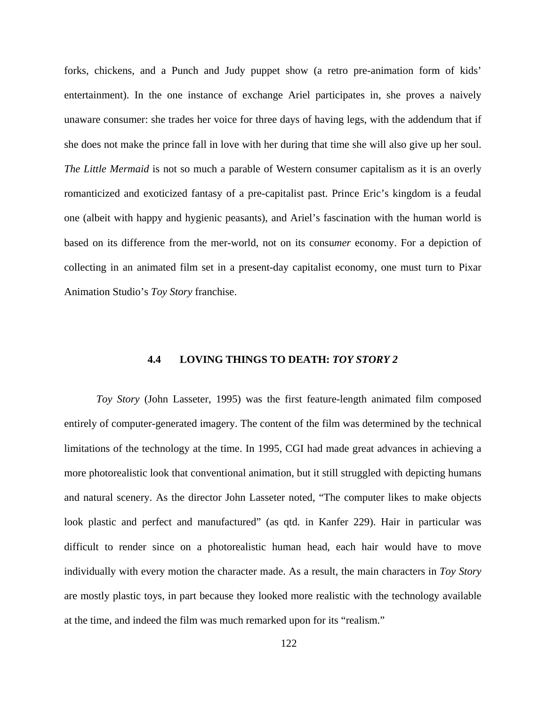forks, chickens, and a Punch and Judy puppet show (a retro pre-animation form of kids' entertainment). In the one instance of exchange Ariel participates in, she proves a naively unaware consumer: she trades her voice for three days of having legs, with the addendum that if she does not make the prince fall in love with her during that time she will also give up her soul. *The Little Mermaid* is not so much a parable of Western consumer capitalism as it is an overly romanticized and exoticized fantasy of a pre-capitalist past. Prince Eric's kingdom is a feudal one (albeit with happy and hygienic peasants), and Ariel's fascination with the human world is based on its difference from the mer-world, not on its consu*mer* economy. For a depiction of collecting in an animated film set in a present-day capitalist economy, one must turn to Pixar Animation Studio's *Toy Story* franchise.

## **4.4 LOVING THINGS TO DEATH:** *TOY STORY 2*

*Toy Story* (John Lasseter, 1995) was the first feature-length animated film composed entirely of computer-generated imagery. The content of the film was determined by the technical limitations of the technology at the time. In 1995, CGI had made great advances in achieving a more photorealistic look that conventional animation, but it still struggled with depicting humans and natural scenery. As the director John Lasseter noted, "The computer likes to make objects look plastic and perfect and manufactured" (as qtd. in Kanfer 229). Hair in particular was difficult to render since on a photorealistic human head, each hair would have to move individually with every motion the character made. As a result, the main characters in *Toy Story* are mostly plastic toys, in part because they looked more realistic with the technology available at the time, and indeed the film was much remarked upon for its "realism."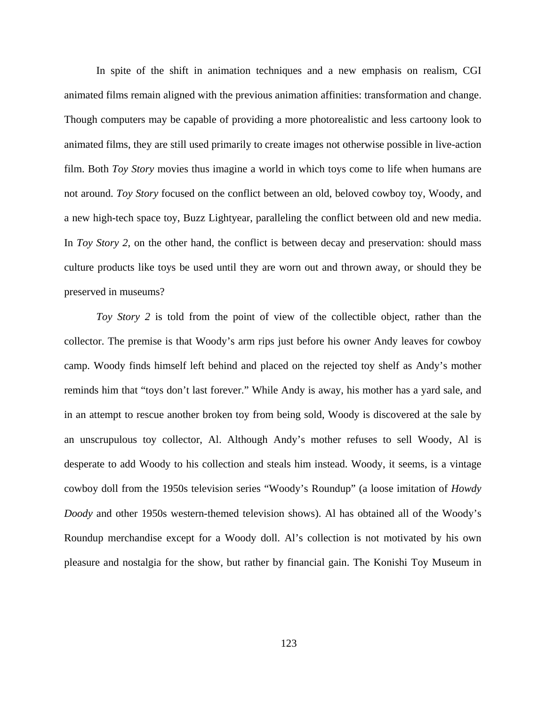In spite of the shift in animation techniques and a new emphasis on realism, CGI animated films remain aligned with the previous animation affinities: transformation and change. Though computers may be capable of providing a more photorealistic and less cartoony look to animated films, they are still used primarily to create images not otherwise possible in live-action film. Both *Toy Story* movies thus imagine a world in which toys come to life when humans are not around. *Toy Story* focused on the conflict between an old, beloved cowboy toy, Woody, and a new high-tech space toy, Buzz Lightyear, paralleling the conflict between old and new media. In *Toy Story 2*, on the other hand, the conflict is between decay and preservation: should mass culture products like toys be used until they are worn out and thrown away, or should they be preserved in museums?

*Toy Story 2* is told from the point of view of the collectible object, rather than the collector. The premise is that Woody's arm rips just before his owner Andy leaves for cowboy camp. Woody finds himself left behind and placed on the rejected toy shelf as Andy's mother reminds him that "toys don't last forever." While Andy is away, his mother has a yard sale, and in an attempt to rescue another broken toy from being sold, Woody is discovered at the sale by an unscrupulous toy collector, Al. Although Andy's mother refuses to sell Woody, Al is desperate to add Woody to his collection and steals him instead. Woody, it seems, is a vintage cowboy doll from the 1950s television series "Woody's Roundup" (a loose imitation of *Howdy Doody* and other 1950s western-themed television shows). Al has obtained all of the Woody's Roundup merchandise except for a Woody doll. Al's collection is not motivated by his own pleasure and nostalgia for the show, but rather by financial gain. The Konishi Toy Museum in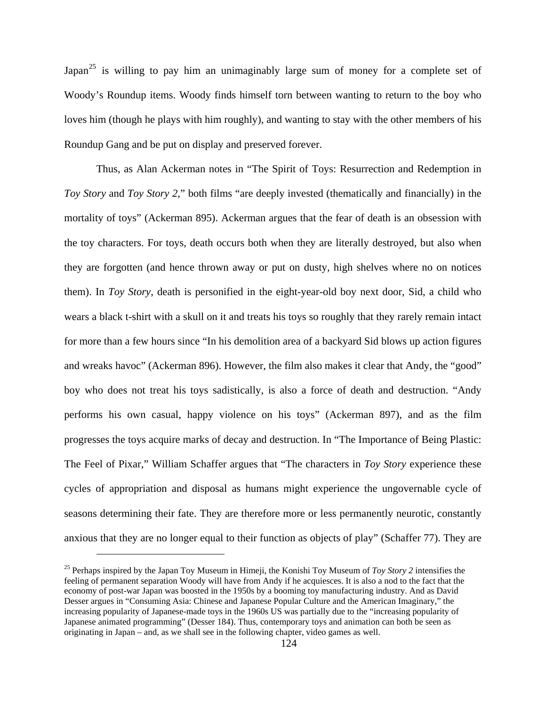Japan<sup>[25](#page-132-0)</sup> is willing to pay him an unimaginably large sum of money for a complete set of Woody's Roundup items. Woody finds himself torn between wanting to return to the boy who loves him (though he plays with him roughly), and wanting to stay with the other members of his Roundup Gang and be put on display and preserved forever.

Thus, as Alan Ackerman notes in "The Spirit of Toys: Resurrection and Redemption in *Toy Story* and *Toy Story 2*," both films "are deeply invested (thematically and financially) in the mortality of toys" (Ackerman 895). Ackerman argues that the fear of death is an obsession with the toy characters. For toys, death occurs both when they are literally destroyed, but also when they are forgotten (and hence thrown away or put on dusty, high shelves where no on notices them). In *Toy Story*, death is personified in the eight-year-old boy next door, Sid, a child who wears a black t-shirt with a skull on it and treats his toys so roughly that they rarely remain intact for more than a few hours since "In his demolition area of a backyard Sid blows up action figures and wreaks havoc" (Ackerman 896). However, the film also makes it clear that Andy, the "good" boy who does not treat his toys sadistically, is also a force of death and destruction. "Andy performs his own casual, happy violence on his toys" (Ackerman 897), and as the film progresses the toys acquire marks of decay and destruction. In "The Importance of Being Plastic: The Feel of Pixar," William Schaffer argues that "The characters in *Toy Story* experience these cycles of appropriation and disposal as humans might experience the ungovernable cycle of seasons determining their fate. They are therefore more or less permanently neurotic, constantly anxious that they are no longer equal to their function as objects of play" (Schaffer 77). They are

1

<span id="page-132-0"></span><sup>&</sup>lt;sup>25</sup> Perhaps inspired by the Japan Toy Museum in Himeji, the Konishi Toy Museum of *Toy Story* 2 intensifies the feeling of permanent separation Woody will have from Andy if he acquiesces. It is also a nod to the fact that the economy of post-war Japan was boosted in the 1950s by a booming toy manufacturing industry. And as David Desser argues in "Consuming Asia: Chinese and Japanese Popular Culture and the American Imaginary," the increasing popularity of Japanese-made toys in the 1960s US was partially due to the "increasing popularity of Japanese animated programming" (Desser 184). Thus, contemporary toys and animation can both be seen as originating in Japan – and, as we shall see in the following chapter, video games as well.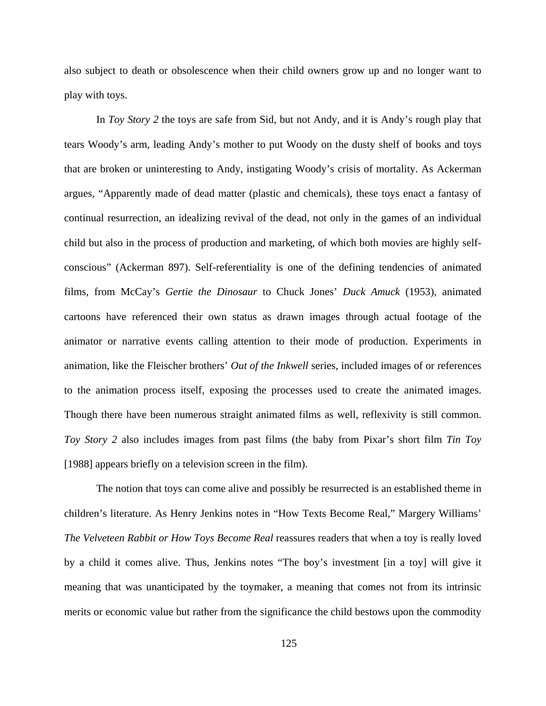also subject to death or obsolescence when their child owners grow up and no longer want to play with toys.

In *Toy Story 2* the toys are safe from Sid, but not Andy, and it is Andy's rough play that tears Woody's arm, leading Andy's mother to put Woody on the dusty shelf of books and toys that are broken or uninteresting to Andy, instigating Woody's crisis of mortality. As Ackerman argues, "Apparently made of dead matter (plastic and chemicals), these toys enact a fantasy of continual resurrection, an idealizing revival of the dead, not only in the games of an individual child but also in the process of production and marketing, of which both movies are highly selfconscious" (Ackerman 897). Self-referentiality is one of the defining tendencies of animated films, from McCay's *Gertie the Dinosaur* to Chuck Jones' *Duck Amuck* (1953), animated cartoons have referenced their own status as drawn images through actual footage of the animator or narrative events calling attention to their mode of production. Experiments in animation, like the Fleischer brothers' *Out of the Inkwell* series, included images of or references to the animation process itself, exposing the processes used to create the animated images. Though there have been numerous straight animated films as well, reflexivity is still common. *Toy Story 2* also includes images from past films (the baby from Pixar's short film *Tin Toy* [1988] appears briefly on a television screen in the film).

The notion that toys can come alive and possibly be resurrected is an established theme in children's literature. As Henry Jenkins notes in "How Texts Become Real," Margery Williams' *The Velveteen Rabbit or How Toys Become Real reassures readers that when a toy is really loved* by a child it comes alive. Thus, Jenkins notes "The boy's investment [in a toy] will give it meaning that was unanticipated by the toymaker, a meaning that comes not from its intrinsic merits or economic value but rather from the significance the child bestows upon the commodity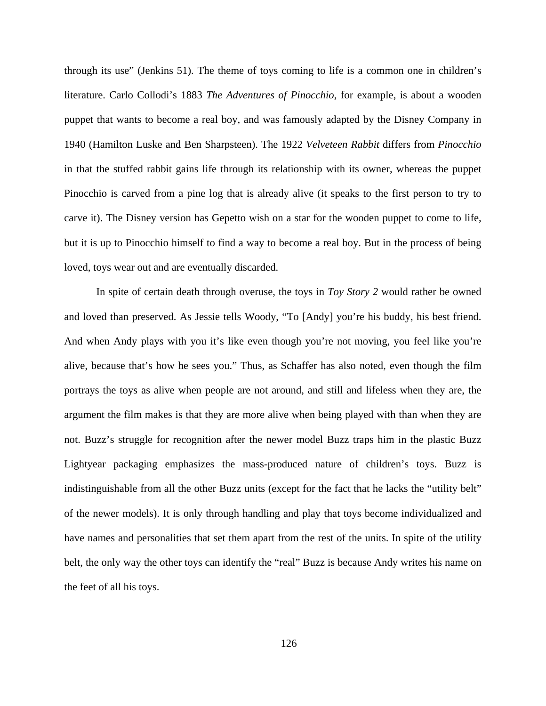through its use" (Jenkins 51). The theme of toys coming to life is a common one in children's literature. Carlo Collodi's 1883 *The Adventures of Pinocchio*, for example, is about a wooden puppet that wants to become a real boy, and was famously adapted by the Disney Company in 1940 (Hamilton Luske and Ben Sharpsteen). The 1922 *Velveteen Rabbit* differs from *Pinocchio* in that the stuffed rabbit gains life through its relationship with its owner, whereas the puppet Pinocchio is carved from a pine log that is already alive (it speaks to the first person to try to carve it). The Disney version has Gepetto wish on a star for the wooden puppet to come to life, but it is up to Pinocchio himself to find a way to become a real boy. But in the process of being loved, toys wear out and are eventually discarded.

In spite of certain death through overuse, the toys in *Toy Story 2* would rather be owned and loved than preserved. As Jessie tells Woody, "To [Andy] you're his buddy, his best friend. And when Andy plays with you it's like even though you're not moving, you feel like you're alive, because that's how he sees you." Thus, as Schaffer has also noted, even though the film portrays the toys as alive when people are not around, and still and lifeless when they are, the argument the film makes is that they are more alive when being played with than when they are not. Buzz's struggle for recognition after the newer model Buzz traps him in the plastic Buzz Lightyear packaging emphasizes the mass-produced nature of children's toys. Buzz is indistinguishable from all the other Buzz units (except for the fact that he lacks the "utility belt" of the newer models). It is only through handling and play that toys become individualized and have names and personalities that set them apart from the rest of the units. In spite of the utility belt, the only way the other toys can identify the "real" Buzz is because Andy writes his name on the feet of all his toys.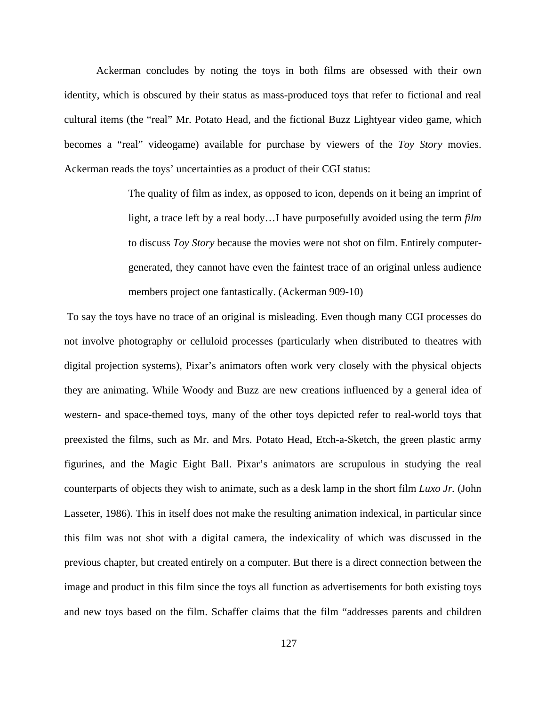Ackerman concludes by noting the toys in both films are obsessed with their own identity, which is obscured by their status as mass-produced toys that refer to fictional and real cultural items (the "real" Mr. Potato Head, and the fictional Buzz Lightyear video game, which becomes a "real" videogame) available for purchase by viewers of the *Toy Story* movies. Ackerman reads the toys' uncertainties as a product of their CGI status:

> The quality of film as index, as opposed to icon, depends on it being an imprint of light, a trace left by a real body…I have purposefully avoided using the term *film* to discuss *Toy Story* because the movies were not shot on film. Entirely computergenerated, they cannot have even the faintest trace of an original unless audience members project one fantastically. (Ackerman 909-10)

 To say the toys have no trace of an original is misleading. Even though many CGI processes do not involve photography or celluloid processes (particularly when distributed to theatres with digital projection systems), Pixar's animators often work very closely with the physical objects they are animating. While Woody and Buzz are new creations influenced by a general idea of western- and space-themed toys, many of the other toys depicted refer to real-world toys that preexisted the films, such as Mr. and Mrs. Potato Head, Etch-a-Sketch, the green plastic army figurines, and the Magic Eight Ball. Pixar's animators are scrupulous in studying the real counterparts of objects they wish to animate, such as a desk lamp in the short film *Luxo Jr.* (John Lasseter, 1986). This in itself does not make the resulting animation indexical, in particular since this film was not shot with a digital camera, the indexicality of which was discussed in the previous chapter, but created entirely on a computer. But there is a direct connection between the image and product in this film since the toys all function as advertisements for both existing toys and new toys based on the film. Schaffer claims that the film "addresses parents and children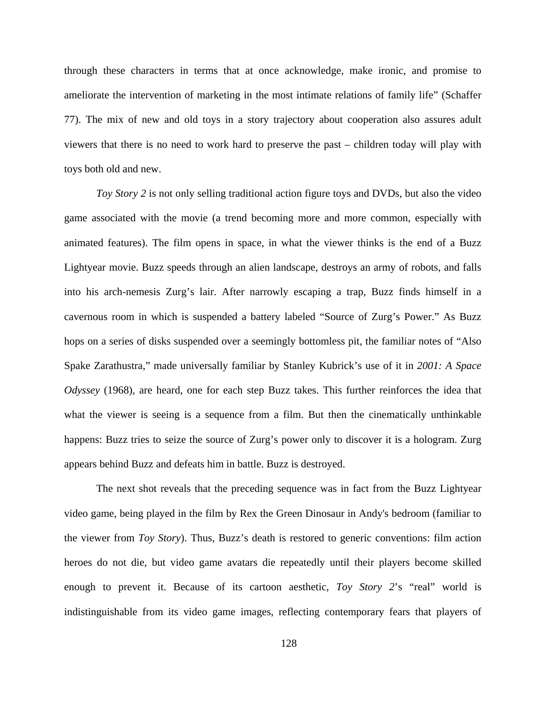through these characters in terms that at once acknowledge, make ironic, and promise to ameliorate the intervention of marketing in the most intimate relations of family life" (Schaffer 77). The mix of new and old toys in a story trajectory about cooperation also assures adult viewers that there is no need to work hard to preserve the past – children today will play with toys both old and new.

*Toy Story 2* is not only selling traditional action figure toys and DVDs, but also the video game associated with the movie (a trend becoming more and more common, especially with animated features). The film opens in space, in what the viewer thinks is the end of a Buzz Lightyear movie. Buzz speeds through an alien landscape, destroys an army of robots, and falls into his arch-nemesis Zurg's lair. After narrowly escaping a trap, Buzz finds himself in a cavernous room in which is suspended a battery labeled "Source of Zurg's Power." As Buzz hops on a series of disks suspended over a seemingly bottomless pit, the familiar notes of "Also Spake Zarathustra," made universally familiar by Stanley Kubrick's use of it in *2001: A Space Odyssey* (1968)*,* are heard, one for each step Buzz takes. This further reinforces the idea that what the viewer is seeing is a sequence from a film. But then the cinematically unthinkable happens: Buzz tries to seize the source of Zurg's power only to discover it is a hologram. Zurg appears behind Buzz and defeats him in battle. Buzz is destroyed.

The next shot reveals that the preceding sequence was in fact from the Buzz Lightyear video game, being played in the film by Rex the Green Dinosaur in Andy's bedroom (familiar to the viewer from *Toy Story*). Thus, Buzz's death is restored to generic conventions: film action heroes do not die, but video game avatars die repeatedly until their players become skilled enough to prevent it. Because of its cartoon aesthetic, *Toy Story 2*'s "real" world is indistinguishable from its video game images, reflecting contemporary fears that players of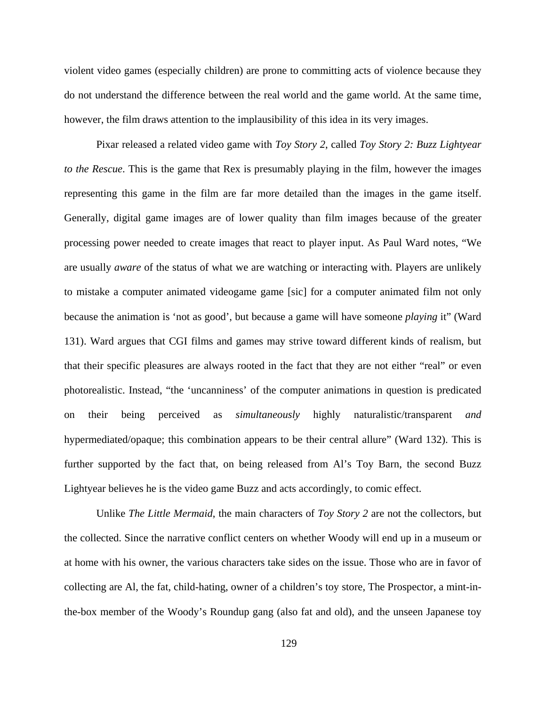violent video games (especially children) are prone to committing acts of violence because they do not understand the difference between the real world and the game world. At the same time, however, the film draws attention to the implausibility of this idea in its very images.

Pixar released a related video game with *Toy Story 2*, called *Toy Story 2: Buzz Lightyear to the Rescue*. This is the game that Rex is presumably playing in the film, however the images representing this game in the film are far more detailed than the images in the game itself. Generally, digital game images are of lower quality than film images because of the greater processing power needed to create images that react to player input. As Paul Ward notes, "We are usually *aware* of the status of what we are watching or interacting with. Players are unlikely to mistake a computer animated videogame game [sic] for a computer animated film not only because the animation is 'not as good', but because a game will have someone *playing* it" (Ward 131). Ward argues that CGI films and games may strive toward different kinds of realism, but that their specific pleasures are always rooted in the fact that they are not either "real" or even photorealistic. Instead, "the 'uncanniness' of the computer animations in question is predicated on their being perceived as *simultaneously* highly naturalistic/transparent *and* hypermediated/opaque; this combination appears to be their central allure" (Ward 132). This is further supported by the fact that, on being released from Al's Toy Barn, the second Buzz Lightyear believes he is the video game Buzz and acts accordingly, to comic effect.

Unlike *The Little Mermaid*, the main characters of *Toy Story 2* are not the collectors, but the collected. Since the narrative conflict centers on whether Woody will end up in a museum or at home with his owner, the various characters take sides on the issue. Those who are in favor of collecting are Al, the fat, child-hating, owner of a children's toy store, The Prospector, a mint-inthe-box member of the Woody's Roundup gang (also fat and old), and the unseen Japanese toy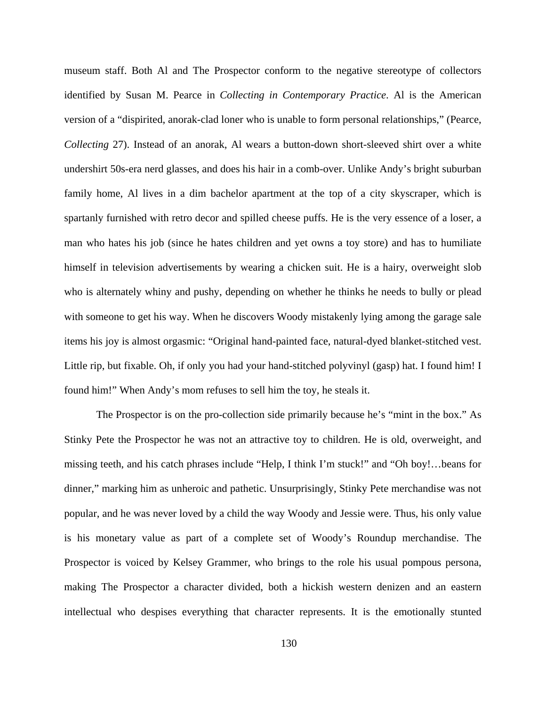museum staff. Both Al and The Prospector conform to the negative stereotype of collectors identified by Susan M. Pearce in *Collecting in Contemporary Practice*. Al is the American version of a "dispirited, anorak-clad loner who is unable to form personal relationships," (Pearce, *Collecting* 27). Instead of an anorak, Al wears a button-down short-sleeved shirt over a white undershirt 50s-era nerd glasses, and does his hair in a comb-over. Unlike Andy's bright suburban family home, Al lives in a dim bachelor apartment at the top of a city skyscraper, which is spartanly furnished with retro decor and spilled cheese puffs. He is the very essence of a loser, a man who hates his job (since he hates children and yet owns a toy store) and has to humiliate himself in television advertisements by wearing a chicken suit. He is a hairy, overweight slob who is alternately whiny and pushy, depending on whether he thinks he needs to bully or plead with someone to get his way. When he discovers Woody mistakenly lying among the garage sale items his joy is almost orgasmic: "Original hand-painted face, natural-dyed blanket-stitched vest. Little rip, but fixable. Oh, if only you had your hand-stitched polyvinyl (gasp) hat. I found him! I found him!" When Andy's mom refuses to sell him the toy, he steals it.

The Prospector is on the pro-collection side primarily because he's "mint in the box." As Stinky Pete the Prospector he was not an attractive toy to children. He is old, overweight, and missing teeth, and his catch phrases include "Help, I think I'm stuck!" and "Oh boy!…beans for dinner," marking him as unheroic and pathetic. Unsurprisingly, Stinky Pete merchandise was not popular, and he was never loved by a child the way Woody and Jessie were. Thus, his only value is his monetary value as part of a complete set of Woody's Roundup merchandise. The Prospector is voiced by Kelsey Grammer, who brings to the role his usual pompous persona, making The Prospector a character divided, both a hickish western denizen and an eastern intellectual who despises everything that character represents. It is the emotionally stunted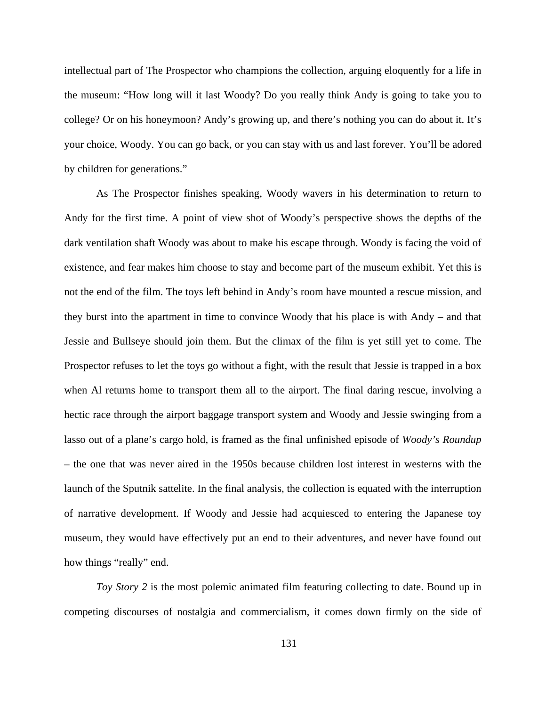intellectual part of The Prospector who champions the collection, arguing eloquently for a life in the museum: "How long will it last Woody? Do you really think Andy is going to take you to college? Or on his honeymoon? Andy's growing up, and there's nothing you can do about it. It's your choice, Woody. You can go back, or you can stay with us and last forever. You'll be adored by children for generations."

As The Prospector finishes speaking, Woody wavers in his determination to return to Andy for the first time. A point of view shot of Woody's perspective shows the depths of the dark ventilation shaft Woody was about to make his escape through. Woody is facing the void of existence, and fear makes him choose to stay and become part of the museum exhibit. Yet this is not the end of the film. The toys left behind in Andy's room have mounted a rescue mission, and they burst into the apartment in time to convince Woody that his place is with Andy – and that Jessie and Bullseye should join them. But the climax of the film is yet still yet to come. The Prospector refuses to let the toys go without a fight, with the result that Jessie is trapped in a box when Al returns home to transport them all to the airport. The final daring rescue, involving a hectic race through the airport baggage transport system and Woody and Jessie swinging from a lasso out of a plane's cargo hold, is framed as the final unfinished episode of *Woody's Roundup* – the one that was never aired in the 1950s because children lost interest in westerns with the launch of the Sputnik sattelite. In the final analysis, the collection is equated with the interruption of narrative development. If Woody and Jessie had acquiesced to entering the Japanese toy museum, they would have effectively put an end to their adventures, and never have found out how things "really" end.

*Toy Story 2* is the most polemic animated film featuring collecting to date. Bound up in competing discourses of nostalgia and commercialism, it comes down firmly on the side of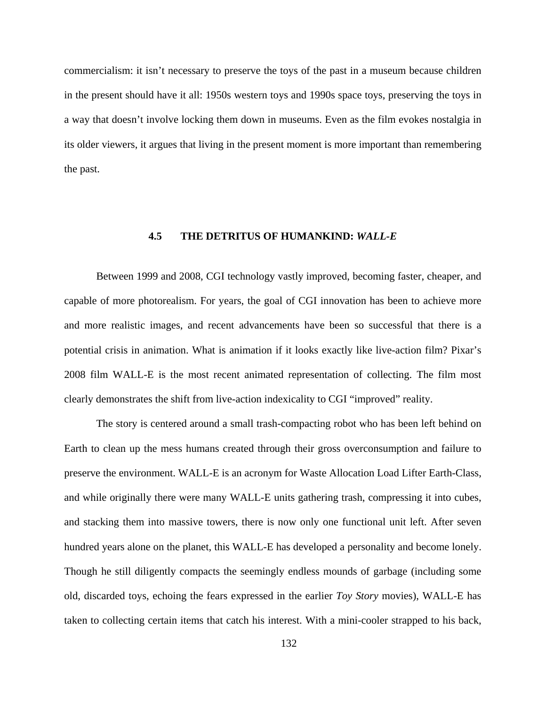commercialism: it isn't necessary to preserve the toys of the past in a museum because children in the present should have it all: 1950s western toys and 1990s space toys, preserving the toys in a way that doesn't involve locking them down in museums. Even as the film evokes nostalgia in its older viewers, it argues that living in the present moment is more important than remembering the past.

## **4.5 THE DETRITUS OF HUMANKIND:** *WALL-E*

Between 1999 and 2008, CGI technology vastly improved, becoming faster, cheaper, and capable of more photorealism. For years, the goal of CGI innovation has been to achieve more and more realistic images, and recent advancements have been so successful that there is a potential crisis in animation. What is animation if it looks exactly like live-action film? Pixar's 2008 film WALL-E is the most recent animated representation of collecting. The film most clearly demonstrates the shift from live-action indexicality to CGI "improved" reality.

The story is centered around a small trash-compacting robot who has been left behind on Earth to clean up the mess humans created through their gross overconsumption and failure to preserve the environment. WALL-E is an acronym for Waste Allocation Load Lifter Earth-Class, and while originally there were many WALL-E units gathering trash, compressing it into cubes, and stacking them into massive towers, there is now only one functional unit left. After seven hundred years alone on the planet, this WALL-E has developed a personality and become lonely. Though he still diligently compacts the seemingly endless mounds of garbage (including some old, discarded toys, echoing the fears expressed in the earlier *Toy Story* movies), WALL-E has taken to collecting certain items that catch his interest. With a mini-cooler strapped to his back,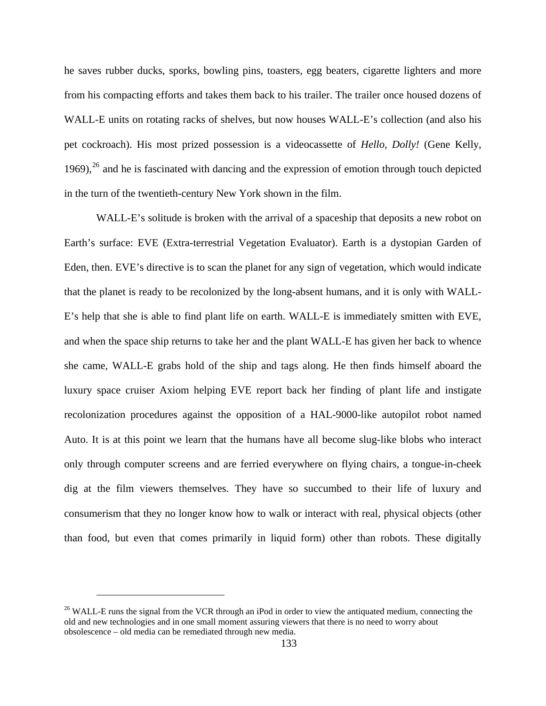he saves rubber ducks, sporks, bowling pins, toasters, egg beaters, cigarette lighters and more from his compacting efforts and takes them back to his trailer. The trailer once housed dozens of WALL-E units on rotating racks of shelves, but now houses WALL-E's collection (and also his pet cockroach). His most prized possession is a videocassette of *Hello, Dolly!* (Gene Kelly, 1969),  $^{26}$  $^{26}$  $^{26}$  and he is fascinated with dancing and the expression of emotion through touch depicted in the turn of the twentieth-century New York shown in the film.

WALL-E's solitude is broken with the arrival of a spaceship that deposits a new robot on Earth's surface: EVE (Extra-terrestrial Vegetation Evaluator). Earth is a dystopian Garden of Eden, then. EVE's directive is to scan the planet for any sign of vegetation, which would indicate that the planet is ready to be recolonized by the long-absent humans, and it is only with WALL-E's help that she is able to find plant life on earth. WALL-E is immediately smitten with EVE, and when the space ship returns to take her and the plant WALL-E has given her back to whence she came, WALL-E grabs hold of the ship and tags along. He then finds himself aboard the luxury space cruiser Axiom helping EVE report back her finding of plant life and instigate recolonization procedures against the opposition of a HAL-9000-like autopilot robot named Auto. It is at this point we learn that the humans have all become slug-like blobs who interact only through computer screens and are ferried everywhere on flying chairs, a tongue-in-cheek dig at the film viewers themselves. They have so succumbed to their life of luxury and consumerism that they no longer know how to walk or interact with real, physical objects (other than food, but even that comes primarily in liquid form) other than robots. These digitally

<u>.</u>

<span id="page-141-0"></span><sup>&</sup>lt;sup>26</sup> WALL-E runs the signal from the VCR through an iPod in order to view the antiquated medium, connecting the old and new technologies and in one small moment assuring viewers that there is no need to worry about obsolescence – old media can be remediated through new media.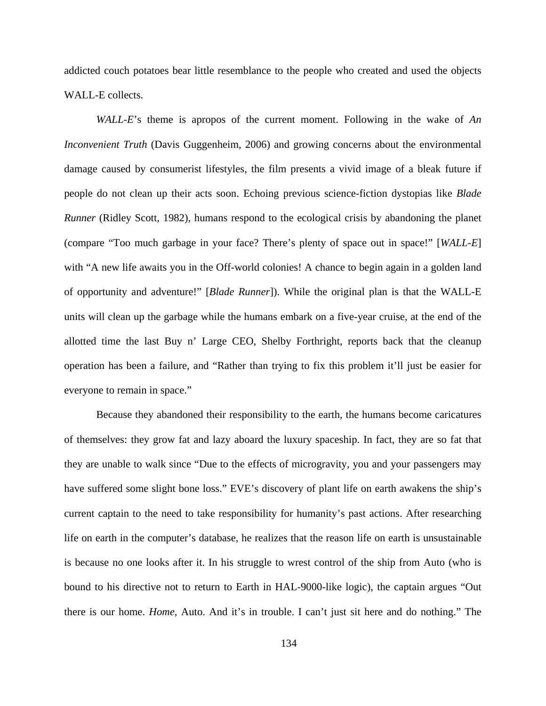addicted couch potatoes bear little resemblance to the people who created and used the objects WALL-E collects.

*WALL-E*'s theme is apropos of the current moment. Following in the wake of *An Inconvenient Truth* (Davis Guggenheim, 2006) and growing concerns about the environmental damage caused by consumerist lifestyles, the film presents a vivid image of a bleak future if people do not clean up their acts soon. Echoing previous science-fiction dystopias like *Blade Runner* (Ridley Scott, 1982), humans respond to the ecological crisis by abandoning the planet (compare "Too much garbage in your face? There's plenty of space out in space!" [*WALL-E*] with "A new life awaits you in the Off-world colonies! A chance to begin again in a golden land of opportunity and adventure!" [*Blade Runner*]). While the original plan is that the WALL-E units will clean up the garbage while the humans embark on a five-year cruise, at the end of the allotted time the last Buy n' Large CEO, Shelby Forthright, reports back that the cleanup operation has been a failure, and "Rather than trying to fix this problem it'll just be easier for everyone to remain in space."

Because they abandoned their responsibility to the earth, the humans become caricatures of themselves: they grow fat and lazy aboard the luxury spaceship. In fact, they are so fat that they are unable to walk since "Due to the effects of microgravity, you and your passengers may have suffered some slight bone loss." EVE's discovery of plant life on earth awakens the ship's current captain to the need to take responsibility for humanity's past actions. After researching life on earth in the computer's database, he realizes that the reason life on earth is unsustainable is because no one looks after it. In his struggle to wrest control of the ship from Auto (who is bound to his directive not to return to Earth in HAL-9000-like logic), the captain argues "Out there is our home. *Home*, Auto. And it's in trouble. I can't just sit here and do nothing." The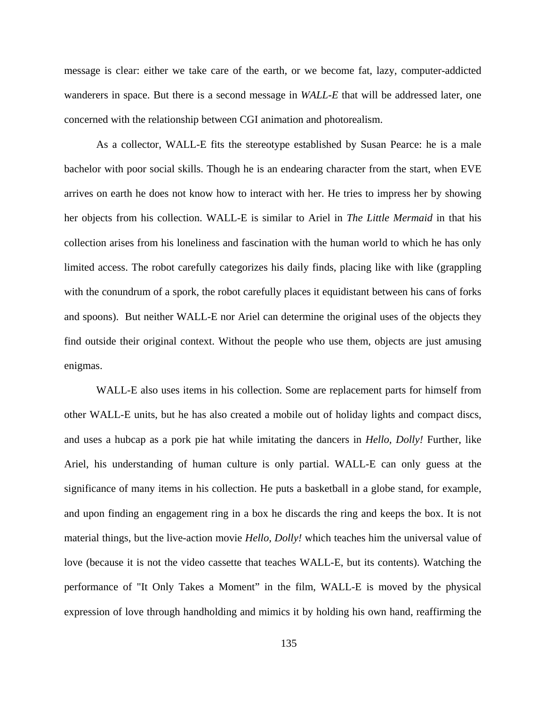message is clear: either we take care of the earth, or we become fat, lazy, computer-addicted wanderers in space. But there is a second message in *WALL-E* that will be addressed later, one concerned with the relationship between CGI animation and photorealism.

As a collector, WALL-E fits the stereotype established by Susan Pearce: he is a male bachelor with poor social skills. Though he is an endearing character from the start, when EVE arrives on earth he does not know how to interact with her. He tries to impress her by showing her objects from his collection. WALL-E is similar to Ariel in *The Little Mermaid* in that his collection arises from his loneliness and fascination with the human world to which he has only limited access. The robot carefully categorizes his daily finds, placing like with like (grappling with the conundrum of a spork, the robot carefully places it equidistant between his cans of forks and spoons). But neither WALL-E nor Ariel can determine the original uses of the objects they find outside their original context. Without the people who use them, objects are just amusing enigmas.

WALL-E also uses items in his collection. Some are replacement parts for himself from other WALL-E units, but he has also created a mobile out of holiday lights and compact discs, and uses a hubcap as a pork pie hat while imitating the dancers in *Hello, Dolly!* Further, like Ariel, his understanding of human culture is only partial. WALL-E can only guess at the significance of many items in his collection. He puts a basketball in a globe stand, for example, and upon finding an engagement ring in a box he discards the ring and keeps the box. It is not material things, but the live-action movie *Hello, Dolly!* which teaches him the universal value of love (because it is not the video cassette that teaches WALL-E, but its contents). Watching the performance of "It Only Takes a Moment" in the film, WALL-E is moved by the physical expression of love through handholding and mimics it by holding his own hand, reaffirming the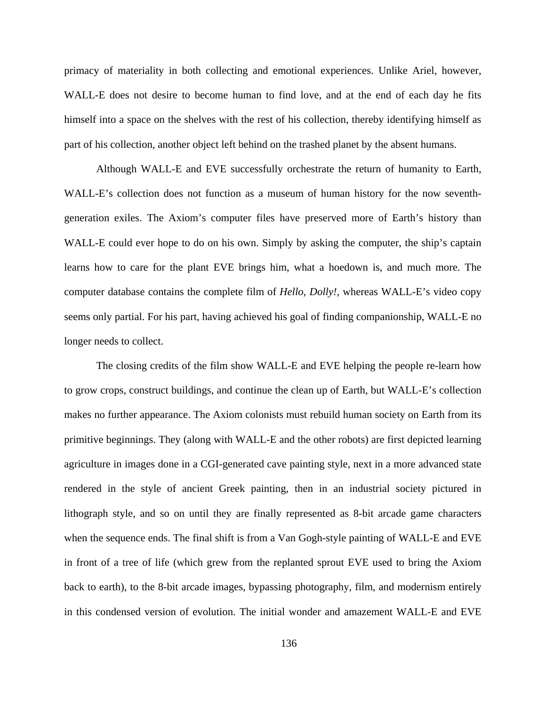primacy of materiality in both collecting and emotional experiences. Unlike Ariel, however, WALL-E does not desire to become human to find love, and at the end of each day he fits himself into a space on the shelves with the rest of his collection, thereby identifying himself as part of his collection, another object left behind on the trashed planet by the absent humans.

Although WALL-E and EVE successfully orchestrate the return of humanity to Earth, WALL-E's collection does not function as a museum of human history for the now seventhgeneration exiles. The Axiom's computer files have preserved more of Earth's history than WALL-E could ever hope to do on his own. Simply by asking the computer, the ship's captain learns how to care for the plant EVE brings him, what a hoedown is, and much more. The computer database contains the complete film of *Hello, Dolly!,* whereas WALL-E's video copy seems only partial. For his part, having achieved his goal of finding companionship, WALL-E no longer needs to collect.

The closing credits of the film show WALL-E and EVE helping the people re-learn how to grow crops, construct buildings, and continue the clean up of Earth, but WALL-E's collection makes no further appearance. The Axiom colonists must rebuild human society on Earth from its primitive beginnings. They (along with WALL-E and the other robots) are first depicted learning agriculture in images done in a CGI-generated cave painting style, next in a more advanced state rendered in the style of ancient Greek painting, then in an industrial society pictured in lithograph style, and so on until they are finally represented as 8-bit arcade game characters when the sequence ends. The final shift is from a Van Gogh-style painting of WALL-E and EVE in front of a tree of life (which grew from the replanted sprout EVE used to bring the Axiom back to earth), to the 8-bit arcade images, bypassing photography, film, and modernism entirely in this condensed version of evolution. The initial wonder and amazement WALL-E and EVE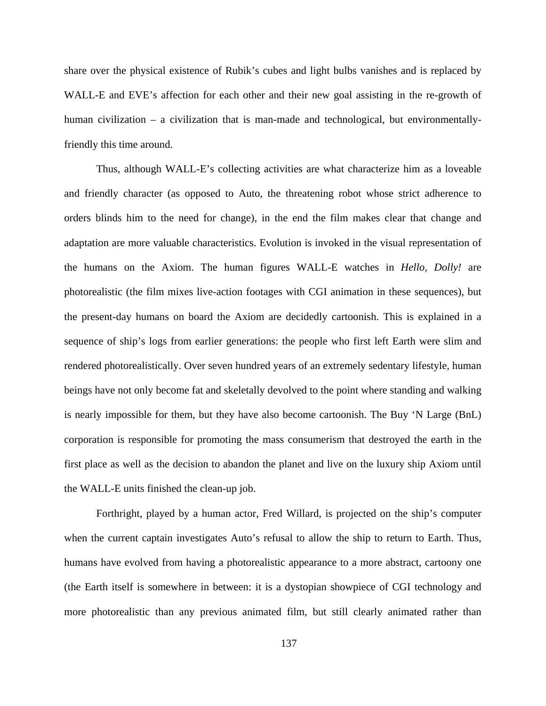share over the physical existence of Rubik's cubes and light bulbs vanishes and is replaced by WALL-E and EVE's affection for each other and their new goal assisting in the re-growth of human civilization – a civilization that is man-made and technological, but environmentallyfriendly this time around.

Thus, although WALL-E's collecting activities are what characterize him as a loveable and friendly character (as opposed to Auto, the threatening robot whose strict adherence to orders blinds him to the need for change), in the end the film makes clear that change and adaptation are more valuable characteristics. Evolution is invoked in the visual representation of the humans on the Axiom. The human figures WALL-E watches in *Hello, Dolly!* are photorealistic (the film mixes live-action footages with CGI animation in these sequences), but the present-day humans on board the Axiom are decidedly cartoonish. This is explained in a sequence of ship's logs from earlier generations: the people who first left Earth were slim and rendered photorealistically. Over seven hundred years of an extremely sedentary lifestyle, human beings have not only become fat and skeletally devolved to the point where standing and walking is nearly impossible for them, but they have also become cartoonish. The Buy 'N Large (BnL) corporation is responsible for promoting the mass consumerism that destroyed the earth in the first place as well as the decision to abandon the planet and live on the luxury ship Axiom until the WALL-E units finished the clean-up job.

Forthright, played by a human actor, Fred Willard, is projected on the ship's computer when the current captain investigates Auto's refusal to allow the ship to return to Earth. Thus, humans have evolved from having a photorealistic appearance to a more abstract, cartoony one (the Earth itself is somewhere in between: it is a dystopian showpiece of CGI technology and more photorealistic than any previous animated film, but still clearly animated rather than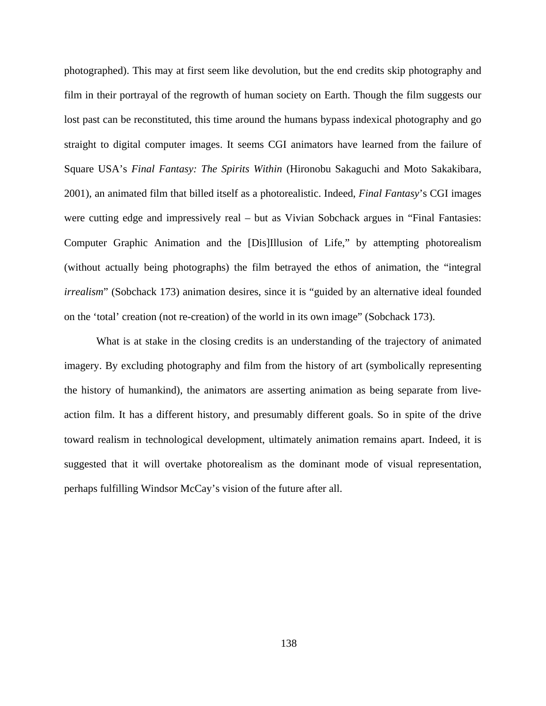photographed). This may at first seem like devolution, but the end credits skip photography and film in their portrayal of the regrowth of human society on Earth. Though the film suggests our lost past can be reconstituted, this time around the humans bypass indexical photography and go straight to digital computer images. It seems CGI animators have learned from the failure of Square USA's *Final Fantasy: The Spirits Within* (Hironobu Sakaguchi and Moto Sakakibara, 2001), an animated film that billed itself as a photorealistic. Indeed, *Final Fantasy*'s CGI images were cutting edge and impressively real – but as Vivian Sobchack argues in "Final Fantasies: Computer Graphic Animation and the [Dis]Illusion of Life," by attempting photorealism (without actually being photographs) the film betrayed the ethos of animation, the "integral *irrealism*" (Sobchack 173) animation desires, since it is "guided by an alternative ideal founded on the 'total' creation (not re-creation) of the world in its own image" (Sobchack 173).

What is at stake in the closing credits is an understanding of the trajectory of animated imagery. By excluding photography and film from the history of art (symbolically representing the history of humankind), the animators are asserting animation as being separate from liveaction film. It has a different history, and presumably different goals. So in spite of the drive toward realism in technological development, ultimately animation remains apart. Indeed, it is suggested that it will overtake photorealism as the dominant mode of visual representation, perhaps fulfilling Windsor McCay's vision of the future after all.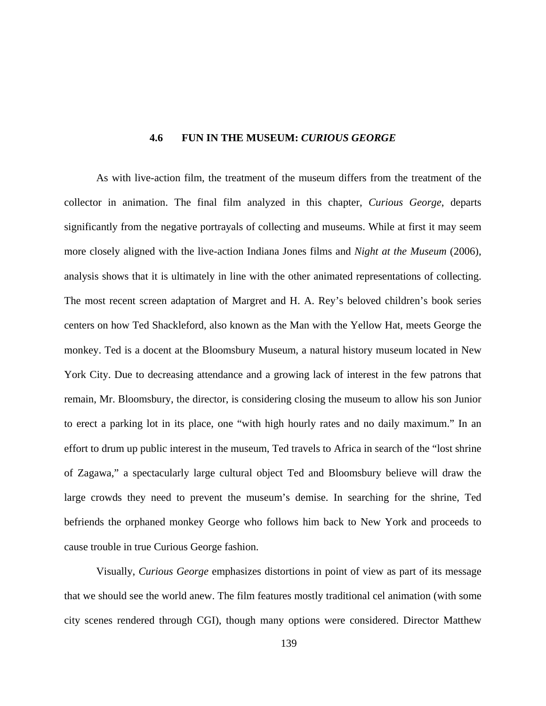### **4.6 FUN IN THE MUSEUM:** *CURIOUS GEORGE*

As with live-action film, the treatment of the museum differs from the treatment of the collector in animation. The final film analyzed in this chapter, *Curious George*, departs significantly from the negative portrayals of collecting and museums. While at first it may seem more closely aligned with the live-action Indiana Jones films and *Night at the Museum* (2006), analysis shows that it is ultimately in line with the other animated representations of collecting. The most recent screen adaptation of Margret and H. A. Rey's beloved children's book series centers on how Ted Shackleford, also known as the Man with the Yellow Hat, meets George the monkey. Ted is a docent at the Bloomsbury Museum, a natural history museum located in New York City. Due to decreasing attendance and a growing lack of interest in the few patrons that remain, Mr. Bloomsbury, the director, is considering closing the museum to allow his son Junior to erect a parking lot in its place, one "with high hourly rates and no daily maximum." In an effort to drum up public interest in the museum, Ted travels to Africa in search of the "lost shrine of Zagawa," a spectacularly large cultural object Ted and Bloomsbury believe will draw the large crowds they need to prevent the museum's demise. In searching for the shrine, Ted befriends the orphaned monkey George who follows him back to New York and proceeds to cause trouble in true Curious George fashion.

Visually, *Curious George* emphasizes distortions in point of view as part of its message that we should see the world anew. The film features mostly traditional cel animation (with some city scenes rendered through CGI), though many options were considered. Director Matthew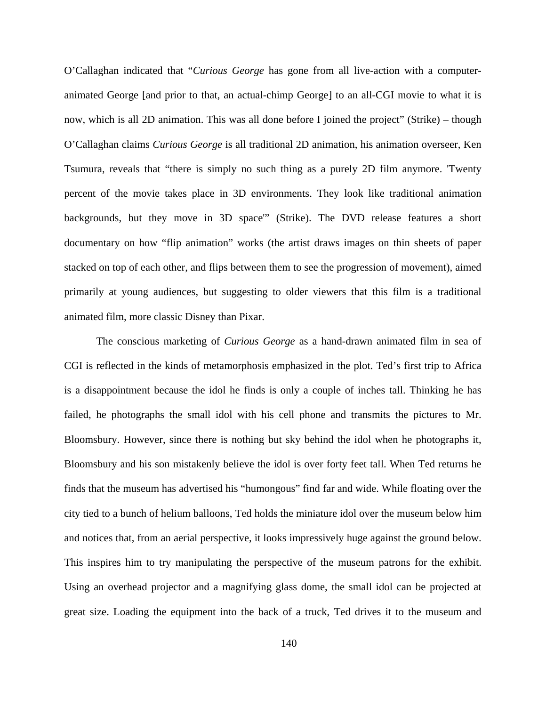O'Callaghan indicated that "*Curious George* has gone from all live-action with a computeranimated George [and prior to that, an actual-chimp George] to an all-CGI movie to what it is now, which is all 2D animation. This was all done before I joined the project" (Strike) – though O'Callaghan claims *Curious George* is all traditional 2D animation, his animation overseer, Ken Tsumura, reveals that "there is simply no such thing as a purely 2D film anymore. 'Twenty percent of the movie takes place in 3D environments. They look like traditional animation backgrounds, but they move in 3D space'" (Strike). The DVD release features a short documentary on how "flip animation" works (the artist draws images on thin sheets of paper stacked on top of each other, and flips between them to see the progression of movement), aimed primarily at young audiences, but suggesting to older viewers that this film is a traditional animated film, more classic Disney than Pixar.

The conscious marketing of *Curious George* as a hand-drawn animated film in sea of CGI is reflected in the kinds of metamorphosis emphasized in the plot. Ted's first trip to Africa is a disappointment because the idol he finds is only a couple of inches tall. Thinking he has failed, he photographs the small idol with his cell phone and transmits the pictures to Mr. Bloomsbury. However, since there is nothing but sky behind the idol when he photographs it, Bloomsbury and his son mistakenly believe the idol is over forty feet tall. When Ted returns he finds that the museum has advertised his "humongous" find far and wide. While floating over the city tied to a bunch of helium balloons, Ted holds the miniature idol over the museum below him and notices that, from an aerial perspective, it looks impressively huge against the ground below. This inspires him to try manipulating the perspective of the museum patrons for the exhibit. Using an overhead projector and a magnifying glass dome, the small idol can be projected at great size. Loading the equipment into the back of a truck, Ted drives it to the museum and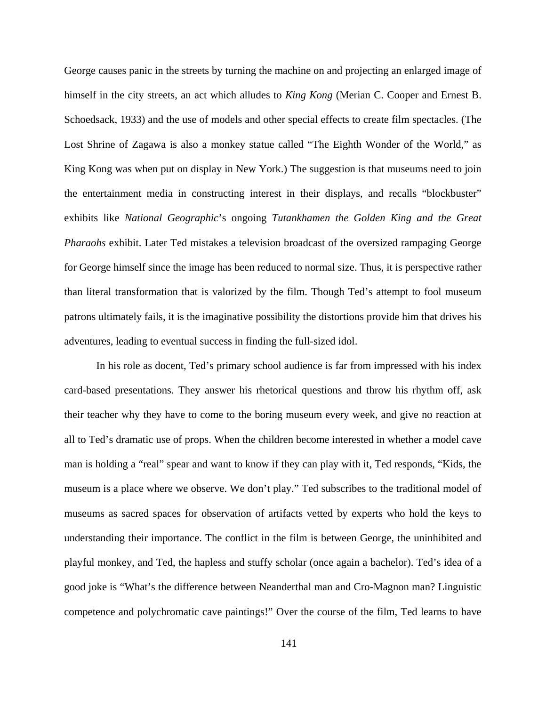George causes panic in the streets by turning the machine on and projecting an enlarged image of himself in the city streets, an act which alludes to *King Kong* (Merian C. Cooper and Ernest B. Schoedsack, 1933) and the use of models and other special effects to create film spectacles. (The Lost Shrine of Zagawa is also a monkey statue called "The Eighth Wonder of the World," as King Kong was when put on display in New York.) The suggestion is that museums need to join the entertainment media in constructing interest in their displays, and recalls "blockbuster" exhibits like *National Geographic*'s ongoing *Tutankhamen the Golden King and the Great Pharaohs* exhibit. Later Ted mistakes a television broadcast of the oversized rampaging George for George himself since the image has been reduced to normal size. Thus, it is perspective rather than literal transformation that is valorized by the film. Though Ted's attempt to fool museum patrons ultimately fails, it is the imaginative possibility the distortions provide him that drives his adventures, leading to eventual success in finding the full-sized idol.

In his role as docent, Ted's primary school audience is far from impressed with his index card-based presentations. They answer his rhetorical questions and throw his rhythm off, ask their teacher why they have to come to the boring museum every week, and give no reaction at all to Ted's dramatic use of props. When the children become interested in whether a model cave man is holding a "real" spear and want to know if they can play with it, Ted responds, "Kids, the museum is a place where we observe. We don't play." Ted subscribes to the traditional model of museums as sacred spaces for observation of artifacts vetted by experts who hold the keys to understanding their importance. The conflict in the film is between George, the uninhibited and playful monkey, and Ted, the hapless and stuffy scholar (once again a bachelor). Ted's idea of a good joke is "What's the difference between Neanderthal man and Cro-Magnon man? Linguistic competence and polychromatic cave paintings!" Over the course of the film, Ted learns to have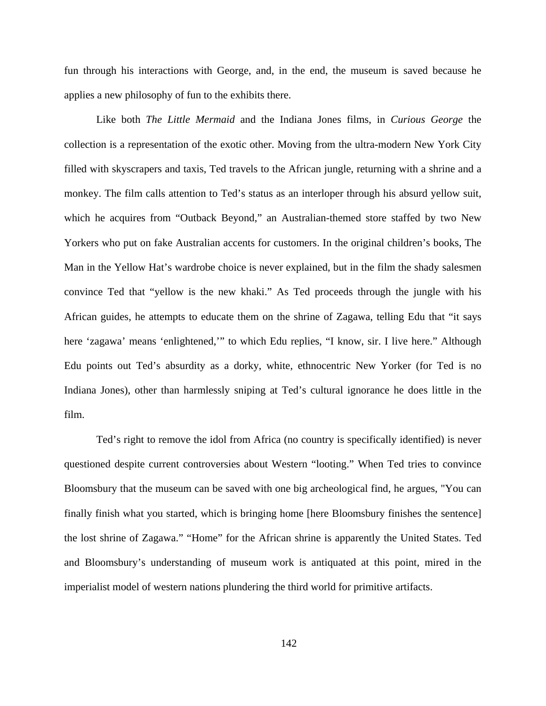fun through his interactions with George, and, in the end, the museum is saved because he applies a new philosophy of fun to the exhibits there.

Like both *The Little Mermaid* and the Indiana Jones films, in *Curious George* the collection is a representation of the exotic other. Moving from the ultra-modern New York City filled with skyscrapers and taxis, Ted travels to the African jungle, returning with a shrine and a monkey. The film calls attention to Ted's status as an interloper through his absurd yellow suit, which he acquires from "Outback Beyond," an Australian-themed store staffed by two New Yorkers who put on fake Australian accents for customers. In the original children's books, The Man in the Yellow Hat's wardrobe choice is never explained, but in the film the shady salesmen convince Ted that "yellow is the new khaki." As Ted proceeds through the jungle with his African guides, he attempts to educate them on the shrine of Zagawa, telling Edu that "it says here 'zagawa' means 'enlightened,'" to which Edu replies, "I know, sir. I live here." Although Edu points out Ted's absurdity as a dorky, white, ethnocentric New Yorker (for Ted is no Indiana Jones), other than harmlessly sniping at Ted's cultural ignorance he does little in the film.

Ted's right to remove the idol from Africa (no country is specifically identified) is never questioned despite current controversies about Western "looting." When Ted tries to convince Bloomsbury that the museum can be saved with one big archeological find, he argues, "You can finally finish what you started, which is bringing home [here Bloomsbury finishes the sentence] the lost shrine of Zagawa." "Home" for the African shrine is apparently the United States. Ted and Bloomsbury's understanding of museum work is antiquated at this point, mired in the imperialist model of western nations plundering the third world for primitive artifacts.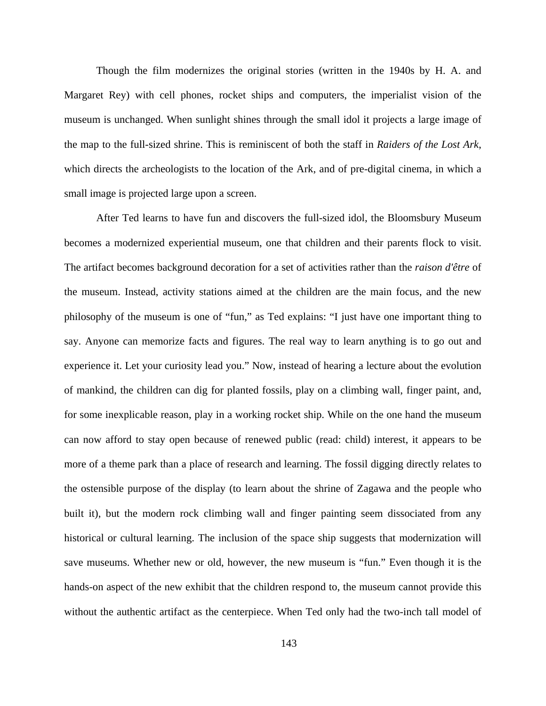Though the film modernizes the original stories (written in the 1940s by H. A. and Margaret Rey) with cell phones, rocket ships and computers, the imperialist vision of the museum is unchanged. When sunlight shines through the small idol it projects a large image of the map to the full-sized shrine. This is reminiscent of both the staff in *Raiders of the Lost Ark*, which directs the archeologists to the location of the Ark, and of pre-digital cinema, in which a small image is projected large upon a screen.

After Ted learns to have fun and discovers the full-sized idol, the Bloomsbury Museum becomes a modernized experiential museum, one that children and their parents flock to visit. The artifact becomes background decoration for a set of activities rather than the *raison d'être* of the museum. Instead, activity stations aimed at the children are the main focus, and the new philosophy of the museum is one of "fun," as Ted explains: "I just have one important thing to say. Anyone can memorize facts and figures. The real way to learn anything is to go out and experience it. Let your curiosity lead you." Now, instead of hearing a lecture about the evolution of mankind, the children can dig for planted fossils, play on a climbing wall, finger paint, and, for some inexplicable reason, play in a working rocket ship. While on the one hand the museum can now afford to stay open because of renewed public (read: child) interest, it appears to be more of a theme park than a place of research and learning. The fossil digging directly relates to the ostensible purpose of the display (to learn about the shrine of Zagawa and the people who built it), but the modern rock climbing wall and finger painting seem dissociated from any historical or cultural learning. The inclusion of the space ship suggests that modernization will save museums. Whether new or old, however, the new museum is "fun." Even though it is the hands-on aspect of the new exhibit that the children respond to, the museum cannot provide this without the authentic artifact as the centerpiece. When Ted only had the two-inch tall model of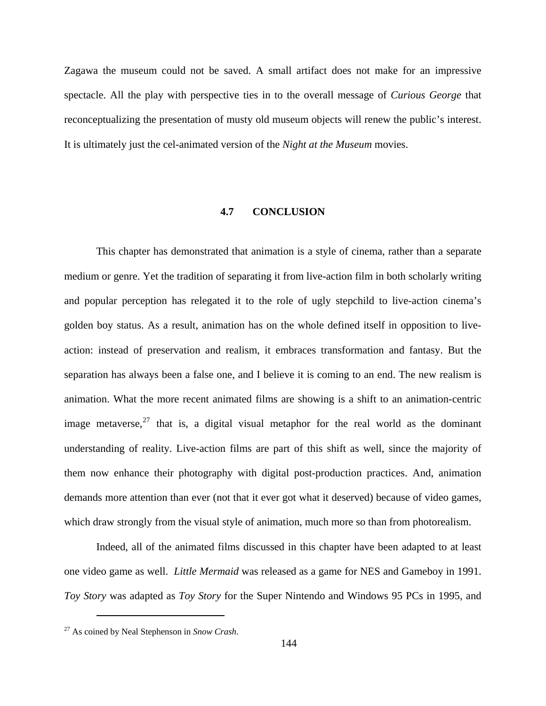Zagawa the museum could not be saved. A small artifact does not make for an impressive spectacle. All the play with perspective ties in to the overall message of *Curious George* that reconceptualizing the presentation of musty old museum objects will renew the public's interest. It is ultimately just the cel-animated version of the *Night at the Museum* movies.

### **4.7 CONCLUSION**

This chapter has demonstrated that animation is a style of cinema, rather than a separate medium or genre. Yet the tradition of separating it from live-action film in both scholarly writing and popular perception has relegated it to the role of ugly stepchild to live-action cinema's golden boy status. As a result, animation has on the whole defined itself in opposition to liveaction: instead of preservation and realism, it embraces transformation and fantasy. But the separation has always been a false one, and I believe it is coming to an end. The new realism is animation. What the more recent animated films are showing is a shift to an animation-centric image metaverse, $27$  that is, a digital visual metaphor for the real world as the dominant understanding of reality. Live-action films are part of this shift as well, since the majority of them now enhance their photography with digital post-production practices. And, animation demands more attention than ever (not that it ever got what it deserved) because of video games, which draw strongly from the visual style of animation, much more so than from photorealism.

Indeed, all of the animated films discussed in this chapter have been adapted to at least one video game as well. *Little Mermaid* was released as a game for NES and Gameboy in 1991. *Toy Story* was adapted as *Toy Story* for the Super Nintendo and Windows 95 PCs in 1995, and

1

<span id="page-152-0"></span><sup>27</sup> As coined by Neal Stephenson in *Snow Crash*.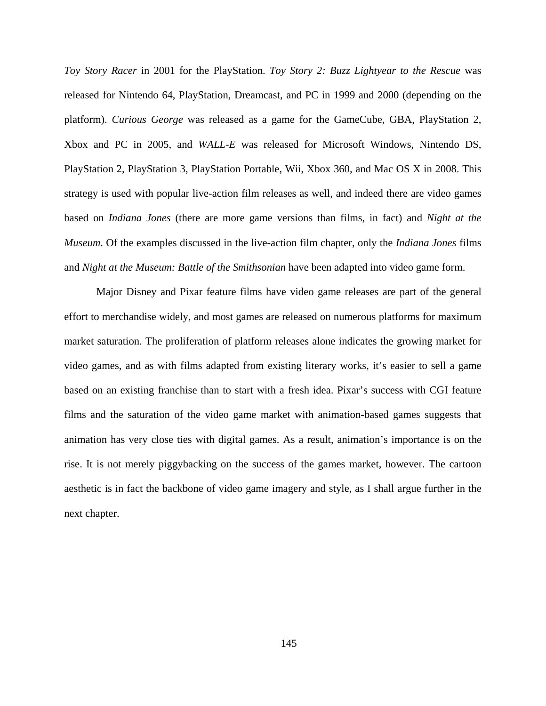*Toy Story Racer* in 2001 for the PlayStation. *Toy Story 2: Buzz Lightyear to the Rescue* was released for Nintendo 64, PlayStation, Dreamcast, and PC in 1999 and 2000 (depending on the platform). *Curious George* was released as a game for the GameCube, GBA, PlayStation 2, Xbox and PC in 2005, and *WALL-E* was released for Microsoft Windows, Nintendo DS, PlayStation 2, PlayStation 3, PlayStation Portable, Wii, Xbox 360, and Mac OS X in 2008. This strategy is used with popular live-action film releases as well, and indeed there are video games based on *Indiana Jones* (there are more game versions than films, in fact) and *Night at the Museum*. Of the examples discussed in the live-action film chapter, only the *Indiana Jones* films and *Night at the Museum: Battle of the Smithsonian* have been adapted into video game form.

Major Disney and Pixar feature films have video game releases are part of the general effort to merchandise widely, and most games are released on numerous platforms for maximum market saturation. The proliferation of platform releases alone indicates the growing market for video games, and as with films adapted from existing literary works, it's easier to sell a game based on an existing franchise than to start with a fresh idea. Pixar's success with CGI feature films and the saturation of the video game market with animation-based games suggests that animation has very close ties with digital games. As a result, animation's importance is on the rise. It is not merely piggybacking on the success of the games market, however. The cartoon aesthetic is in fact the backbone of video game imagery and style, as I shall argue further in the next chapter.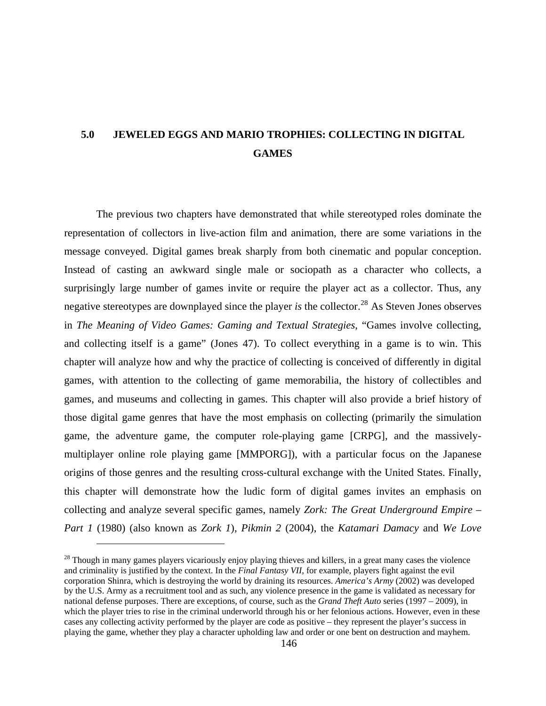# **5.0 JEWELED EGGS AND MARIO TROPHIES: COLLECTING IN DIGITAL GAMES**

The previous two chapters have demonstrated that while stereotyped roles dominate the representation of collectors in live-action film and animation, there are some variations in the message conveyed. Digital games break sharply from both cinematic and popular conception. Instead of casting an awkward single male or sociopath as a character who collects, a surprisingly large number of games invite or require the player act as a collector. Thus, any negative stereotypes are downplayed since the player *is* the collector.<sup>[28](#page-154-0)</sup> As Steven Jones observes in *The Meaning of Video Games: Gaming and Textual Strategies*, "Games involve collecting, and collecting itself is a game" (Jones 47). To collect everything in a game is to win. This chapter will analyze how and why the practice of collecting is conceived of differently in digital games, with attention to the collecting of game memorabilia, the history of collectibles and games, and museums and collecting in games. This chapter will also provide a brief history of those digital game genres that have the most emphasis on collecting (primarily the simulation game, the adventure game, the computer role-playing game [CRPG], and the massivelymultiplayer online role playing game [MMPORG]), with a particular focus on the Japanese origins of those genres and the resulting cross-cultural exchange with the United States. Finally, this chapter will demonstrate how the ludic form of digital games invites an emphasis on collecting and analyze several specific games, namely *Zork: The Great Underground Empire – Part 1* (1980) (also known as *Zork 1*), *Pikmin 2* (2004), the *Katamari Damacy* and *We Love* 

1

<span id="page-154-0"></span> $28$  Though in many games players vicariously enjoy playing thieves and killers, in a great many cases the violence and criminality is justified by the context. In the *Final Fantasy VII*, for example, players fight against the evil corporation Shinra, which is destroying the world by draining its resources. *America's Army* (2002) was developed by the U.S. Army as a recruitment tool and as such, any violence presence in the game is validated as necessary for national defense purposes. There are exceptions, of course, such as the *Grand Theft Auto* series (1997 – 2009), in which the player tries to rise in the criminal underworld through his or her felonious actions. However, even in these cases any collecting activity performed by the player are code as positive – they represent the player's success in playing the game, whether they play a character upholding law and order or one bent on destruction and mayhem.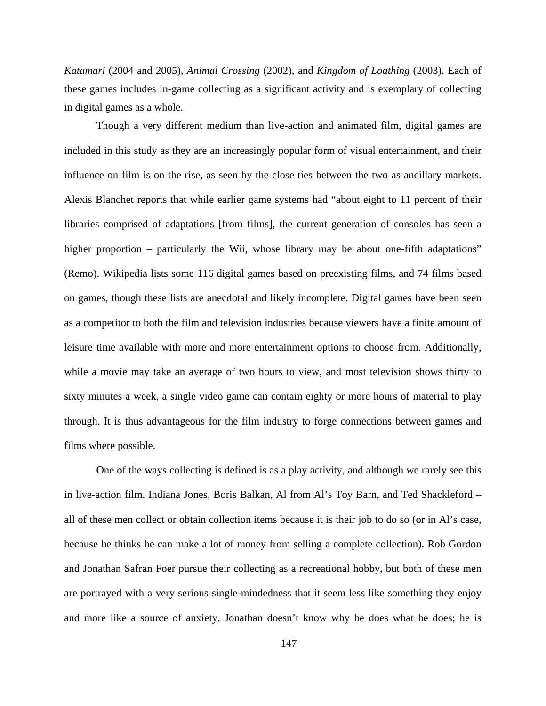*Katamari* (2004 and 2005), *Animal Crossing* (2002), and *Kingdom of Loathing* (2003). Each of these games includes in-game collecting as a significant activity and is exemplary of collecting in digital games as a whole.

 Though a very different medium than live-action and animated film, digital games are included in this study as they are an increasingly popular form of visual entertainment, and their influence on film is on the rise, as seen by the close ties between the two as ancillary markets. Alexis Blanchet reports that while earlier game systems had "about eight to 11 percent of their libraries comprised of adaptations [from films], the current generation of consoles has seen a higher proportion – particularly the Wii, whose library may be about one-fifth adaptations" (Remo). Wikipedia lists some 116 digital games based on preexisting films, and 74 films based on games, though these lists are anecdotal and likely incomplete. Digital games have been seen as a competitor to both the film and television industries because viewers have a finite amount of leisure time available with more and more entertainment options to choose from. Additionally, while a movie may take an average of two hours to view, and most television shows thirty to sixty minutes a week, a single video game can contain eighty or more hours of material to play through. It is thus advantageous for the film industry to forge connections between games and films where possible.

One of the ways collecting is defined is as a play activity, and although we rarely see this in live-action film. Indiana Jones, Boris Balkan, Al from Al's Toy Barn, and Ted Shackleford – all of these men collect or obtain collection items because it is their job to do so (or in Al's case, because he thinks he can make a lot of money from selling a complete collection). Rob Gordon and Jonathan Safran Foer pursue their collecting as a recreational hobby, but both of these men are portrayed with a very serious single-mindedness that it seem less like something they enjoy and more like a source of anxiety. Jonathan doesn't know why he does what he does; he is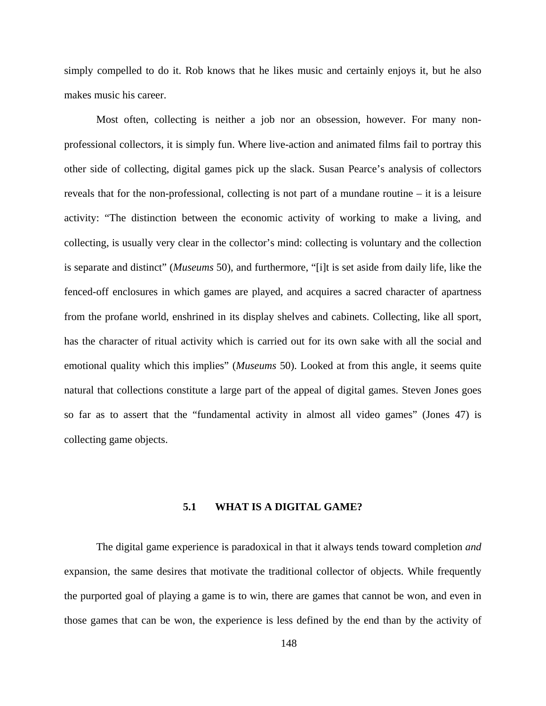simply compelled to do it. Rob knows that he likes music and certainly enjoys it, but he also makes music his career.

Most often, collecting is neither a job nor an obsession, however. For many nonprofessional collectors, it is simply fun. Where live-action and animated films fail to portray this other side of collecting, digital games pick up the slack. Susan Pearce's analysis of collectors reveals that for the non-professional, collecting is not part of a mundane routine – it is a leisure activity: "The distinction between the economic activity of working to make a living, and collecting, is usually very clear in the collector's mind: collecting is voluntary and the collection is separate and distinct" (*Museums* 50), and furthermore, "[i]t is set aside from daily life, like the fenced-off enclosures in which games are played, and acquires a sacred character of apartness from the profane world, enshrined in its display shelves and cabinets. Collecting, like all sport, has the character of ritual activity which is carried out for its own sake with all the social and emotional quality which this implies" (*Museums* 50). Looked at from this angle, it seems quite natural that collections constitute a large part of the appeal of digital games. Steven Jones goes so far as to assert that the "fundamental activity in almost all video games" (Jones 47) is collecting game objects.

### **5.1 WHAT IS A DIGITAL GAME?**

The digital game experience is paradoxical in that it always tends toward completion *and*  expansion, the same desires that motivate the traditional collector of objects. While frequently the purported goal of playing a game is to win, there are games that cannot be won, and even in those games that can be won, the experience is less defined by the end than by the activity of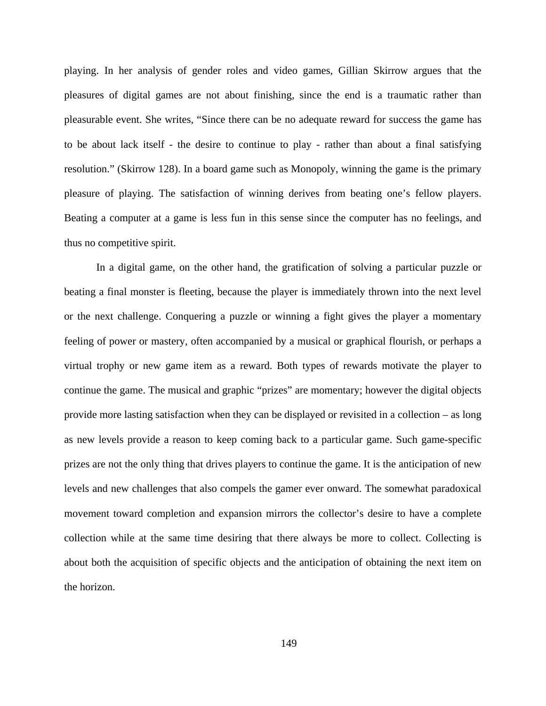playing. In her analysis of gender roles and video games, Gillian Skirrow argues that the pleasures of digital games are not about finishing, since the end is a traumatic rather than pleasurable event. She writes, "Since there can be no adequate reward for success the game has to be about lack itself - the desire to continue to play - rather than about a final satisfying resolution." (Skirrow 128). In a board game such as Monopoly, winning the game is the primary pleasure of playing. The satisfaction of winning derives from beating one's fellow players. Beating a computer at a game is less fun in this sense since the computer has no feelings, and thus no competitive spirit.

In a digital game, on the other hand, the gratification of solving a particular puzzle or beating a final monster is fleeting, because the player is immediately thrown into the next level or the next challenge. Conquering a puzzle or winning a fight gives the player a momentary feeling of power or mastery, often accompanied by a musical or graphical flourish, or perhaps a virtual trophy or new game item as a reward. Both types of rewards motivate the player to continue the game. The musical and graphic "prizes" are momentary; however the digital objects provide more lasting satisfaction when they can be displayed or revisited in a collection – as long as new levels provide a reason to keep coming back to a particular game. Such game-specific prizes are not the only thing that drives players to continue the game. It is the anticipation of new levels and new challenges that also compels the gamer ever onward. The somewhat paradoxical movement toward completion and expansion mirrors the collector's desire to have a complete collection while at the same time desiring that there always be more to collect. Collecting is about both the acquisition of specific objects and the anticipation of obtaining the next item on the horizon.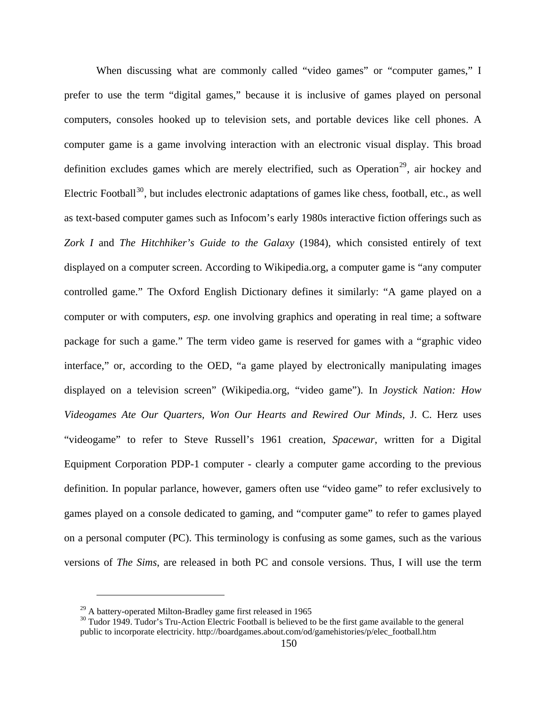When discussing what are commonly called "video games" or "computer games," I prefer to use the term "digital games," because it is inclusive of games played on personal computers, consoles hooked up to television sets, and portable devices like cell phones. A computer game is a game involving interaction with an electronic visual display. This broad definition excludes games which are merely electrified, such as Operation<sup>[29](#page-158-0)</sup>, air hockey and Electric Football<sup>[30](#page-158-1)</sup>, but includes electronic adaptations of games like chess, football, etc., as well as text-based computer games such as Infocom's early 1980s interactive fiction offerings such as *Zork I* and *The Hitchhiker's Guide to the Galaxy* (1984), which consisted entirely of text displayed on a computer screen. According to Wikipedia.org, a computer game is "any computer controlled game." The Oxford English Dictionary defines it similarly: "A game played on a computer or with computers, *esp.* one involving graphics and operating in real time; a software package for such a game." The term video game is reserved for games with a "graphic video interface," or, according to the OED, "a game played by electronically manipulating images displayed on a television screen" (Wikipedia.org, "video game"). In *Joystick Nation: How Videogames Ate Our Quarters, Won Our Hearts and Rewired Our Minds*, J. C. Herz uses "videogame" to refer to Steve Russell's 1961 creation, *Spacewar*, written for a Digital Equipment Corporation PDP-1 computer - clearly a computer game according to the previous definition. In popular parlance, however, gamers often use "video game" to refer exclusively to games played on a console dedicated to gaming, and "computer game" to refer to games played on a personal computer (PC). This terminology is confusing as some games, such as the various versions of *The Sims*, are released in both PC and console versions. Thus, I will use the term

<u>.</u>

 $^{29}$  A battery-operated Milton-Bradley game first released in 1965

<span id="page-158-1"></span><span id="page-158-0"></span><sup>&</sup>lt;sup>30</sup> Tudor 1949. Tudor's Tru-Action Electric Football is believed to be the first game available to the general public to incorporate electricity. http://boardgames.about.com/od/gamehistories/p/elec\_football.htm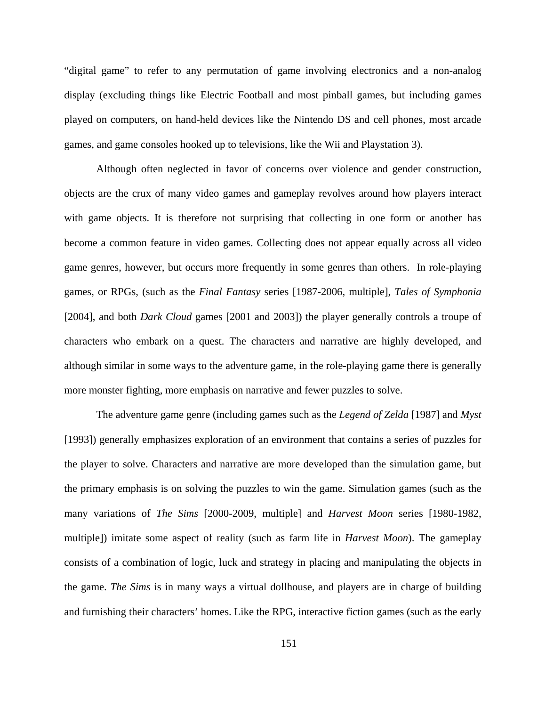"digital game" to refer to any permutation of game involving electronics and a non-analog display (excluding things like Electric Football and most pinball games, but including games played on computers, on hand-held devices like the Nintendo DS and cell phones, most arcade games, and game consoles hooked up to televisions, like the Wii and Playstation 3).

Although often neglected in favor of concerns over violence and gender construction, objects are the crux of many video games and gameplay revolves around how players interact with game objects. It is therefore not surprising that collecting in one form or another has become a common feature in video games. Collecting does not appear equally across all video game genres, however, but occurs more frequently in some genres than others. In role-playing games, or RPGs, (such as the *Final Fantasy* series [1987-2006, multiple], *Tales of Symphonia*  [2004], and both *Dark Cloud* games [2001 and 2003]) the player generally controls a troupe of characters who embark on a quest. The characters and narrative are highly developed, and although similar in some ways to the adventure game, in the role-playing game there is generally more monster fighting, more emphasis on narrative and fewer puzzles to solve.

The adventure game genre (including games such as the *Legend of Zelda* [1987] and *Myst*  [1993]) generally emphasizes exploration of an environment that contains a series of puzzles for the player to solve. Characters and narrative are more developed than the simulation game, but the primary emphasis is on solving the puzzles to win the game. Simulation games (such as the many variations of *The Sims* [2000-2009, multiple] and *Harvest Moon* series [1980-1982, multiple]) imitate some aspect of reality (such as farm life in *Harvest Moon*). The gameplay consists of a combination of logic, luck and strategy in placing and manipulating the objects in the game. *The Sims* is in many ways a virtual dollhouse, and players are in charge of building and furnishing their characters' homes. Like the RPG, interactive fiction games (such as the early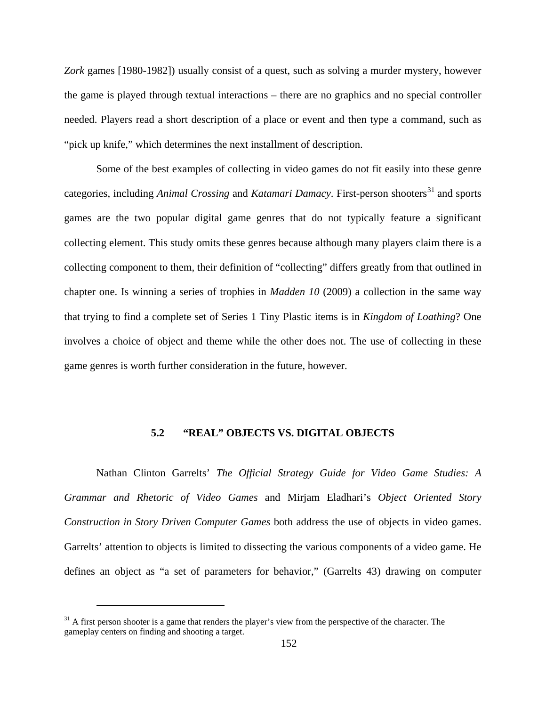*Zork* games [1980-1982]) usually consist of a quest, such as solving a murder mystery, however the game is played through textual interactions – there are no graphics and no special controller needed. Players read a short description of a place or event and then type a command, such as "pick up knife," which determines the next installment of description.

Some of the best examples of collecting in video games do not fit easily into these genre categories, including *Animal Crossing* and *Katamari Damacy*. First-person shooters<sup>[31](#page-160-0)</sup> and sports games are the two popular digital game genres that do not typically feature a significant collecting element. This study omits these genres because although many players claim there is a collecting component to them, their definition of "collecting" differs greatly from that outlined in chapter one. Is winning a series of trophies in *Madden 10* (2009) a collection in the same way that trying to find a complete set of Series 1 Tiny Plastic items is in *Kingdom of Loathing*? One involves a choice of object and theme while the other does not. The use of collecting in these game genres is worth further consideration in the future, however.

## **5.2 "REAL" OBJECTS VS. DIGITAL OBJECTS**

Nathan Clinton Garrelts' *The Official Strategy Guide for Video Game Studies: A Grammar and Rhetoric of Video Games* and Mirjam Eladhari's *Object Oriented Story Construction in Story Driven Computer Games* both address the use of objects in video games. Garrelts' attention to objects is limited to dissecting the various components of a video game. He defines an object as "a set of parameters for behavior," (Garrelts 43) drawing on computer

1

<span id="page-160-0"></span> $31$  A first person shooter is a game that renders the player's view from the perspective of the character. The gameplay centers on finding and shooting a target.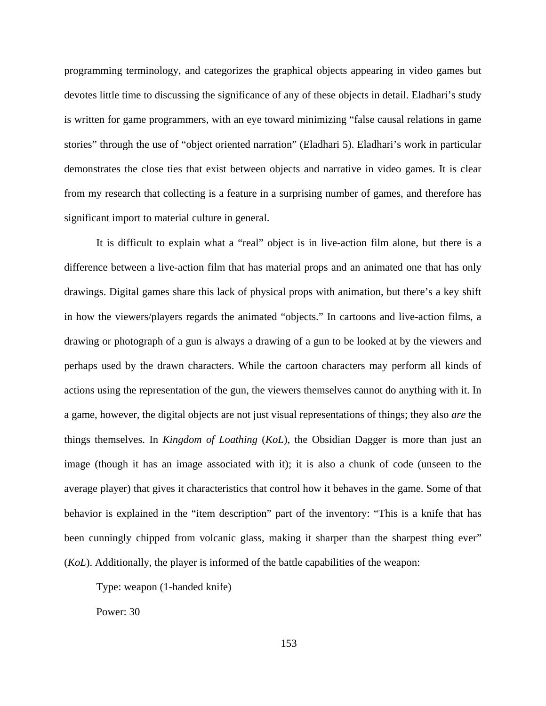programming terminology, and categorizes the graphical objects appearing in video games but devotes little time to discussing the significance of any of these objects in detail. Eladhari's study is written for game programmers, with an eye toward minimizing "false causal relations in game stories" through the use of "object oriented narration" (Eladhari 5). Eladhari's work in particular demonstrates the close ties that exist between objects and narrative in video games. It is clear from my research that collecting is a feature in a surprising number of games, and therefore has significant import to material culture in general.

It is difficult to explain what a "real" object is in live-action film alone, but there is a difference between a live-action film that has material props and an animated one that has only drawings. Digital games share this lack of physical props with animation, but there's a key shift in how the viewers/players regards the animated "objects." In cartoons and live-action films, a drawing or photograph of a gun is always a drawing of a gun to be looked at by the viewers and perhaps used by the drawn characters. While the cartoon characters may perform all kinds of actions using the representation of the gun, the viewers themselves cannot do anything with it. In a game, however, the digital objects are not just visual representations of things; they also *are* the things themselves. In *Kingdom of Loathing* (*KoL*), the Obsidian Dagger is more than just an image (though it has an image associated with it); it is also a chunk of code (unseen to the average player) that gives it characteristics that control how it behaves in the game. Some of that behavior is explained in the "item description" part of the inventory: "This is a knife that has been cunningly chipped from volcanic glass, making it sharper than the sharpest thing ever" (*KoL*). Additionally, the player is informed of the battle capabilities of the weapon:

Type: weapon (1-handed knife)

Power: 30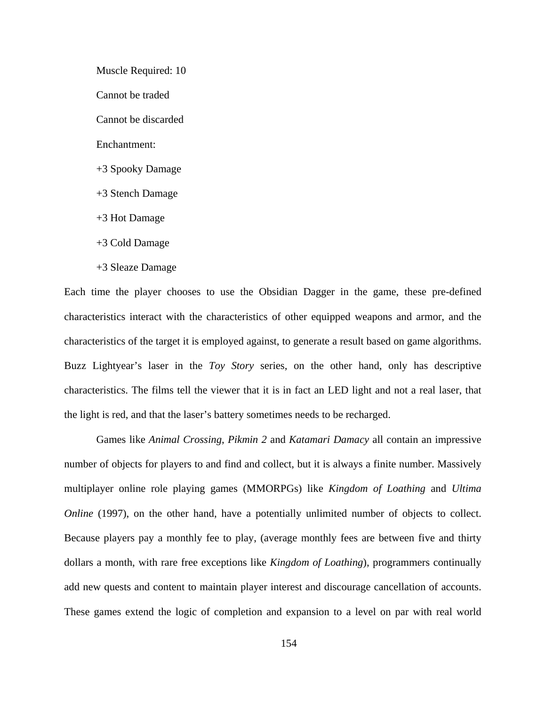Muscle Required: 10 Cannot be traded Cannot be discarded Enchantment: +3 Spooky Damage +3 Stench Damage +3 Hot Damage +3 Cold Damage

+3 Sleaze Damage

Each time the player chooses to use the Obsidian Dagger in the game, these pre-defined characteristics interact with the characteristics of other equipped weapons and armor, and the characteristics of the target it is employed against, to generate a result based on game algorithms. Buzz Lightyear's laser in the *Toy Story* series, on the other hand, only has descriptive characteristics. The films tell the viewer that it is in fact an LED light and not a real laser, that the light is red, and that the laser's battery sometimes needs to be recharged.

Games like *Animal Crossing*, *Pikmin 2* and *Katamari Damacy* all contain an impressive number of objects for players to and find and collect, but it is always a finite number. Massively multiplayer online role playing games (MMORPGs) like *Kingdom of Loathing* and *Ultima Online* (1997), on the other hand, have a potentially unlimited number of objects to collect. Because players pay a monthly fee to play, (average monthly fees are between five and thirty dollars a month, with rare free exceptions like *Kingdom of Loathing*), programmers continually add new quests and content to maintain player interest and discourage cancellation of accounts. These games extend the logic of completion and expansion to a level on par with real world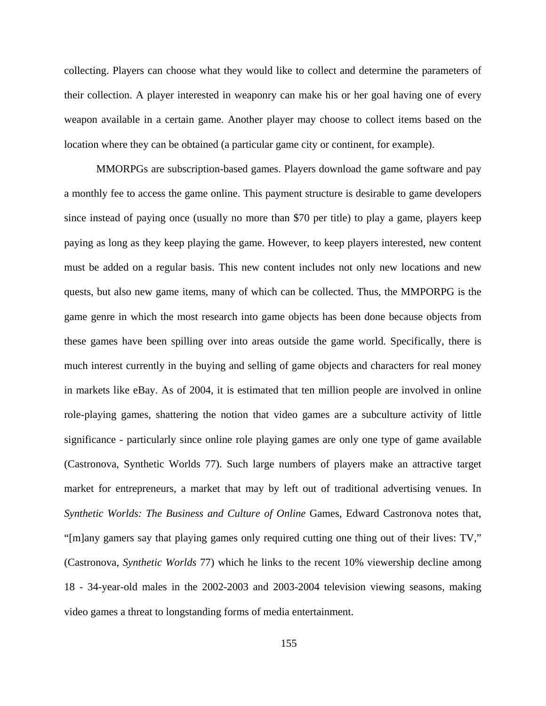collecting. Players can choose what they would like to collect and determine the parameters of their collection. A player interested in weaponry can make his or her goal having one of every weapon available in a certain game. Another player may choose to collect items based on the location where they can be obtained (a particular game city or continent, for example).

MMORPGs are subscription-based games. Players download the game software and pay a monthly fee to access the game online. This payment structure is desirable to game developers since instead of paying once (usually no more than \$70 per title) to play a game, players keep paying as long as they keep playing the game. However, to keep players interested, new content must be added on a regular basis. This new content includes not only new locations and new quests, but also new game items, many of which can be collected. Thus, the MMPORPG is the game genre in which the most research into game objects has been done because objects from these games have been spilling over into areas outside the game world. Specifically, there is much interest currently in the buying and selling of game objects and characters for real money in markets like eBay. As of 2004, it is estimated that ten million people are involved in online role-playing games, shattering the notion that video games are a subculture activity of little significance - particularly since online role playing games are only one type of game available (Castronova, Synthetic Worlds 77). Such large numbers of players make an attractive target market for entrepreneurs, a market that may by left out of traditional advertising venues. In *Synthetic Worlds: The Business and Culture of Online* Games, Edward Castronova notes that, "[m]any gamers say that playing games only required cutting one thing out of their lives: TV," (Castronova, *Synthetic Worlds* 77) which he links to the recent 10% viewership decline among 18 - 34-year-old males in the 2002-2003 and 2003-2004 television viewing seasons, making video games a threat to longstanding forms of media entertainment.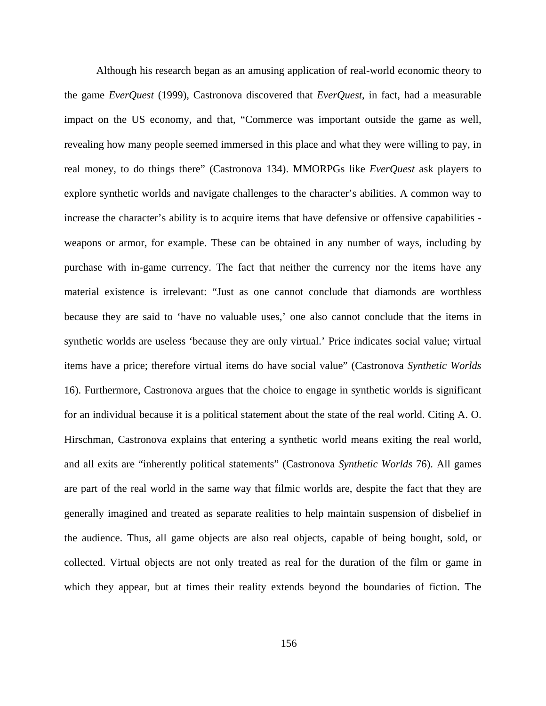Although his research began as an amusing application of real-world economic theory to the game *EverQuest* (1999), Castronova discovered that *EverQuest*, in fact, had a measurable impact on the US economy, and that, "Commerce was important outside the game as well, revealing how many people seemed immersed in this place and what they were willing to pay, in real money, to do things there" (Castronova 134). MMORPGs like *EverQuest* ask players to explore synthetic worlds and navigate challenges to the character's abilities. A common way to increase the character's ability is to acquire items that have defensive or offensive capabilities weapons or armor, for example. These can be obtained in any number of ways, including by purchase with in-game currency. The fact that neither the currency nor the items have any material existence is irrelevant: "Just as one cannot conclude that diamonds are worthless because they are said to 'have no valuable uses,' one also cannot conclude that the items in synthetic worlds are useless 'because they are only virtual.' Price indicates social value; virtual items have a price; therefore virtual items do have social value" (Castronova *Synthetic Worlds* 16). Furthermore, Castronova argues that the choice to engage in synthetic worlds is significant for an individual because it is a political statement about the state of the real world. Citing A. O. Hirschman, Castronova explains that entering a synthetic world means exiting the real world, and all exits are "inherently political statements" (Castronova *Synthetic Worlds* 76). All games are part of the real world in the same way that filmic worlds are, despite the fact that they are generally imagined and treated as separate realities to help maintain suspension of disbelief in the audience. Thus, all game objects are also real objects, capable of being bought, sold, or collected. Virtual objects are not only treated as real for the duration of the film or game in which they appear, but at times their reality extends beyond the boundaries of fiction. The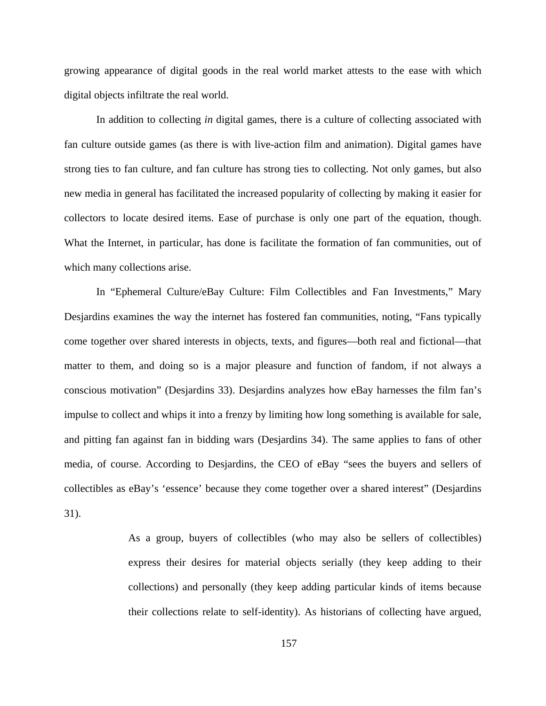growing appearance of digital goods in the real world market attests to the ease with which digital objects infiltrate the real world.

In addition to collecting *in* digital games, there is a culture of collecting associated with fan culture outside games (as there is with live-action film and animation). Digital games have strong ties to fan culture, and fan culture has strong ties to collecting. Not only games, but also new media in general has facilitated the increased popularity of collecting by making it easier for collectors to locate desired items. Ease of purchase is only one part of the equation, though. What the Internet, in particular, has done is facilitate the formation of fan communities, out of which many collections arise.

In "Ephemeral Culture/eBay Culture: Film Collectibles and Fan Investments," Mary Desjardins examines the way the internet has fostered fan communities, noting, "Fans typically come together over shared interests in objects, texts, and figures—both real and fictional—that matter to them, and doing so is a major pleasure and function of fandom, if not always a conscious motivation" (Desjardins 33). Desjardins analyzes how eBay harnesses the film fan's impulse to collect and whips it into a frenzy by limiting how long something is available for sale, and pitting fan against fan in bidding wars (Desjardins 34). The same applies to fans of other media, of course. According to Desjardins, the CEO of eBay "sees the buyers and sellers of collectibles as eBay's 'essence' because they come together over a shared interest" (Desjardins 31).

> As a group, buyers of collectibles (who may also be sellers of collectibles) express their desires for material objects serially (they keep adding to their collections) and personally (they keep adding particular kinds of items because their collections relate to self-identity). As historians of collecting have argued,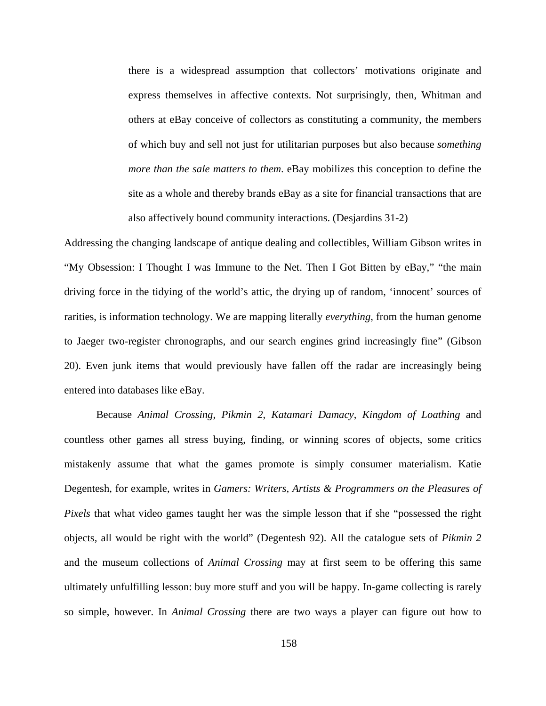there is a widespread assumption that collectors' motivations originate and express themselves in affective contexts. Not surprisingly, then, Whitman and others at eBay conceive of collectors as constituting a community, the members of which buy and sell not just for utilitarian purposes but also because *something more than the sale matters to them*. eBay mobilizes this conception to define the site as a whole and thereby brands eBay as a site for financial transactions that are also affectively bound community interactions. (Desjardins 31-2)

Addressing the changing landscape of antique dealing and collectibles, William Gibson writes in "My Obsession: I Thought I was Immune to the Net. Then I Got Bitten by eBay," "the main driving force in the tidying of the world's attic, the drying up of random, 'innocent' sources of rarities, is information technology. We are mapping literally *everything*, from the human genome to Jaeger two-register chronographs, and our search engines grind increasingly fine" (Gibson 20). Even junk items that would previously have fallen off the radar are increasingly being entered into databases like eBay.

Because *Animal Crossing*, *Pikmin 2*, *Katamari Damacy*, *Kingdom of Loathing* and countless other games all stress buying, finding, or winning scores of objects, some critics mistakenly assume that what the games promote is simply consumer materialism. Katie Degentesh, for example, writes in *Gamers: Writers, Artists & Programmers on the Pleasures of Pixels* that what video games taught her was the simple lesson that if she "possessed the right" objects, all would be right with the world" (Degentesh 92). All the catalogue sets of *Pikmin 2* and the museum collections of *Animal Crossing* may at first seem to be offering this same ultimately unfulfilling lesson: buy more stuff and you will be happy. In-game collecting is rarely so simple, however. In *Animal Crossing* there are two ways a player can figure out how to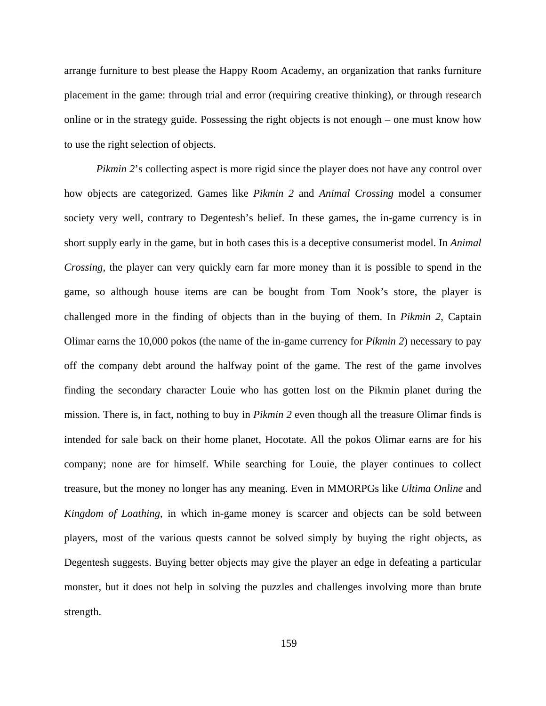arrange furniture to best please the Happy Room Academy, an organization that ranks furniture placement in the game: through trial and error (requiring creative thinking), or through research online or in the strategy guide. Possessing the right objects is not enough – one must know how to use the right selection of objects.

*Pikmin 2*'s collecting aspect is more rigid since the player does not have any control over how objects are categorized. Games like *Pikmin 2* and *Animal Crossing* model a consumer society very well, contrary to Degentesh's belief. In these games, the in-game currency is in short supply early in the game, but in both cases this is a deceptive consumerist model. In *Animal Crossing*, the player can very quickly earn far more money than it is possible to spend in the game, so although house items are can be bought from Tom Nook's store, the player is challenged more in the finding of objects than in the buying of them. In *Pikmin 2*, Captain Olimar earns the 10,000 pokos (the name of the in-game currency for *Pikmin 2*) necessary to pay off the company debt around the halfway point of the game. The rest of the game involves finding the secondary character Louie who has gotten lost on the Pikmin planet during the mission. There is, in fact, nothing to buy in *Pikmin 2* even though all the treasure Olimar finds is intended for sale back on their home planet, Hocotate. All the pokos Olimar earns are for his company; none are for himself. While searching for Louie, the player continues to collect treasure, but the money no longer has any meaning. Even in MMORPGs like *Ultima Online* and *Kingdom of Loathing*, in which in-game money is scarcer and objects can be sold between players, most of the various quests cannot be solved simply by buying the right objects, as Degentesh suggests. Buying better objects may give the player an edge in defeating a particular monster, but it does not help in solving the puzzles and challenges involving more than brute strength.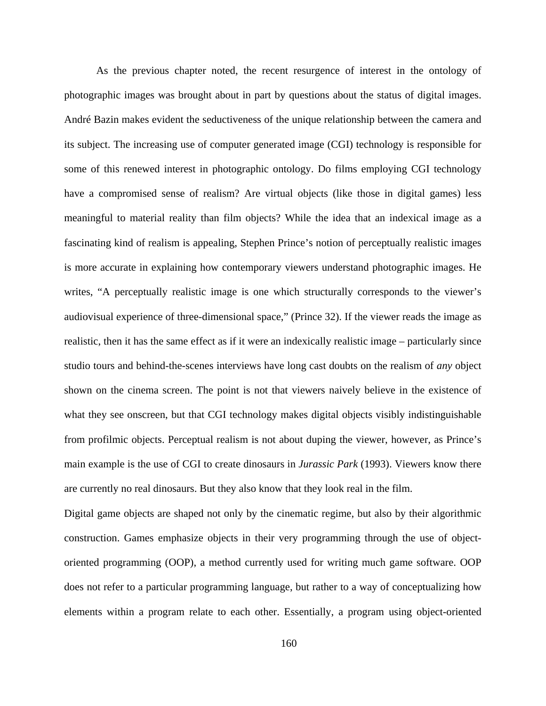As the previous chapter noted, the recent resurgence of interest in the ontology of photographic images was brought about in part by questions about the status of digital images. André Bazin makes evident the seductiveness of the unique relationship between the camera and its subject. The increasing use of computer generated image (CGI) technology is responsible for some of this renewed interest in photographic ontology. Do films employing CGI technology have a compromised sense of realism? Are virtual objects (like those in digital games) less meaningful to material reality than film objects? While the idea that an indexical image as a fascinating kind of realism is appealing, Stephen Prince's notion of perceptually realistic images is more accurate in explaining how contemporary viewers understand photographic images. He writes, "A perceptually realistic image is one which structurally corresponds to the viewer's audiovisual experience of three-dimensional space," (Prince 32). If the viewer reads the image as realistic, then it has the same effect as if it were an indexically realistic image – particularly since studio tours and behind-the-scenes interviews have long cast doubts on the realism of *any* object shown on the cinema screen. The point is not that viewers naively believe in the existence of what they see onscreen, but that CGI technology makes digital objects visibly indistinguishable from profilmic objects. Perceptual realism is not about duping the viewer, however, as Prince's main example is the use of CGI to create dinosaurs in *Jurassic Park* (1993). Viewers know there are currently no real dinosaurs. But they also know that they look real in the film.

Digital game objects are shaped not only by the cinematic regime, but also by their algorithmic construction. Games emphasize objects in their very programming through the use of objectoriented programming (OOP), a method currently used for writing much game software. OOP does not refer to a particular programming language, but rather to a way of conceptualizing how elements within a program relate to each other. Essentially, a program using object-oriented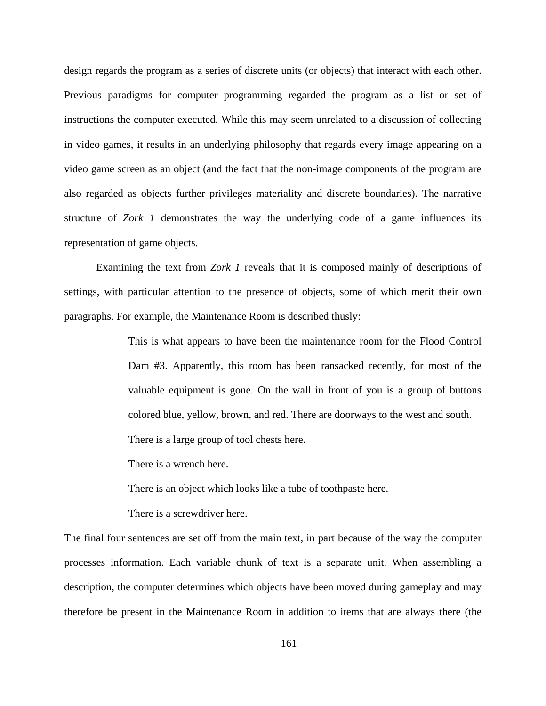design regards the program as a series of discrete units (or objects) that interact with each other. Previous paradigms for computer programming regarded the program as a list or set of instructions the computer executed. While this may seem unrelated to a discussion of collecting in video games, it results in an underlying philosophy that regards every image appearing on a video game screen as an object (and the fact that the non-image components of the program are also regarded as objects further privileges materiality and discrete boundaries). The narrative structure of *Zork 1* demonstrates the way the underlying code of a game influences its representation of game objects.

Examining the text from *Zork 1* reveals that it is composed mainly of descriptions of settings, with particular attention to the presence of objects, some of which merit their own paragraphs. For example, the Maintenance Room is described thusly:

> This is what appears to have been the maintenance room for the Flood Control Dam #3. Apparently, this room has been ransacked recently, for most of the valuable equipment is gone. On the wall in front of you is a group of buttons colored blue, yellow, brown, and red. There are doorways to the west and south.

There is a large group of tool chests here.

There is a wrench here.

There is an object which looks like a tube of toothpaste here.

There is a screwdriver here.

The final four sentences are set off from the main text, in part because of the way the computer processes information. Each variable chunk of text is a separate unit. When assembling a description, the computer determines which objects have been moved during gameplay and may therefore be present in the Maintenance Room in addition to items that are always there (the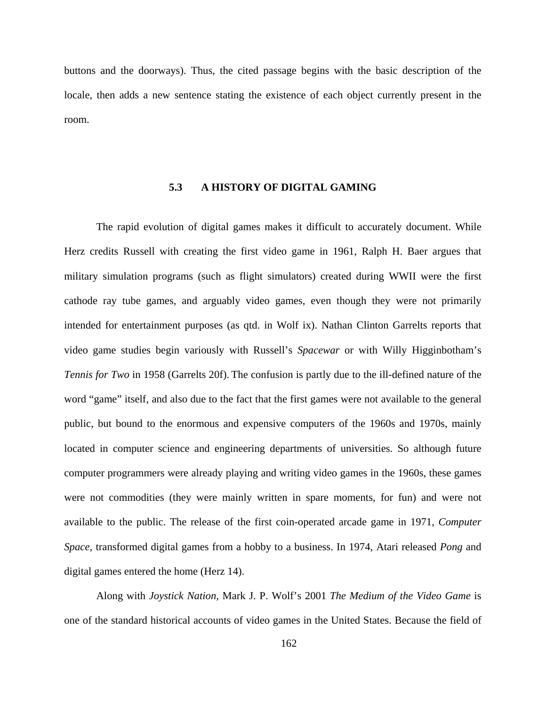buttons and the doorways). Thus, the cited passage begins with the basic description of the locale, then adds a new sentence stating the existence of each object currently present in the room.

#### **5.3 A HISTORY OF DIGITAL GAMING**

The rapid evolution of digital games makes it difficult to accurately document. While Herz credits Russell with creating the first video game in 1961, Ralph H. Baer argues that military simulation programs (such as flight simulators) created during WWII were the first cathode ray tube games, and arguably video games, even though they were not primarily intended for entertainment purposes (as qtd. in Wolf ix). Nathan Clinton Garrelts reports that video game studies begin variously with Russell's *Spacewar* or with Willy Higginbotham's *Tennis for Two* in 1958 (Garrelts 20f). The confusion is partly due to the ill-defined nature of the word "game" itself, and also due to the fact that the first games were not available to the general public, but bound to the enormous and expensive computers of the 1960s and 1970s, mainly located in computer science and engineering departments of universities. So although future computer programmers were already playing and writing video games in the 1960s, these games were not commodities (they were mainly written in spare moments, for fun) and were not available to the public. The release of the first coin-operated arcade game in 1971, *Computer Space,* transformed digital games from a hobby to a business. In 1974, Atari released *Pong* and digital games entered the home (Herz 14).

Along with *Joystick Nation,* Mark J. P. Wolf's 2001 *The Medium of the Video Game* is one of the standard historical accounts of video games in the United States. Because the field of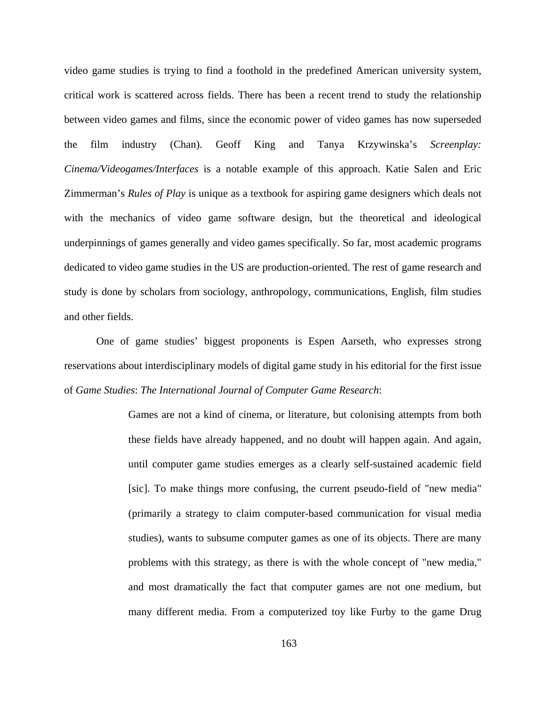video game studies is trying to find a foothold in the predefined American university system, critical work is scattered across fields. There has been a recent trend to study the relationship between video games and films, since the economic power of video games has now superseded the film industry (Chan). Geoff King and Tanya Krzywinska's *Screenplay: Cinema/Videogames/Interfaces* is a notable example of this approach. Katie Salen and Eric Zimmerman's *Rules of Play* is unique as a textbook for aspiring game designers which deals not with the mechanics of video game software design, but the theoretical and ideological underpinnings of games generally and video games specifically. So far, most academic programs dedicated to video game studies in the US are production-oriented. The rest of game research and study is done by scholars from sociology, anthropology, communications, English, film studies and other fields.

One of game studies' biggest proponents is Espen Aarseth, who expresses strong reservations about interdisciplinary models of digital game study in his editorial for the first issue of *Game Studies*: *The International Journal of Computer Game Research*:

> Games are not a kind of cinema, or literature, but colonising attempts from both these fields have already happened, and no doubt will happen again. And again, until computer game studies emerges as a clearly self-sustained academic field [sic]. To make things more confusing, the current pseudo-field of "new media" (primarily a strategy to claim computer-based communication for visual media studies), wants to subsume computer games as one of its objects. There are many problems with this strategy, as there is with the whole concept of "new media," and most dramatically the fact that computer games are not one medium, but many different media. From a computerized toy like Furby to the game Drug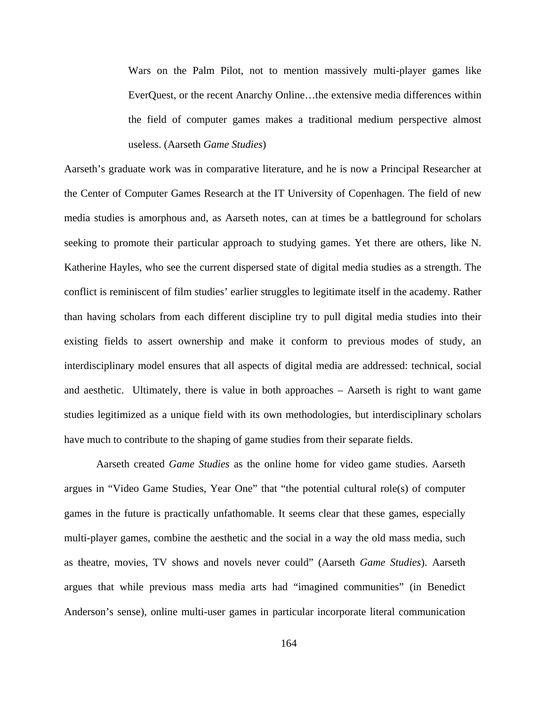Wars on the Palm Pilot, not to mention massively multi-player games like EverQuest, or the recent Anarchy Online…the extensive media differences within the field of computer games makes a traditional medium perspective almost useless. (Aarseth *Game Studies*)

Aarseth's graduate work was in comparative literature, and he is now a Principal Researcher at the Center of Computer Games Research at the IT University of Copenhagen. The field of new media studies is amorphous and, as Aarseth notes, can at times be a battleground for scholars seeking to promote their particular approach to studying games. Yet there are others, like N. Katherine Hayles, who see the current dispersed state of digital media studies as a strength. The conflict is reminiscent of film studies' earlier struggles to legitimate itself in the academy. Rather than having scholars from each different discipline try to pull digital media studies into their existing fields to assert ownership and make it conform to previous modes of study, an interdisciplinary model ensures that all aspects of digital media are addressed: technical, social and aesthetic. Ultimately, there is value in both approaches – Aarseth is right to want game studies legitimized as a unique field with its own methodologies, but interdisciplinary scholars have much to contribute to the shaping of game studies from their separate fields.

Aarseth created *Game Studies* as the online home for video game studies. Aarseth argues in "Video Game Studies, Year One" that "the potential cultural role(s) of computer games in the future is practically unfathomable. It seems clear that these games, especially multi-player games, combine the aesthetic and the social in a way the old mass media, such as theatre, movies, TV shows and novels never could" (Aarseth *Game Studies*). Aarseth argues that while previous mass media arts had "imagined communities" (in Benedict Anderson's sense), online multi-user games in particular incorporate literal communication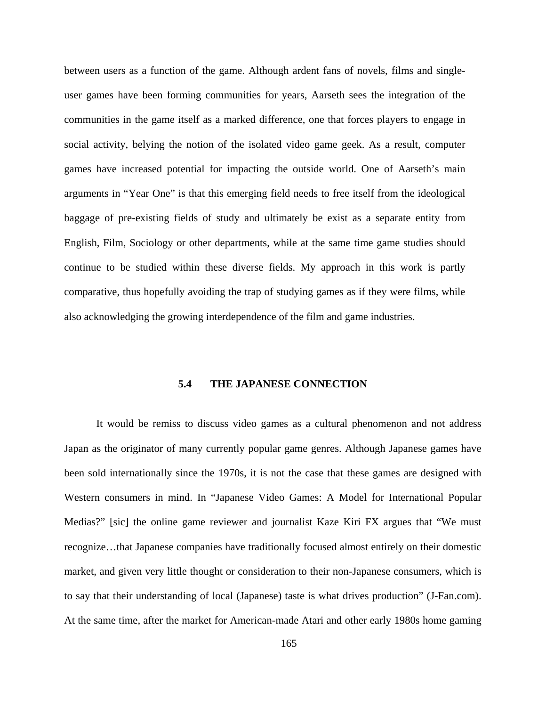between users as a function of the game. Although ardent fans of novels, films and singleuser games have been forming communities for years, Aarseth sees the integration of the communities in the game itself as a marked difference, one that forces players to engage in social activity, belying the notion of the isolated video game geek. As a result, computer games have increased potential for impacting the outside world. One of Aarseth's main arguments in "Year One" is that this emerging field needs to free itself from the ideological baggage of pre-existing fields of study and ultimately be exist as a separate entity from English, Film, Sociology or other departments, while at the same time game studies should continue to be studied within these diverse fields. My approach in this work is partly comparative, thus hopefully avoiding the trap of studying games as if they were films, while also acknowledging the growing interdependence of the film and game industries.

### **5.4 THE JAPANESE CONNECTION**

It would be remiss to discuss video games as a cultural phenomenon and not address Japan as the originator of many currently popular game genres. Although Japanese games have been sold internationally since the 1970s, it is not the case that these games are designed with Western consumers in mind. In "Japanese Video Games: A Model for International Popular Medias?" [sic] the online game reviewer and journalist Kaze Kiri FX argues that "We must recognize…that Japanese companies have traditionally focused almost entirely on their domestic market, and given very little thought or consideration to their non-Japanese consumers, which is to say that their understanding of local (Japanese) taste is what drives production" (J-Fan.com). At the same time, after the market for American-made Atari and other early 1980s home gaming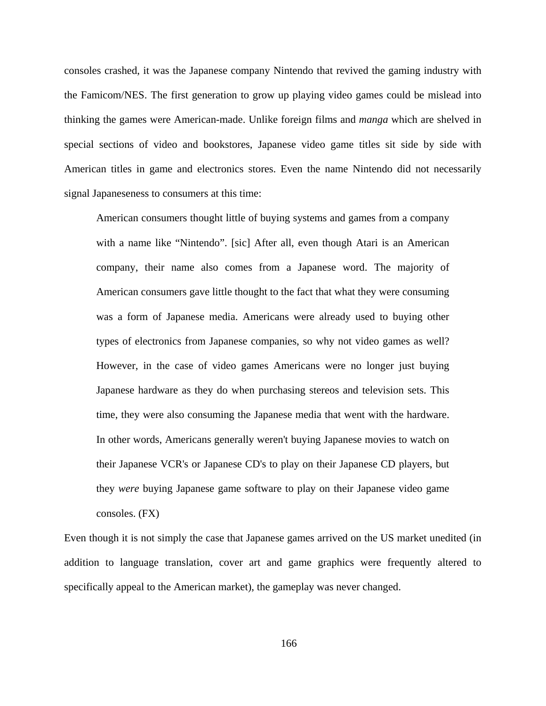consoles crashed, it was the Japanese company Nintendo that revived the gaming industry with the Famicom/NES. The first generation to grow up playing video games could be mislead into thinking the games were American-made. Unlike foreign films and *manga* which are shelved in special sections of video and bookstores, Japanese video game titles sit side by side with American titles in game and electronics stores. Even the name Nintendo did not necessarily signal Japaneseness to consumers at this time:

American consumers thought little of buying systems and games from a company with a name like "Nintendo". [sic] After all, even though Atari is an American company, their name also comes from a Japanese word. The majority of American consumers gave little thought to the fact that what they were consuming was a form of Japanese media. Americans were already used to buying other types of electronics from Japanese companies, so why not video games as well? However, in the case of video games Americans were no longer just buying Japanese hardware as they do when purchasing stereos and television sets. This time, they were also consuming the Japanese media that went with the hardware. In other words, Americans generally weren't buying Japanese movies to watch on their Japanese VCR's or Japanese CD's to play on their Japanese CD players, but they *were* buying Japanese game software to play on their Japanese video game consoles. (FX)

Even though it is not simply the case that Japanese games arrived on the US market unedited (in addition to language translation, cover art and game graphics were frequently altered to specifically appeal to the American market), the gameplay was never changed.

166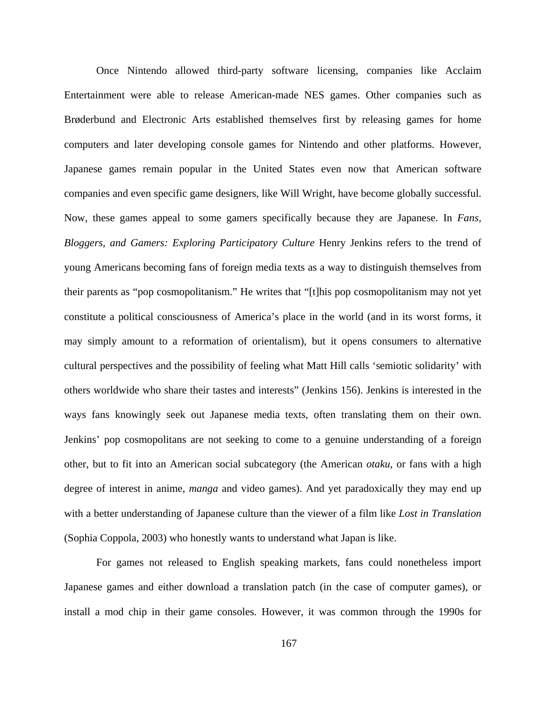Once Nintendo allowed third-party software licensing, companies like Acclaim Entertainment were able to release American-made NES games. Other companies such as Brøderbund and Electronic Arts established themselves first by releasing games for home computers and later developing console games for Nintendo and other platforms. However, Japanese games remain popular in the United States even now that American software companies and even specific game designers, like Will Wright, have become globally successful. Now, these games appeal to some gamers specifically because they are Japanese. In *Fans, Bloggers, and Gamers: Exploring Participatory Culture* Henry Jenkins refers to the trend of young Americans becoming fans of foreign media texts as a way to distinguish themselves from their parents as "pop cosmopolitanism." He writes that "[t]his pop cosmopolitanism may not yet constitute a political consciousness of America's place in the world (and in its worst forms, it may simply amount to a reformation of orientalism), but it opens consumers to alternative cultural perspectives and the possibility of feeling what Matt Hill calls 'semiotic solidarity' with others worldwide who share their tastes and interests" (Jenkins 156). Jenkins is interested in the ways fans knowingly seek out Japanese media texts, often translating them on their own. Jenkins' pop cosmopolitans are not seeking to come to a genuine understanding of a foreign other, but to fit into an American social subcategory (the American *otaku*, or fans with a high degree of interest in anime, *manga* and video games). And yet paradoxically they may end up with a better understanding of Japanese culture than the viewer of a film like *Lost in Translation* (Sophia Coppola, 2003) who honestly wants to understand what Japan is like.

For games not released to English speaking markets, fans could nonetheless import Japanese games and either download a translation patch (in the case of computer games), or install a mod chip in their game consoles. However, it was common through the 1990s for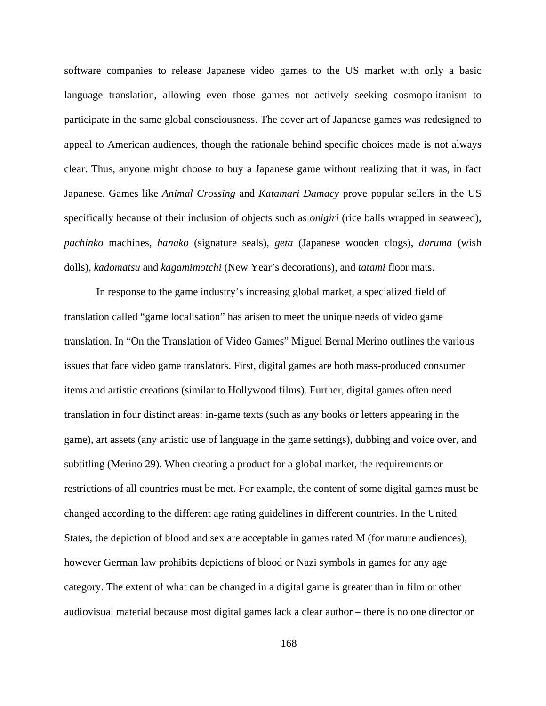software companies to release Japanese video games to the US market with only a basic language translation, allowing even those games not actively seeking cosmopolitanism to participate in the same global consciousness. The cover art of Japanese games was redesigned to appeal to American audiences, though the rationale behind specific choices made is not always clear. Thus, anyone might choose to buy a Japanese game without realizing that it was, in fact Japanese. Games like *Animal Crossing* and *Katamari Damacy* prove popular sellers in the US specifically because of their inclusion of objects such as *onigiri* (rice balls wrapped in seaweed), *pachinko* machines, *hanako* (signature seals), *geta* (Japanese wooden clogs), *daruma* (wish dolls), *kadomatsu* and *kagamimotchi* (New Year's decorations), and *tatami* floor mats.

In response to the game industry's increasing global market, a specialized field of translation called "game localisation" has arisen to meet the unique needs of video game translation. In "On the Translation of Video Games" Miguel Bernal Merino outlines the various issues that face video game translators. First, digital games are both mass-produced consumer items and artistic creations (similar to Hollywood films). Further, digital games often need translation in four distinct areas: in-game texts (such as any books or letters appearing in the game), art assets (any artistic use of language in the game settings), dubbing and voice over, and subtitling (Merino 29). When creating a product for a global market, the requirements or restrictions of all countries must be met. For example, the content of some digital games must be changed according to the different age rating guidelines in different countries. In the United States, the depiction of blood and sex are acceptable in games rated M (for mature audiences), however German law prohibits depictions of blood or Nazi symbols in games for any age category. The extent of what can be changed in a digital game is greater than in film or other audiovisual material because most digital games lack a clear author – there is no one director or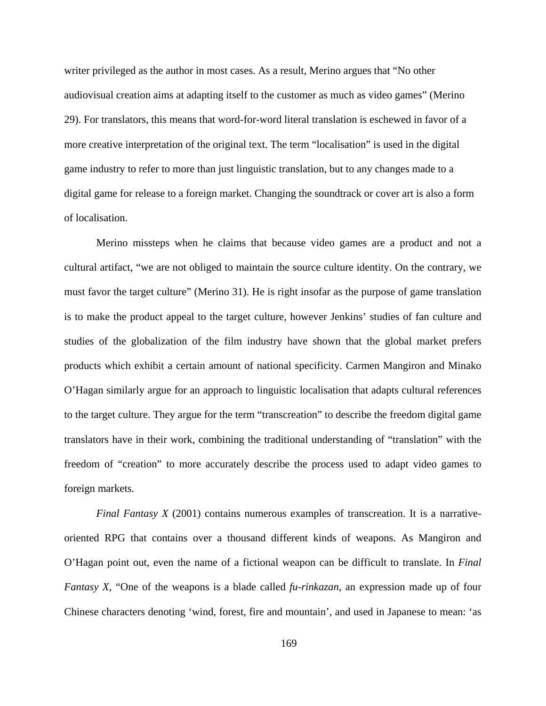writer privileged as the author in most cases. As a result, Merino argues that "No other audiovisual creation aims at adapting itself to the customer as much as video games" (Merino 29). For translators, this means that word-for-word literal translation is eschewed in favor of a more creative interpretation of the original text. The term "localisation" is used in the digital game industry to refer to more than just linguistic translation, but to any changes made to a digital game for release to a foreign market. Changing the soundtrack or cover art is also a form of localisation.

Merino missteps when he claims that because video games are a product and not a cultural artifact, "we are not obliged to maintain the source culture identity. On the contrary, we must favor the target culture" (Merino 31). He is right insofar as the purpose of game translation is to make the product appeal to the target culture, however Jenkins' studies of fan culture and studies of the globalization of the film industry have shown that the global market prefers products which exhibit a certain amount of national specificity. Carmen Mangiron and Minako O'Hagan similarly argue for an approach to linguistic localisation that adapts cultural references to the target culture. They argue for the term "transcreation" to describe the freedom digital game translators have in their work, combining the traditional understanding of "translation" with the freedom of "creation" to more accurately describe the process used to adapt video games to foreign markets.

*Final Fantasy X* (2001) contains numerous examples of transcreation. It is a narrativeoriented RPG that contains over a thousand different kinds of weapons. As Mangiron and O'Hagan point out, even the name of a fictional weapon can be difficult to translate. In *Final Fantasy X*, "One of the weapons is a blade called *fu-rinkazan*, an expression made up of four Chinese characters denoting 'wind, forest, fire and mountain', and used in Japanese to mean: 'as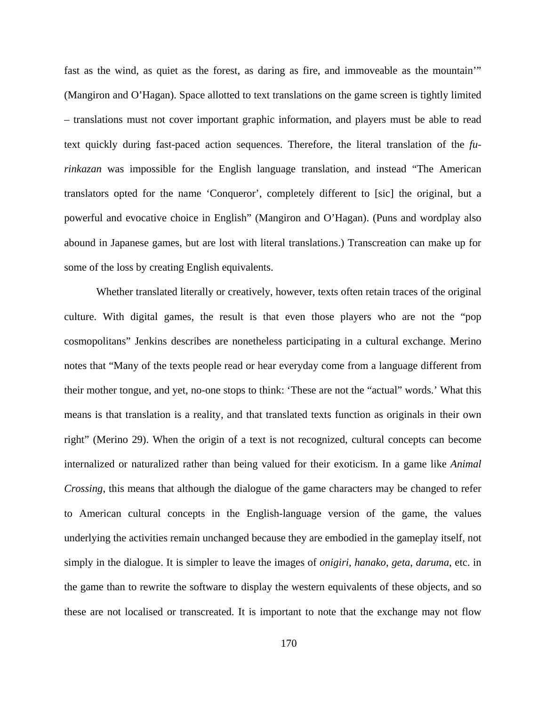fast as the wind, as quiet as the forest, as daring as fire, and immoveable as the mountain'' (Mangiron and O'Hagan). Space allotted to text translations on the game screen is tightly limited – translations must not cover important graphic information, and players must be able to read text quickly during fast-paced action sequences. Therefore, the literal translation of the *furinkazan* was impossible for the English language translation, and instead "The American translators opted for the name 'Conqueror', completely different to [sic] the original, but a powerful and evocative choice in English" (Mangiron and O'Hagan). (Puns and wordplay also abound in Japanese games, but are lost with literal translations.) Transcreation can make up for some of the loss by creating English equivalents.

Whether translated literally or creatively, however, texts often retain traces of the original culture. With digital games, the result is that even those players who are not the "pop cosmopolitans" Jenkins describes are nonetheless participating in a cultural exchange. Merino notes that "Many of the texts people read or hear everyday come from a language different from their mother tongue, and yet, no-one stops to think: 'These are not the "actual" words.' What this means is that translation is a reality, and that translated texts function as originals in their own right" (Merino 29). When the origin of a text is not recognized, cultural concepts can become internalized or naturalized rather than being valued for their exoticism. In a game like *Animal Crossing*, this means that although the dialogue of the game characters may be changed to refer to American cultural concepts in the English-language version of the game, the values underlying the activities remain unchanged because they are embodied in the gameplay itself, not simply in the dialogue. It is simpler to leave the images of *onigiri*, *hanako*, *geta*, *daruma*, etc. in the game than to rewrite the software to display the western equivalents of these objects, and so these are not localised or transcreated. It is important to note that the exchange may not flow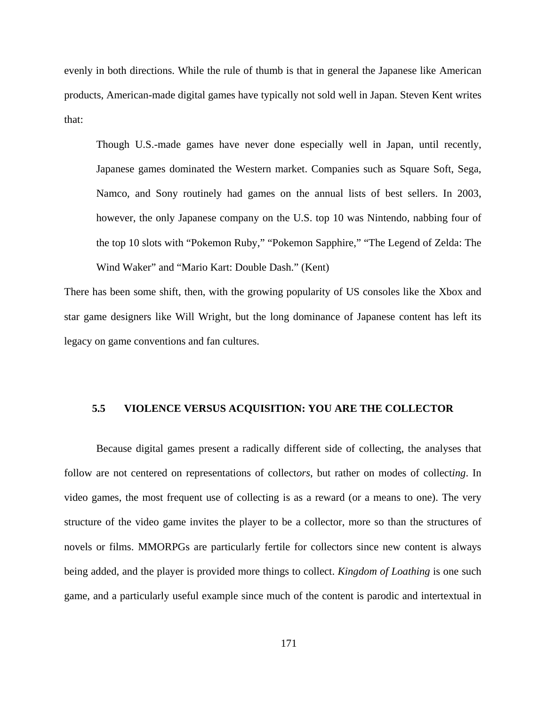evenly in both directions. While the rule of thumb is that in general the Japanese like American products, American-made digital games have typically not sold well in Japan. Steven Kent writes that:

Though U.S.-made games have never done especially well in Japan, until recently, Japanese games dominated the Western market. Companies such as Square Soft, Sega, Namco, and Sony routinely had games on the annual lists of best sellers. In 2003, however, the only Japanese company on the U.S. top 10 was Nintendo, nabbing four of the top 10 slots with "Pokemon Ruby," "Pokemon Sapphire," "The Legend of Zelda: The Wind Waker" and "Mario Kart: Double Dash." (Kent)

There has been some shift, then, with the growing popularity of US consoles like the Xbox and star game designers like Will Wright, but the long dominance of Japanese content has left its legacy on game conventions and fan cultures.

### **5.5 VIOLENCE VERSUS ACQUISITION: YOU ARE THE COLLECTOR**

Because digital games present a radically different side of collecting, the analyses that follow are not centered on representations of collect*ors*, but rather on modes of collect*ing*. In video games, the most frequent use of collecting is as a reward (or a means to one). The very structure of the video game invites the player to be a collector, more so than the structures of novels or films. MMORPGs are particularly fertile for collectors since new content is always being added, and the player is provided more things to collect. *Kingdom of Loathing* is one such game, and a particularly useful example since much of the content is parodic and intertextual in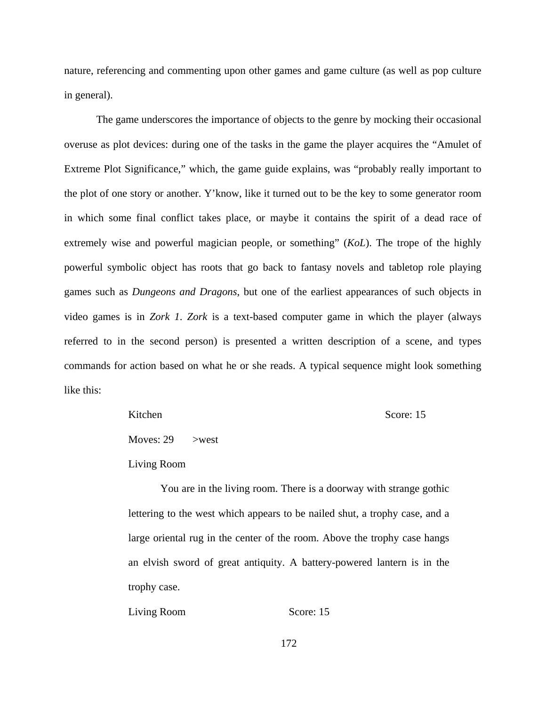nature, referencing and commenting upon other games and game culture (as well as pop culture in general).

The game underscores the importance of objects to the genre by mocking their occasional overuse as plot devices: during one of the tasks in the game the player acquires the "Amulet of Extreme Plot Significance," which, the game guide explains, was "probably really important to the plot of one story or another. Y'know, like it turned out to be the key to some generator room in which some final conflict takes place, or maybe it contains the spirit of a dead race of extremely wise and powerful magician people, or something" (*KoL*). The trope of the highly powerful symbolic object has roots that go back to fantasy novels and tabletop role playing games such as *Dungeons and Dragons*, but one of the earliest appearances of such objects in video games is in *Zork 1*. *Zork* is a text-based computer game in which the player (always referred to in the second person) is presented a written description of a scene, and types commands for action based on what he or she reads. A typical sequence might look something like this:

Kitchen Score: 15

Moves:  $29$  >west

Living Room

You are in the living room. There is a doorway with strange gothic lettering to the west which appears to be nailed shut, a trophy case, and a large oriental rug in the center of the room. Above the trophy case hangs an elvish sword of great antiquity. A battery-powered lantern is in the trophy case.

Living Room Score: 15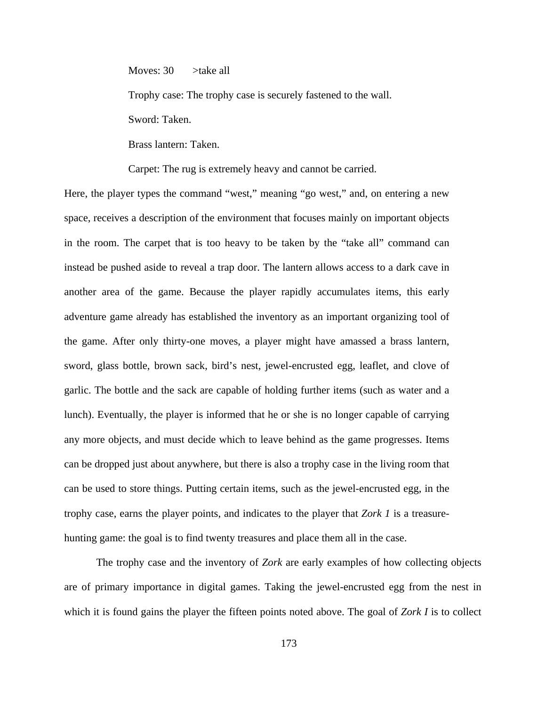Moves:  $30 \rightarrow$ take all

Trophy case: The trophy case is securely fastened to the wall.

Sword: Taken.

Brass lantern: Taken.

Carpet: The rug is extremely heavy and cannot be carried.

Here, the player types the command "west," meaning "go west," and, on entering a new space, receives a description of the environment that focuses mainly on important objects in the room. The carpet that is too heavy to be taken by the "take all" command can instead be pushed aside to reveal a trap door. The lantern allows access to a dark cave in another area of the game. Because the player rapidly accumulates items, this early adventure game already has established the inventory as an important organizing tool of the game. After only thirty-one moves, a player might have amassed a brass lantern, sword, glass bottle, brown sack, bird's nest, jewel-encrusted egg, leaflet, and clove of garlic. The bottle and the sack are capable of holding further items (such as water and a lunch). Eventually, the player is informed that he or she is no longer capable of carrying any more objects, and must decide which to leave behind as the game progresses. Items can be dropped just about anywhere, but there is also a trophy case in the living room that can be used to store things. Putting certain items, such as the jewel-encrusted egg, in the trophy case, earns the player points, and indicates to the player that *Zork 1* is a treasurehunting game: the goal is to find twenty treasures and place them all in the case.

The trophy case and the inventory of *Zork* are early examples of how collecting objects are of primary importance in digital games. Taking the jewel-encrusted egg from the nest in which it is found gains the player the fifteen points noted above. The goal of *Zork I* is to collect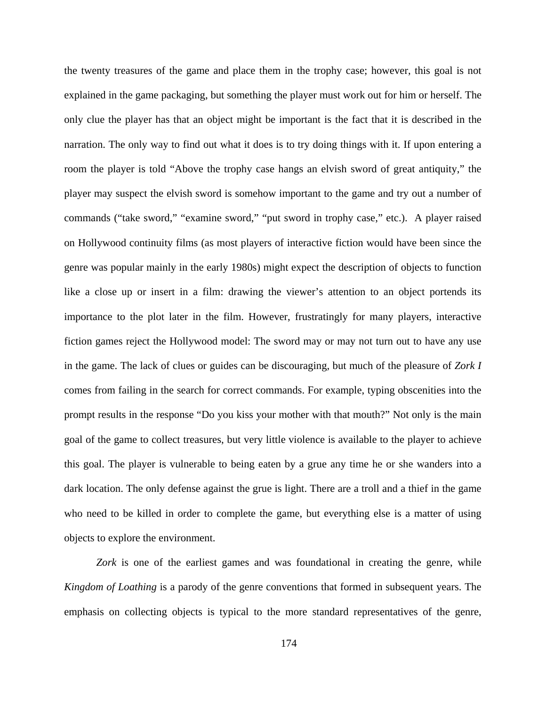the twenty treasures of the game and place them in the trophy case; however, this goal is not explained in the game packaging, but something the player must work out for him or herself. The only clue the player has that an object might be important is the fact that it is described in the narration. The only way to find out what it does is to try doing things with it. If upon entering a room the player is told "Above the trophy case hangs an elvish sword of great antiquity," the player may suspect the elvish sword is somehow important to the game and try out a number of commands ("take sword," "examine sword," "put sword in trophy case," etc.). A player raised on Hollywood continuity films (as most players of interactive fiction would have been since the genre was popular mainly in the early 1980s) might expect the description of objects to function like a close up or insert in a film: drawing the viewer's attention to an object portends its importance to the plot later in the film. However, frustratingly for many players, interactive fiction games reject the Hollywood model: The sword may or may not turn out to have any use in the game. The lack of clues or guides can be discouraging, but much of the pleasure of *Zork I* comes from failing in the search for correct commands. For example, typing obscenities into the prompt results in the response "Do you kiss your mother with that mouth?" Not only is the main goal of the game to collect treasures, but very little violence is available to the player to achieve this goal. The player is vulnerable to being eaten by a grue any time he or she wanders into a dark location. The only defense against the grue is light. There are a troll and a thief in the game who need to be killed in order to complete the game, but everything else is a matter of using objects to explore the environment.

*Zork* is one of the earliest games and was foundational in creating the genre, while *Kingdom of Loathing* is a parody of the genre conventions that formed in subsequent years. The emphasis on collecting objects is typical to the more standard representatives of the genre,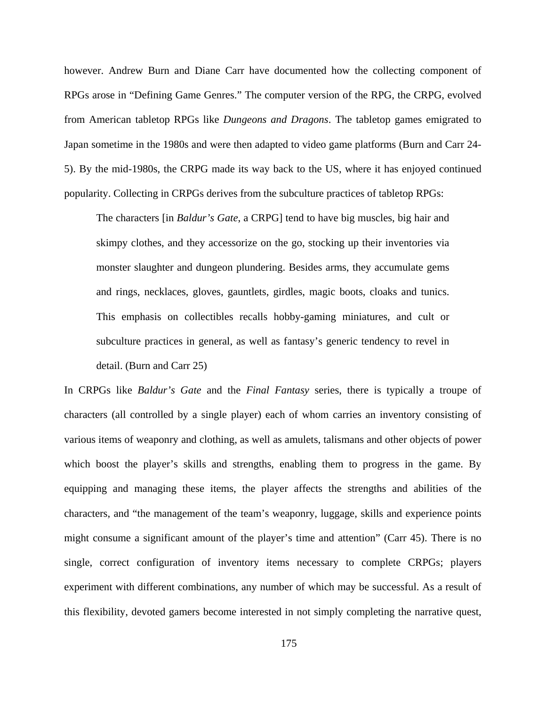however. Andrew Burn and Diane Carr have documented how the collecting component of RPGs arose in "Defining Game Genres." The computer version of the RPG, the CRPG, evolved from American tabletop RPGs like *Dungeons and Dragons*. The tabletop games emigrated to Japan sometime in the 1980s and were then adapted to video game platforms (Burn and Carr 24- 5). By the mid-1980s, the CRPG made its way back to the US, where it has enjoyed continued popularity. Collecting in CRPGs derives from the subculture practices of tabletop RPGs:

The characters [in *Baldur's Gate*, a CRPG] tend to have big muscles, big hair and skimpy clothes, and they accessorize on the go, stocking up their inventories via monster slaughter and dungeon plundering. Besides arms, they accumulate gems and rings, necklaces, gloves, gauntlets, girdles, magic boots, cloaks and tunics. This emphasis on collectibles recalls hobby-gaming miniatures, and cult or subculture practices in general, as well as fantasy's generic tendency to revel in detail. (Burn and Carr 25)

In CRPGs like *Baldur's Gate* and the *Final Fantasy* series, there is typically a troupe of characters (all controlled by a single player) each of whom carries an inventory consisting of various items of weaponry and clothing, as well as amulets, talismans and other objects of power which boost the player's skills and strengths, enabling them to progress in the game. By equipping and managing these items, the player affects the strengths and abilities of the characters, and "the management of the team's weaponry, luggage, skills and experience points might consume a significant amount of the player's time and attention" (Carr 45). There is no single, correct configuration of inventory items necessary to complete CRPGs; players experiment with different combinations, any number of which may be successful. As a result of this flexibility, devoted gamers become interested in not simply completing the narrative quest,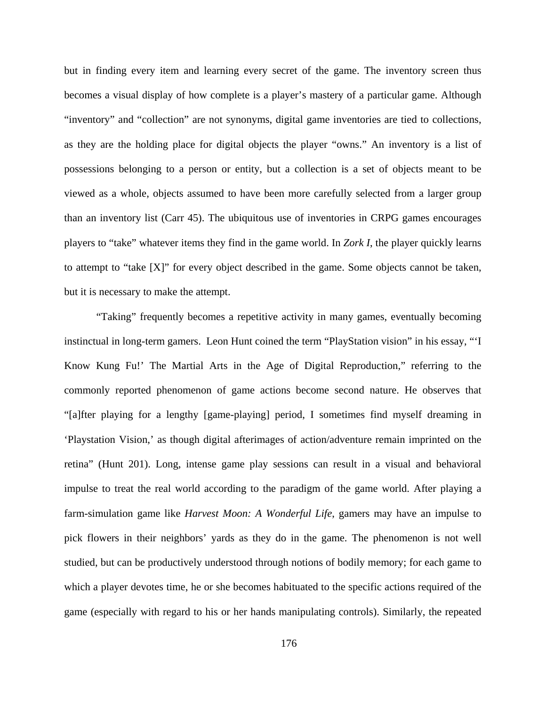but in finding every item and learning every secret of the game. The inventory screen thus becomes a visual display of how complete is a player's mastery of a particular game. Although "inventory" and "collection" are not synonyms, digital game inventories are tied to collections, as they are the holding place for digital objects the player "owns." An inventory is a list of possessions belonging to a person or entity, but a collection is a set of objects meant to be viewed as a whole, objects assumed to have been more carefully selected from a larger group than an inventory list (Carr 45). The ubiquitous use of inventories in CRPG games encourages players to "take" whatever items they find in the game world. In *Zork I*, the player quickly learns to attempt to "take [X]" for every object described in the game. Some objects cannot be taken, but it is necessary to make the attempt.

"Taking" frequently becomes a repetitive activity in many games, eventually becoming instinctual in long-term gamers. Leon Hunt coined the term "PlayStation vision" in his essay, "'I Know Kung Fu!' The Martial Arts in the Age of Digital Reproduction," referring to the commonly reported phenomenon of game actions become second nature. He observes that "[a]fter playing for a lengthy [game-playing] period, I sometimes find myself dreaming in 'Playstation Vision,' as though digital afterimages of action/adventure remain imprinted on the retina" (Hunt 201). Long, intense game play sessions can result in a visual and behavioral impulse to treat the real world according to the paradigm of the game world. After playing a farm-simulation game like *Harvest Moon: A Wonderful Life*, gamers may have an impulse to pick flowers in their neighbors' yards as they do in the game. The phenomenon is not well studied, but can be productively understood through notions of bodily memory; for each game to which a player devotes time, he or she becomes habituated to the specific actions required of the game (especially with regard to his or her hands manipulating controls). Similarly, the repeated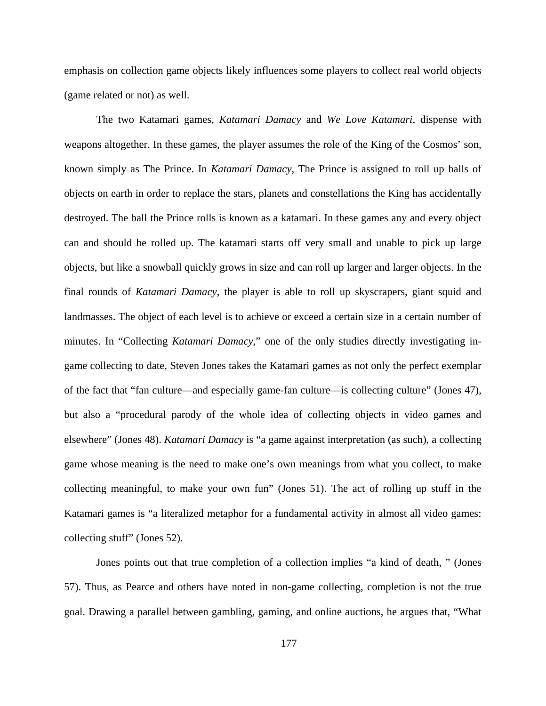emphasis on collection game objects likely influences some players to collect real world objects (game related or not) as well.

The two Katamari games, *Katamari Damacy* and *We Love Katamari*, dispense with weapons altogether. In these games, the player assumes the role of the King of the Cosmos' son, known simply as The Prince. In *Katamari Damacy*, The Prince is assigned to roll up balls of objects on earth in order to replace the stars, planets and constellations the King has accidentally destroyed. The ball the Prince rolls is known as a katamari. In these games any and every object can and should be rolled up. The katamari starts off very small and unable to pick up large objects, but like a snowball quickly grows in size and can roll up larger and larger objects. In the final rounds of *Katamari Damacy*, the player is able to roll up skyscrapers, giant squid and landmasses. The object of each level is to achieve or exceed a certain size in a certain number of minutes. In "Collecting *Katamari Damacy,*" one of the only studies directly investigating ingame collecting to date, Steven Jones takes the Katamari games as not only the perfect exemplar of the fact that "fan culture—and especially game-fan culture—is collecting culture" (Jones 47), but also a "procedural parody of the whole idea of collecting objects in video games and elsewhere" (Jones 48). *Katamari Damacy* is "a game against interpretation (as such), a collecting game whose meaning is the need to make one's own meanings from what you collect, to make collecting meaningful, to make your own fun" (Jones 51). The act of rolling up stuff in the Katamari games is "a literalized metaphor for a fundamental activity in almost all video games: collecting stuff" (Jones 52).

Jones points out that true completion of a collection implies "a kind of death, " (Jones 57). Thus, as Pearce and others have noted in non-game collecting, completion is not the true goal. Drawing a parallel between gambling, gaming, and online auctions, he argues that, "What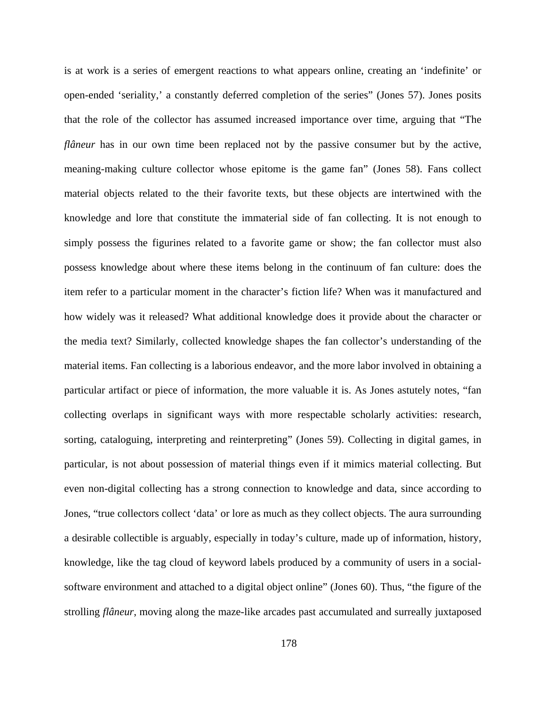is at work is a series of emergent reactions to what appears online, creating an 'indefinite' or open-ended 'seriality,' a constantly deferred completion of the series" (Jones 57). Jones posits that the role of the collector has assumed increased importance over time, arguing that "The *flâneur* has in our own time been replaced not by the passive consumer but by the active, meaning-making culture collector whose epitome is the game fan" (Jones 58). Fans collect material objects related to the their favorite texts, but these objects are intertwined with the knowledge and lore that constitute the immaterial side of fan collecting. It is not enough to simply possess the figurines related to a favorite game or show; the fan collector must also possess knowledge about where these items belong in the continuum of fan culture: does the item refer to a particular moment in the character's fiction life? When was it manufactured and how widely was it released? What additional knowledge does it provide about the character or the media text? Similarly, collected knowledge shapes the fan collector's understanding of the material items. Fan collecting is a laborious endeavor, and the more labor involved in obtaining a particular artifact or piece of information, the more valuable it is. As Jones astutely notes, "fan collecting overlaps in significant ways with more respectable scholarly activities: research, sorting, cataloguing, interpreting and reinterpreting" (Jones 59). Collecting in digital games, in particular, is not about possession of material things even if it mimics material collecting. But even non-digital collecting has a strong connection to knowledge and data, since according to Jones, "true collectors collect 'data' or lore as much as they collect objects. The aura surrounding a desirable collectible is arguably, especially in today's culture, made up of information, history, knowledge, like the tag cloud of keyword labels produced by a community of users in a socialsoftware environment and attached to a digital object online" (Jones 60). Thus, "the figure of the strolling *flâneur*, moving along the maze-like arcades past accumulated and surreally juxtaposed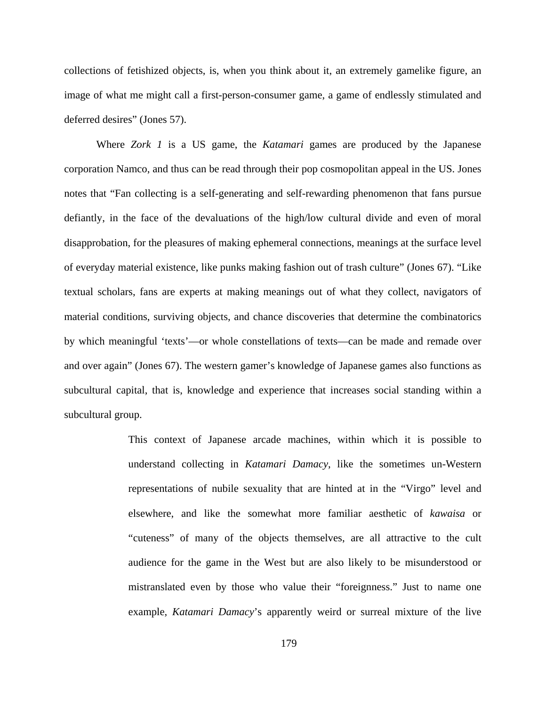collections of fetishized objects, is, when you think about it, an extremely gamelike figure, an image of what me might call a first-person-consumer game, a game of endlessly stimulated and deferred desires" (Jones 57).

Where *Zork 1* is a US game, the *Katamari* games are produced by the Japanese corporation Namco, and thus can be read through their pop cosmopolitan appeal in the US. Jones notes that "Fan collecting is a self-generating and self-rewarding phenomenon that fans pursue defiantly, in the face of the devaluations of the high/low cultural divide and even of moral disapprobation, for the pleasures of making ephemeral connections, meanings at the surface level of everyday material existence, like punks making fashion out of trash culture" (Jones 67). "Like textual scholars, fans are experts at making meanings out of what they collect, navigators of material conditions, surviving objects, and chance discoveries that determine the combinatorics by which meaningful 'texts'—or whole constellations of texts—can be made and remade over and over again" (Jones 67). The western gamer's knowledge of Japanese games also functions as subcultural capital, that is, knowledge and experience that increases social standing within a subcultural group.

> This context of Japanese arcade machines, within which it is possible to understand collecting in *Katamari Damacy*, like the sometimes un-Western representations of nubile sexuality that are hinted at in the "Virgo" level and elsewhere, and like the somewhat more familiar aesthetic of *kawaisa* or "cuteness" of many of the objects themselves, are all attractive to the cult audience for the game in the West but are also likely to be misunderstood or mistranslated even by those who value their "foreignness." Just to name one example, *Katamari Damacy*'s apparently weird or surreal mixture of the live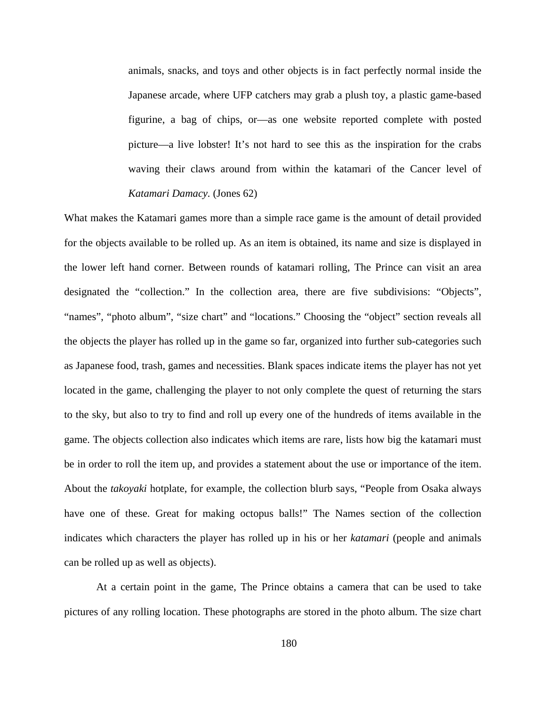animals, snacks, and toys and other objects is in fact perfectly normal inside the Japanese arcade, where UFP catchers may grab a plush toy, a plastic game-based figurine, a bag of chips, or—as one website reported complete with posted picture—a live lobster! It's not hard to see this as the inspiration for the crabs waving their claws around from within the katamari of the Cancer level of *Katamari Damacy.* (Jones 62)

What makes the Katamari games more than a simple race game is the amount of detail provided for the objects available to be rolled up. As an item is obtained, its name and size is displayed in the lower left hand corner. Between rounds of katamari rolling, The Prince can visit an area designated the "collection." In the collection area, there are five subdivisions: "Objects", "names", "photo album", "size chart" and "locations." Choosing the "object" section reveals all the objects the player has rolled up in the game so far, organized into further sub-categories such as Japanese food, trash, games and necessities. Blank spaces indicate items the player has not yet located in the game, challenging the player to not only complete the quest of returning the stars to the sky, but also to try to find and roll up every one of the hundreds of items available in the game. The objects collection also indicates which items are rare, lists how big the katamari must be in order to roll the item up, and provides a statement about the use or importance of the item. About the *takoyaki* hotplate, for example, the collection blurb says, "People from Osaka always have one of these. Great for making octopus balls!" The Names section of the collection indicates which characters the player has rolled up in his or her *katamari* (people and animals can be rolled up as well as objects).

At a certain point in the game, The Prince obtains a camera that can be used to take pictures of any rolling location. These photographs are stored in the photo album. The size chart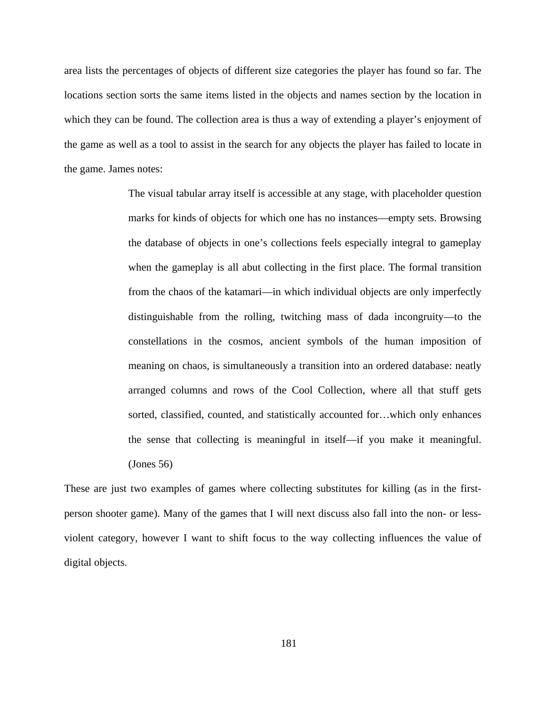area lists the percentages of objects of different size categories the player has found so far. The locations section sorts the same items listed in the objects and names section by the location in which they can be found. The collection area is thus a way of extending a player's enjoyment of the game as well as a tool to assist in the search for any objects the player has failed to locate in the game. James notes:

> The visual tabular array itself is accessible at any stage, with placeholder question marks for kinds of objects for which one has no instances—empty sets. Browsing the database of objects in one's collections feels especially integral to gameplay when the gameplay is all abut collecting in the first place. The formal transition from the chaos of the katamari—in which individual objects are only imperfectly distinguishable from the rolling, twitching mass of dada incongruity—to the constellations in the cosmos, ancient symbols of the human imposition of meaning on chaos, is simultaneously a transition into an ordered database: neatly arranged columns and rows of the Cool Collection, where all that stuff gets sorted, classified, counted, and statistically accounted for...which only enhances the sense that collecting is meaningful in itself—if you make it meaningful. (Jones 56)

These are just two examples of games where collecting substitutes for killing (as in the firstperson shooter game). Many of the games that I will next discuss also fall into the non- or lessviolent category, however I want to shift focus to the way collecting influences the value of digital objects.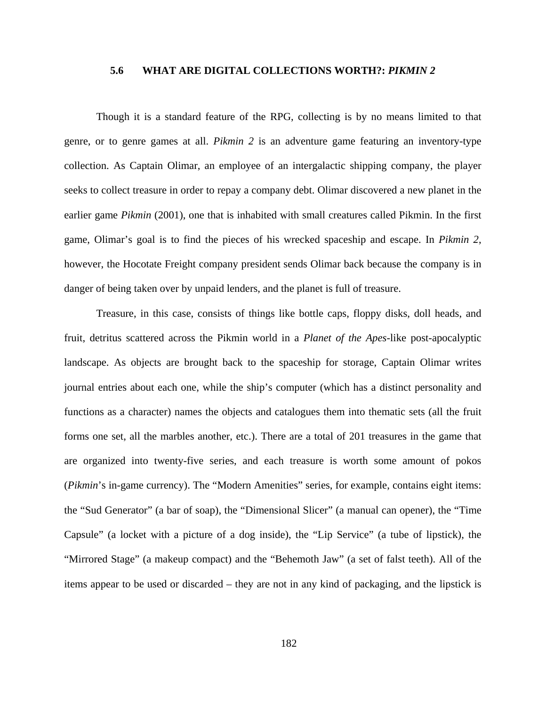#### **5.6 WHAT ARE DIGITAL COLLECTIONS WORTH?:** *PIKMIN 2*

Though it is a standard feature of the RPG, collecting is by no means limited to that genre, or to genre games at all. *Pikmin 2* is an adventure game featuring an inventory-type collection. As Captain Olimar, an employee of an intergalactic shipping company, the player seeks to collect treasure in order to repay a company debt. Olimar discovered a new planet in the earlier game *Pikmin* (2001), one that is inhabited with small creatures called Pikmin. In the first game, Olimar's goal is to find the pieces of his wrecked spaceship and escape. In *Pikmin 2*, however, the Hocotate Freight company president sends Olimar back because the company is in danger of being taken over by unpaid lenders, and the planet is full of treasure.

Treasure, in this case, consists of things like bottle caps, floppy disks, doll heads, and fruit, detritus scattered across the Pikmin world in a *Planet of the Apes*-like post-apocalyptic landscape. As objects are brought back to the spaceship for storage, Captain Olimar writes journal entries about each one, while the ship's computer (which has a distinct personality and functions as a character) names the objects and catalogues them into thematic sets (all the fruit forms one set, all the marbles another, etc.). There are a total of 201 treasures in the game that are organized into twenty-five series, and each treasure is worth some amount of pokos (*Pikmin*'s in-game currency). The "Modern Amenities" series, for example, contains eight items: the "Sud Generator" (a bar of soap), the "Dimensional Slicer" (a manual can opener), the "Time Capsule" (a locket with a picture of a dog inside), the "Lip Service" (a tube of lipstick), the "Mirrored Stage" (a makeup compact) and the "Behemoth Jaw" (a set of falst teeth). All of the items appear to be used or discarded – they are not in any kind of packaging, and the lipstick is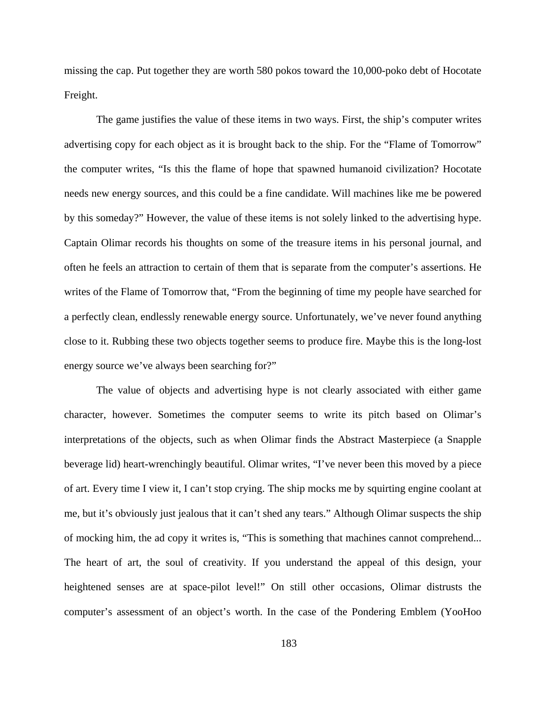missing the cap. Put together they are worth 580 pokos toward the 10,000-poko debt of Hocotate Freight.

The game justifies the value of these items in two ways. First, the ship's computer writes advertising copy for each object as it is brought back to the ship. For the "Flame of Tomorrow" the computer writes, "Is this the flame of hope that spawned humanoid civilization? Hocotate needs new energy sources, and this could be a fine candidate. Will machines like me be powered by this someday?" However, the value of these items is not solely linked to the advertising hype. Captain Olimar records his thoughts on some of the treasure items in his personal journal, and often he feels an attraction to certain of them that is separate from the computer's assertions. He writes of the Flame of Tomorrow that, "From the beginning of time my people have searched for a perfectly clean, endlessly renewable energy source. Unfortunately, we've never found anything close to it. Rubbing these two objects together seems to produce fire. Maybe this is the long-lost energy source we've always been searching for?"

The value of objects and advertising hype is not clearly associated with either game character, however. Sometimes the computer seems to write its pitch based on Olimar's interpretations of the objects, such as when Olimar finds the Abstract Masterpiece (a Snapple beverage lid) heart-wrenchingly beautiful. Olimar writes, "I've never been this moved by a piece of art. Every time I view it, I can't stop crying. The ship mocks me by squirting engine coolant at me, but it's obviously just jealous that it can't shed any tears." Although Olimar suspects the ship of mocking him, the ad copy it writes is, "This is something that machines cannot comprehend... The heart of art, the soul of creativity. If you understand the appeal of this design, your heightened senses are at space-pilot level!" On still other occasions, Olimar distrusts the computer's assessment of an object's worth. In the case of the Pondering Emblem (YooHoo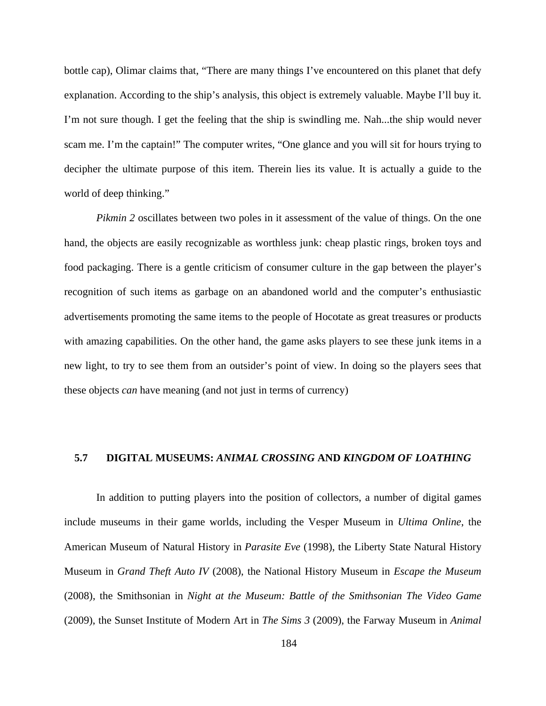bottle cap), Olimar claims that, "There are many things I've encountered on this planet that defy explanation. According to the ship's analysis, this object is extremely valuable. Maybe I'll buy it. I'm not sure though. I get the feeling that the ship is swindling me. Nah...the ship would never scam me. I'm the captain!" The computer writes, "One glance and you will sit for hours trying to decipher the ultimate purpose of this item. Therein lies its value. It is actually a guide to the world of deep thinking."

*Pikmin 2* oscillates between two poles in it assessment of the value of things. On the one hand, the objects are easily recognizable as worthless junk: cheap plastic rings, broken toys and food packaging. There is a gentle criticism of consumer culture in the gap between the player's recognition of such items as garbage on an abandoned world and the computer's enthusiastic advertisements promoting the same items to the people of Hocotate as great treasures or products with amazing capabilities. On the other hand, the game asks players to see these junk items in a new light, to try to see them from an outsider's point of view. In doing so the players sees that these objects *can* have meaning (and not just in terms of currency)

# **5.7 DIGITAL MUSEUMS:** *ANIMAL CROSSING* **AND** *KINGDOM OF LOATHING*

In addition to putting players into the position of collectors, a number of digital games include museums in their game worlds, including the Vesper Museum in *Ultima Online*, the American Museum of Natural History in *Parasite Eve* (1998), the Liberty State Natural History Museum in *Grand Theft Auto IV* (2008), the National History Museum in *Escape the Museum* (2008), the Smithsonian in *Night at the Museum: Battle of the Smithsonian The Video Game* (2009), the Sunset Institute of Modern Art in *The Sims 3* (2009), the Farway Museum in *Animal*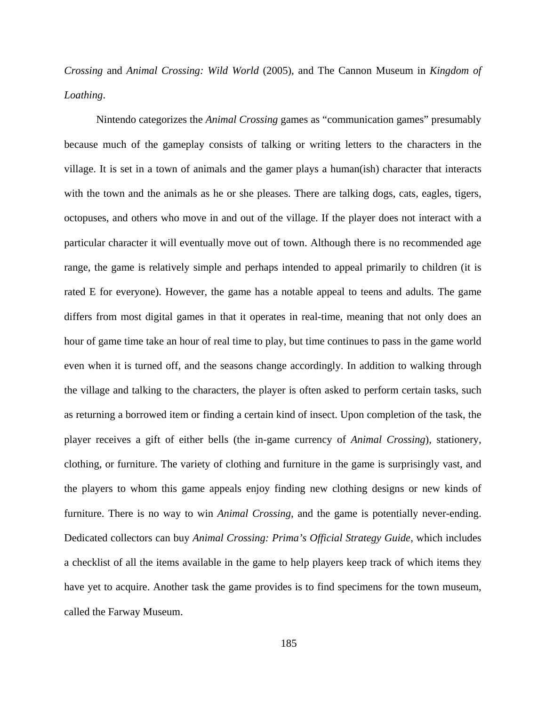*Crossing* and *Animal Crossing: Wild World* (2005), and The Cannon Museum in *Kingdom of Loathing*.

Nintendo categorizes the *Animal Crossing* games as "communication games" presumably because much of the gameplay consists of talking or writing letters to the characters in the village. It is set in a town of animals and the gamer plays a human(ish) character that interacts with the town and the animals as he or she pleases. There are talking dogs, cats, eagles, tigers, octopuses, and others who move in and out of the village. If the player does not interact with a particular character it will eventually move out of town. Although there is no recommended age range, the game is relatively simple and perhaps intended to appeal primarily to children (it is rated E for everyone). However, the game has a notable appeal to teens and adults. The game differs from most digital games in that it operates in real-time, meaning that not only does an hour of game time take an hour of real time to play, but time continues to pass in the game world even when it is turned off, and the seasons change accordingly. In addition to walking through the village and talking to the characters, the player is often asked to perform certain tasks, such as returning a borrowed item or finding a certain kind of insect. Upon completion of the task, the player receives a gift of either bells (the in-game currency of *Animal Crossing*), stationery, clothing, or furniture. The variety of clothing and furniture in the game is surprisingly vast, and the players to whom this game appeals enjoy finding new clothing designs or new kinds of furniture. There is no way to win *Animal Crossing,* and the game is potentially never-ending. Dedicated collectors can buy *Animal Crossing: Prima's Official Strategy Guide*, which includes a checklist of all the items available in the game to help players keep track of which items they have yet to acquire. Another task the game provides is to find specimens for the town museum, called the Farway Museum.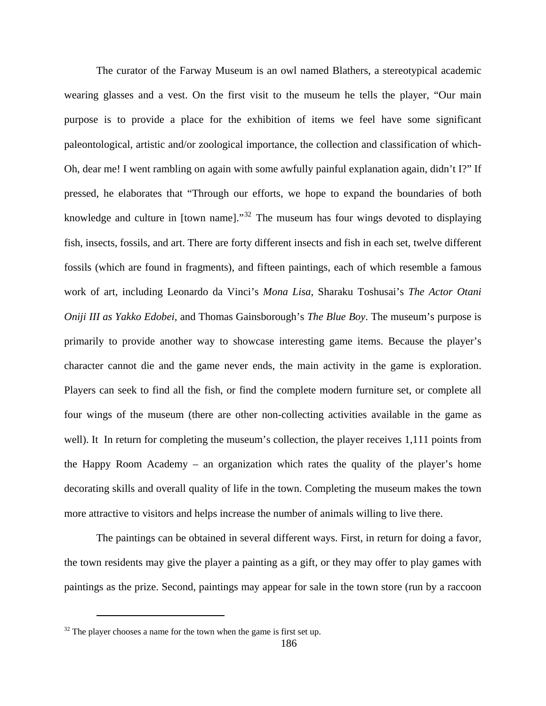The curator of the Farway Museum is an owl named Blathers, a stereotypical academic wearing glasses and a vest. On the first visit to the museum he tells the player, "Our main purpose is to provide a place for the exhibition of items we feel have some significant paleontological, artistic and/or zoological importance, the collection and classification of which-Oh, dear me! I went rambling on again with some awfully painful explanation again, didn't I?" If pressed, he elaborates that "Through our efforts, we hope to expand the boundaries of both knowledge and culture in [town name]."<sup>[32](#page-194-0)</sup> The museum has four wings devoted to displaying fish, insects, fossils, and art. There are forty different insects and fish in each set, twelve different fossils (which are found in fragments), and fifteen paintings, each of which resemble a famous work of art, including Leonardo da Vinci's *Mona Lisa*, Sharaku Toshusai's *The Actor Otani Oniji III as Yakko Edobei*, and Thomas Gainsborough's *The Blue Boy*. The museum's purpose is primarily to provide another way to showcase interesting game items. Because the player's character cannot die and the game never ends, the main activity in the game is exploration. Players can seek to find all the fish, or find the complete modern furniture set, or complete all four wings of the museum (there are other non-collecting activities available in the game as well). It In return for completing the museum's collection, the player receives 1,111 points from the Happy Room Academy – an organization which rates the quality of the player's home decorating skills and overall quality of life in the town. Completing the museum makes the town more attractive to visitors and helps increase the number of animals willing to live there.

The paintings can be obtained in several different ways. First, in return for doing a favor, the town residents may give the player a painting as a gift, or they may offer to play games with paintings as the prize. Second, paintings may appear for sale in the town store (run by a raccoon

1

<span id="page-194-0"></span> $32$  The player chooses a name for the town when the game is first set up.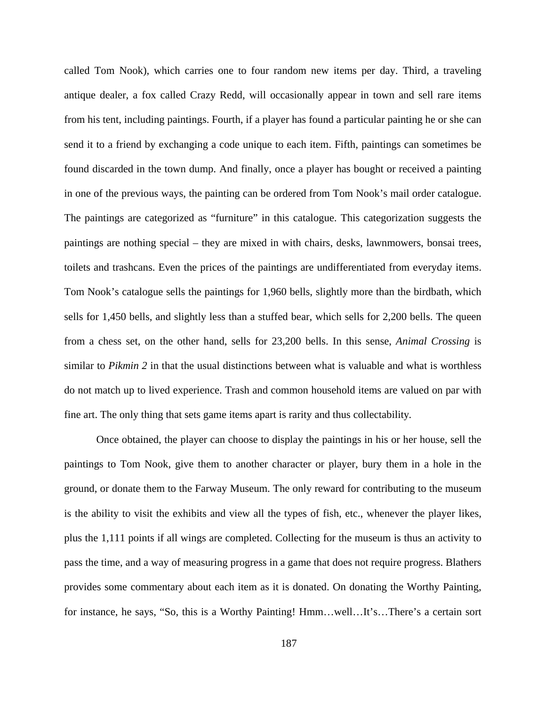called Tom Nook), which carries one to four random new items per day. Third, a traveling antique dealer, a fox called Crazy Redd, will occasionally appear in town and sell rare items from his tent, including paintings. Fourth, if a player has found a particular painting he or she can send it to a friend by exchanging a code unique to each item. Fifth, paintings can sometimes be found discarded in the town dump. And finally, once a player has bought or received a painting in one of the previous ways, the painting can be ordered from Tom Nook's mail order catalogue. The paintings are categorized as "furniture" in this catalogue. This categorization suggests the paintings are nothing special – they are mixed in with chairs, desks, lawnmowers, bonsai trees, toilets and trashcans. Even the prices of the paintings are undifferentiated from everyday items. Tom Nook's catalogue sells the paintings for 1,960 bells, slightly more than the birdbath, which sells for 1,450 bells, and slightly less than a stuffed bear, which sells for 2,200 bells. The queen from a chess set, on the other hand, sells for 23,200 bells. In this sense, *Animal Crossing* is similar to *Pikmin 2* in that the usual distinctions between what is valuable and what is worthless do not match up to lived experience. Trash and common household items are valued on par with fine art. The only thing that sets game items apart is rarity and thus collectability*.* 

Once obtained, the player can choose to display the paintings in his or her house, sell the paintings to Tom Nook, give them to another character or player, bury them in a hole in the ground, or donate them to the Farway Museum. The only reward for contributing to the museum is the ability to visit the exhibits and view all the types of fish, etc., whenever the player likes, plus the 1,111 points if all wings are completed. Collecting for the museum is thus an activity to pass the time, and a way of measuring progress in a game that does not require progress. Blathers provides some commentary about each item as it is donated. On donating the Worthy Painting, for instance, he says, "So, this is a Worthy Painting! Hmm…well…It's…There's a certain sort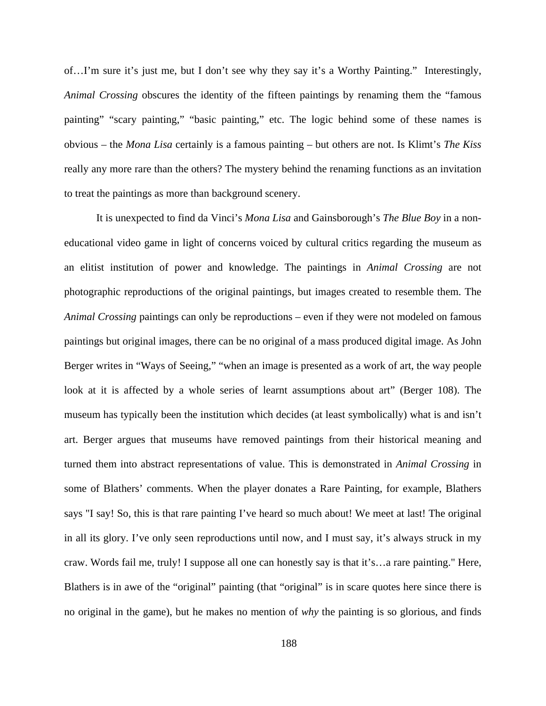of…I'm sure it's just me, but I don't see why they say it's a Worthy Painting." Interestingly, *Animal Crossing* obscures the identity of the fifteen paintings by renaming them the "famous painting" "scary painting," "basic painting," etc. The logic behind some of these names is obvious – the *Mona Lisa* certainly is a famous painting – but others are not. Is Klimt's *The Kiss* really any more rare than the others? The mystery behind the renaming functions as an invitation to treat the paintings as more than background scenery.

It is unexpected to find da Vinci's *Mona Lisa* and Gainsborough's *The Blue Boy* in a noneducational video game in light of concerns voiced by cultural critics regarding the museum as an elitist institution of power and knowledge. The paintings in *Animal Crossing* are not photographic reproductions of the original paintings, but images created to resemble them. The *Animal Crossing* paintings can only be reproductions – even if they were not modeled on famous paintings but original images, there can be no original of a mass produced digital image. As John Berger writes in "Ways of Seeing," "when an image is presented as a work of art, the way people look at it is affected by a whole series of learnt assumptions about art" (Berger 108). The museum has typically been the institution which decides (at least symbolically) what is and isn't art. Berger argues that museums have removed paintings from their historical meaning and turned them into abstract representations of value. This is demonstrated in *Animal Crossing* in some of Blathers' comments. When the player donates a Rare Painting, for example, Blathers says "I say! So, this is that rare painting I've heard so much about! We meet at last! The original in all its glory. I've only seen reproductions until now, and I must say, it's always struck in my craw. Words fail me, truly! I suppose all one can honestly say is that it's…a rare painting." Here, Blathers is in awe of the "original" painting (that "original" is in scare quotes here since there is no original in the game), but he makes no mention of *why* the painting is so glorious, and finds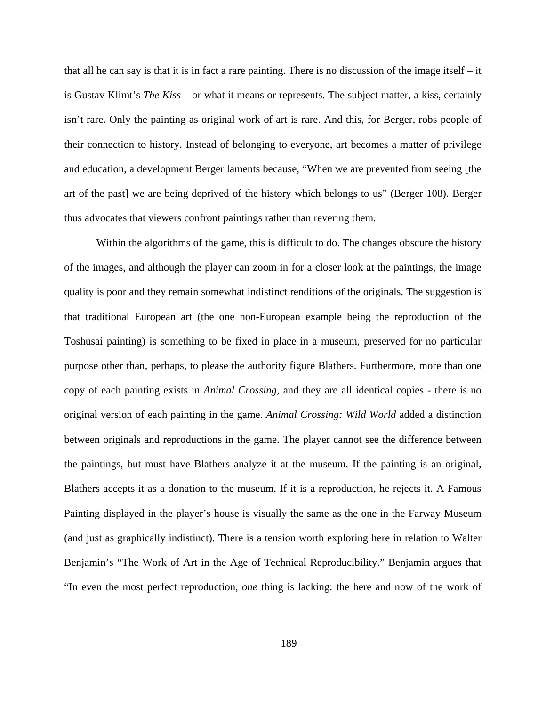that all he can say is that it is in fact a rare painting. There is no discussion of the image itself – it is Gustav Klimt's *The Kiss* – or what it means or represents. The subject matter, a kiss, certainly isn't rare. Only the painting as original work of art is rare. And this, for Berger, robs people of their connection to history. Instead of belonging to everyone, art becomes a matter of privilege and education, a development Berger laments because, "When we are prevented from seeing [the art of the past] we are being deprived of the history which belongs to us" (Berger 108). Berger thus advocates that viewers confront paintings rather than revering them.

Within the algorithms of the game, this is difficult to do. The changes obscure the history of the images, and although the player can zoom in for a closer look at the paintings, the image quality is poor and they remain somewhat indistinct renditions of the originals. The suggestion is that traditional European art (the one non-European example being the reproduction of the Toshusai painting) is something to be fixed in place in a museum, preserved for no particular purpose other than, perhaps, to please the authority figure Blathers. Furthermore, more than one copy of each painting exists in *Animal Crossing*, and they are all identical copies - there is no original version of each painting in the game. *Animal Crossing: Wild World* added a distinction between originals and reproductions in the game. The player cannot see the difference between the paintings, but must have Blathers analyze it at the museum. If the painting is an original, Blathers accepts it as a donation to the museum. If it is a reproduction, he rejects it. A Famous Painting displayed in the player's house is visually the same as the one in the Farway Museum (and just as graphically indistinct). There is a tension worth exploring here in relation to Walter Benjamin's "The Work of Art in the Age of Technical Reproducibility." Benjamin argues that "In even the most perfect reproduction, *one* thing is lacking: the here and now of the work of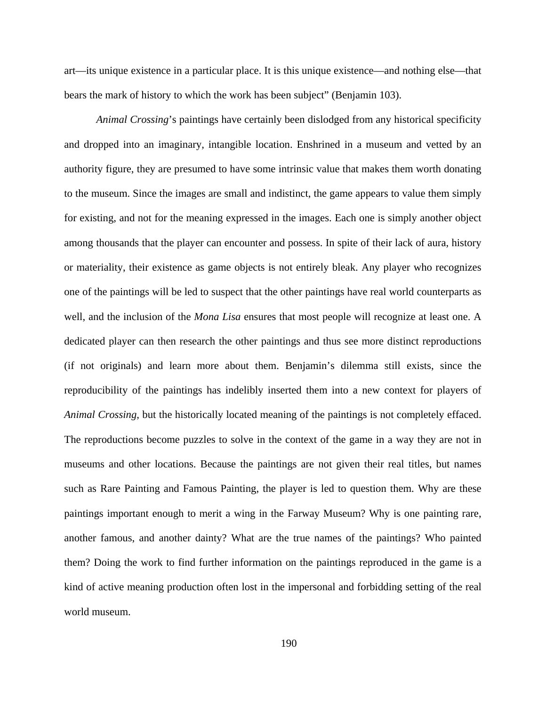art—its unique existence in a particular place. It is this unique existence—and nothing else—that bears the mark of history to which the work has been subject" (Benjamin 103).

*Animal Crossing*'s paintings have certainly been dislodged from any historical specificity and dropped into an imaginary, intangible location. Enshrined in a museum and vetted by an authority figure, they are presumed to have some intrinsic value that makes them worth donating to the museum. Since the images are small and indistinct, the game appears to value them simply for existing, and not for the meaning expressed in the images. Each one is simply another object among thousands that the player can encounter and possess. In spite of their lack of aura, history or materiality, their existence as game objects is not entirely bleak. Any player who recognizes one of the paintings will be led to suspect that the other paintings have real world counterparts as well, and the inclusion of the *Mona Lisa* ensures that most people will recognize at least one. A dedicated player can then research the other paintings and thus see more distinct reproductions (if not originals) and learn more about them. Benjamin's dilemma still exists, since the reproducibility of the paintings has indelibly inserted them into a new context for players of *Animal Crossing*, but the historically located meaning of the paintings is not completely effaced. The reproductions become puzzles to solve in the context of the game in a way they are not in museums and other locations. Because the paintings are not given their real titles, but names such as Rare Painting and Famous Painting, the player is led to question them. Why are these paintings important enough to merit a wing in the Farway Museum? Why is one painting rare, another famous, and another dainty? What are the true names of the paintings? Who painted them? Doing the work to find further information on the paintings reproduced in the game is a kind of active meaning production often lost in the impersonal and forbidding setting of the real world museum.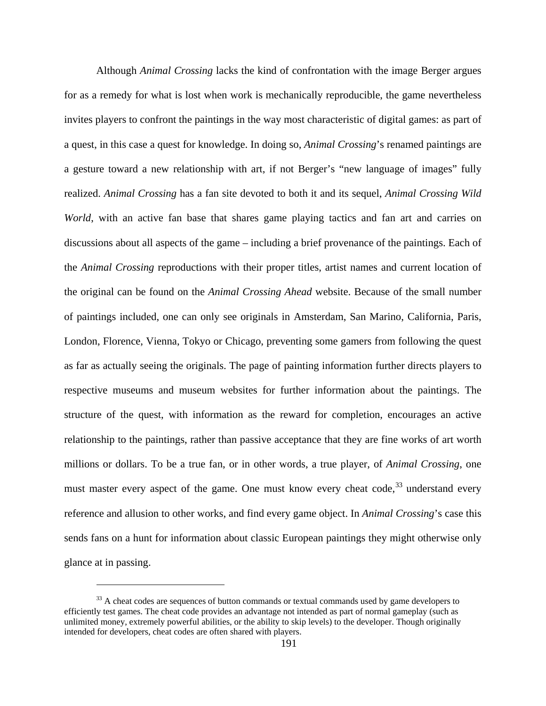Although *Animal Crossing* lacks the kind of confrontation with the image Berger argues for as a remedy for what is lost when work is mechanically reproducible, the game nevertheless invites players to confront the paintings in the way most characteristic of digital games: as part of a quest, in this case a quest for knowledge. In doing so, *Animal Crossing*'s renamed paintings are a gesture toward a new relationship with art, if not Berger's "new language of images" fully realized. *Animal Crossing* has a fan site devoted to both it and its sequel, *Animal Crossing Wild World*, with an active fan base that shares game playing tactics and fan art and carries on discussions about all aspects of the game – including a brief provenance of the paintings. Each of the *Animal Crossing* reproductions with their proper titles, artist names and current location of the original can be found on the *Animal Crossing Ahead* website. Because of the small number of paintings included, one can only see originals in Amsterdam, San Marino, California, Paris, London, Florence, Vienna, Tokyo or Chicago, preventing some gamers from following the quest as far as actually seeing the originals. The page of painting information further directs players to respective museums and museum websites for further information about the paintings. The structure of the quest, with information as the reward for completion, encourages an active relationship to the paintings, rather than passive acceptance that they are fine works of art worth millions or dollars. To be a true fan, or in other words, a true player, of *Animal Crossing*, one must master every aspect of the game. One must know every cheat code,  $33$  understand every reference and allusion to other works, and find every game object. In *Animal Crossing*'s case this sends fans on a hunt for information about classic European paintings they might otherwise only glance at in passing.

1

<span id="page-199-0"></span><sup>&</sup>lt;sup>33</sup> A cheat codes are sequences of button commands or textual commands used by game developers to efficiently test games. The cheat code provides an advantage not intended as part of normal gameplay (such as unlimited money, extremely powerful abilities, or the ability to skip levels) to the developer. Though originally intended for developers, cheat codes are often shared with players.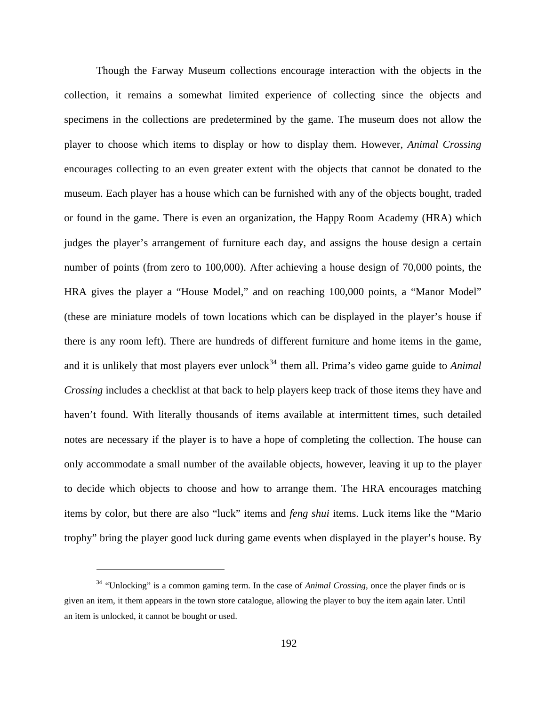Though the Farway Museum collections encourage interaction with the objects in the collection, it remains a somewhat limited experience of collecting since the objects and specimens in the collections are predetermined by the game. The museum does not allow the player to choose which items to display or how to display them. However, *Animal Crossing*  encourages collecting to an even greater extent with the objects that cannot be donated to the museum. Each player has a house which can be furnished with any of the objects bought, traded or found in the game. There is even an organization, the Happy Room Academy (HRA) which judges the player's arrangement of furniture each day, and assigns the house design a certain number of points (from zero to 100,000). After achieving a house design of 70,000 points, the HRA gives the player a "House Model," and on reaching 100,000 points, a "Manor Model" (these are miniature models of town locations which can be displayed in the player's house if there is any room left). There are hundreds of different furniture and home items in the game, and it is unlikely that most players ever unlock<sup>[34](#page-200-0)</sup> them all. Prima's video game guide to *Animal Crossing* includes a checklist at that back to help players keep track of those items they have and haven't found. With literally thousands of items available at intermittent times, such detailed notes are necessary if the player is to have a hope of completing the collection. The house can only accommodate a small number of the available objects, however, leaving it up to the player to decide which objects to choose and how to arrange them. The HRA encourages matching items by color, but there are also "luck" items and *feng shui* items. Luck items like the "Mario trophy" bring the player good luck during game events when displayed in the player's house. By

<u>.</u>

<span id="page-200-0"></span><sup>34</sup> "Unlocking" is a common gaming term. In the case of *Animal Crossing*, once the player finds or is given an item, it them appears in the town store catalogue, allowing the player to buy the item again later. Until an item is unlocked, it cannot be bought or used.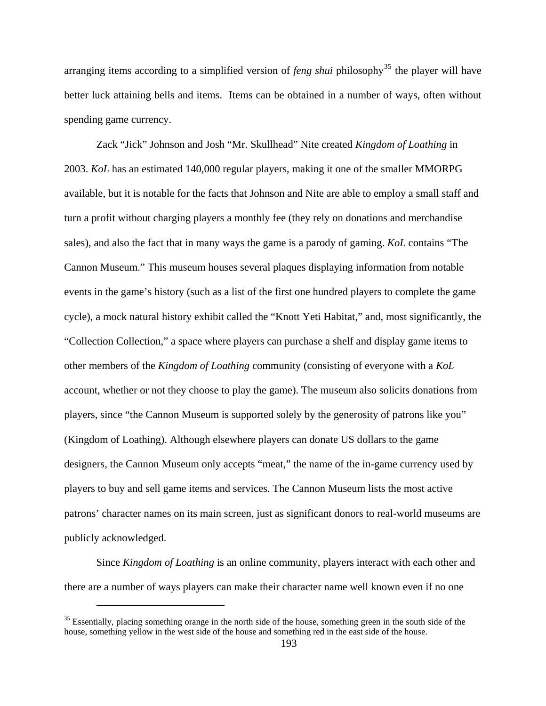arranging items according to a simplified version of *feng shui* philosophy<sup>[35](#page-201-0)</sup> the player will have better luck attaining bells and items. Items can be obtained in a number of ways, often without spending game currency.

Zack "Jick" Johnson and Josh "Mr. Skullhead" Nite created *Kingdom of Loathing* in 2003. *KoL* has an estimated 140,000 regular players, making it one of the smaller MMORPG available, but it is notable for the facts that Johnson and Nite are able to employ a small staff and turn a profit without charging players a monthly fee (they rely on donations and merchandise sales), and also the fact that in many ways the game is a parody of gaming. *KoL* contains "The Cannon Museum." This museum houses several plaques displaying information from notable events in the game's history (such as a list of the first one hundred players to complete the game cycle), a mock natural history exhibit called the "Knott Yeti Habitat," and, most significantly, the "Collection Collection," a space where players can purchase a shelf and display game items to other members of the *Kingdom of Loathing* community (consisting of everyone with a *KoL* account, whether or not they choose to play the game). The museum also solicits donations from players, since "the Cannon Museum is supported solely by the generosity of patrons like you" (Kingdom of Loathing). Although elsewhere players can donate US dollars to the game designers, the Cannon Museum only accepts "meat," the name of the in-game currency used by players to buy and sell game items and services. The Cannon Museum lists the most active patrons' character names on its main screen, just as significant donors to real-world museums are publicly acknowledged.

Since *Kingdom of Loathing* is an online community, players interact with each other and there are a number of ways players can make their character name well known even if no one

1

<span id="page-201-0"></span><sup>&</sup>lt;sup>35</sup> Essentially, placing something orange in the north side of the house, something green in the south side of the house, something yellow in the west side of the house and something red in the east side of the house.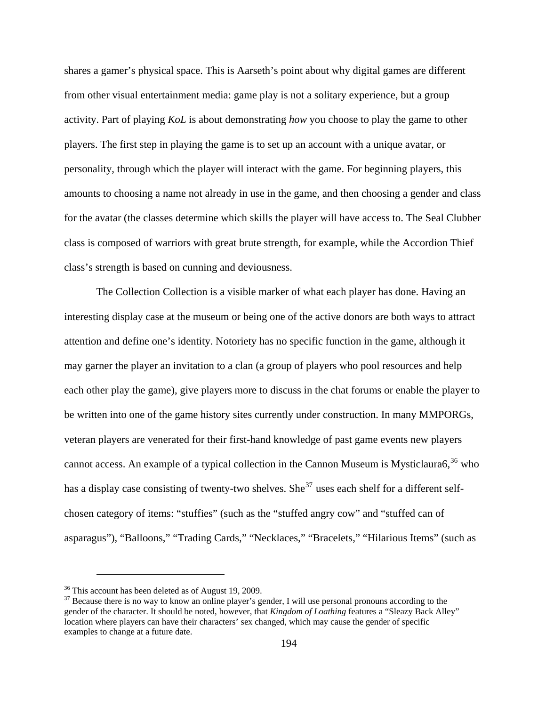shares a gamer's physical space. This is Aarseth's point about why digital games are different from other visual entertainment media: game play is not a solitary experience, but a group activity. Part of playing *KoL* is about demonstrating *how* you choose to play the game to other players. The first step in playing the game is to set up an account with a unique avatar, or personality, through which the player will interact with the game. For beginning players, this amounts to choosing a name not already in use in the game, and then choosing a gender and class for the avatar (the classes determine which skills the player will have access to. The Seal Clubber class is composed of warriors with great brute strength, for example, while the Accordion Thief class's strength is based on cunning and deviousness.

The Collection Collection is a visible marker of what each player has done. Having an interesting display case at the museum or being one of the active donors are both ways to attract attention and define one's identity. Notoriety has no specific function in the game, although it may garner the player an invitation to a clan (a group of players who pool resources and help each other play the game), give players more to discuss in the chat forums or enable the player to be written into one of the game history sites currently under construction. In many MMPORGs, veteran players are venerated for their first-hand knowledge of past game events new players cannot access. An example of a typical collection in the Cannon Museum is Mysticlaura $6<sup>36</sup>$  $6<sup>36</sup>$  $6<sup>36</sup>$  who has a display case consisting of twenty-two shelves. She<sup>[37](#page-202-1)</sup> uses each shelf for a different selfchosen category of items: "stuffies" (such as the "stuffed angry cow" and "stuffed can of asparagus"), "Balloons," "Trading Cards," "Necklaces," "Bracelets," "Hilarious Items" (such as

1

<span id="page-202-0"></span><sup>36</sup> This account has been deleted as of August 19, 2009.

<span id="page-202-1"></span><sup>&</sup>lt;sup>37</sup> Because there is no way to know an online player's gender, I will use personal pronouns according to the gender of the character. It should be noted, however, that *Kingdom of Loathing* features a "Sleazy Back Alley" location where players can have their characters' sex changed, which may cause the gender of specific examples to change at a future date.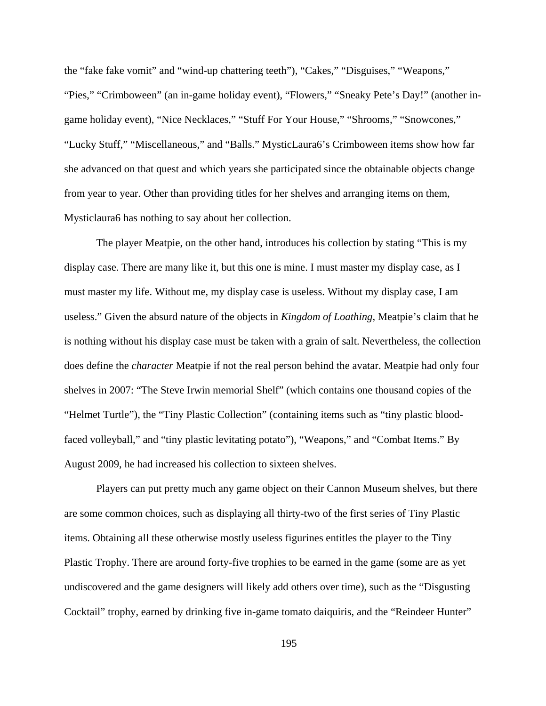the "fake fake vomit" and "wind-up chattering teeth"), "Cakes," "Disguises," "Weapons," "Pies," "Crimboween" (an in-game holiday event), "Flowers," "Sneaky Pete's Day!" (another ingame holiday event), "Nice Necklaces," "Stuff For Your House," "Shrooms," "Snowcones," "Lucky Stuff," "Miscellaneous," and "Balls." MysticLaura6's Crimboween items show how far she advanced on that quest and which years she participated since the obtainable objects change from year to year. Other than providing titles for her shelves and arranging items on them, Mysticlaura6 has nothing to say about her collection.

The player Meatpie, on the other hand, introduces his collection by stating "This is my display case. There are many like it, but this one is mine. I must master my display case, as I must master my life. Without me, my display case is useless. Without my display case, I am useless." Given the absurd nature of the objects in *Kingdom of Loathing*, Meatpie's claim that he is nothing without his display case must be taken with a grain of salt. Nevertheless, the collection does define the *character* Meatpie if not the real person behind the avatar. Meatpie had only four shelves in 2007: "The Steve Irwin memorial Shelf" (which contains one thousand copies of the "Helmet Turtle"), the "Tiny Plastic Collection" (containing items such as "tiny plastic bloodfaced volleyball," and "tiny plastic levitating potato"), "Weapons," and "Combat Items." By August 2009, he had increased his collection to sixteen shelves.

Players can put pretty much any game object on their Cannon Museum shelves, but there are some common choices, such as displaying all thirty-two of the first series of Tiny Plastic items. Obtaining all these otherwise mostly useless figurines entitles the player to the Tiny Plastic Trophy. There are around forty-five trophies to be earned in the game (some are as yet undiscovered and the game designers will likely add others over time), such as the "Disgusting Cocktail" trophy, earned by drinking five in-game tomato daiquiris, and the "Reindeer Hunter"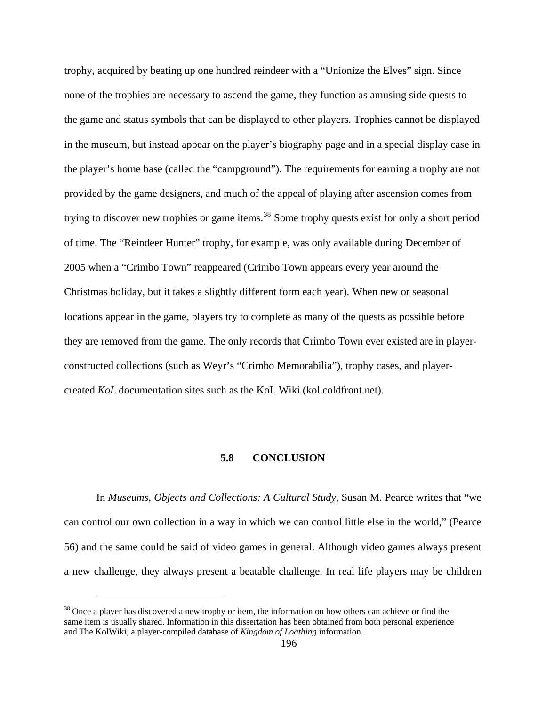trophy, acquired by beating up one hundred reindeer with a "Unionize the Elves" sign. Since none of the trophies are necessary to ascend the game, they function as amusing side quests to the game and status symbols that can be displayed to other players. Trophies cannot be displayed in the museum, but instead appear on the player's biography page and in a special display case in the player's home base (called the "campground"). The requirements for earning a trophy are not provided by the game designers, and much of the appeal of playing after ascension comes from trying to discover new trophies or game items.<sup>[38](#page-204-0)</sup> Some trophy quests exist for only a short period of time. The "Reindeer Hunter" trophy, for example, was only available during December of 2005 when a "Crimbo Town" reappeared (Crimbo Town appears every year around the Christmas holiday, but it takes a slightly different form each year). When new or seasonal locations appear in the game, players try to complete as many of the quests as possible before they are removed from the game. The only records that Crimbo Town ever existed are in playerconstructed collections (such as Weyr's "Crimbo Memorabilia"), trophy cases, and playercreated *KoL* documentation sites such as the KoL Wiki (kol.coldfront.net).

### **5.8 CONCLUSION**

In *Museums, Objects and Collections: A Cultural Study*, Susan M. Pearce writes that "we can control our own collection in a way in which we can control little else in the world," (Pearce 56) and the same could be said of video games in general. Although video games always present a new challenge, they always present a beatable challenge. In real life players may be children

<u>.</u>

<span id="page-204-0"></span><sup>&</sup>lt;sup>38</sup> Once a player has discovered a new trophy or item, the information on how others can achieve or find the same item is usually shared. Information in this dissertation has been obtained from both personal experience and The KolWiki, a player-compiled database of *Kingdom of Loathing* information.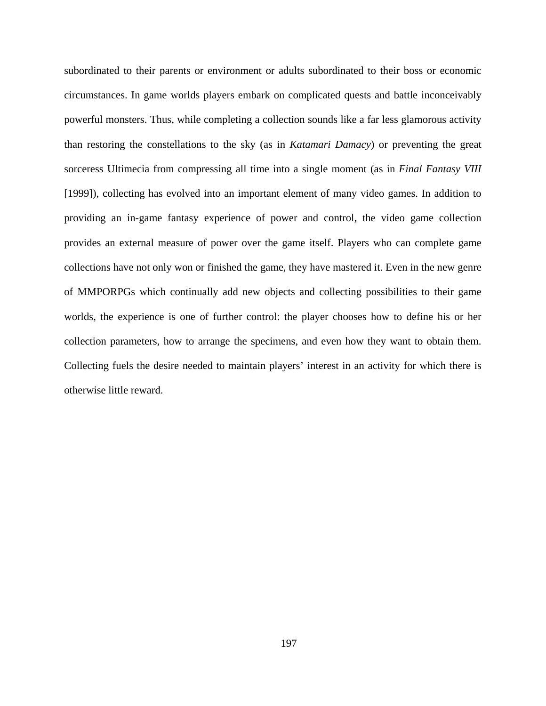subordinated to their parents or environment or adults subordinated to their boss or economic circumstances. In game worlds players embark on complicated quests and battle inconceivably powerful monsters. Thus, while completing a collection sounds like a far less glamorous activity than restoring the constellations to the sky (as in *Katamari Damacy*) or preventing the great sorceress Ultimecia from compressing all time into a single moment (as in *Final Fantasy VIII*  [1999]), collecting has evolved into an important element of many video games. In addition to providing an in-game fantasy experience of power and control, the video game collection provides an external measure of power over the game itself. Players who can complete game collections have not only won or finished the game, they have mastered it. Even in the new genre of MMPORPGs which continually add new objects and collecting possibilities to their game worlds, the experience is one of further control: the player chooses how to define his or her collection parameters, how to arrange the specimens, and even how they want to obtain them. Collecting fuels the desire needed to maintain players' interest in an activity for which there is otherwise little reward.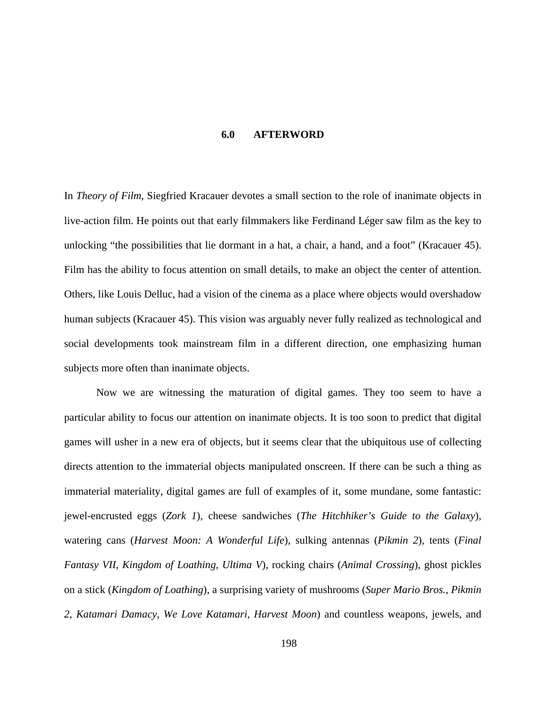#### **6.0 AFTERWORD**

In *Theory of Film*, Siegfried Kracauer devotes a small section to the role of inanimate objects in live-action film. He points out that early filmmakers like Ferdinand Léger saw film as the key to unlocking "the possibilities that lie dormant in a hat, a chair, a hand, and a foot" (Kracauer 45). Film has the ability to focus attention on small details, to make an object the center of attention. Others, like Louis Delluc, had a vision of the cinema as a place where objects would overshadow human subjects (Kracauer 45). This vision was arguably never fully realized as technological and social developments took mainstream film in a different direction, one emphasizing human subjects more often than inanimate objects.

Now we are witnessing the maturation of digital games. They too seem to have a particular ability to focus our attention on inanimate objects. It is too soon to predict that digital games will usher in a new era of objects, but it seems clear that the ubiquitous use of collecting directs attention to the immaterial objects manipulated onscreen. If there can be such a thing as immaterial materiality, digital games are full of examples of it, some mundane, some fantastic: jewel-encrusted eggs (*Zork 1*), cheese sandwiches (*The Hitchhiker's Guide to the Galaxy*), watering cans (*Harvest Moon: A Wonderful Life*), sulking antennas (*Pikmin 2*), tents (*Final Fantasy VII*, *Kingdom of Loathing*, *Ultima V*), rocking chairs (*Animal Crossing*), ghost pickles on a stick (*Kingdom of Loathing*), a surprising variety of mushrooms (*Super Mario Bros.*, *Pikmin 2*, *Katamari Damacy*, *We Love Katamari*, *Harvest Moon*) and countless weapons, jewels, and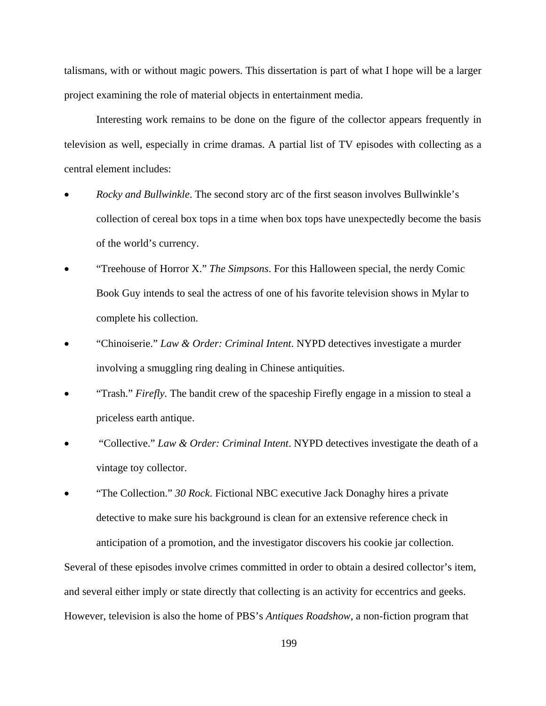talismans, with or without magic powers. This dissertation is part of what I hope will be a larger project examining the role of material objects in entertainment media.

Interesting work remains to be done on the figure of the collector appears frequently in television as well, especially in crime dramas. A partial list of TV episodes with collecting as a central element includes:

- *Rocky and Bullwinkle*. The second story arc of the first season involves Bullwinkle's collection of cereal box tops in a time when box tops have unexpectedly become the basis of the world's currency.
- "Treehouse of Horror X." *The Simpsons*. For this Halloween special, the nerdy Comic Book Guy intends to seal the actress of one of his favorite television shows in Mylar to complete his collection.
- "Chinoiserie." *Law & Order: Criminal Intent*. NYPD detectives investigate a murder involving a smuggling ring dealing in Chinese antiquities.
- "Trash." *Firefly.* The bandit crew of the spaceship Firefly engage in a mission to steal a priceless earth antique.
- "Collective." *Law & Order: Criminal Intent*. NYPD detectives investigate the death of a vintage toy collector.
- "The Collection." *30 Rock*. Fictional NBC executive Jack Donaghy hires a private detective to make sure his background is clean for an extensive reference check in anticipation of a promotion, and the investigator discovers his cookie jar collection.

Several of these episodes involve crimes committed in order to obtain a desired collector's item, and several either imply or state directly that collecting is an activity for eccentrics and geeks. However, television is also the home of PBS's *Antiques Roadshow,* a non-fiction program that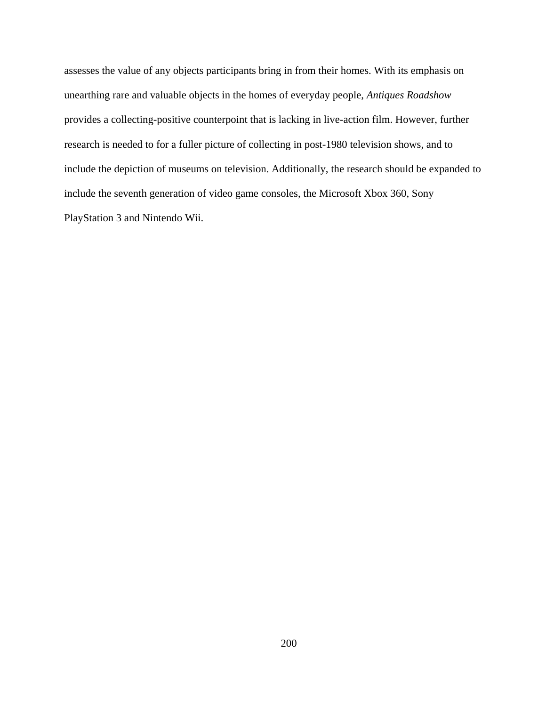assesses the value of any objects participants bring in from their homes. With its emphasis on unearthing rare and valuable objects in the homes of everyday people, *Antiques Roadshow* provides a collecting-positive counterpoint that is lacking in live-action film. However, further research is needed to for a fuller picture of collecting in post-1980 television shows, and to include the depiction of museums on television. Additionally, the research should be expanded to include the seventh generation of video game consoles, the Microsoft Xbox 360, Sony PlayStation 3 and Nintendo Wii.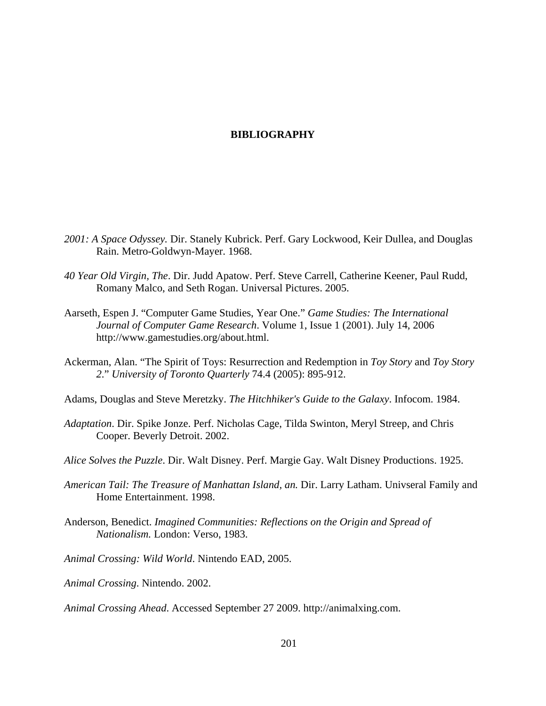## **BIBLIOGRAPHY**

- *2001: A Space Odyssey.* Dir. Stanely Kubrick. Perf. Gary Lockwood, Keir Dullea, and Douglas Rain. Metro-Goldwyn-Mayer. 1968.
- *40 Year Old Virgin, The*. Dir. Judd Apatow. Perf. Steve Carrell, Catherine Keener, Paul Rudd, Romany Malco, and Seth Rogan. Universal Pictures. 2005.
- Aarseth, Espen J. "Computer Game Studies, Year One." *Game Studies: The International Journal of Computer Game Research*. Volume 1, Issue 1 (2001). July 14, 2006 http://www.gamestudies.org/about.html.
- Ackerman, Alan. "The Spirit of Toys: Resurrection and Redemption in *Toy Story* and *Toy Story 2*." *University of Toronto Quarterly* 74.4 (2005): 895-912.
- Adams, Douglas and Steve Meretzky. *The Hitchhiker's Guide to the Galaxy*. Infocom. 1984.
- *Adaptation*. Dir. Spike Jonze. Perf. Nicholas Cage, Tilda Swinton, Meryl Streep, and Chris Cooper. Beverly Detroit. 2002.
- *Alice Solves the Puzzle*. Dir. Walt Disney. Perf. Margie Gay. Walt Disney Productions. 1925.
- *American Tail: The Treasure of Manhattan Island, an.* Dir. Larry Latham. Univseral Family and Home Entertainment. 1998.
- Anderson, Benedict. *Imagined Communities: Reflections on the Origin and Spread of Nationalism.* London: Verso, 1983.

*Animal Crossing: Wild World*. Nintendo EAD, 2005.

*Animal Crossing*. Nintendo. 2002.

*Animal Crossing Ahead*. Accessed September 27 2009. http://animalxing.com.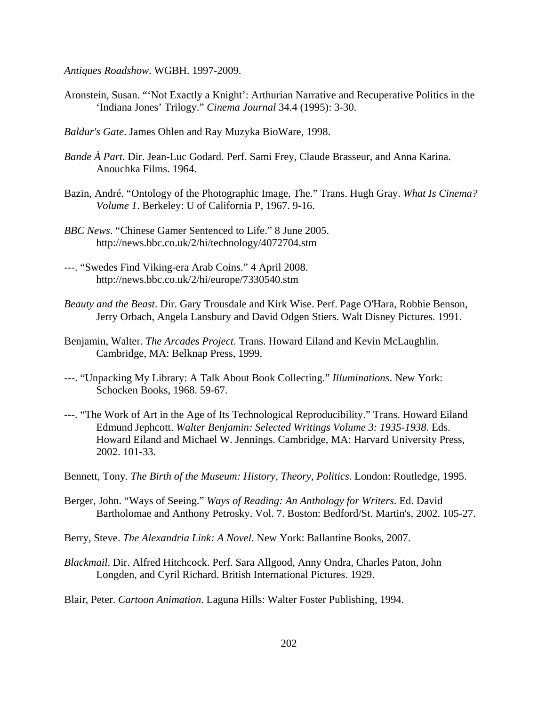*Antiques Roadshow*. WGBH. 1997-2009.

- Aronstein, Susan. "'Not Exactly a Knight': Arthurian Narrative and Recuperative Politics in the 'Indiana Jones' Trilogy." *Cinema Journal* 34.4 (1995): 3-30.
- *Baldur's Gate*. James Ohlen and Ray Muzyka BioWare, 1998.
- *Bande À Part*. Dir. Jean-Luc Godard. Perf. Sami Frey, Claude Brasseur, and Anna Karina. Anouchka Films. 1964.
- Bazin, André. "Ontology of the Photographic Image, The." Trans. Hugh Gray. *What Is Cinema? Volume 1*. Berkeley: U of California P, 1967. 9-16.
- *BBC News*. "Chinese Gamer Sentenced to Life." 8 June 2005. http://news.bbc.co.uk/2/hi/technology/4072704.stm
- ---. "Swedes Find Viking-era Arab Coins." 4 April 2008. http://news.bbc.co.uk/2/hi/europe/7330540.stm
- *Beauty and the Beast*. Dir. Gary Trousdale and Kirk Wise. Perf. Page O'Hara, Robbie Benson, Jerry Orbach, Angela Lansbury and David Odgen Stiers. Walt Disney Pictures. 1991.
- Benjamin, Walter. *The Arcades Project*. Trans. Howard Eiland and Kevin McLaughlin. Cambridge, MA: Belknap Press, 1999.
- ---. "Unpacking My Library: A Talk About Book Collecting." *Illuminations*. New York: Schocken Books, 1968. 59-67.
- ---. "The Work of Art in the Age of Its Technological Reproducibility." Trans. Howard Eiland Edmund Jephcott. *Walter Benjamin: Selected Writings Volume 3: 1935-1938*. Eds. Howard Eiland and Michael W. Jennings. Cambridge, MA: Harvard University Press, 2002. 101-33.
- Bennett, Tony. *The Birth of the Museum: History, Theory, Politics*. London: Routledge, 1995.
- Berger, John. "Ways of Seeing." *Ways of Reading: An Anthology for Writers*. Ed. David Bartholomae and Anthony Petrosky. Vol. 7. Boston: Bedford/St. Martin's, 2002. 105-27.
- Berry, Steve. *The Alexandria Link: A Novel*. New York: Ballantine Books, 2007.
- *Blackmail*. Dir. Alfred Hitchcock. Perf. Sara Allgood, Anny Ondra, Charles Paton, John Longden, and Cyril Richard. British International Pictures. 1929.
- Blair, Peter. *Cartoon Animation*. Laguna Hills: Walter Foster Publishing, 1994.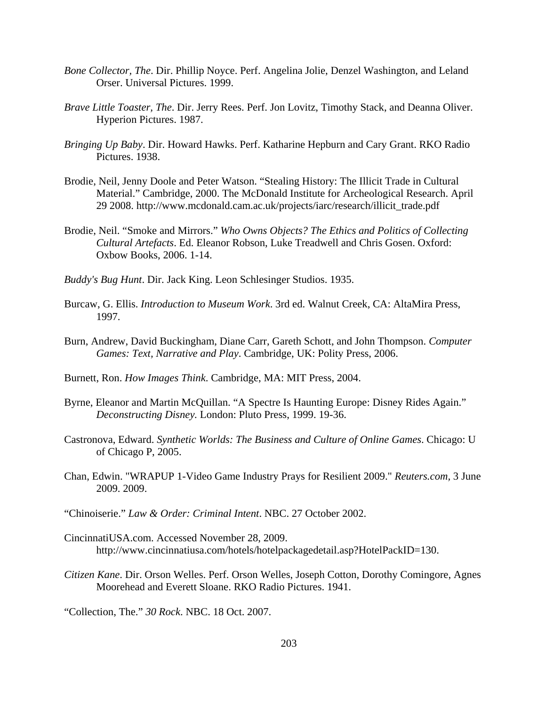- *Bone Collector, The*. Dir. Phillip Noyce. Perf. Angelina Jolie, Denzel Washington, and Leland Orser. Universal Pictures. 1999.
- *Brave Little Toaster, The*. Dir. Jerry Rees. Perf. Jon Lovitz, Timothy Stack, and Deanna Oliver. Hyperion Pictures. 1987.
- *Bringing Up Baby*. Dir. Howard Hawks. Perf. Katharine Hepburn and Cary Grant. RKO Radio Pictures. 1938.
- Brodie, Neil, Jenny Doole and Peter Watson. "Stealing History: The Illicit Trade in Cultural Material." Cambridge, 2000. The McDonald Institute for Archeological Research. April 29 2008. http://www.mcdonald.cam.ac.uk/projects/iarc/research/illicit\_trade.pdf
- Brodie, Neil. "Smoke and Mirrors." *Who Owns Objects? The Ethics and Politics of Collecting Cultural Artefacts*. Ed. Eleanor Robson, Luke Treadwell and Chris Gosen. Oxford: Oxbow Books, 2006. 1-14.
- *Buddy's Bug Hunt*. Dir. Jack King. Leon Schlesinger Studios. 1935.
- Burcaw, G. Ellis. *Introduction to Museum Work*. 3rd ed. Walnut Creek, CA: AltaMira Press, 1997.
- Burn, Andrew, David Buckingham, Diane Carr, Gareth Schott, and John Thompson. *Computer Games: Text, Narrative and Play*. Cambridge, UK: Polity Press, 2006.
- Burnett, Ron. *How Images Think*. Cambridge, MA: MIT Press, 2004.
- Byrne, Eleanor and Martin McQuillan. "A Spectre Is Haunting Europe: Disney Rides Again." *Deconstructing Disney.* London: Pluto Press, 1999. 19-36.
- Castronova, Edward. *Synthetic Worlds: The Business and Culture of Online Games*. Chicago: U of Chicago P, 2005.
- Chan, Edwin. "WRAPUP 1-Video Game Industry Prays for Resilient 2009." *Reuters.com,* 3 June 2009. 2009.
- "Chinoiserie." *Law & Order: Criminal Intent*. NBC. 27 October 2002.
- CincinnatiUSA.com. Accessed November 28, 2009. http://www.cincinnatiusa.com/hotels/hotelpackagedetail.asp?HotelPackID=130.
- *Citizen Kane*. Dir. Orson Welles. Perf. Orson Welles, Joseph Cotton, Dorothy Comingore, Agnes Moorehead and Everett Sloane. RKO Radio Pictures. 1941.

"Collection, The." *30 Rock*. NBC. 18 Oct. 2007.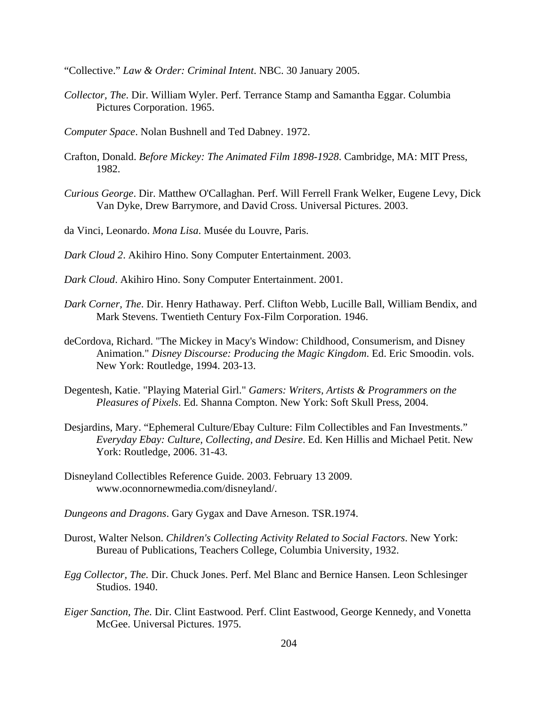"Collective." *Law & Order: Criminal Intent*. NBC. 30 January 2005.

- *Collector, The*. Dir. William Wyler. Perf. Terrance Stamp and Samantha Eggar. Columbia Pictures Corporation. 1965.
- *Computer Space*. Nolan Bushnell and Ted Dabney. 1972.
- Crafton, Donald. *Before Mickey: The Animated Film 1898-1928*. Cambridge, MA: MIT Press, 1982.
- *Curious George*. Dir. Matthew O'Callaghan. Perf. Will Ferrell Frank Welker, Eugene Levy, Dick Van Dyke, Drew Barrymore, and David Cross. Universal Pictures. 2003.
- da Vinci, Leonardo. *Mona Lisa*. Musée du Louvre, Paris.
- *Dark Cloud 2*. Akihiro Hino. Sony Computer Entertainment. 2003.
- *Dark Cloud*. Akihiro Hino. Sony Computer Entertainment. 2001.
- *Dark Corner, The*. Dir. Henry Hathaway. Perf. Clifton Webb, Lucille Ball, William Bendix, and Mark Stevens. Twentieth Century Fox-Film Corporation. 1946.
- deCordova, Richard. "The Mickey in Macy's Window: Childhood, Consumerism, and Disney Animation." *Disney Discourse: Producing the Magic Kingdom*. Ed. Eric Smoodin. vols. New York: Routledge, 1994. 203-13.
- Degentesh, Katie. "Playing Material Girl." *Gamers: Writers, Artists & Programmers on the Pleasures of Pixels*. Ed. Shanna Compton. New York: Soft Skull Press, 2004.
- Desjardins, Mary. "Ephemeral Culture/Ebay Culture: Film Collectibles and Fan Investments." *Everyday Ebay: Culture, Collecting, and Desire*. Ed. Ken Hillis and Michael Petit. New York: Routledge, 2006. 31-43.
- Disneyland Collectibles Reference Guide. 2003. February 13 2009. www.oconnornewmedia.com/disneyland/.
- *Dungeons and Dragons*. Gary Gygax and Dave Arneson. TSR.1974.
- Durost, Walter Nelson. *Children's Collecting Activity Related to Social Factors*. New York: Bureau of Publications, Teachers College, Columbia University, 1932.
- *Egg Collector, The.* Dir. Chuck Jones. Perf. Mel Blanc and Bernice Hansen. Leon Schlesinger Studios. 1940.
- *Eiger Sanction, The.* Dir. Clint Eastwood. Perf. Clint Eastwood, George Kennedy, and Vonetta McGee. Universal Pictures. 1975.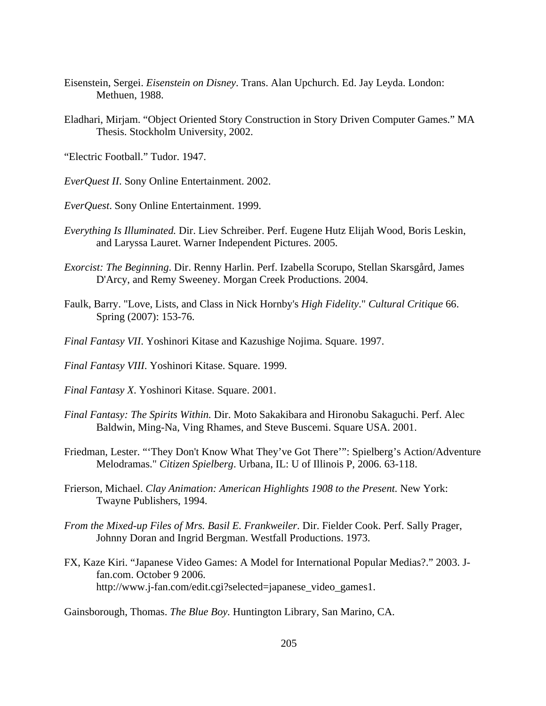- Eisenstein, Sergei. *Eisenstein on Disney*. Trans. Alan Upchurch. Ed. Jay Leyda. London: Methuen, 1988.
- Eladhari, Mirjam. "Object Oriented Story Construction in Story Driven Computer Games." MA Thesis. Stockholm University, 2002.
- "Electric Football." Tudor. 1947.
- *EverQuest II*. Sony Online Entertainment. 2002.
- *EverQuest*. Sony Online Entertainment. 1999.
- *Everything Is Illuminated.* Dir. Liev Schreiber. Perf. Eugene Hutz Elijah Wood, Boris Leskin, and Laryssa Lauret. Warner Independent Pictures. 2005.
- *Exorcist: The Beginning*. Dir. Renny Harlin. Perf. Izabella Scorupo, Stellan Skarsgård, James D'Arcy, and Remy Sweeney. Morgan Creek Productions. 2004.
- Faulk, Barry. "Love, Lists, and Class in Nick Hornby's *High Fidelity*." *Cultural Critique* 66. Spring (2007): 153-76.
- *Final Fantasy VII*. Yoshinori Kitase and Kazushige Nojima. Square. 1997.
- *Final Fantasy VIII*. Yoshinori Kitase. Square. 1999.
- *Final Fantasy X*. Yoshinori Kitase. Square. 2001.
- *Final Fantasy: The Spirits Within.* Dir. Moto Sakakibara and Hironobu Sakaguchi. Perf. Alec Baldwin, Ming-Na, Ving Rhames, and Steve Buscemi. Square USA. 2001.
- Friedman, Lester. "'They Don't Know What They've Got There'": Spielberg's Action/Adventure Melodramas." *Citizen Spielberg*. Urbana, IL: U of Illinois P, 2006. 63-118.
- Frierson, Michael. *Clay Animation: American Highlights 1908 to the Present.* New York: Twayne Publishers, 1994.
- *From the Mixed-up Files of Mrs. Basil E. Frankweiler*. Dir. Fielder Cook. Perf. Sally Prager, Johnny Doran and Ingrid Bergman. Westfall Productions. 1973.
- FX, Kaze Kiri. "Japanese Video Games: A Model for International Popular Medias?." 2003. Jfan.com. October 9 2006. http://www.j-fan.com/edit.cgi?selected=japanese\_video\_games1.

Gainsborough, Thomas. *The Blue Boy.* Huntington Library, San Marino, CA.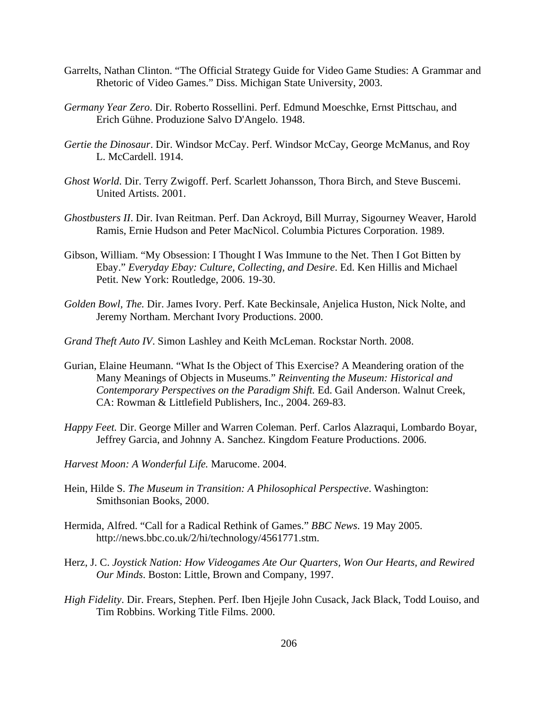- Garrelts, Nathan Clinton. "The Official Strategy Guide for Video Game Studies: A Grammar and Rhetoric of Video Games." Diss. Michigan State University, 2003.
- *Germany Year Zero*. Dir. Roberto Rossellini. Perf. Edmund Moeschke, Ernst Pittschau, and Erich Gühne. Produzione Salvo D'Angelo. 1948.
- *Gertie the Dinosaur*. Dir. Windsor McCay. Perf. Windsor McCay, George McManus, and Roy L. McCardell. 1914.
- *Ghost World*. Dir. Terry Zwigoff. Perf. Scarlett Johansson, Thora Birch, and Steve Buscemi. United Artists. 2001.
- *Ghostbusters II*. Dir. Ivan Reitman. Perf. Dan Ackroyd, Bill Murray, Sigourney Weaver, Harold Ramis, Ernie Hudson and Peter MacNicol. Columbia Pictures Corporation. 1989.
- Gibson, William. "My Obsession: I Thought I Was Immune to the Net. Then I Got Bitten by Ebay." *Everyday Ebay: Culture, Collecting, and Desire*. Ed. Ken Hillis and Michael Petit. New York: Routledge, 2006. 19-30.
- *Golden Bowl, The.* Dir. James Ivory. Perf. Kate Beckinsale, Anjelica Huston, Nick Nolte, and Jeremy Northam. Merchant Ivory Productions. 2000.
- *Grand Theft Auto IV*. Simon Lashley and Keith McLeman. Rockstar North. 2008.
- Gurian, Elaine Heumann. "What Is the Object of This Exercise? A Meandering oration of the Many Meanings of Objects in Museums." *Reinventing the Museum: Historical and Contemporary Perspectives on the Paradigm Shift.* Ed. Gail Anderson. Walnut Creek, CA: Rowman & Littlefield Publishers, Inc., 2004. 269-83.
- *Happy Feet.* Dir. George Miller and Warren Coleman. Perf. Carlos Alazraqui, Lombardo Boyar, Jeffrey Garcia, and Johnny A. Sanchez. Kingdom Feature Productions. 2006.
- *Harvest Moon: A Wonderful Life.* Marucome. 2004.
- Hein, Hilde S. *The Museum in Transition: A Philosophical Perspective*. Washington: Smithsonian Books, 2000.
- Hermida, Alfred. "Call for a Radical Rethink of Games." *BBC News*. 19 May 2005. http://news.bbc.co.uk/2/hi/technology/4561771.stm.
- Herz, J. C. *Joystick Nation: How Videogames Ate Our Quarters, Won Our Hearts, and Rewired Our Minds*. Boston: Little, Brown and Company, 1997.
- *High Fidelity*. Dir. Frears, Stephen. Perf. Iben Hjejle John Cusack, Jack Black, Todd Louiso, and Tim Robbins. Working Title Films. 2000.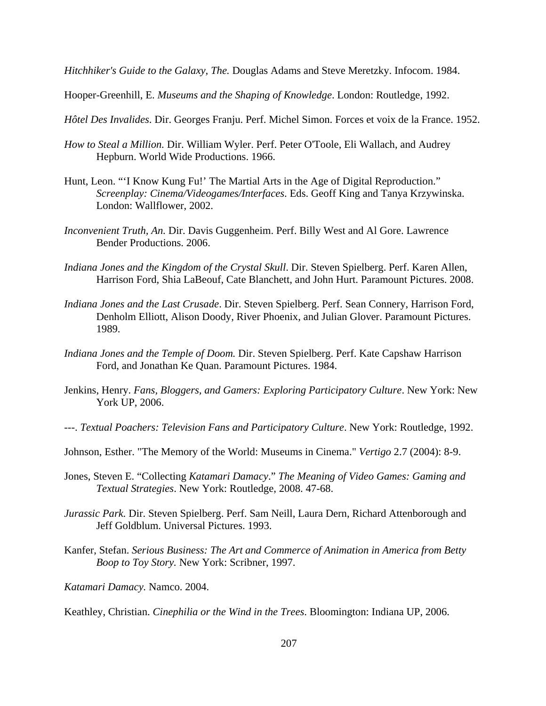*Hitchhiker's Guide to the Galaxy, The.* Douglas Adams and Steve Meretzky. Infocom. 1984.

Hooper-Greenhill, E. *Museums and the Shaping of Knowledge*. London: Routledge, 1992.

- *Hôtel Des Invalides*. Dir. Georges Franju. Perf. Michel Simon. Forces et voix de la France. 1952.
- *How to Steal a Million.* Dir. William Wyler. Perf. Peter O'Toole, Eli Wallach, and Audrey Hepburn. World Wide Productions. 1966.
- Hunt, Leon. "'I Know Kung Fu!' The Martial Arts in the Age of Digital Reproduction." *Screenplay: Cinema/Videogames/Interfaces*. Eds. Geoff King and Tanya Krzywinska. London: Wallflower, 2002.
- *Inconvenient Truth, An.* Dir. Davis Guggenheim. Perf. Billy West and Al Gore. Lawrence Bender Productions. 2006.
- *Indiana Jones and the Kingdom of the Crystal Skull*. Dir. Steven Spielberg. Perf. Karen Allen, Harrison Ford, Shia LaBeouf, Cate Blanchett, and John Hurt. Paramount Pictures. 2008.
- *Indiana Jones and the Last Crusade*. Dir. Steven Spielberg. Perf. Sean Connery, Harrison Ford, Denholm Elliott, Alison Doody, River Phoenix, and Julian Glover. Paramount Pictures. 1989.
- *Indiana Jones and the Temple of Doom.* Dir. Steven Spielberg. Perf. Kate Capshaw Harrison Ford, and Jonathan Ke Quan. Paramount Pictures. 1984.
- Jenkins, Henry. *Fans, Bloggers, and Gamers: Exploring Participatory Culture*. New York: New York UP, 2006.
- ---. *Textual Poachers: Television Fans and Participatory Culture*. New York: Routledge, 1992.
- Johnson, Esther. "The Memory of the World: Museums in Cinema." *Vertigo* 2.7 (2004): 8-9.
- Jones, Steven E. "Collecting *Katamari Damacy*." *The Meaning of Video Games: Gaming and Textual Strategies*. New York: Routledge, 2008. 47-68.
- *Jurassic Park.* Dir. Steven Spielberg. Perf. Sam Neill, Laura Dern, Richard Attenborough and Jeff Goldblum. Universal Pictures. 1993.
- Kanfer, Stefan. *Serious Business: The Art and Commerce of Animation in America from Betty Boop to Toy Story.* New York: Scribner, 1997.

*Katamari Damacy.* Namco. 2004.

Keathley, Christian. *Cinephilia or the Wind in the Trees*. Bloomington: Indiana UP, 2006.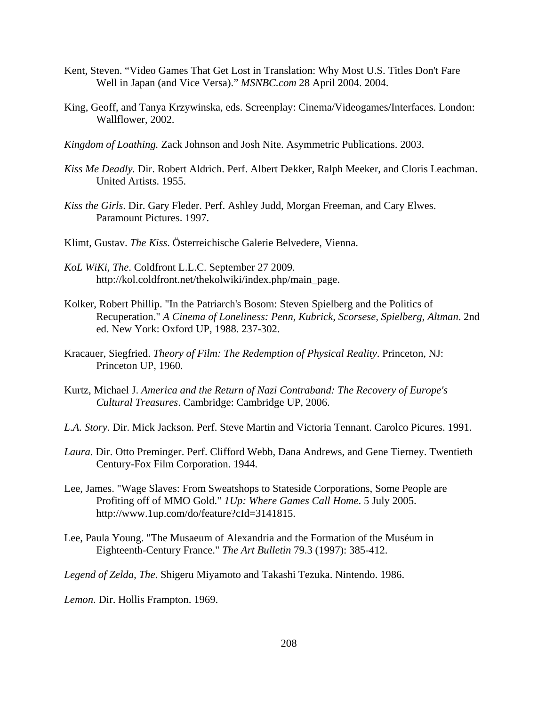- Kent, Steven. "Video Games That Get Lost in Translation: Why Most U.S. Titles Don't Fare Well in Japan (and Vice Versa)." *MSNBC.com* 28 April 2004. 2004.
- King, Geoff, and Tanya Krzywinska, eds. Screenplay: Cinema/Videogames/Interfaces. London: Wallflower, 2002.
- *Kingdom of Loathing.* Zack Johnson and Josh Nite. Asymmetric Publications. 2003.
- *Kiss Me Deadly.* Dir. Robert Aldrich. Perf. Albert Dekker, Ralph Meeker, and Cloris Leachman. United Artists. 1955.
- *Kiss the Girls*. Dir. Gary Fleder. Perf. Ashley Judd, Morgan Freeman, and Cary Elwes. Paramount Pictures. 1997.
- Klimt, Gustav. *The Kiss*. Österreichische Galerie Belvedere, Vienna.
- *KoL WiKi, The*. Coldfront L.L.C. September 27 2009. http://kol.coldfront.net/thekolwiki/index.php/main\_page.
- Kolker, Robert Phillip. "In the Patriarch's Bosom: Steven Spielberg and the Politics of Recuperation." *A Cinema of Loneliness: Penn, Kubrick, Scorsese, Spielberg, Altman*. 2nd ed. New York: Oxford UP, 1988. 237-302.
- Kracauer, Siegfried. *Theory of Film: The Redemption of Physical Reality*. Princeton, NJ: Princeton UP, 1960.
- Kurtz, Michael J. *America and the Return of Nazi Contraband: The Recovery of Europe's Cultural Treasures*. Cambridge: Cambridge UP, 2006.
- *L.A. Story*. Dir. Mick Jackson. Perf. Steve Martin and Victoria Tennant. Carolco Picures. 1991.
- *Laura*. Dir. Otto Preminger. Perf. Clifford Webb, Dana Andrews, and Gene Tierney. Twentieth Century-Fox Film Corporation. 1944.
- Lee, James. "Wage Slaves: From Sweatshops to Stateside Corporations, Some People are Profiting off of MMO Gold." *1Up: Where Games Call Home*. 5 July 2005. http://www.1up.com/do/feature?cId=3141815.
- Lee, Paula Young. "The Musaeum of Alexandria and the Formation of the Muséum in Eighteenth-Century France." *The Art Bulletin* 79.3 (1997): 385-412.
- *Legend of Zelda, The*. Shigeru Miyamoto and Takashi Tezuka. Nintendo. 1986.

*Lemon*. Dir. Hollis Frampton. 1969.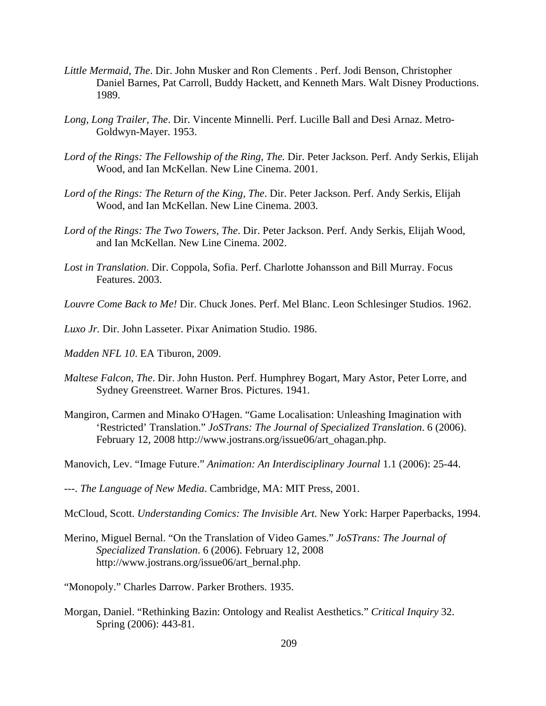- *Little Mermaid, The*. Dir. John Musker and Ron Clements . Perf. Jodi Benson, Christopher Daniel Barnes, Pat Carroll, Buddy Hackett, and Kenneth Mars. Walt Disney Productions. 1989.
- *Long, Long Trailer, The*. Dir. Vincente Minnelli. Perf. Lucille Ball and Desi Arnaz. Metro-Goldwyn-Mayer. 1953.
- *Lord of the Rings: The Fellowship of the Ring, The.* Dir. Peter Jackson. Perf. Andy Serkis, Elijah Wood, and Ian McKellan. New Line Cinema. 2001.
- *Lord of the Rings: The Return of the King, The*. Dir. Peter Jackson. Perf. Andy Serkis, Elijah Wood, and Ian McKellan. New Line Cinema. 2003.
- *Lord of the Rings: The Two Towers, The*. Dir. Peter Jackson. Perf. Andy Serkis, Elijah Wood, and Ian McKellan. New Line Cinema. 2002.
- *Lost in Translation*. Dir. Coppola, Sofia. Perf. Charlotte Johansson and Bill Murray. Focus Features. 2003.
- *Louvre Come Back to Me!* Dir. Chuck Jones. Perf. Mel Blanc. Leon Schlesinger Studios. 1962.
- *Luxo Jr.* Dir. John Lasseter. Pixar Animation Studio. 1986.
- *Madden NFL 10*. EA Tiburon, 2009.
- *Maltese Falcon, The*. Dir. John Huston. Perf. Humphrey Bogart, Mary Astor, Peter Lorre, and Sydney Greenstreet. Warner Bros. Pictures. 1941.
- Mangiron, Carmen and Minako O'Hagen. "Game Localisation: Unleashing Imagination with 'Restricted' Translation." *JoSTrans: The Journal of Specialized Translation*. 6 (2006). February 12, 2008 http://www.jostrans.org/issue06/art\_ohagan.php.

Manovich, Lev. "Image Future." *Animation: An Interdisciplinary Journal* 1.1 (2006): 25-44.

- ---. *The Language of New Media*. Cambridge, MA: MIT Press, 2001.
- McCloud, Scott. *Understanding Comics: The Invisible Art*. New York: Harper Paperbacks, 1994.
- Merino, Miguel Bernal. "On the Translation of Video Games." *JoSTrans: The Journal of Specialized Translation*. 6 (2006). February 12, 2008 http://www.jostrans.org/issue06/art\_bernal.php.
- "Monopoly." Charles Darrow. Parker Brothers. 1935.
- Morgan, Daniel. "Rethinking Bazin: Ontology and Realist Aesthetics." *Critical Inquiry* 32. Spring (2006): 443-81.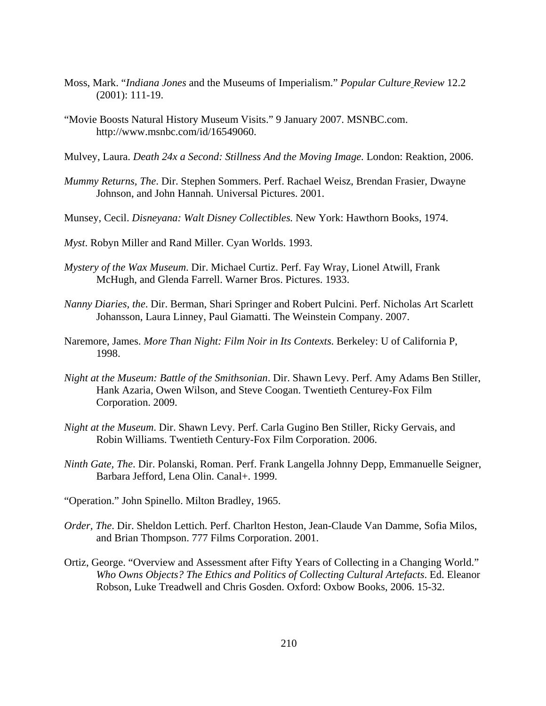- Moss, Mark. "*Indiana Jones* and the Museums of Imperialism." *Popular Culture Review* 12.2 (2001): 111-19.
- "Movie Boosts Natural History Museum Visits." 9 January 2007. MSNBC.com. http://www.msnbc.com/id/16549060.
- Mulvey, Laura. *Death 24x a Second: Stillness And the Moving Image.* London: Reaktion, 2006.
- *Mummy Returns, The*. Dir. Stephen Sommers. Perf. Rachael Weisz, Brendan Frasier, Dwayne Johnson, and John Hannah. Universal Pictures. 2001.
- Munsey, Cecil. *Disneyana: Walt Disney Collectibles.* New York: Hawthorn Books, 1974.
- *Myst*. Robyn Miller and Rand Miller. Cyan Worlds. 1993.
- *Mystery of the Wax Museum*. Dir. Michael Curtiz. Perf. Fay Wray, Lionel Atwill, Frank McHugh, and Glenda Farrell. Warner Bros. Pictures. 1933.
- *Nanny Diaries, the*. Dir. Berman, Shari Springer and Robert Pulcini. Perf. Nicholas Art Scarlett Johansson, Laura Linney, Paul Giamatti. The Weinstein Company. 2007.
- Naremore, James. *More Than Night: Film Noir in Its Contexts*. Berkeley: U of California P, 1998.
- *Night at the Museum: Battle of the Smithsonian*. Dir. Shawn Levy. Perf. Amy Adams Ben Stiller, Hank Azaria, Owen Wilson, and Steve Coogan. Twentieth Centurey-Fox Film Corporation. 2009.
- *Night at the Museum*. Dir. Shawn Levy. Perf. Carla Gugino Ben Stiller, Ricky Gervais, and Robin Williams. Twentieth Century-Fox Film Corporation. 2006.
- *Ninth Gate, The*. Dir. Polanski, Roman. Perf. Frank Langella Johnny Depp, Emmanuelle Seigner, Barbara Jefford, Lena Olin. Canal+. 1999.
- "Operation." John Spinello. Milton Bradley, 1965.
- *Order, The*. Dir. Sheldon Lettich. Perf. Charlton Heston, Jean-Claude Van Damme, Sofia Milos, and Brian Thompson. 777 Films Corporation. 2001.
- Ortiz, George. "Overview and Assessment after Fifty Years of Collecting in a Changing World." *Who Owns Objects? The Ethics and Politics of Collecting Cultural Artefacts*. Ed. Eleanor Robson, Luke Treadwell and Chris Gosden. Oxford: Oxbow Books, 2006. 15-32.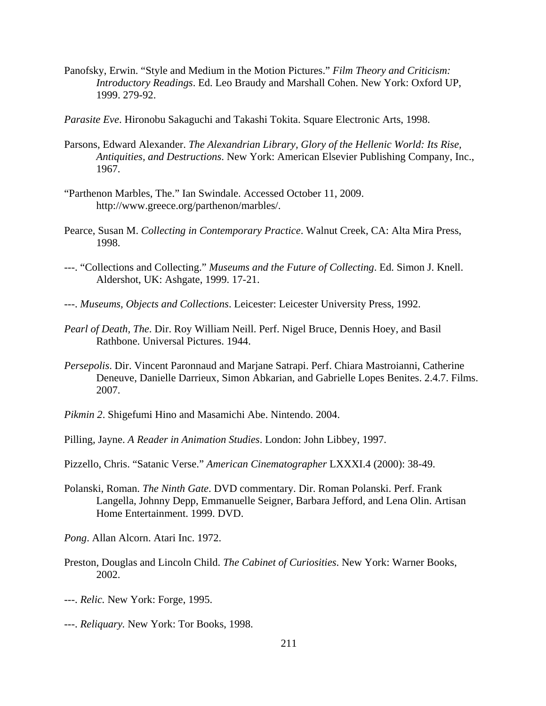- Panofsky, Erwin. "Style and Medium in the Motion Pictures." *Film Theory and Criticism: Introductory Readings*. Ed. Leo Braudy and Marshall Cohen. New York: Oxford UP, 1999. 279-92.
- *Parasite Eve*. Hironobu Sakaguchi and Takashi Tokita. Square Electronic Arts, 1998.
- Parsons, Edward Alexander. *The Alexandrian Library, Glory of the Hellenic World: Its Rise, Antiquities, and Destructions*. New York: American Elsevier Publishing Company, Inc., 1967.
- "Parthenon Marbles, The." Ian Swindale. Accessed October 11, 2009. http://www.greece.org/parthenon/marbles/.
- Pearce, Susan M. *Collecting in Contemporary Practice*. Walnut Creek, CA: Alta Mira Press, 1998.
- ---. "Collections and Collecting." *Museums and the Future of Collecting*. Ed. Simon J. Knell. Aldershot, UK: Ashgate, 1999. 17-21.
- ---. *Museums, Objects and Collections*. Leicester: Leicester University Press, 1992.
- *Pearl of Death, The*. Dir. Roy William Neill. Perf. Nigel Bruce, Dennis Hoey, and Basil Rathbone. Universal Pictures. 1944.
- *Persepolis*. Dir. Vincent Paronnaud and Marjane Satrapi. Perf. Chiara Mastroianni, Catherine Deneuve, Danielle Darrieux, Simon Abkarian, and Gabrielle Lopes Benites. 2.4.7. Films. 2007.
- *Pikmin 2*. Shigefumi Hino and Masamichi Abe. Nintendo. 2004.
- Pilling, Jayne. *A Reader in Animation Studies*. London: John Libbey, 1997.
- Pizzello, Chris. "Satanic Verse." *American Cinematographer* LXXXI.4 (2000): 38-49.
- Polanski, Roman. *The Ninth Gate*. DVD commentary. Dir. Roman Polanski. Perf. Frank Langella, Johnny Depp, Emmanuelle Seigner, Barbara Jefford, and Lena Olin. Artisan Home Entertainment. 1999. DVD.
- *Pong*. Allan Alcorn. Atari Inc. 1972.
- Preston, Douglas and Lincoln Child. *The Cabinet of Curiosities*. New York: Warner Books, 2002.
- ---. *Relic.* New York: Forge, 1995.
- ---. *Reliquary.* New York: Tor Books, 1998.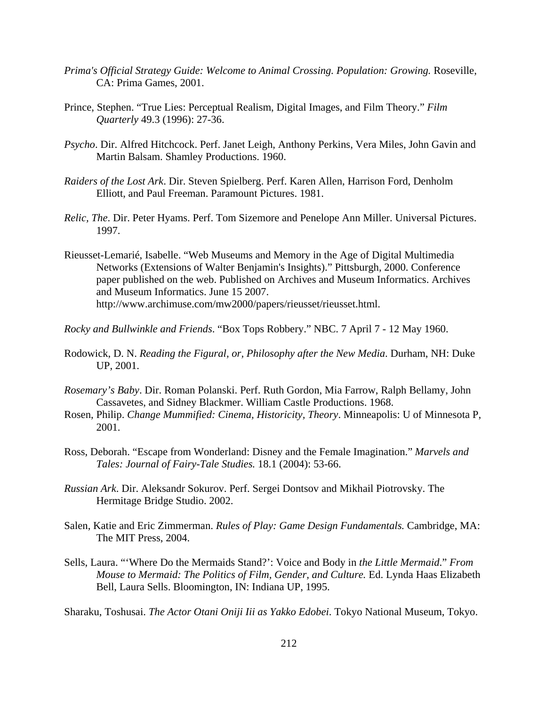- *Prima's Official Strategy Guide: Welcome to Animal Crossing. Population: Growing.* Roseville, CA: Prima Games, 2001.
- Prince, Stephen. "True Lies: Perceptual Realism, Digital Images, and Film Theory." *Film Quarterly* 49.3 (1996): 27-36.
- *Psycho*. Dir. Alfred Hitchcock. Perf. Janet Leigh, Anthony Perkins, Vera Miles, John Gavin and Martin Balsam. Shamley Productions. 1960.
- *Raiders of the Lost Ark*. Dir. Steven Spielberg. Perf. Karen Allen, Harrison Ford, Denholm Elliott, and Paul Freeman. Paramount Pictures. 1981.
- *Relic, The*. Dir. Peter Hyams. Perf. Tom Sizemore and Penelope Ann Miller. Universal Pictures. 1997.
- Rieusset-Lemarié, Isabelle. "Web Museums and Memory in the Age of Digital Multimedia Networks (Extensions of Walter Benjamin's Insights)." Pittsburgh, 2000. Conference paper published on the web. Published on Archives and Museum Informatics. Archives and Museum Informatics. June 15 2007. http://www.archimuse.com/mw2000/papers/rieusset/rieusset.html.
- *Rocky and Bullwinkle and Friends*. "Box Tops Robbery." NBC. 7 April 7 12 May 1960.
- Rodowick, D. N. *Reading the Figural, or, Philosophy after the New Media*. Durham, NH: Duke UP, 2001.
- *Rosemary's Baby*. Dir. Roman Polanski. Perf. Ruth Gordon, Mia Farrow, Ralph Bellamy, John Cassavetes, and Sidney Blackmer. William Castle Productions. 1968.
- Rosen, Philip. *Change Mummified: Cinema, Historicity, Theory*. Minneapolis: U of Minnesota P, 2001.
- Ross, Deborah. "Escape from Wonderland: Disney and the Female Imagination." *Marvels and Tales: Journal of Fairy-Tale Studies.* 18.1 (2004): 53-66.
- *Russian Ark*. Dir. Aleksandr Sokurov. Perf. Sergei Dontsov and Mikhail Piotrovsky. The Hermitage Bridge Studio. 2002.
- Salen, Katie and Eric Zimmerman. *Rules of Play: Game Design Fundamentals.* Cambridge, MA: The MIT Press, 2004.
- Sells, Laura. "'Where Do the Mermaids Stand?': Voice and Body in *the Little Mermaid*." *From Mouse to Mermaid: The Politics of Film, Gender, and Culture.* Ed. Lynda Haas Elizabeth Bell, Laura Sells. Bloomington, IN: Indiana UP, 1995.

Sharaku, Toshusai. *The Actor Otani Oniji Iii as Yakko Edobei*. Tokyo National Museum, Tokyo.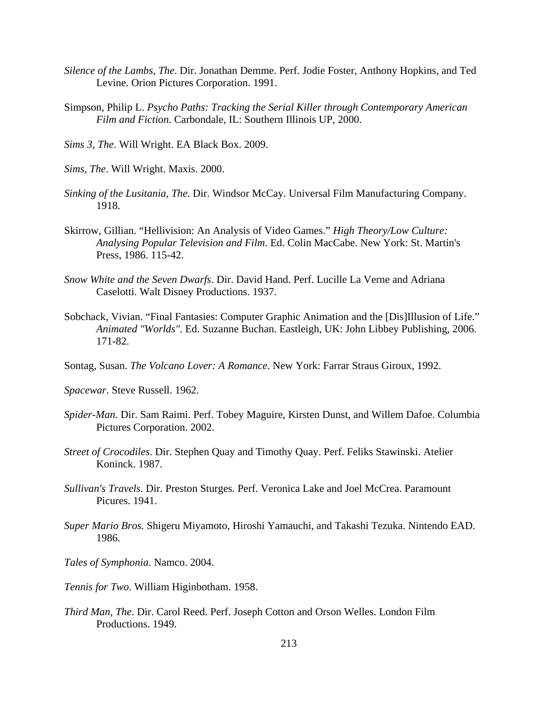- *Silence of the Lambs, The*. Dir. Jonathan Demme. Perf. Jodie Foster, Anthony Hopkins, and Ted Levine. Orion Pictures Corporation. 1991.
- Simpson, Philip L. *Psycho Paths: Tracking the Serial Killer through Contemporary American Film and Fiction*. Carbondale, IL: Southern Illinois UP, 2000.

*Sims 3, The*. Will Wright. EA Black Box. 2009.

*Sims, The*. Will Wright. Maxis. 2000.

- *Sinking of the Lusitania, The.* Dir. Windsor McCay. Universal Film Manufacturing Company. 1918.
- Skirrow, Gillian. "Hellivision: An Analysis of Video Games." *High Theory/Low Culture: Analysing Popular Television and Film*. Ed. Colin MacCabe. New York: St. Martin's Press, 1986. 115-42.
- *Snow White and the Seven Dwarfs*. Dir. David Hand. Perf. Lucille La Verne and Adriana Caselotti. Walt Disney Productions. 1937.
- Sobchack, Vivian. "Final Fantasies: Computer Graphic Animation and the [Dis]Illusion of Life." *Animated "Worlds"*. Ed. Suzanne Buchan. Eastleigh, UK: John Libbey Publishing, 2006. 171-82.
- Sontag, Susan. *The Volcano Lover: A Romance*. New York: Farrar Straus Giroux, 1992.

*Spacewar*. Steve Russell. 1962.

- *Spider-Man*. Dir. Sam Raimi. Perf. Tobey Maguire, Kirsten Dunst, and Willem Dafoe. Columbia Pictures Corporation. 2002.
- *Street of Crocodiles*. Dir. Stephen Quay and Timothy Quay. Perf. Feliks Stawinski. Atelier Koninck. 1987.
- *Sullivan's Travels*. Dir. Preston Sturges. Perf. Veronica Lake and Joel McCrea. Paramount Picures. 1941.
- *Super Mario Bros.* Shigeru Miyamoto, Hiroshi Yamauchi, and Takashi Tezuka. Nintendo EAD. 1986.
- *Tales of Symphonia*. Namco. 2004.

*Tennis for Two*. William Higinbotham. 1958.

*Third Man, The*. Dir. Carol Reed. Perf. Joseph Cotton and Orson Welles. London Film Productions. 1949.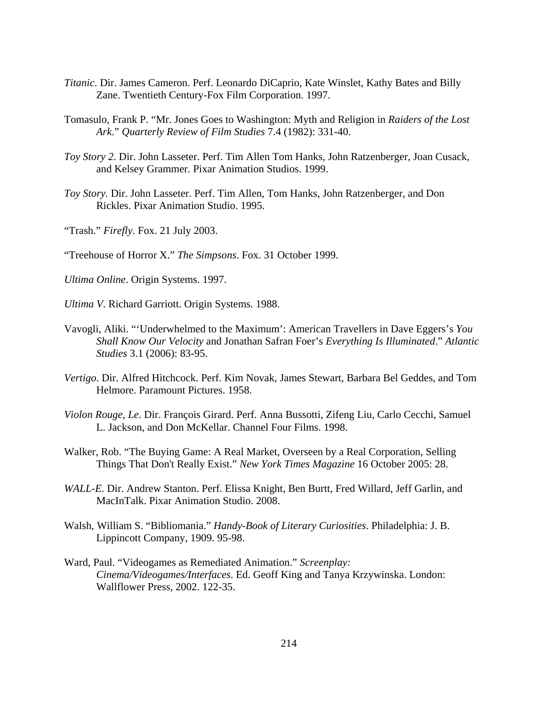- *Titanic*. Dir. James Cameron. Perf. Leonardo DiCaprio, Kate Winslet, Kathy Bates and Billy Zane. Twentieth Century-Fox Film Corporation. 1997.
- Tomasulo, Frank P. "Mr. Jones Goes to Washington: Myth and Religion in *Raiders of the Lost Ark*." *Quarterly Review of Film Studies* 7.4 (1982): 331-40.
- *Toy Story 2*. Dir. John Lasseter. Perf. Tim Allen Tom Hanks, John Ratzenberger, Joan Cusack, and Kelsey Grammer. Pixar Animation Studios. 1999.
- *Toy Story.* Dir. John Lasseter. Perf. Tim Allen, Tom Hanks, John Ratzenberger, and Don Rickles. Pixar Animation Studio. 1995.
- "Trash." *Firefly*. Fox. 21 July 2003.
- "Treehouse of Horror X." *The Simpsons*. Fox. 31 October 1999.
- *Ultima Online*. Origin Systems. 1997.
- *Ultima V*. Richard Garriott. Origin Systems. 1988.
- Vavogli, Aliki. "'Underwhelmed to the Maximum': American Travellers in Dave Eggers's *You Shall Know Our Velocity* and Jonathan Safran Foer's *Everything Is Illuminated*." *Atlantic Studies* 3.1 (2006): 83-95.
- *Vertigo*. Dir. Alfred Hitchcock. Perf. Kim Novak, James Stewart, Barbara Bel Geddes, and Tom Helmore. Paramount Pictures. 1958.
- *Violon Rouge, Le*. Dir. François Girard. Perf. Anna Bussotti, Zifeng Liu, Carlo Cecchi, Samuel L. Jackson, and Don McKellar. Channel Four Films. 1998.
- Walker, Rob. "The Buying Game: A Real Market, Overseen by a Real Corporation, Selling Things That Don't Really Exist." *New York Times Magazine* 16 October 2005: 28.
- *WALL-E*. Dir. Andrew Stanton. Perf. Elissa Knight, Ben Burtt, Fred Willard, Jeff Garlin, and MacInTalk. Pixar Animation Studio. 2008.
- Walsh, William S. "Bibliomania." *Handy-Book of Literary Curiosities*. Philadelphia: J. B. Lippincott Company, 1909. 95-98.
- Ward, Paul. "Videogames as Remediated Animation." *Screenplay: Cinema/Videogames/Interfaces*. Ed. Geoff King and Tanya Krzywinska. London: Wallflower Press, 2002. 122-35.